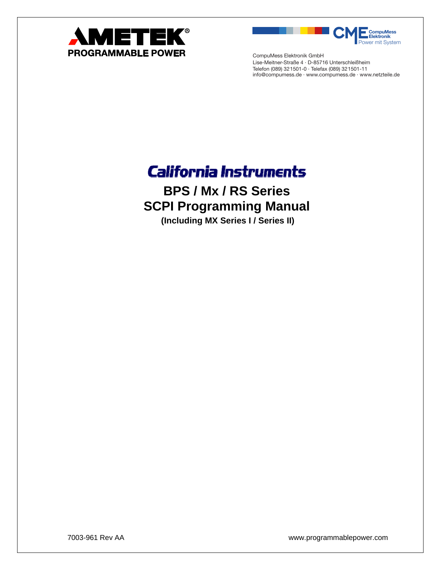

**CompuMess Elektronik** Power mit System

CompuMess Elektronik GmbH Lise-Meitner-Straße 4 · D-85716 Unterschleißheim Telefon (089) 321501-0 · Telefax (089) 321501-11 info@compumess.de · www.compumess.de · www.netzteile.de

## **California Instruments**

**BPS / Mx / RS Series SCPI Programming Manual** 

**(Including MX Series I / Series II)** 

7003-961 Rev AA www.programmablepower.com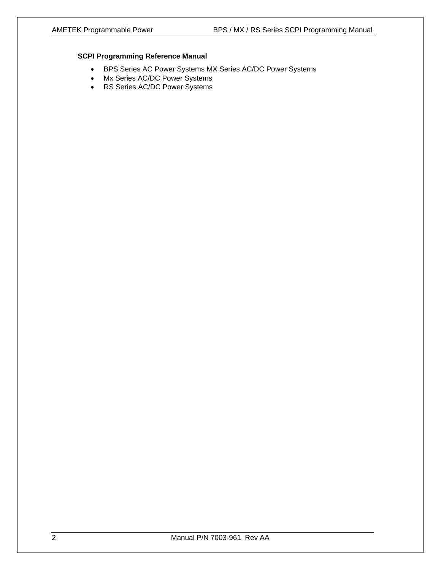#### **SCPI Programming Reference Manual**

- BPS Series AC Power Systems MX Series AC/DC Power Systems
- Mx Series AC/DC Power Systems
- RS Series AC/DC Power Systems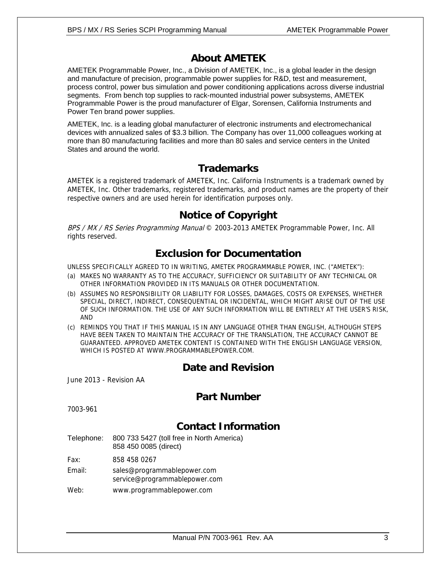## **About AMETEK**

AMETEK Programmable Power, Inc., a Division of AMETEK, Inc., is a global leader in the design and manufacture of precision, programmable power supplies for R&D, test and measurement, process control, power bus simulation and power conditioning applications across diverse industrial segments. From bench top supplies to rack-mounted industrial power subsystems, AMETEK Programmable Power is the proud manufacturer of Elgar, Sorensen, California Instruments and Power Ten brand power supplies.

AMETEK, Inc. is a leading global manufacturer of electronic instruments and electromechanical devices with annualized sales of \$3.3 billion. The Company has over 11,000 colleagues working at more than 80 manufacturing facilities and more than 80 sales and service centers in the United States and around the world.

### **Trademarks**

AMETEK is a registered trademark of AMETEK, Inc. California Instruments is a trademark owned by AMETEK, Inc. Other trademarks, registered trademarks, and product names are the property of their respective owners and are used herein for identification purposes only.

### **Notice of Copyright**

BPS / MX / RS Series Programming Manual © 2003-2013 AMETEK Programmable Power, Inc. All rights reserved.

### **Exclusion for Documentation**

UNLESS SPECIFICALLY AGREED TO IN WRITING, AMETEK PROGRAMMABLE POWER, INC. ("AMETEK"):

- (a) MAKES NO WARRANTY AS TO THE ACCURACY, SUFFICIENCY OR SUITABILITY OF ANY TECHNICAL OR OTHER INFORMATION PROVIDED IN ITS MANUALS OR OTHER DOCUMENTATION.
- (b) ASSUMES NO RESPONSIBILITY OR LIABILITY FOR LOSSES, DAMAGES, COSTS OR EXPENSES, WHETHER SPECIAL, DIRECT, INDIRECT, CONSEQUENTIAL OR INCIDENTAL, WHICH MIGHT ARISE OUT OF THE USE OF SUCH INFORMATION. THE USE OF ANY SUCH INFORMATION WILL BE ENTIRELY AT THE USER'S RISK, AND
- (c) REMINDS YOU THAT IF THIS MANUAL IS IN ANY LANGUAGE OTHER THAN ENGLISH, ALTHOUGH STEPS HAVE BEEN TAKEN TO MAINTAIN THE ACCURACY OF THE TRANSLATION, THE ACCURACY CANNOT BE GUARANTEED. APPROVED AMETEK CONTENT IS CONTAINED WITH THE ENGLISH LANGUAGE VERSION, WHICH IS POSTED AT WWW.PROGRAMMABLEPOWER.COM.

### **Date and Revision**

June 2013 - Revision AA

### **Part Number**

7003-961

### **Contact Information**

Telephone: 800 733 5427 (toll free in North America) 858 450 0085 (direct)

Fax: 858 458 0267

- Email: sales@programmablepower.com service@programmablepower.com
- Web: www.programmablepower.com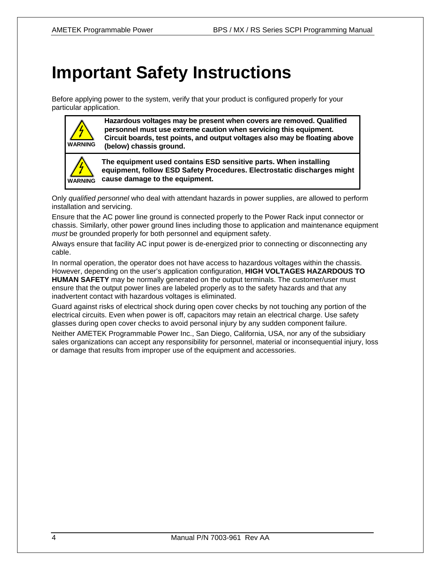# **Important Safety Instructions**

Before applying power to the system, verify that your product is configured properly for your particular application.



**Hazardous voltages may be present when covers are removed. Qualified personnel must use extreme caution when servicing this equipment. Circuit boards, test points, and output voltages also may be floating above (below) chassis ground.**



**The equipment used contains ESD sensitive parts. When installing equipment, follow ESD Safety Procedures. Electrostatic discharges might cause damage to the equipment.** 

Only *qualified personnel* who deal with attendant hazards in power supplies, are allowed to perform installation and servicing.

Ensure that the AC power line ground is connected properly to the Power Rack input connector or chassis. Similarly, other power ground lines including those to application and maintenance equipment *must* be grounded properly for both personnel and equipment safety.

Always ensure that facility AC input power is de-energized prior to connecting or disconnecting any cable.

In normal operation, the operator does not have access to hazardous voltages within the chassis. However, depending on the user's application configuration, **HIGH VOLTAGES HAZARDOUS TO HUMAN SAFETY** may be normally generated on the output terminals. The customer/user must ensure that the output power lines are labeled properly as to the safety hazards and that any inadvertent contact with hazardous voltages is eliminated.

Guard against risks of electrical shock during open cover checks by not touching any portion of the electrical circuits. Even when power is off, capacitors may retain an electrical charge. Use safety glasses during open cover checks to avoid personal injury by any sudden component failure.

Neither AMETEK Programmable Power Inc., San Diego, California, USA, nor any of the subsidiary sales organizations can accept any responsibility for personnel, material or inconsequential injury, loss or damage that results from improper use of the equipment and accessories.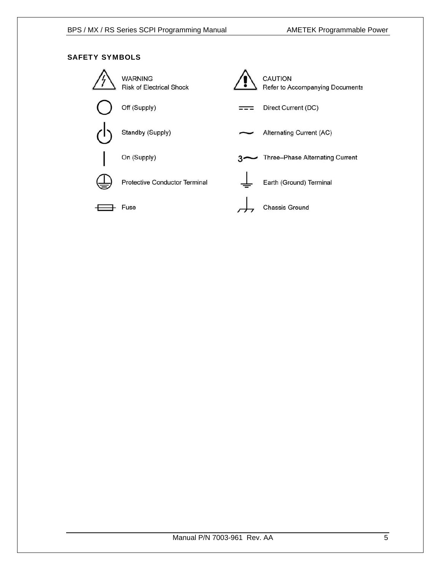#### SAFETY SYMBOLS

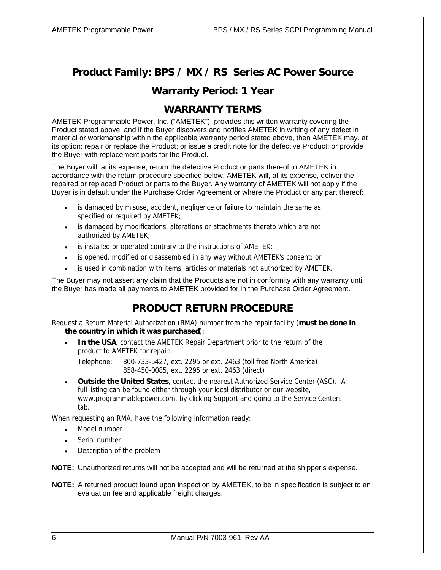## **Product Family: BPS / MX / RS Series AC Power Source**

### **Warranty Period: 1 Year**

### **WARRANTY TERMS**

AMETEK Programmable Power, Inc. ("AMETEK"), provides this written warranty covering the Product stated above, and if the Buyer discovers and notifies AMETEK in writing of any defect in material or workmanship within the applicable warranty period stated above, then AMETEK may, at its option: repair or replace the Product; or issue a credit note for the defective Product; or provide the Buyer with replacement parts for the Product.

The Buyer will, at its expense, return the defective Product or parts thereof to AMETEK in accordance with the return procedure specified below. AMETEK will, at its expense, deliver the repaired or replaced Product or parts to the Buyer. Any warranty of AMETEK will not apply if the Buyer is in default under the Purchase Order Agreement or where the Product or any part thereof:

- is damaged by misuse, accident, negligence or failure to maintain the same as specified or required by AMETEK;
- is damaged by modifications, alterations or attachments thereto which are not authorized by AMETEK;
- is installed or operated contrary to the instructions of AMETEK;
- is opened, modified or disassembled in any way without AMETEK's consent; or
- is used in combination with items, articles or materials not authorized by AMETEK.

The Buyer may not assert any claim that the Products are not in conformity with any warranty until the Buyer has made all payments to AMETEK provided for in the Purchase Order Agreement.

### **PRODUCT RETURN PROCEDURE**

Request a Return Material Authorization (RMA) number from the repair facility (**must be done in the country in which it was purchased**):

- **In the USA**, contact the AMETEK Repair Department prior to the return of the product to AMETEK for repair:
	- Telephone: 800-733-5427, ext. 2295 or ext. 2463 (toll free North America) 858-450-0085, ext. 2295 or ext. 2463 (direct)
- **Outside the United States**, contact the nearest Authorized Service Center (ASC). A full listing can be found either through your local distributor or our website, www.programmablepower.com, by clicking Support and going to the Service Centers tab.

When requesting an RMA, have the following information ready:

- Model number
- Serial number
- Description of the problem

**NOTE:** Unauthorized returns will not be accepted and will be returned at the shipper's expense.

**NOTE:** A returned product found upon inspection by AMETEK, to be in specification is subject to an evaluation fee and applicable freight charges.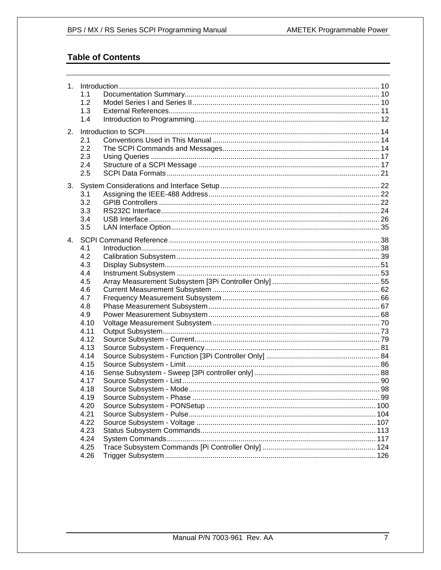### **Table of Contents**

|    | 1.1  |  |
|----|------|--|
|    | 1.2  |  |
|    | 1.3  |  |
|    | 1.4  |  |
|    |      |  |
| 2. |      |  |
|    | 2.1  |  |
|    | 2.2  |  |
|    | 2.3  |  |
|    | 2.4  |  |
|    | 2.5  |  |
| 3. |      |  |
|    | 3.1  |  |
|    | 3.2  |  |
|    | 3.3  |  |
|    | 3.4  |  |
|    | 3.5  |  |
|    |      |  |
|    |      |  |
|    | 4.1  |  |
|    | 4.2  |  |
|    | 4.3  |  |
|    | 4.4  |  |
|    | 4.5  |  |
|    | 4.6  |  |
|    | 4.7  |  |
|    | 4.8  |  |
|    | 4.9  |  |
|    | 4.10 |  |
|    | 4.11 |  |
|    | 4.12 |  |
|    | 4.13 |  |
|    | 4.14 |  |
|    | 4.15 |  |
|    | 4.16 |  |
|    | 4.17 |  |
|    | 4.18 |  |
|    | 4.19 |  |
|    | 4.20 |  |
|    | 4.21 |  |
|    | 4.22 |  |
|    | 4.23 |  |
|    | 4.24 |  |
|    | 4.25 |  |
|    | 4.26 |  |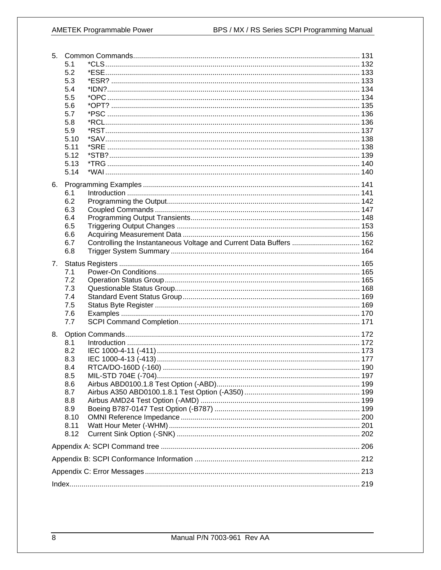### **AMETEK Programmable Power**

| 5. |              |                                                                     |  |
|----|--------------|---------------------------------------------------------------------|--|
|    | 5.1          |                                                                     |  |
|    | 5.2          |                                                                     |  |
|    | 5.3          |                                                                     |  |
|    | 5.4          |                                                                     |  |
|    | 5.5          |                                                                     |  |
|    | 5.6          |                                                                     |  |
|    | 5.7          |                                                                     |  |
|    | 5.8          |                                                                     |  |
|    | 5.9          |                                                                     |  |
|    | 5.10         |                                                                     |  |
|    | 5.11<br>5.12 |                                                                     |  |
|    | 5.13         |                                                                     |  |
|    | 5.14         |                                                                     |  |
|    |              |                                                                     |  |
| 6. |              |                                                                     |  |
|    | 6.1          |                                                                     |  |
|    | 6.2          |                                                                     |  |
|    | 6.3          |                                                                     |  |
|    | 6.4          |                                                                     |  |
|    | 6.5          |                                                                     |  |
|    | 6.6          |                                                                     |  |
|    | 6.7          | Controlling the Instantaneous Voltage and Current Data Buffers  162 |  |
|    | 6.8          |                                                                     |  |
| 7. |              |                                                                     |  |
|    | 7.1          |                                                                     |  |
|    | 7.2          |                                                                     |  |
|    | 7.3          |                                                                     |  |
|    | 7.4          |                                                                     |  |
|    | 7.5          |                                                                     |  |
|    | 7.6          |                                                                     |  |
|    | 7.7          |                                                                     |  |
| 8. |              |                                                                     |  |
|    | 8.1          |                                                                     |  |
|    | 8.2          |                                                                     |  |
|    | 8.3          |                                                                     |  |
|    | 8.4          |                                                                     |  |
|    | 8.5          |                                                                     |  |
|    | 8.6          |                                                                     |  |
|    | 8.7          |                                                                     |  |
|    | 8.8          |                                                                     |  |
|    | 8.9          |                                                                     |  |
|    | 8.10         |                                                                     |  |
|    | 8.11         |                                                                     |  |
|    | 8.12         |                                                                     |  |
|    |              |                                                                     |  |
|    |              |                                                                     |  |
|    |              |                                                                     |  |
|    |              |                                                                     |  |
|    |              |                                                                     |  |
|    |              |                                                                     |  |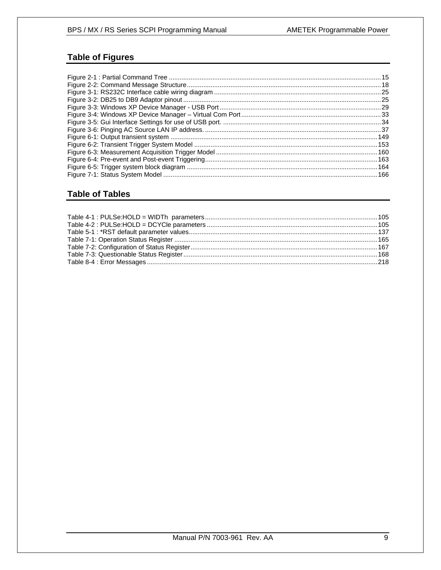### **Table of Figures**

### **Table of Tables**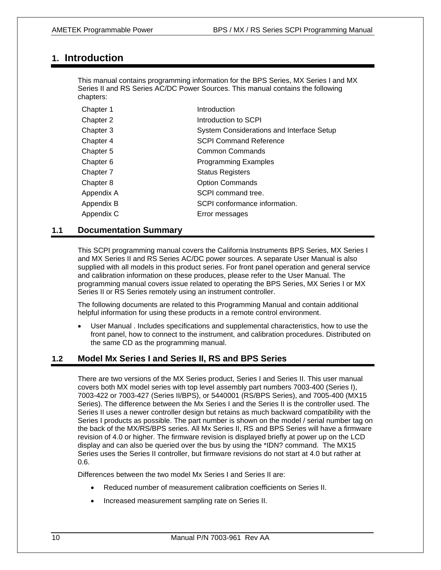### **1. Introduction**

This manual contains programming information for the BPS Series, MX Series I and MX Series II and RS Series AC/DC Power Sources. This manual contains the following chapters:

| Chapter 1  | Introduction                              |
|------------|-------------------------------------------|
| Chapter 2  | Introduction to SCPI                      |
| Chapter 3  | System Considerations and Interface Setup |
| Chapter 4  | <b>SCPI Command Reference</b>             |
| Chapter 5  | Common Commands                           |
| Chapter 6  | <b>Programming Examples</b>               |
| Chapter 7  | <b>Status Registers</b>                   |
| Chapter 8  | <b>Option Commands</b>                    |
| Appendix A | SCPI command tree.                        |
| Appendix B | SCPI conformance information.             |
| Appendix C | Error messages                            |

#### **1.1 Documentation Summary**

This SCPI programming manual covers the California Instruments BPS Series, MX Series I and MX Series II and RS Series AC/DC power sources. A separate User Manual is also supplied with all models in this product series. For front panel operation and general service and calibration information on these produces, please refer to the User Manual. The programming manual covers issue related to operating the BPS Series, MX Series I or MX Series II or RS Series remotely using an instrument controller.

The following documents are related to this Programming Manual and contain additional helpful information for using these products in a remote control environment.

• User Manual . Includes specifications and supplemental characteristics, how to use the front panel, how to connect to the instrument, and calibration procedures. Distributed on the same CD as the programming manual.

#### **1.2 Model Mx Series I and Series II, RS and BPS Series**

There are two versions of the MX Series product, Series I and Series II. This user manual covers both MX model series with top level assembly part numbers 7003-400 (Series I), 7003-422 or 7003-427 (Series II/BPS), or 5440001 (RS/BPS Series), and 7005-400 (MX15 Series). The difference between the Mx Series I and the Series II is the controller used. The Series II uses a newer controller design but retains as much backward compatibility with the Series I products as possible. The part number is shown on the model / serial number tag on the back of the MX/RS/BPS series. All Mx Series II, RS and BPS Series will have a firmware revision of 4.0 or higher. The firmware revision is displayed briefly at power up on the LCD display and can also be queried over the bus by using the \*IDN? command. The MX15 Series uses the Series II controller, but firmware revisions do not start at 4.0 but rather at 0.6.

Differences between the two model Mx Series I and Series II are:

- Reduced number of measurement calibration coefficients on Series II.
- Increased measurement sampling rate on Series II.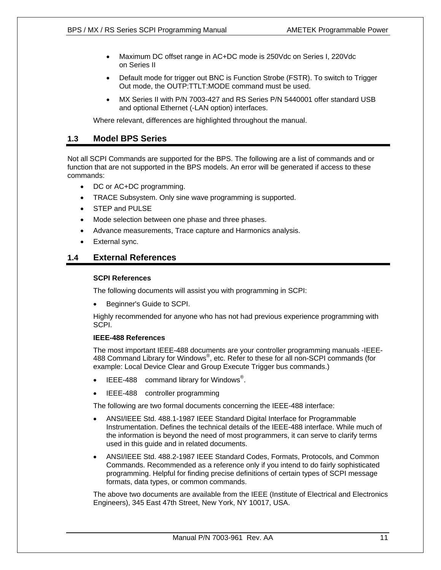- Maximum DC offset range in AC+DC mode is 250Vdc on Series I, 220Vdc on Series II
- Default mode for trigger out BNC is Function Strobe (FSTR). To switch to Trigger Out mode, the OUTP:TTLT:MODE command must be used.
- MX Series II with P/N 7003-427 and RS Series P/N 5440001 offer standard USB and optional Ethernet (-LAN option) interfaces.

Where relevant, differences are highlighted throughout the manual.

#### **1.3 Model BPS Series**

Not all SCPI Commands are supported for the BPS. The following are a list of commands and or function that are not supported in the BPS models. An error will be generated if access to these commands:

- DC or AC+DC programming.
- TRACE Subsystem. Only sine wave programming is supported.
- STEP and PULSE
- Mode selection between one phase and three phases.
- Advance measurements, Trace capture and Harmonics analysis.
- External sync.

#### **1.4 External References**

#### **SCPI References**

The following documents will assist you with programming in SCPI:

• Beginner's Guide to SCPI.

Highly recommended for anyone who has not had previous experience programming with SCPI.

#### **IEEE-488 References**

The most important IEEE-488 documents are your controller programming manuals -IEEE-488 Command Library for Windows® , etc. Refer to these for all non-SCPI commands (for example: Local Device Clear and Group Execute Trigger bus commands.)

- $\bullet$  IEEE-488 command library for Windows<sup>®</sup>.
- IEEE-488 controller programming

The following are two formal documents concerning the IEEE-488 interface:

- ANSI/IEEE Std. 488.1-1987 IEEE Standard Digital Interface for Programmable Instrumentation. Defines the technical details of the IEEE-488 interface. While much of the information is beyond the need of most programmers, it can serve to clarify terms used in this guide and in related documents.
- ANSI/IEEE Std. 488.2-1987 IEEE Standard Codes, Formats, Protocols, and Common Commands. Recommended as a reference only if you intend to do fairly sophisticated programming. Helpful for finding precise definitions of certain types of SCPI message formats, data types, or common commands.

The above two documents are available from the IEEE (Institute of Electrical and Electronics Engineers), 345 East 47th Street, New York, NY 10017, USA.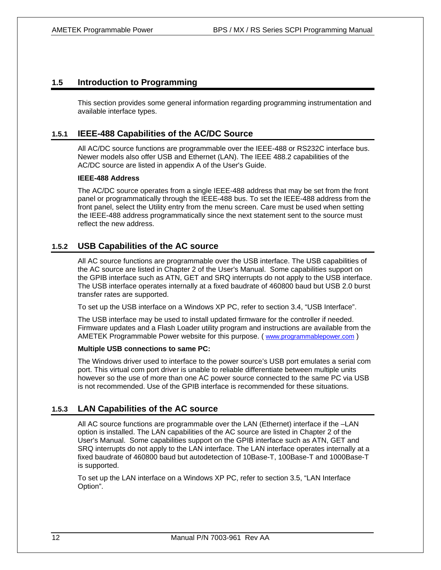#### **1.5 Introduction to Programming**

This section provides some general information regarding programming instrumentation and available interface types.

#### **1.5.1 IEEE-488 Capabilities of the AC/DC Source**

All AC/DC source functions are programmable over the IEEE-488 or RS232C interface bus. Newer models also offer USB and Ethernet (LAN). The IEEE 488.2 capabilities of the AC/DC source are listed in appendix A of the User's Guide.

#### **IEEE-488 Address**

The AC/DC source operates from a single IEEE-488 address that may be set from the front panel or programmatically through the IEEE-488 bus. To set the IEEE-488 address from the front panel, select the Utility entry from the menu screen. Care must be used when setting the IEEE-488 address programmatically since the next statement sent to the source must reflect the new address.

#### **1.5.2 USB Capabilities of the AC source**

All AC source functions are programmable over the USB interface. The USB capabilities of the AC source are listed in Chapter 2 of the User's Manual. Some capabilities support on the GPIB interface such as ATN, GET and SRQ interrupts do not apply to the USB interface. The USB interface operates internally at a fixed baudrate of 460800 baud but USB 2.0 burst transfer rates are supported.

To set up the USB interface on a Windows XP PC, refer to section 3.4, "USB Interface".

The USB interface may be used to install updated firmware for the controller if needed. Firmware updates and a Flash Loader utility program and instructions are available from the AMETEK Programmable Power website for this purpose. ( www.programmablepower.com )

#### **Multiple USB connections to same PC:**

The Windows driver used to interface to the power source's USB port emulates a serial com port. This virtual com port driver is unable to reliable differentiate between multiple units however so the use of more than one AC power source connected to the same PC via USB is not recommended. Use of the GPIB interface is recommended for these situations.

#### **1.5.3 LAN Capabilities of the AC source**

All AC source functions are programmable over the LAN (Ethernet) interface if the –LAN option is installed. The LAN capabilities of the AC source are listed in Chapter 2 of the User's Manual. Some capabilities support on the GPIB interface such as ATN, GET and SRQ interrupts do not apply to the LAN interface. The LAN interface operates internally at a fixed baudrate of 460800 baud but autodetection of 10Base-T, 100Base-T and 1000Base-T is supported.

To set up the LAN interface on a Windows XP PC, refer to section 3.5, "LAN Interface Option".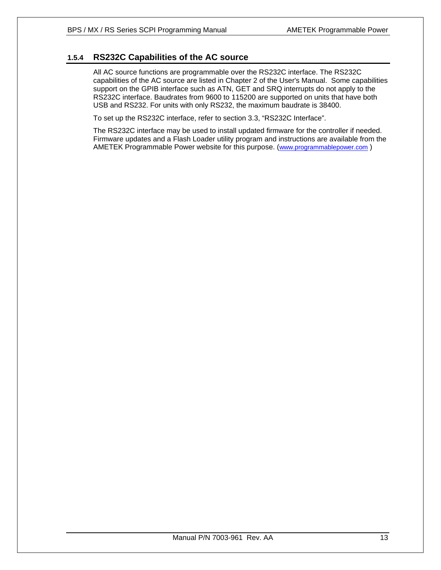#### **1.5.4 RS232C Capabilities of the AC source**

All AC source functions are programmable over the RS232C interface. The RS232C capabilities of the AC source are listed in Chapter 2 of the User's Manual. Some capabilities support on the GPIB interface such as ATN, GET and SRQ interrupts do not apply to the RS232C interface. Baudrates from 9600 to 115200 are supported on units that have both USB and RS232. For units with only RS232, the maximum baudrate is 38400.

To set up the RS232C interface, refer to section 3.3, "RS232C Interface".

The RS232C interface may be used to install updated firmware for the controller if needed. Firmware updates and a Flash Loader utility program and instructions are available from the AMETEK Programmable Power website for this purpose. (www.programmablepower.com )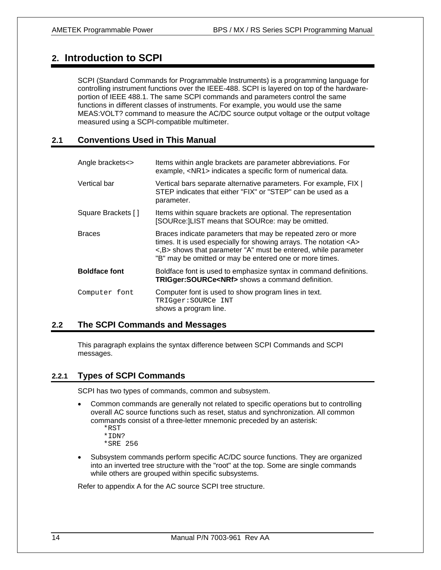### **2. Introduction to SCPI**

SCPI (Standard Commands for Programmable Instruments) is a programming language for controlling instrument functions over the IEEE-488. SCPI is layered on top of the hardwareportion of IEEE 488.1. The same SCPI commands and parameters control the same functions in different classes of instruments. For example, you would use the same MEAS:VOLT? command to measure the AC/DC source output voltage or the output voltage measured using a SCPI-compatible multimeter.

#### **2.1 Conventions Used in This Manual**

| Angle brackets<>     | Items within angle brackets are parameter abbreviations. For<br>example, <nr1> indicates a specific form of numerical data.</nr1>                                                                                                                                                                         |
|----------------------|-----------------------------------------------------------------------------------------------------------------------------------------------------------------------------------------------------------------------------------------------------------------------------------------------------------|
| Vertical bar         | Vertical bars separate alternative parameters. For example, FIX  <br>STEP indicates that either "FIX" or "STEP" can be used as a<br>parameter.                                                                                                                                                            |
| Square Brackets []   | Items within square brackets are optional. The representation<br>[SOURce: LIST means that SOURce: may be omitted.                                                                                                                                                                                         |
| <b>Braces</b>        | Braces indicate parameters that may be repeated zero or more<br>times. It is used especially for showing arrays. The notation <a><br/><math>\langle</math>, B <math>&gt;</math> shows that parameter "A" must be entered, while parameter<br/>"B" may be omitted or may be entered one or more times.</a> |
| <b>Boldface font</b> | Boldface font is used to emphasize syntax in command definitions.<br>TRIGger: SOURCe <nrf> shows a command definition.</nrf>                                                                                                                                                                              |
| Computer font        | Computer font is used to show program lines in text.<br>TRIGGEr: SOURCe INT<br>shows a program line.                                                                                                                                                                                                      |

#### **2.2 The SCPI Commands and Messages**

This paragraph explains the syntax difference between SCPI Commands and SCPI messages.

### **2.2.1 Types of SCPI Commands**

SCPI has two types of commands, common and subsystem.

- Common commands are generally not related to specific operations but to controlling overall AC source functions such as reset, status and synchronization. All common commands consist of a three-letter mnemonic preceded by an asterisk:
	- \*RST
	- \*IDN?
	- \*SRE 256
- Subsystem commands perform specific AC/DC source functions. They are organized into an inverted tree structure with the "root" at the top. Some are single commands while others are grouped within specific subsystems.

Refer to appendix A for the AC source SCPI tree structure.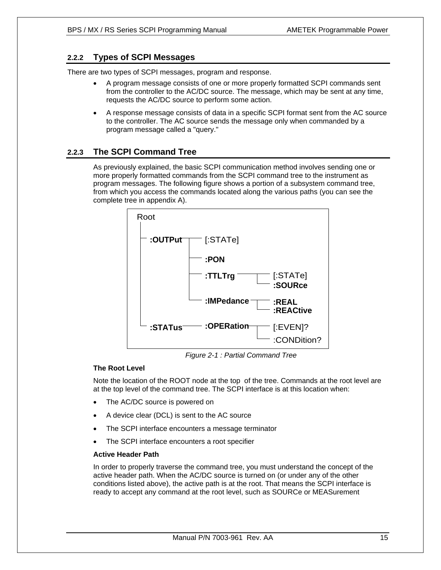### **2.2.2 Types of SCPI Messages**

There are two types of SCPI messages, program and response.

- A program message consists of one or more properly formatted SCPI commands sent from the controller to the AC/DC source. The message, which may be sent at any time, requests the AC/DC source to perform some action.
- A response message consists of data in a specific SCPI format sent from the AC source to the controller. The AC source sends the message only when commanded by a program message called a "query."

#### **2.2.3 The SCPI Command Tree**

As previously explained, the basic SCPI communication method involves sending one or more properly formatted commands from the SCPI command tree to the instrument as program messages. The following figure shows a portion of a subsystem command tree, from which you access the commands located along the various paths (you can see the complete tree in appendix A).



*Figure 2-1 : Partial Command Tree* 

#### **The Root Level**

Note the location of the ROOT node at the top of the tree. Commands at the root level are at the top level of the command tree. The SCPI interface is at this location when:

- The AC/DC source is powered on
- A device clear (DCL) is sent to the AC source
- The SCPI interface encounters a message terminator
- The SCPI interface encounters a root specifier

#### **Active Header Path**

In order to properly traverse the command tree, you must understand the concept of the active header path. When the AC/DC source is turned on (or under any of the other conditions listed above), the active path is at the root. That means the SCPI interface is ready to accept any command at the root level, such as SOURCe or MEASurement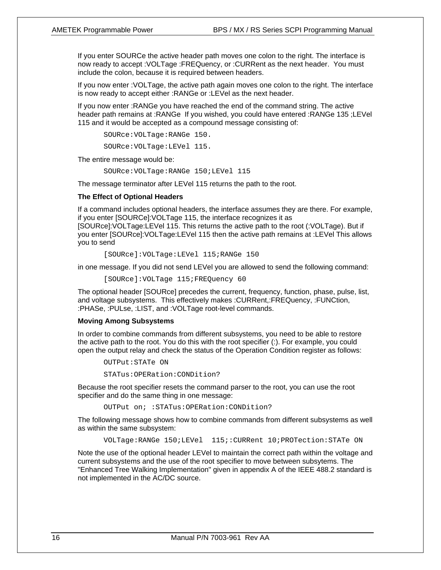If you enter SOURCe the active header path moves one colon to the right. The interface is now ready to accept :VOLTage :FREQuency, or :CURRent as the next header. You must include the colon, because it is required between headers.

If you now enter :VOLTage, the active path again moves one colon to the right. The interface is now ready to accept either :RANGe or :LEVel as the next header.

If you now enter :RANGe you have reached the end of the command string. The active header path remains at :RANGe If you wished, you could have entered :RANGe 135 ;LEVel 115 and it would be accepted as a compound message consisting of:

SOURce:VOLTage:RANGe 150.

SOURce:VOLTage:LEVel 115.

The entire message would be:

SOURce:VOLTage:RANGe 150;LEVel 115

The message terminator after LEVel 115 returns the path to the root.

#### **The Effect of Optional Headers**

If a command includes optional headers, the interface assumes they are there. For example, if you enter [SOURCe]:VOLTage 115, the interface recognizes it as [SOURce]:VOLTage:LEVel 115. This returns the active path to the root (:VOLTage). But if you enter [SOURce]:VOLTage:LEVel 115 then the active path remains at :LEVel This allows you to send

[SOURce]:VOLTage:LEVel 115;RANGe 150

in one message. If you did not send LEVel you are allowed to send the following command:

[SOURce]:VOLTage 115;FREQuency 60

The optional header [SOURce] precedes the current, frequency, function, phase, pulse, list, and voltage subsystems. This effectively makes :CURRent,:FREQuency, :FUNCtion, :PHASe, :PULse, :LIST, and :VOLTage root-level commands.

#### **Moving Among Subsystems**

In order to combine commands from different subsystems, you need to be able to restore the active path to the root. You do this with the root specifier (:). For example, you could open the output relay and check the status of the Operation Condition register as follows:

OUTPut:STATe ON

STATus:OPERation:CONDition?

Because the root specifier resets the command parser to the root, you can use the root specifier and do the same thing in one message:

OUTPut on; :STATus:OPERation:CONDition?

The following message shows how to combine commands from different subsystems as well as within the same subsystem:

VOLTage:RANGe 150;LEVel 115;:CURRent 10;PROTection:STATe ON

Note the use of the optional header LEVel to maintain the correct path within the voltage and current subsystems and the use of the root specifier to move between subsytems. The "Enhanced Tree Walking Implementation" given in appendix A of the IEEE 488.2 standard is not implemented in the AC/DC source.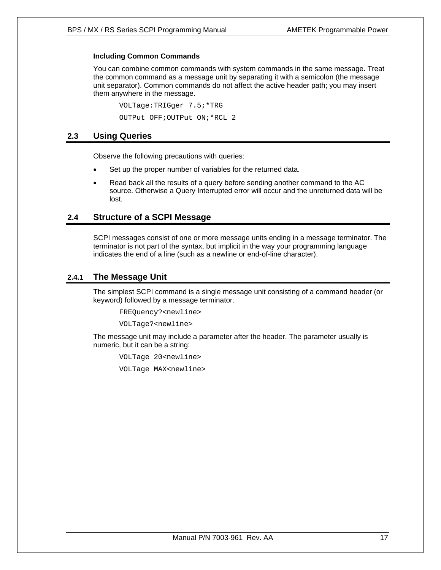#### **Including Common Commands**

You can combine common commands with system commands in the same message. Treat the common command as a message unit by separating it with a semicolon (the message unit separator). Common commands do not affect the active header path; you may insert them anywhere in the message.

 VOLTage:TRIGger 7.5;\*TRG OUTPut OFF;OUTPut ON;\*RCL 2

#### **2.3 Using Queries**

Observe the following precautions with queries:

- Set up the proper number of variables for the returned data.
- Read back all the results of a query before sending another command to the AC source. Otherwise a Query Interrupted error will occur and the unreturned data will be lost.

#### **2.4 Structure of a SCPI Message**

SCPI messages consist of one or more message units ending in a message terminator. The terminator is not part of the syntax, but implicit in the way your programming language indicates the end of a line (such as a newline or end-of-line character).

#### **2.4.1 The Message Unit**

The simplest SCPI command is a single message unit consisting of a command header (or keyword) followed by a message terminator.

FREQuency?<newline>

VOLTage?<newline>

The message unit may include a parameter after the header. The parameter usually is numeric, but it can be a string:

 VOLTage 20<newline> VOLTage MAX<newline>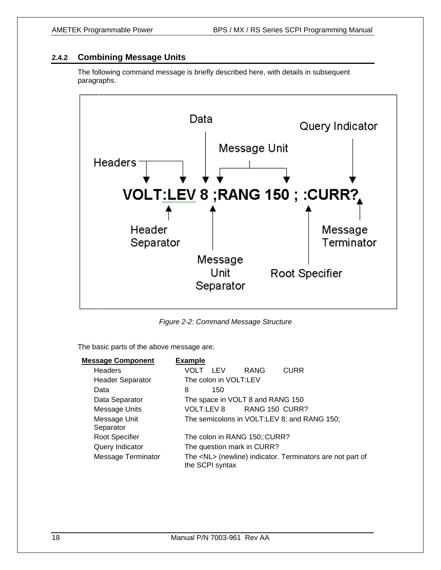#### **2.4.2 Combining Message Units**

The following command message is briefly described here, with details in subsequent paragraphs.



*Figure 2-2: Command Message Structure* 

The basic parts of the above message are:

| <b>Message Component</b>  | <b>Example</b>                                                                     |
|---------------------------|------------------------------------------------------------------------------------|
| <b>Headers</b>            | <b>RANG</b><br><b>CURR</b><br>VOLT LEV                                             |
| <b>Header Separator</b>   | The colon in VOLT:LEV                                                              |
| Data                      | 8<br>150                                                                           |
| Data Separator            | The space in VOLT 8 and RANG 150                                                   |
| Message Units             | VOLT:LEV 8<br>RANG 150 CURR?                                                       |
| Message Unit<br>Separator | The semicolons in VOLT:LEV 8; and RANG 150;                                        |
| <b>Root Specifier</b>     | The colon in RANG 150;:CURR?                                                       |
| Query Indicator           | The question mark in CURR?                                                         |
| <b>Message Terminator</b> | The <nl> (newline) indicator. Terminators are not part of<br/>the SCPI syntax</nl> |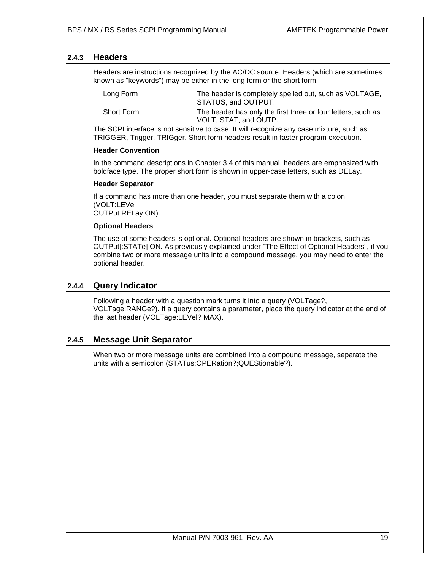#### **2.4.3 Headers**

Headers are instructions recognized by the AC/DC source. Headers (which are sometimes known as "keywords") may be either in the long form or the short form.

| Long Form  | The header is completely spelled out, such as VOLTAGE,<br>STATUS, and OUTPUT.         |
|------------|---------------------------------------------------------------------------------------|
| Short Form | The header has only the first three or four letters, such as<br>VOLT, STAT, and OUTP. |

The SCPI interface is not sensitive to case. It will recognize any case mixture, such as TRIGGER, Trigger, TRIGger. Short form headers result in faster program execution.

#### **Header Convention**

In the command descriptions in Chapter 3.4 of this manual, headers are emphasized with boldface type. The proper short form is shown in upper-case letters, such as DELay.

#### **Header Separator**

If a command has more than one header, you must separate them with a colon (VOLT:LEVel OUTPut:RELay ON).

#### **Optional Headers**

The use of some headers is optional. Optional headers are shown in brackets, such as OUTPut[:STATe] ON. As previously explained under "The Effect of Optional Headers", if you combine two or more message units into a compound message, you may need to enter the optional header.

#### **2.4.4 Query Indicator**

Following a header with a question mark turns it into a query (VOLTage?, VOLTage:RANGe?). If a query contains a parameter, place the query indicator at the end of the last header (VOLTage:LEVel? MAX).

#### **2.4.5 Message Unit Separator**

When two or more message units are combined into a compound message, separate the units with a semicolon (STATus:OPERation?;QUEStionable?).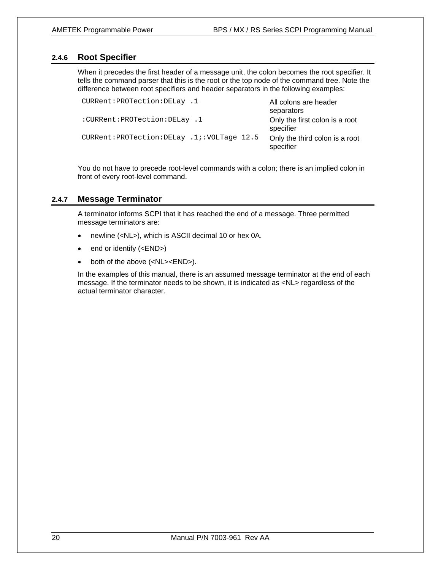#### **2.4.6 Root Specifier**

When it precedes the first header of a message unit, the colon becomes the root specifier. It tells the command parser that this is the root or the top node of the command tree. Note the difference between root specifiers and header separators in the following examples:

```
CURRent: PROTection: DELay .1 All colons are header
                                             separators 
:CURRent:PROTection:DELay .1 Only the first colon is a root 
                                             specifier 
CURRent:PROTection:DELay .1;:VOLTage 12.5 Only the third colon is a root 
                                             specifier
```
You do not have to precede root-level commands with a colon; there is an implied colon in front of every root-level command.

#### **2.4.7 Message Terminator**

A terminator informs SCPI that it has reached the end of a message. Three permitted message terminators are:

- newline (<NL>), which is ASCII decimal 10 or hex 0A.
- end or identify (<END>)
- both of the above (<NL><END>).

In the examples of this manual, there is an assumed message terminator at the end of each message. If the terminator needs to be shown, it is indicated as <NL> regardless of the actual terminator character.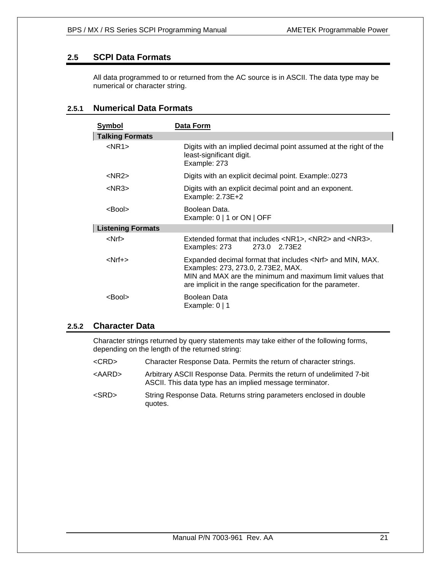### **2.5 SCPI Data Formats**

All data programmed to or returned from the AC source is in ASCII. The data type may be numerical or character string.

### **2.5.1 Numerical Data Formats**

| <b>Symbol</b>            | Data Form                                                                                                                                                                                                                           |
|--------------------------|-------------------------------------------------------------------------------------------------------------------------------------------------------------------------------------------------------------------------------------|
| <b>Talking Formats</b>   |                                                                                                                                                                                                                                     |
| $<$ NR1 $>$              | Digits with an implied decimal point assumed at the right of the<br>least-significant digit.<br>Example: 273                                                                                                                        |
| $<$ NR2 $>$              | Digits with an explicit decimal point. Example: 0273                                                                                                                                                                                |
| $<$ NR3 $>$              | Digits with an explicit decimal point and an exponent.<br>Example: $2.73E+2$                                                                                                                                                        |
| <bool></bool>            | Boolean Data.<br>Example: $0 \mid 1$ or $ON \mid$ OFF                                                                                                                                                                               |
| <b>Listening Formats</b> |                                                                                                                                                                                                                                     |
| <nrf></nrf>              | Extended format that includes <nr1>, <nr2> and <nr3>.<br/>273.0 2.73E2<br/>Examples: 273</nr3></nr2></nr1>                                                                                                                          |
| <nrf+></nrf+>            | Expanded decimal format that includes <nrf> and MIN, MAX.<br/>Examples: 273, 273.0, 2.73E2, MAX.<br/>MIN and MAX are the minimum and maximum limit values that<br/>are implicit in the range specification for the parameter.</nrf> |
| <bool></bool>            | Boolean Data<br>Example: $0 \mid 1$                                                                                                                                                                                                 |

#### **2.5.2 Character Data**

Character strings returned by query statements may take either of the following forms, depending on the length of the returned string:

- <CRD> Character Response Data. Permits the return of character strings.
- <AARD> Arbitrary ASCII Response Data. Permits the return of undelimited 7-bit ASCII. This data type has an implied message terminator.
- <SRD> String Response Data. Returns string parameters enclosed in double quotes.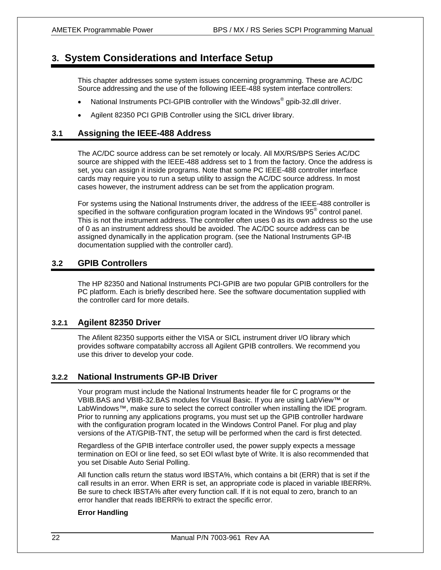### **3. System Considerations and Interface Setup**

This chapter addresses some system issues concerning programming. These are AC/DC Source addressing and the use of the following IEEE-488 system interface controllers:

- National Instruments PCI-GPIB controller with the Windows<sup>®</sup> gpib-32.dll driver.
- Agilent 82350 PCI GPIB Controller using the SICL driver library.

#### **3.1 Assigning the IEEE-488 Address**

The AC/DC source address can be set remotely or localy. All MX/RS/BPS Series AC/DC source are shipped with the IEEE-488 address set to 1 from the factory. Once the address is set, you can assign it inside programs. Note that some PC IEEE-488 controller interface cards may require you to run a setup utility to assign the AC/DC source address. In most cases however, the instrument address can be set from the application program.

For systems using the National Instruments driver, the address of the IEEE-488 controller is specified in the software configuration program located in the Windows 95<sup>®</sup> control panel. This is not the instrument address. The controller often uses 0 as its own address so the use of 0 as an instrument address should be avoided. The AC/DC source address can be assigned dynamically in the application program. (see the National Instruments GP-IB documentation supplied with the controller card).

#### **3.2 GPIB Controllers**

The HP 82350 and National Instruments PCI-GPIB are two popular GPIB controllers for the PC platform. Each is briefly described here. See the software documentation supplied with the controller card for more details.

#### **3.2.1 Agilent 82350 Driver**

The Afilent 82350 supports either the VISA or SICL instrument driver I/O library which provides software compatabilty accross all Agilent GPIB controllers. We recommend you use this driver to develop your code.

#### **3.2.2 National Instruments GP-IB Driver**

Your program must include the National Instruments header file for C programs or the VBIB.BAS and VBIB-32.BAS modules for Visual Basic. If you are using LabView™ or LabWindows™, make sure to select the correct controller when installing the IDE program. Prior to running any applications programs, you must set up the GPIB controller hardware with the configuration program located in the Windows Control Panel. For plug and play versions of the AT/GPIB-TNT, the setup will be performed when the card is first detected.

Regardless of the GPIB interface controller used, the power supply expects a message termination on EOI or line feed, so set EOI w/last byte of Write. It is also recommended that you set Disable Auto Serial Polling.

All function calls return the status word IBSTA%, which contains a bit (ERR) that is set if the call results in an error. When ERR is set, an appropriate code is placed in variable IBERR%. Be sure to check IBSTA% after every function call. If it is not equal to zero, branch to an error handler that reads IBERR% to extract the specific error.

#### **Error Handling**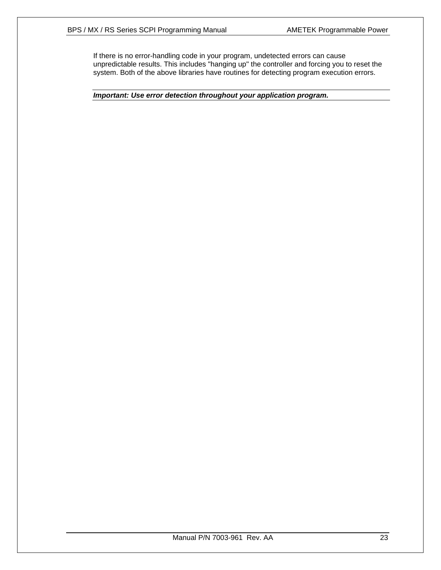If there is no error-handling code in your program, undetected errors can cause unpredictable results. This includes "hanging up" the controller and forcing you to reset the system. Both of the above libraries have routines for detecting program execution errors.

*Important: Use error detection throughout your application program.*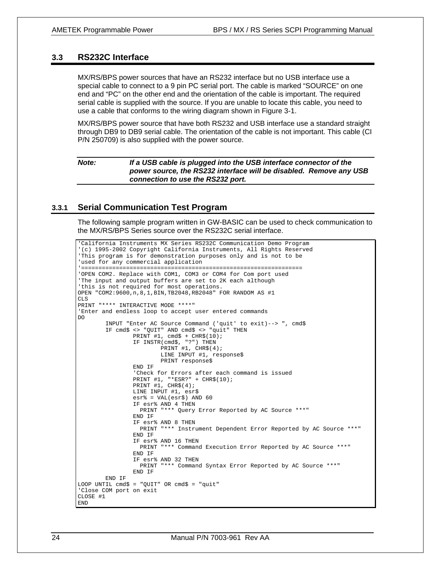#### **3.3 RS232C Interface**

MX/RS/BPS power sources that have an RS232 interface but no USB interface use a special cable to connect to a 9 pin PC serial port. The cable is marked "SOURCE" on one end and "PC" on the other end and the orientation of the cable is important. The required serial cable is supplied with the source. If you are unable to locate this cable, you need to use a cable that conforms to the wiring diagram shown in Figure 3-1.

MX/RS/BPS power source that have both RS232 and USB interface use a standard straight through DB9 to DB9 serial cable. The orientation of the cable is not important. This cable (CI P/N 250709) is also supplied with the power source.

| If a USB cable is plugged into the USB interface connector of the<br>power source, the RS232 interface will be disabled. Remove any USB<br>connection to use the RS232 port. |
|------------------------------------------------------------------------------------------------------------------------------------------------------------------------------|
|                                                                                                                                                                              |
|                                                                                                                                                                              |

#### **3.3.1 Serial Communication Test Program**

The following sample program written in GW-BASIC can be used to check communication to the MX/RS/BPS Series source over the RS232C serial interface.

```
'California Instruments MX Series RS232C Communication Demo Program 
'(c) 1995-2002 Copyright California Instruments, All Rights Reserved 
'This program is for demonstration purposes only and is not to be 
'used for any commercial application 
'================================================================ 
'OPEN COM2. Replace with COM1, COM3 or COM4 for Com port used 
'The input and output buffers are set to 2K each although 
'this is not required for most operations. 
OPEN "COM2:9600,n,8,1,BIN,TB2048,RB2048" FOR RANDOM AS #1 
CLS 
PRINT "**** INTERACTIVE MODE ****" 
'Enter and endless loop to accept user entered commands 
DO 
         INPUT "Enter AC Source Command ('quit' to exit)--> ", cmd$ 
         IF cmd$ <> "QUIT" AND cmd$ <> "quit" THEN 
                PRINT #1, cmd$ + CHR$(10);
                 IF INSTR(cmd$, "?") THEN 
                        PRINT #1, CHR$(4); LINE INPUT #1, response$ 
                         PRINT response$ 
                 END IF 
 'Check for Errors after each command is issued 
 PRINT #1, "*ESR?" + CHR$(10); 
                PRINT #1, CHR$(4);
                 LINE INPUT #1, esr$ 
                \text{esr}\ = VAL(esr$) AND 60
                 IF esr% AND 4 THEN 
                   PRINT "*** Query Error Reported by AC Source ***" 
                 END IF 
                 IF esr% AND 8 THEN 
                   PRINT "*** Instrument Dependent Error Reported by AC Source ***" 
                 END IF 
                 IF esr% AND 16 THEN 
                   PRINT "*** Command Execution Error Reported by AC Source ***" 
                 END IF 
                 IF esr% AND 32 THEN 
                   PRINT "*** Command Syntax Error Reported by AC Source ***" 
                 END IF 
        END IF 
LOOP UNTIL cmd$ = "QUIT" OR cmd$ = "quit"
'Close COM port on exit 
CLOSE #1 
END
```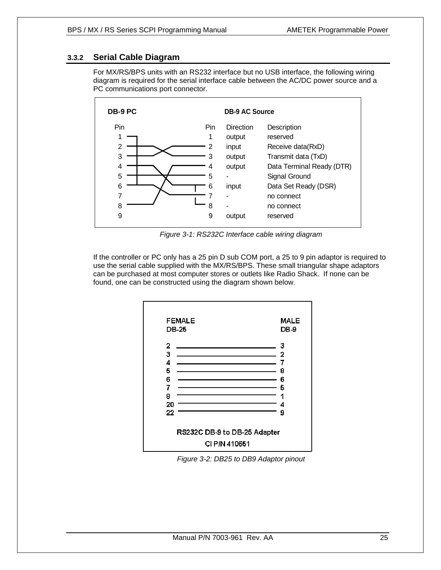### **3.3.2 Serial Cable Diagram**

For MX/RS/BPS units with an RS232 interface but no USB interface, the following wiring diagram is required for the serial interface cable between the AC/DC power source and a PC communications port connector.



*Figure 3-1: RS232C Interface cable wiring diagram* 

If the controller or PC only has a 25 pin D sub COM port, a 25 to 9 pin adaptor is required to use the serial cable supplied with the MX/RS/BPS. These small triangular shape adaptors can be purchased at most computer stores or outlets like Radio Shack. If none can be found, one can be constructed using the diagram shown below.



*Figure 3-2: DB25 to DB9 Adaptor pinout*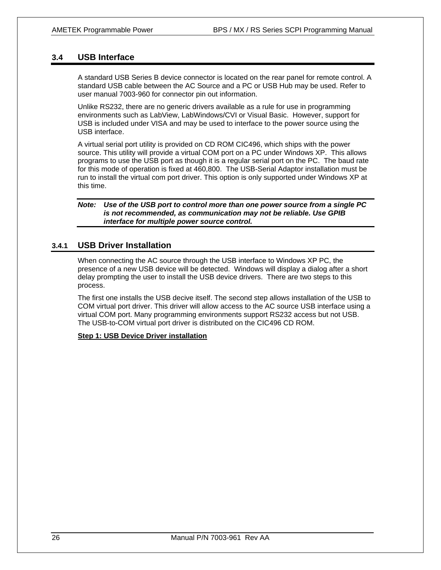#### **3.4 USB Interface**

A standard USB Series B device connector is located on the rear panel for remote control. A standard USB cable between the AC Source and a PC or USB Hub may be used. Refer to user manual 7003-960 for connector pin out information.

Unlike RS232, there are no generic drivers available as a rule for use in programming environments such as LabView, LabWindows/CVI or Visual Basic. However, support for USB is included under VISA and may be used to interface to the power source using the USB interface.

A virtual serial port utility is provided on CD ROM CIC496, which ships with the power source. This utility will provide a virtual COM port on a PC under Windows XP. This allows programs to use the USB port as though it is a regular serial port on the PC. The baud rate for this mode of operation is fixed at 460,800. The USB-Serial Adaptor installation must be run to install the virtual com port driver. This option is only supported under Windows XP at this time.

#### *Note: Use of the USB port to control more than one power source from a single PC is not recommended, as communication may not be reliable. Use GPIB interface for multiple power source control.*

#### **3.4.1 USB Driver Installation**

When connecting the AC source through the USB interface to Windows XP PC, the presence of a new USB device will be detected. Windows will display a dialog after a short delay prompting the user to install the USB device drivers. There are two steps to this process.

The first one installs the USB decive itself. The second step allows installation of the USB to COM virtual port driver. This driver will allow access to the AC source USB interface using a virtual COM port. Many programming environments support RS232 access but not USB. The USB-to-COM virtual port driver is distributed on the CIC496 CD ROM.

#### **Step 1: USB Device Driver installation**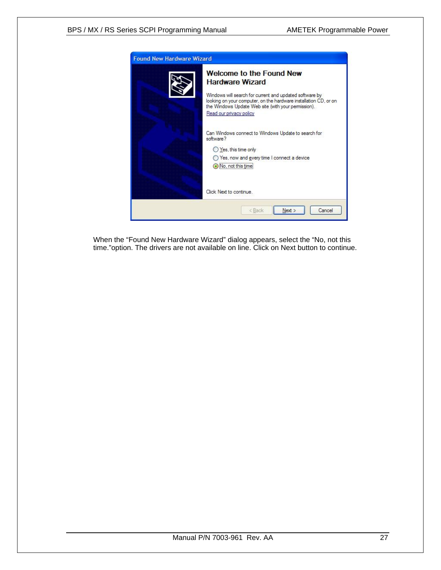

When the "Found New Hardware Wizard" dialog appears, select the "No, not this time."option. The drivers are not available on line. Click on Next button to continue.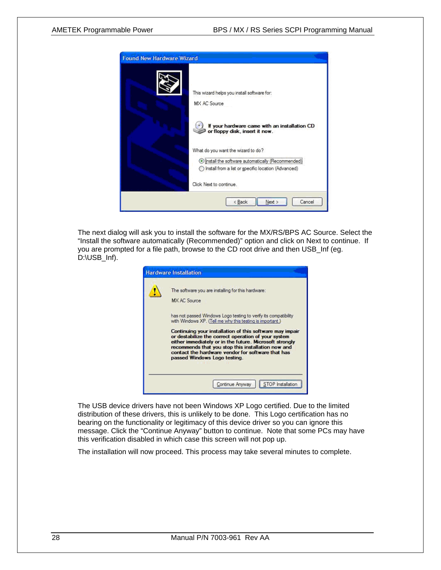

The next dialog will ask you to install the software for the MX/RS/BPS AC Source. Select the "Install the software automatically (Recommended)" option and click on Next to continue. If you are prompted for a file path, browse to the CD root drive and then USB\_Inf (eg. D:\USB\_Inf).

| <b>Hardware Installation</b>                                                                                                                                                                                                                                                                                          |
|-----------------------------------------------------------------------------------------------------------------------------------------------------------------------------------------------------------------------------------------------------------------------------------------------------------------------|
| The software you are installing for this hardware:                                                                                                                                                                                                                                                                    |
| MX AC Source                                                                                                                                                                                                                                                                                                          |
| has not passed Windows Logo testing to verify its compatibility<br>with Windows XP. (Tell me why this testing is important.)                                                                                                                                                                                          |
| Continuing your installation of this software may impair<br>or destabilize the correct operation of your system<br>either immediately or in the future. Microsoft strongly<br>recommends that you stop this installation now and<br>contact the hardware vendor for software that has<br>passed Windows Logo testing. |
| Continue Anyway<br>STOP Installation                                                                                                                                                                                                                                                                                  |

The USB device drivers have not been Windows XP Logo certified. Due to the limited distribution of these drivers, this is unlikely to be done. This Logo certification has no bearing on the functionality or legitimacy of this device driver so you can ignore this message. Click the "Continue Anyway" button to continue. Note that some PCs may have this verification disabled in which case this screen will not pop up.

The installation will now proceed. This process may take several minutes to complete.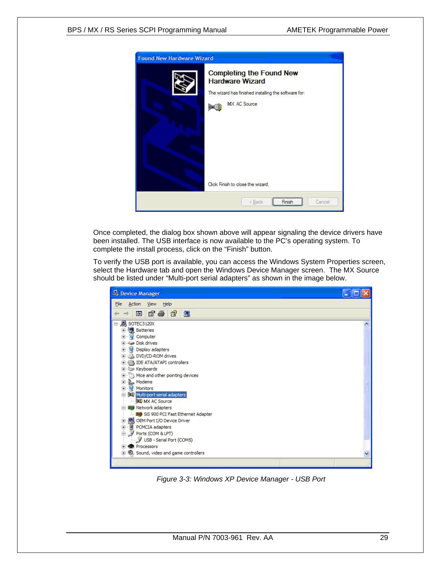

Once completed, the dialog box shown above will appear signaling the device drivers have been installed. The USB interface is now available to the PC's operating system. To complete the install process, click on the "Finish" button.

To verify the USB port is available, you can access the Windows System Properties screen, select the Hardware tab and open the Windows Device Manager screen. The MX Source should be listed under "Multi-port serial adapters" as shown in the image below.

| Device Manager                                                       |   |
|----------------------------------------------------------------------|---|
| Action View Help<br>File                                             |   |
| <b>6562</b><br>盯                                                     |   |
| SOTEC3120X                                                           |   |
| <b>El Batteries</b>                                                  |   |
| Computer<br>宙                                                        |   |
| Disk drives<br>Đ                                                     |   |
| 宙<br>Display adapters                                                |   |
| 田 3DVD/CD-ROM drives                                                 |   |
| E <b>B</b> IDE ATA/ATAPI controllers                                 |   |
| E Keyboards                                                          |   |
| Mice and other pointing devices                                      |   |
| Ė<br>Modems<br>Monitors                                              |   |
| Ė                                                                    |   |
| = 30 Multi-port serial adapters                                      |   |
| MX AC Source<br><b>图 Network adapters</b>                            |   |
| SiS 900 PCI Fast Ethernet Adapter                                    |   |
| OEM Port I/O Device Driver                                           |   |
|                                                                      |   |
| E CH Port I/O Device<br>E P PCMCIA adapters<br>E P Ports (COM & LPT) |   |
| USB - Serial Port (COMS)                                             |   |
| <b>RE</b> Processors<br>圃                                            |   |
| D. Sound, video and game controllers                                 | v |

*Figure 3-3: Windows XP Device Manager - USB Port*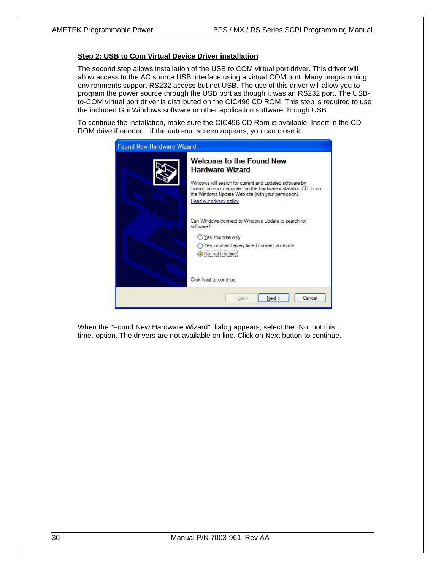#### **Step 2: USB to Com Virtual Device Driver installation**

The second step allows installation of the USB to COM virtual port driver. This driver will allow access to the AC source USB interface using a virtual COM port. Many programming environments support RS232 access but not USB. The use of this driver will allow you to program the power source through the USB port as though it was an RS232 port. The USBto-COM virtual port driver is distributed on the CIC496 CD ROM. This step is required to use the included Gui Windows software or other application software through USB.

To continue the installation, make sure the CIC496 CD Rom is available. Insert in the CD ROM drive if needed. If the auto-run screen appears, you can close it.

| <b>Found New Hardware Wizard</b> |                                                                                                                                                                                                                                                                            |  |  |
|----------------------------------|----------------------------------------------------------------------------------------------------------------------------------------------------------------------------------------------------------------------------------------------------------------------------|--|--|
|                                  | <b>Welcome to the Found New</b><br><b>Hardware Wizard</b><br>Windows will search for current and updated software by<br>looking on your computer, on the hardware installation CD, or on<br>the Windows Update Web site (with your permission).<br>Read our privacy policy |  |  |
|                                  | Can Windows connect to Windows Update to search for<br>software?<br>Yes, this time only<br>Yes, now and every time I connect a device<br>No, not this time                                                                                                                 |  |  |
|                                  | Click Next to continue.<br>Cancel<br>Next<br>$<$ Back                                                                                                                                                                                                                      |  |  |

When the "Found New Hardware Wizard" dialog appears, select the "No, not this time."option. The drivers are not available on line. Click on Next button to continue.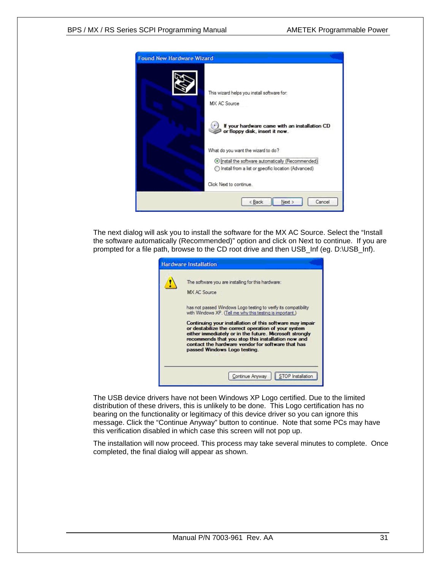

The next dialog will ask you to install the software for the MX AC Source. Select the "Install the software automatically (Recommended)" option and click on Next to continue. If you are prompted for a file path, browse to the CD root drive and then USB\_Inf (eg. D:\USB\_Inf).

| <b>Hardware Installation</b>                                                                                                                                                                                                                                                                                          |  |  |
|-----------------------------------------------------------------------------------------------------------------------------------------------------------------------------------------------------------------------------------------------------------------------------------------------------------------------|--|--|
| The software you are installing for this hardware:<br>MX AC Source                                                                                                                                                                                                                                                    |  |  |
| has not passed Windows Logo testing to verify its compatibility<br>with Windows XP. (Tell me why this testing is important.)                                                                                                                                                                                          |  |  |
| Continuing your installation of this software may impair<br>or destabilize the correct operation of your system<br>either immediately or in the future. Microsoft strongly<br>recommends that you stop this installation now and<br>contact the hardware vendor for software that has<br>passed Windows Logo testing. |  |  |
| Continue Anyway<br>STOP Installation                                                                                                                                                                                                                                                                                  |  |  |

The USB device drivers have not been Windows XP Logo certified. Due to the limited distribution of these drivers, this is unlikely to be done. This Logo certification has no bearing on the functionality or legitimacy of this device driver so you can ignore this message. Click the "Continue Anyway" button to continue. Note that some PCs may have this verification disabled in which case this screen will not pop up.

The installation will now proceed. This process may take several minutes to complete. Once completed, the final dialog will appear as shown.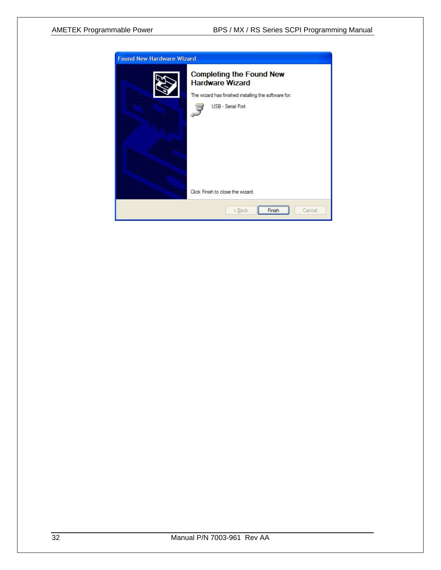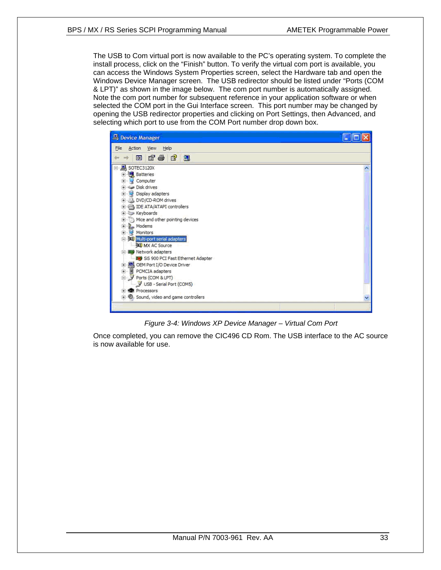The USB to Com virtual port is now available to the PC's operating system. To complete the install process, click on the "Finish" button. To verify the virtual com port is available, you can access the Windows System Properties screen, select the Hardware tab and open the Windows Device Manager screen. The USB redirector should be listed under "Ports (COM & LPT)" as shown in the image below. The com port number is automatically assigned. Note the com port number for subsequent reference in your application software or when selected the COM port in the Gui Interface screen. This port number may be changed by opening the USB redirector properties and clicking on Port Settings, then Advanced, and selecting which port to use from the COM Port number drop down box.



*Figure 3-4: Windows XP Device Manager – Virtual Com Port* 

Once completed, you can remove the CIC496 CD Rom. The USB interface to the AC source is now available for use.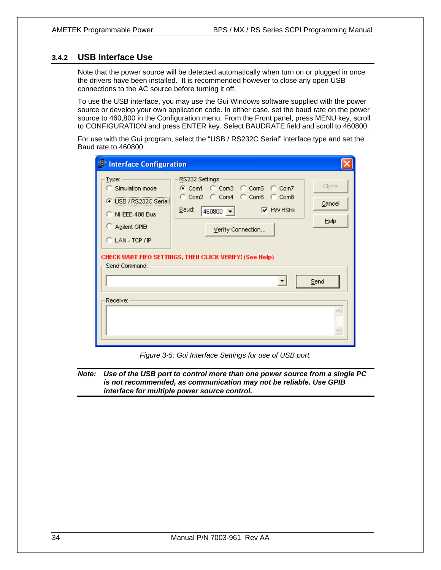#### **3.4.2 USB Interface Use**

Note that the power source will be detected automatically when turn on or plugged in once the drivers have been installed. It is recommended however to close any open USB connections to the AC source before turning it off.

To use the USB interface, you may use the Gui Windows software supplied with the power source or develop your own application code. In either case, set the baud rate on the power source to 460,800 in the Configuration menu. From the Front panel, press MENU key, scroll to CONFIGURATION and press ENTER key. Select BAUDRATE field and scroll to 460800.

For use with the Gui program, select the "USB / RS232C Serial" interface type and set the Baud rate to 460800.

| <sup>1</sup> Interface Configuration                                                                                                        |                                                                                                                                                                                                                |                                 |  |  |
|---------------------------------------------------------------------------------------------------------------------------------------------|----------------------------------------------------------------------------------------------------------------------------------------------------------------------------------------------------------------|---------------------------------|--|--|
| Type:<br>C Simulation mode<br>● USB / RS232C Serial<br>C NIEEE-488 Bus<br>C Agilent GPIB<br>$C$ LAN - TCP / IP<br>Send Command:<br>Receive: | RS232 Settings:<br>C Com1 C Com3 C Com5 C Com7<br>C Com2 C Com4 C Com6 C Com8<br>Baud:<br>$\nabla$ HW HShk<br>$460800 -$<br>Verify Connection<br>CHECK UART FIFO SETTINGS, THEN CLICK VERIFY! (See Help).<br>▼ | Close<br>Cancel<br>Help<br>Send |  |  |
|                                                                                                                                             |                                                                                                                                                                                                                |                                 |  |  |

*Figure 3-5: Gui Interface Settings for use of USB port.* 

#### *Note: Use of the USB port to control more than one power source from a single PC is not recommended, as communication may not be reliable. Use GPIB interface for multiple power source control.*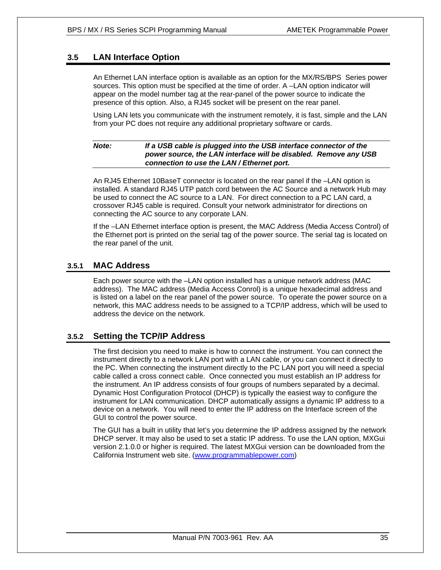#### **3.5 LAN Interface Option**

An Ethernet LAN interface option is available as an option for the MX/RS/BPS Series power sources. This option must be specified at the time of order. A –LAN option indicator will appear on the model number tag at the rear-panel of the power source to indicate the presence of this option. Also, a RJ45 socket will be present on the rear panel.

Using LAN lets you communicate with the instrument remotely, it is fast, simple and the LAN from your PC does not require any additional proprietary software or cards.

#### *Note: If a USB cable is plugged into the USB interface connector of the power source, the LAN interface will be disabled. Remove any USB connection to use the LAN / Ethernet port.*

An RJ45 Ethernet 10BaseT connector is located on the rear panel if the –LAN option is installed. A standard RJ45 UTP patch cord between the AC Source and a network Hub may be used to connect the AC source to a LAN. For direct connection to a PC LAN card, a crossover RJ45 cable is required. Consult your network administrator for directions on connecting the AC source to any corporate LAN.

If the –LAN Ethernet interface option is present, the MAC Address (Media Access Control) of the Ethernet port is printed on the serial tag of the power source. The serial tag is located on the rear panel of the unit.

#### **3.5.1 MAC Address**

Each power source with the –LAN option installed has a unique network address (MAC address). The MAC address (Media Access Conrol) is a unique hexadecimal address and is listed on a label on the rear panel of the power source. To operate the power source on a network, this MAC address needs to be assigned to a TCP/IP address, which will be used to address the device on the network.

#### **3.5.2 Setting the TCP/IP Address**

The first decision you need to make is how to connect the instrument. You can connect the instrument directly to a network LAN port with a LAN cable, or you can connect it directly to the PC. When connecting the instrument directly to the PC LAN port you will need a special cable called a cross connect cable. Once connected you must establish an IP address for the instrument. An IP address consists of four groups of numbers separated by a decimal. Dynamic Host Configuration Protocol (DHCP) is typically the easiest way to configure the instrument for LAN communication. DHCP automatically assigns a dynamic IP address to a device on a network. You will need to enter the IP address on the Interface screen of the GUI to control the power source.

The GUI has a built in utility that let's you determine the IP address assigned by the network DHCP server. It may also be used to set a static IP address. To use the LAN option, MXGui version 2.1.0.0 or higher is required. The latest MXGui version can be downloaded from the California Instrument web site. (www.programmablepower.com)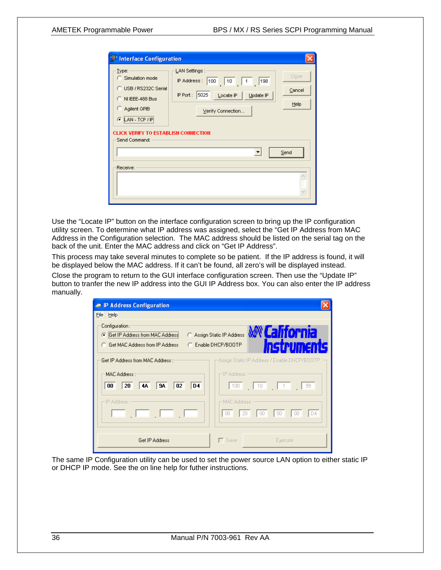Use the "Locate IP" button on the interface configuration screen to bring up the IP configuration utility screen. To determine what IP address was assigned, select the "Get IP Address from MAC Address in the Configuration selection. The MAC address should be listed on the serial tag on the back of the unit. Enter the MAC address and click on "Get IP Address".

This process may take several minutes to complete so be patient. If the IP address is found, it will be displayed below the MAC address. If it can't be found, all zero's will be displayed instead.

Close the program to return to the GUI interface configuration screen. Then use the "Update IP" button to tranfer the new IP address into the GUI IP Address box. You can also enter the IP address manually.

| <b><sup>●</sup></b> IP Address Configuration                                                                                           |                                                                                                |
|----------------------------------------------------------------------------------------------------------------------------------------|------------------------------------------------------------------------------------------------|
| File Help                                                                                                                              |                                                                                                |
| Configuration:<br><b>C</b> Get IP Address from MAC Address<br><b>C</b> Get MAC Address from IP Address                                 | <b><i>MCalifornia</i></b><br>Assign Static IP Address<br>C Enable DHCP/BOOTP                   |
| Get IP Address from MAC Address : -<br>MAC Address : :<br> 9A <br>D <sub>4</sub><br>00 <sup>1</sup><br>20 <sup>1</sup><br>  4A  <br>02 | - Assign Static IP Address / Enable DHCP/BOOTP : $\neg$<br>- IP Address : ----<br>100 10 11 99 |
| – IP Address : –                                                                                                                       | ⊢MAC Address : –<br> D4 <br>$ 00 $ $ 00 $<br>$00 -$<br>$\vert 20 \vert$<br>00.                 |
| Get IP Address                                                                                                                         | $\Box$ Save<br>Execute                                                                         |

The same IP Configuration utility can be used to set the power source LAN option to either static IP or DHCP IP mode. See the on line help for futher instructions.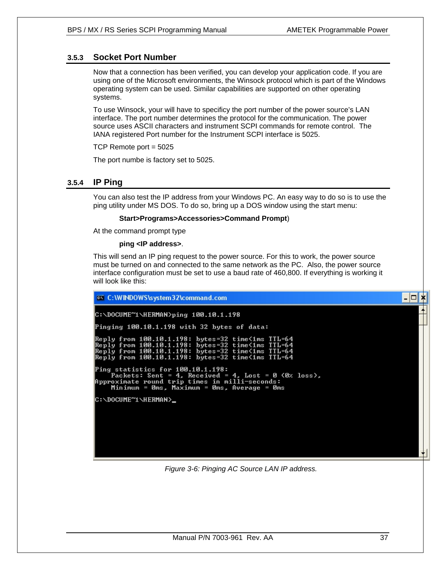## **3.5.3 Socket Port Number**

Now that a connection has been verified, you can develop your application code. If you are using one of the Microsoft environments, the Winsock protocol which is part of the Windows operating system can be used. Similar capabilities are supported on other operating systems.

To use Winsock, your will have to specificy the port number of the power source's LAN interface. The port number determines the protocol for the communication. The power source uses ASCII characters and instrument SCPI commands for remote control. The IANA registered Port number for the Instrument SCPI interface is 5025.

TCP Remote port = 5025

The port numbe is factory set to 5025.

### **3.5.4 IP Ping**

You can also test the IP address from your Windows PC. An easy way to do so is to use the ping utility under MS DOS. To do so, bring up a DOS window using the start menu:

#### **Start>Programs>Accessories>Command Prompt**)

At the command prompt type

#### **ping <IP address>**.

This will send an IP ping request to the power source. For this to work, the power source must be turned on and connected to the same network as the PC. Also, the power source interface configuration must be set to use a baud rate of 460,800. If everything is working it will look like this:



*Figure 3-6: Pinging AC Source LAN IP address.*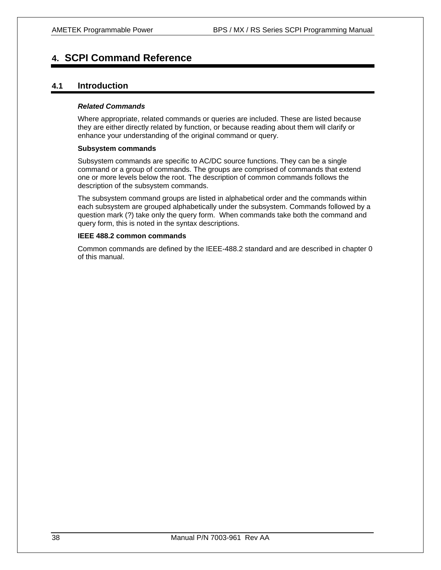# **4. SCPI Command Reference**

## **4.1 Introduction**

#### *Related Commands*

Where appropriate, related commands or queries are included. These are listed because they are either directly related by function, or because reading about them will clarify or enhance your understanding of the original command or query.

#### **Subsystem commands**

Subsystem commands are specific to AC/DC source functions. They can be a single command or a group of commands. The groups are comprised of commands that extend one or more levels below the root. The description of common commands follows the description of the subsystem commands.

The subsystem command groups are listed in alphabetical order and the commands within each subsystem are grouped alphabetically under the subsystem. Commands followed by a question mark (?) take only the query form. When commands take both the command and query form, this is noted in the syntax descriptions.

#### **IEEE 488.2 common commands**

Common commands are defined by the IEEE-488.2 standard and are described in chapter 0 of this manual.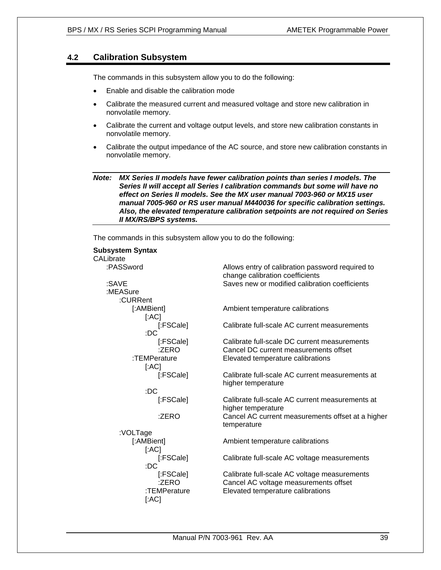## **4.2 Calibration Subsystem**

The commands in this subsystem allow you to do the following:

- Enable and disable the calibration mode
- Calibrate the measured current and measured voltage and store new calibration in nonvolatile memory.
- Calibrate the current and voltage output levels, and store new calibration constants in nonvolatile memory.
- Calibrate the output impedance of the AC source, and store new calibration constants in nonvolatile memory.

*Note: MX Series II models have fewer calibration points than series I models. The Series II will accept all Series I calibration commands but some will have no effect on Series II models. See the MX user manual 7003-960 or MX15 user manual 7005-960 or RS user manual M440036 for specific calibration settings. Also, the elevated temperature calibration setpoints are not required on Series II MX/RS/BPS systems.* 

The commands in this subsystem allow you to do the following:

| Allows entry of calibration password required to                                  |
|-----------------------------------------------------------------------------------|
| change calibration coefficients<br>Saves new or modified calibration coefficients |
|                                                                                   |
|                                                                                   |
|                                                                                   |
| Ambient temperature calibrations                                                  |
|                                                                                   |
| Calibrate full-scale AC current measurements                                      |
|                                                                                   |
| Calibrate full-scale DC current measurements                                      |
| Cancel DC current measurements offset                                             |
| Elevated temperature calibrations                                                 |
|                                                                                   |
| Calibrate full-scale AC current measurements at                                   |
| higher temperature                                                                |
|                                                                                   |
| Calibrate full-scale AC current measurements at                                   |
| higher temperature                                                                |
| Cancel AC current measurements offset at a higher                                 |
| temperature                                                                       |
|                                                                                   |
| Ambient temperature calibrations                                                  |
|                                                                                   |
| Calibrate full-scale AC voltage measurements                                      |
|                                                                                   |
| Calibrate full-scale AC voltage measurements                                      |
| Cancel AC voltage measurements offset                                             |
| Elevated temperature calibrations                                                 |
|                                                                                   |
|                                                                                   |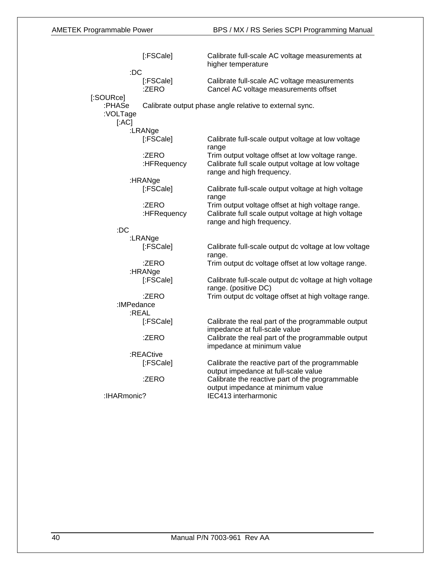|                            | [:FSCale]            | Calibrate full-scale AC voltage measurements at<br>higher temperature                                                                 |
|----------------------------|----------------------|---------------------------------------------------------------------------------------------------------------------------------------|
| :DC<br>[:SOURce]           | [:FSCale]<br>:ZERO   | Calibrate full-scale AC voltage measurements<br>Cancel AC voltage measurements offset                                                 |
| :PHASe<br>:VOLTage<br>[AC] |                      | Calibrate output phase angle relative to external sync.                                                                               |
|                            | :LRANge              |                                                                                                                                       |
|                            | [:FSCale]            | Calibrate full-scale output voltage at low voltage<br>range                                                                           |
|                            | :ZERO<br>:HFRequency | Trim output voltage offset at low voltage range.<br>Calibrate full scale output voltage at low voltage<br>range and high frequency.   |
|                            | :HRANge              |                                                                                                                                       |
|                            | [:FSCale]            | Calibrate full-scale output voltage at high voltage<br>range                                                                          |
|                            | :ZERO<br>:HFRequency | Trim output voltage offset at high voltage range.<br>Calibrate full scale output voltage at high voltage<br>range and high frequency. |
| :DC                        |                      |                                                                                                                                       |
|                            | :LRANge              |                                                                                                                                       |
|                            | [:FSCale]            | Calibrate full-scale output dc voltage at low voltage<br>range.                                                                       |
|                            | :ZERO                | Trim output dc voltage offset at low voltage range.                                                                                   |
|                            | :HRANge              |                                                                                                                                       |
|                            | [:FSCale]            | Calibrate full-scale output dc voltage at high voltage<br>range. (positive DC)                                                        |
|                            | :ZERO                | Trim output dc voltage offset at high voltage range.                                                                                  |
| :IMPedance                 |                      |                                                                                                                                       |
|                            | :REAL                |                                                                                                                                       |
|                            | [:FSCale]            | Calibrate the real part of the programmable output<br>impedance at full-scale value                                                   |
|                            | :ZERO                | Calibrate the real part of the programmable output<br>impedance at minimum value                                                      |
|                            | :REACtive            |                                                                                                                                       |
|                            | [:FSCale]            | Calibrate the reactive part of the programmable<br>output impedance at full-scale value                                               |
|                            | :ZERO                | Calibrate the reactive part of the programmable<br>output impedance at minimum value                                                  |
| :IHARmonic?                |                      | IEC413 interharmonic                                                                                                                  |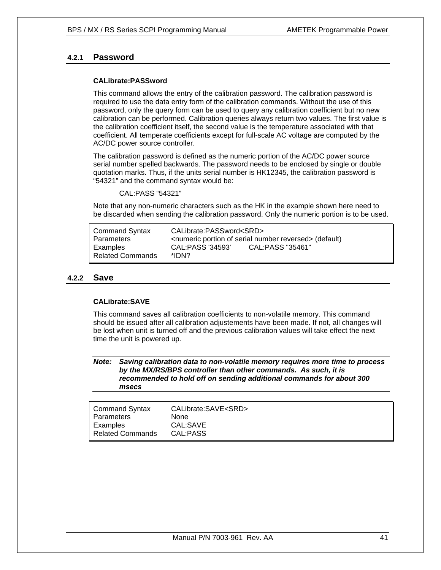## **4.2.1 Password**

#### **CALibrate:PASSword**

This command allows the entry of the calibration password. The calibration password is required to use the data entry form of the calibration commands. Without the use of this password, only the query form can be used to query any calibration coefficient but no new calibration can be performed. Calibration queries always return two values. The first value is the calibration coefficient itself, the second value is the temperature associated with that coefficient. All temperate coefficients except for full-scale AC voltage are computed by the AC/DC power source controller.

The calibration password is defined as the numeric portion of the AC/DC power source serial number spelled backwards. The password needs to be enclosed by single or double quotation marks. Thus, if the units serial number is HK12345, the calibration password is "54321" and the command syntax would be:

CAL:PASS "54321"

Note that any non-numeric characters such as the HK in the example shown here need to be discarded when sending the calibration password. Only the numeric portion is to be used.

| <b>Command Syntax</b><br><b>Parameters</b> | CALibrate:PASSword <srd></srd> | <numeric number="" of="" portion="" reversed="" serial=""> (default)</numeric> |
|--------------------------------------------|--------------------------------|--------------------------------------------------------------------------------|
| Examples<br><b>Related Commands</b>        | CAL:PASS '34593'<br>*IDN?      | CAL:PASS "35461"                                                               |

#### **4.2.2 Save**

#### **CALibrate:SAVE**

This command saves all calibration coefficients to non-volatile memory. This command should be issued after all calibration adjustements have been made. If not, all changes will be lost when unit is turned off and the previous calibration values will take effect the next time the unit is powered up.

*Note: Saving calibration data to non-volatile memory requires more time to process by the MX/RS/BPS controller than other commands. As such, it is recommended to hold off on sending additional commands for about 300 msecs* 

| Command Syntax          | CALibrate:SAVE <srd></srd> |
|-------------------------|----------------------------|
| Parameters              | <b>None</b>                |
| Examples                | CAL:SAVE                   |
| <b>Related Commands</b> | CAL:PASS                   |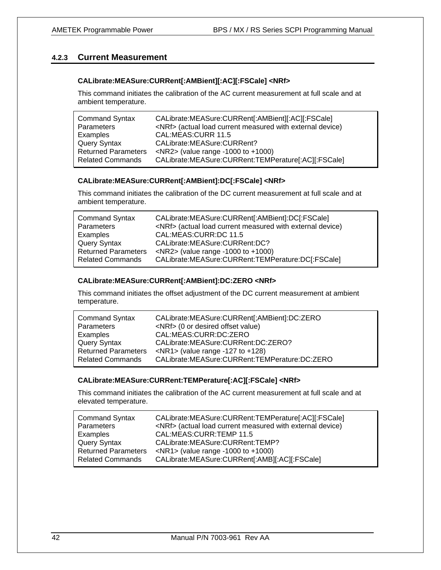## **4.2.3 Current Measurement**

#### **CALibrate:MEASure:CURRent[:AMBient][:AC][:FSCale] <NRf>**

This command initiates the calibration of the AC current measurement at full scale and at ambient temperature.

| <b>Command Syntax</b>      | CALibrate:MEASure:CURRent[:AMBient][:AC][:FSCale]               |
|----------------------------|-----------------------------------------------------------------|
| Parameters                 | <nrf> (actual load current measured with external device)</nrf> |
| Examples                   | CAL:MEAS:CURR 11.5                                              |
| Query Syntax               | CALibrate: MEASure: CURRent?                                    |
| <b>Returned Parameters</b> | $NRS$ (value range -1000 to +1000)                              |
| <b>Related Commands</b>    | CALibrate:MEASure:CURRent:TEMPerature[:AC][:FSCale]             |

#### **CALibrate:MEASure:CURRent[:AMBient]:DC[:FSCale] <NRf>**

This command initiates the calibration of the DC current measurement at full scale and at ambient temperature.

| <b>Command Syntax</b>      | CALibrate:MEASure:CURRent[:AMBient]:DC[:FSCale]                 |
|----------------------------|-----------------------------------------------------------------|
| Parameters                 | <nrf> (actual load current measured with external device)</nrf> |
| Examples                   | CAL:MEAS:CURR:DC 11.5                                           |
| <b>Query Syntax</b>        | CALibrate:MEASure:CURRent:DC?                                   |
| <b>Returned Parameters</b> | $NRS$ (value range -1000 to +1000)                              |
| <b>Related Commands</b>    | CALibrate:MEASure:CURRent:TEMPerature:DC[:FSCale]               |

#### **CALibrate:MEASure:CURRent[:AMBient]:DC:ZERO <NRf>**

This command initiates the offset adjustment of the DC current measurement at ambient temperature.

| <b>Command Syntax</b>      | CALibrate:MEASure:CURRent[;AMBient]:DC:ZERO   |
|----------------------------|-----------------------------------------------|
| Parameters                 | <nrf> (0 or desired offset value)</nrf>       |
| Examples                   | CAL:MEAS:CURR:DC:ZERO                         |
| <b>Query Syntax</b>        | CALibrate: MEASure: CURRent: DC: ZERO?        |
| <b>Returned Parameters</b> | $\langle$ NR1> (value range -127 to +128)     |
| <b>Related Commands</b>    | CALibrate:MEASure:CURRent:TEMPerature:DC:ZERO |

#### **CALibrate:MEASure:CURRent:TEMPerature[:AC][:FSCale] <NRf>**

This command initiates the calibration of the AC current measurement at full scale and at elevated temperature.

| <b>Command Syntax</b>      | CALibrate:MEASure:CURRent:TEMPerature[:AC][:FSCale]             |
|----------------------------|-----------------------------------------------------------------|
| Parameters                 | <nrf> (actual load current measured with external device)</nrf> |
| Examples                   | CAL:MEAS:CURR:TEMP 11.5                                         |
| <b>Query Syntax</b>        | CALibrate: MEASure: CURRent: TEMP?                              |
| <b>Returned Parameters</b> | $\langle$ NR1> (value range -1000 to +1000)                     |
| <b>Related Commands</b>    | CALibrate:MEASure:CURRent[:AMB][:AC][:FSCale]                   |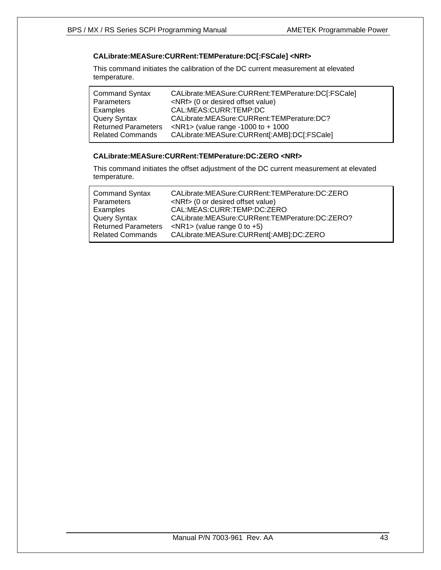## **CALibrate:MEASure:CURRent:TEMPerature:DC[:FSCale] <NRf>**

This command initiates the calibration of the DC current measurement at elevated temperature.

| <b>Command Syntax</b>      | CALibrate:MEASure:CURRent:TEMPerature:DC[:FSCale] |
|----------------------------|---------------------------------------------------|
| Parameters                 | <nrf> (0 or desired offset value)</nrf>           |
| Examples                   | CAL:MEAS:CURR:TEMP:DC                             |
| <b>Query Syntax</b>        | CALibrate: MEASure: CURRent: TEMPerature: DC?     |
| <b>Returned Parameters</b> | $\langle$ NR1> (value range -1000 to + 1000       |
| <b>Related Commands</b>    | CALibrate:MEASure:CURRent[:AMB]:DC[:FSCale]       |

#### **CALibrate:MEASure:CURRent:TEMPerature:DC:ZERO <NRf>**

This command initiates the offset adjustment of the DC current measurement at elevated temperature.

| <b>Command Syntax</b><br>Parameters | CALibrate:MEASure:CURRent:TEMPerature:DC:ZERO<br><nrf> (0 or desired offset value)</nrf> |
|-------------------------------------|------------------------------------------------------------------------------------------|
| Examples                            | CAL:MEAS:CURR:TEMP:DC:ZERO                                                               |
| <b>Query Syntax</b>                 | CALibrate: MEASure: CURRent: TEMPerature: DC: ZERO?                                      |
| <b>Returned Parameters</b>          | $\langle$ NR1> (value range 0 to +5)                                                     |
| <b>Related Commands</b>             | CALibrate:MEASure:CURRent[:AMB]:DC:ZERO                                                  |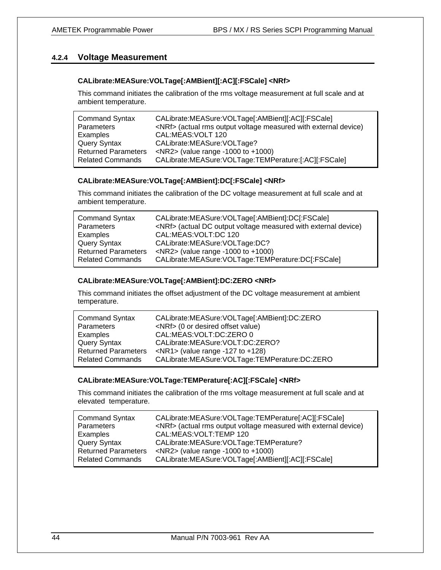## **4.2.4 Voltage Measurement**

#### **CALibrate:MEASure:VOLTage[:AMBient][:AC][:FSCale] <NRf>**

This command initiates the calibration of the rms voltage measurement at full scale and at ambient temperature.

| <b>Command Syntax</b>      | CALibrate:MEASure:VOLTage[:AMBient][:AC][:FSCale]                     |
|----------------------------|-----------------------------------------------------------------------|
| Parameters                 | <nrf> (actual rms output voltage measured with external device)</nrf> |
| Examples                   | CAL:MEAS: VOLT 120                                                    |
| <b>Query Syntax</b>        | CALibrate:MEASure:VOLTage?                                            |
| <b>Returned Parameters</b> | $NRS$ (value range -1000 to +1000)                                    |
| <b>Related Commands</b>    | CALibrate:MEASure:VOLTage:TEMPerature:[:AC][:FSCale]                  |

#### **CALibrate:MEASure:VOLTage[:AMBient]:DC[:FSCale] <NRf>**

This command initiates the calibration of the DC voltage measurement at full scale and at ambient temperature.

| <b>Command Syntax</b>      | CALibrate:MEASure:VOLTage[:AMBient]:DC[:FSCale]                      |
|----------------------------|----------------------------------------------------------------------|
| Parameters                 | <nrf> (actual DC output voltage measured with external device)</nrf> |
| Examples                   | CAL:MEAS:VOLT:DC 120                                                 |
| Query Syntax               | CALibrate:MEASure:VOLTage:DC?                                        |
| <b>Returned Parameters</b> | $NRS$ (value range -1000 to +1000)                                   |
| <b>Related Commands</b>    | CALibrate:MEASure:VOLTage:TEMPerature:DC[:FSCale]                    |

### **CALibrate:MEASure:VOLTage[:AMBient]:DC:ZERO <NRf>**

This command initiates the offset adjustment of the DC voltage measurement at ambient temperature.

| <b>Command Syntax</b><br>Parameters | CALibrate:MEASure:VOLTage[:AMBient]:DC:ZERO<br><nrf> (0 or desired offset value)</nrf> |
|-------------------------------------|----------------------------------------------------------------------------------------|
| Examples                            | CAL:MEAS:VOLT:DC:ZERO 0                                                                |
| <b>Query Syntax</b>                 | CALibrate:MEASure:VOLT:DC:ZERO?                                                        |
| <b>Returned Parameters</b>          | $\langle$ NR1> (value range -127 to +128)                                              |
| <b>Related Commands</b>             | CALibrate:MEASure:VOLTage:TEMPerature:DC:ZERO                                          |

#### **CALibrate:MEASure:VOLTage:TEMPerature[:AC][:FSCale] <NRf>**

This command initiates the calibration of the rms voltage measurement at full scale and at elevated temperature.

| <b>Command Syntax</b>      | CALibrate:MEASure:VOLTage:TEMPerature[:AC][:FSCale]                   |
|----------------------------|-----------------------------------------------------------------------|
| Parameters                 | <nrf> (actual rms output voltage measured with external device)</nrf> |
| Examples                   | CAL:MEAS: VOLT: TEMP 120                                              |
| <b>Query Syntax</b>        | CALibrate: MEASure: VOLTage: TEMPerature?                             |
| <b>Returned Parameters</b> | $\langle$ NR2> (value range -1000 to +1000)                           |
| <b>Related Commands</b>    | CALibrate:MEASure:VOLTage[:AMBient][:AC][:FSCale]                     |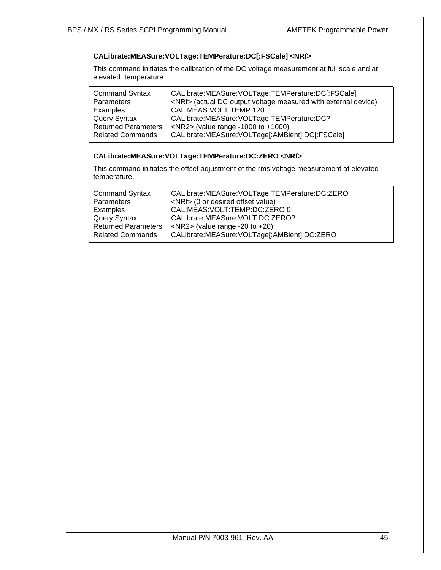### **CALibrate:MEASure:VOLTage:TEMPerature:DC[:FSCale] <NRf>**

This command initiates the calibration of the DC voltage measurement at full scale and at elevated temperature.

| <b>Command Syntax</b>      | CALibrate:MEASure:VOLTage:TEMPerature:DC[:FSCale]                    |
|----------------------------|----------------------------------------------------------------------|
| Parameters                 | <nrf> (actual DC output voltage measured with external device)</nrf> |
| Examples                   | CAL:MEAS: VOLT: TEMP 120                                             |
| Query Syntax               | CALibrate: MEASure: VOLTage: TEMPerature: DC?                        |
| <b>Returned Parameters</b> | $NRS$ (value range -1000 to +1000)                                   |
| <b>Related Commands</b>    | CALibrate:MEASure:VOLTage[:AMBient]:DC[:FSCale]                      |

### **CALibrate:MEASure:VOLTage:TEMPerature:DC:ZERO <NRf>**

This command initiates the offset adjustment of the rms voltage measurement at elevated temperature.

| <b>Command Syntax</b>      | CALibrate:MEASure:VOLTage:TEMPerature:DC:ZERO |
|----------------------------|-----------------------------------------------|
| Parameters                 | <nrf> (0 or desired offset value)</nrf>       |
| Examples                   | CAL:MEAS: VOLT: TEMP: DC: ZERO 0              |
| <b>Query Syntax</b>        | CALibrate:MEASure:VOLT:DC:ZERO?               |
| <b>Returned Parameters</b> | $\langle$ NR2> (value range -20 to +20)       |
| <b>Related Commands</b>    | CALibrate:MEASure:VOLTage[:AMBient]:DC:ZERO   |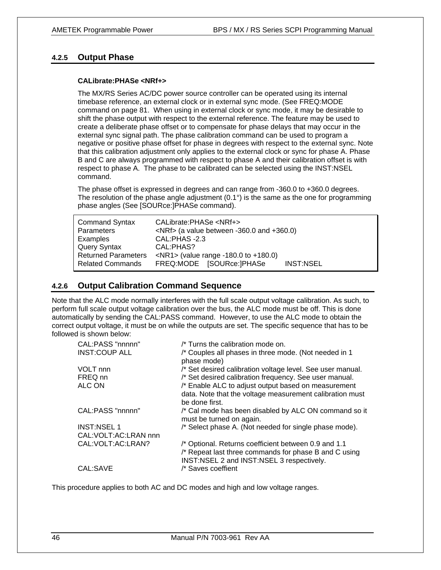## **4.2.5 Output Phase**

#### **CALibrate:PHASe <NRf+>**

The MX/RS Series AC/DC power source controller can be operated using its internal timebase reference, an external clock or in external sync mode. (See FREQ:MODE command on page 81. When using in external clock or sync mode, it may be desirable to shift the phase output with respect to the external reference. The feature may be used to create a deliberate phase offset or to compensate for phase delays that may occur in the external sync signal path. The phase calibration command can be used to program a negative or positive phase offset for phase in degrees with respect to the external sync. Note that this calibration adjustment only applies to the external clock or sync for phase A. Phase B and C are always programmed with respect to phase A and their calibration offset is with respect to phase A. The phase to be calibrated can be selected using the INST:NSEL command.

The phase offset is expressed in degrees and can range from -360.0 to +360.0 degrees. The resolution of the phase angle adjustment  $(0.1^{\circ})$  is the same as the one for programming phase angles (See [SOURce:]PHASe command).

| <b>Command Syntax</b><br><b>Parameters</b> | CALibrate:PHASe <nrf+><br/><math>\langle</math>NRf&gt; (a value between -360.0 and +360.0)</nrf+> |  |  |
|--------------------------------------------|---------------------------------------------------------------------------------------------------|--|--|
| Examples                                   | CAL:PHAS-2.3                                                                                      |  |  |
| <b>Query Syntax</b>                        | CAL:PHAS?                                                                                         |  |  |
| <b>Returned Parameters</b>                 | $\langle$ NR1> (value range -180.0 to +180.0)                                                     |  |  |
| <b>Related Commands</b>                    | FREQ:MODE [SOURce: ]PHASe<br><b>INST:NSEL</b>                                                     |  |  |

## **4.2.6 Output Calibration Command Sequence**

Note that the ALC mode normally interferes with the full scale output voltage calibration. As such, to perform full scale output voltage calibration over the bus, the ALC mode must be off. This is done automatically by sending the CAL:PASS command. However, to use the ALC mode to obtain the correct output voltage, it must be on while the outputs are set. The specific sequence that has to be followed is shown below:

| CAL:PASS "nnnnn"        | /* Turns the calibration mode on.                                                                                                                          |
|-------------------------|------------------------------------------------------------------------------------------------------------------------------------------------------------|
| <b>INST:COUP ALL</b>    | /* Couples all phases in three mode. (Not needed in 1<br>phase mode)                                                                                       |
| VOLT nnn                | /* Set desired calibration voltage level. See user manual.                                                                                                 |
| FREQ nn                 | /* Set desired calibration frequency. See user manual.                                                                                                     |
| ALC ON                  | /* Enable ALC to adjust output based on measurement<br>data. Note that the voltage measurement calibration must<br>be done first.                          |
| CAL:PASS "nnnnn"        | /* Cal mode has been disabled by ALC ON command so it<br>must be turned on again.                                                                          |
| <b>INST:NSEL 1</b>      | /* Select phase A. (Not needed for single phase mode).                                                                                                     |
| CAL: VOLT: AC: LRAN nnn |                                                                                                                                                            |
| CAL: VOLT: AC: LRAN?    | /* Optional. Returns coefficient between 0.9 and 1.1<br>/* Repeat last three commands for phase B and C using<br>INST:NSEL 2 and INST:NSEL 3 respectively. |
| CAL:SAVE                | /* Saves coeffient                                                                                                                                         |

This procedure applies to both AC and DC modes and high and low voltage ranges.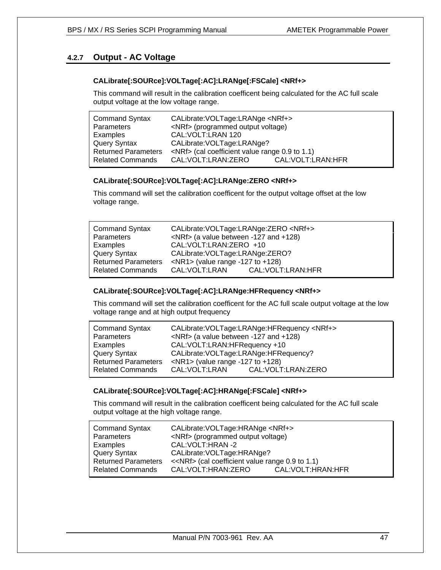## **4.2.7 Output - AC Voltage**

#### **CALibrate[:SOURce]:VOLTage[:AC]:LRANge[:FSCale] <NRf+>**

This command will result in the calibration coefficent being calculated for the AC full scale output voltage at the low voltage range.

| <b>Command Syntax</b>      | CALibrate: VOLTage: LRANge <nrf+></nrf+>             |                      |  |
|----------------------------|------------------------------------------------------|----------------------|--|
| Parameters                 | <nrf> (programmed output voltage)</nrf>              |                      |  |
| Examples                   | CAL: VOLT: LRAN 120                                  |                      |  |
| <b>Query Syntax</b>        | CALibrate: VOLTage: LRANge?                          |                      |  |
| <b>Returned Parameters</b> | <nrf> (cal coefficient value range 0.9 to 1.1)</nrf> |                      |  |
| <b>Related Commands</b>    | CAL: VOLT: LRAN: ZERO                                | CAL: VOLT: LRAN: HFR |  |

#### **CALibrate[:SOURce]:VOLTage[:AC]:LRANge:ZERO <NRf+>**

This command will set the calibration coefficent for the output voltage offset at the low voltage range.

| <b>Command Syntax</b>      | CALibrate: VOLTage: LRANge: ZERO <nrf+></nrf+> |
|----------------------------|------------------------------------------------|
| <b>Parameters</b>          | <nrf> (a value between -127 and +128)</nrf>    |
| Examples                   | CAL: VOLT: LRAN: ZERO +10                      |
| Query Syntax               | CALibrate: VOLTage: LRANge: ZERO?              |
| <b>Returned Parameters</b> | $\langle$ NR1> (value range -127 to +128)      |
| <b>Related Commands</b>    | CAL:VOLT:LRAN<br>CAL:VOLT:LRAN:HFR             |

### **CALibrate[:SOURce]:VOLTage[:AC]:LRANge:HFRequency <NRf+>**

This command will set the calibration coefficent for the AC full scale output voltage at the low voltage range and at high output frequency

| <b>Command Syntax</b>      | CALibrate: VOLTage: LRANge: HFRequency <nrf+></nrf+> |  |  |
|----------------------------|------------------------------------------------------|--|--|
| Parameters                 | $\langle$ NRf $>$ (a value between -127 and +128)    |  |  |
| Examples                   | CAL: VOLT: LRAN: HFRequency +10                      |  |  |
| <b>Query Syntax</b>        | CALibrate: VOLTage: LRANge: HFRequency?              |  |  |
| <b>Returned Parameters</b> | $\langle$ NR1> (value range -127 to +128)            |  |  |
| <b>Related Commands</b>    | CAL:VOLT:LRAN:ZERO<br>CAL:VOLT:LRAN                  |  |  |

### **CALibrate[:SOURce]:VOLTage[:AC]:HRANge[:FSCale] <NRf+>**

This command will result in the calibration coefficent being calculated for the AC full scale output voltage at the high voltage range.

| <b>Command Syntax</b>      | CALibrate: VOLTage: HRANge <nrf+></nrf+>               |                      |  |
|----------------------------|--------------------------------------------------------|----------------------|--|
| Parameters                 | <nrf> (programmed output voltage)</nrf>                |                      |  |
| Examples                   | CAL: VOLT: HRAN -2                                     |                      |  |
| <b>Query Syntax</b>        | CALibrate: VOLTage: HRANge?                            |                      |  |
| <b>Returned Parameters</b> | < <nrf> (cal coefficient value range 0.9 to 1.1)</nrf> |                      |  |
| <b>Related Commands</b>    | CAL:VOLT:HRAN:ZERO                                     | CAL: VOLT: HRAN: HFR |  |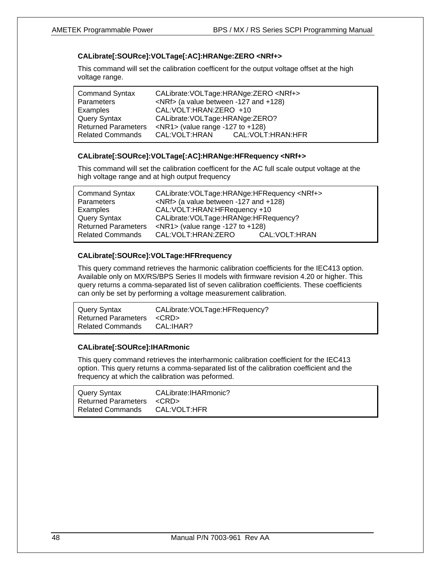## **CALibrate[:SOURce]:VOLTage[:AC]:HRANge:ZERO <NRf+>**

This command will set the calibration coefficent for the output voltage offset at the high voltage range.

| <b>Command Syntax</b>      | CALibrate: VOLTage: HRANge: ZERO <nrf+></nrf+> |  |  |
|----------------------------|------------------------------------------------|--|--|
| Parameters                 | <nrf> (a value between -127 and +128)</nrf>    |  |  |
| Examples                   | CAL: VOLT: HRAN: ZERO +10                      |  |  |
| Query Syntax               | CALibrate: VOLTage: HRANge: ZERO?              |  |  |
| <b>Returned Parameters</b> | $\langle$ NR1> (value range -127 to +128)      |  |  |
| <b>Related Commands</b>    | CAL:VOLT:HRAN<br>CAL:VOLT:HRAN:HFR             |  |  |

### **CALibrate[:SOURce]:VOLTage[:AC]:HRANge:HFRequency <NRf+>**

This command will set the calibration coefficent for the AC full scale output voltage at the high voltage range and at high output frequency

| <b>Command Syntax</b>      | CALibrate: VOLTage: HRANge: HFRequency <nrf+></nrf+> |                 |  |
|----------------------------|------------------------------------------------------|-----------------|--|
| Parameters                 | <nrf> (a value between -127 and +128)</nrf>          |                 |  |
| Examples                   | CAL: VOLT: HRAN: HFRequency +10                      |                 |  |
| Query Syntax               | CALibrate: VOLTage: HRANge: HFRequency?              |                 |  |
| <b>Returned Parameters</b> | $\langle$ NR1> (value range -127 to +128)            |                 |  |
| <b>Related Commands</b>    | CAL:VOLT:HRAN:ZERO                                   | CAL: VOLT: HRAN |  |

## **CALibrate[:SOURce]:VOLTage:HFRrequency**

This query command retrieves the harmonic calibration coefficients for the IEC413 option. Available only on MX/RS/BPS Series II models with firmware revision 4.20 or higher. This query returns a comma-separated list of seven calibration coefficients. These coefficients can only be set by performing a voltage measurement calibration.

| Query Syntax               | CALibrate: VOLTage: HFRequency? |
|----------------------------|---------------------------------|
| <b>Returned Parameters</b> | <crd></crd>                     |
| Related Commands           | CAL:IHAR?                       |
|                            |                                 |

### **CALibrate[:SOURce]:IHARmonic**

This query command retrieves the interharmonic calibration coefficient for the IEC413 option. This query returns a comma-separated list of the calibration coefficient and the frequency at which the calibration was peformed.

| Query Syntax                    | CALibrate: IHARmonic? |
|---------------------------------|-----------------------|
| Returned Parameters <crd></crd> |                       |
| <b>Related Commands</b>         | CAL: VOLT: HFR        |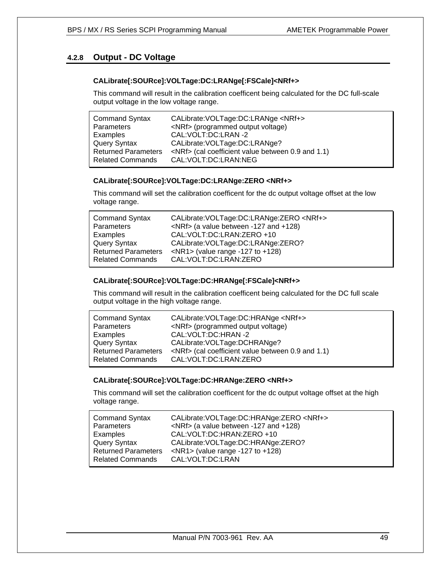## **4.2.8 Output - DC Voltage**

#### **CALibrate[:SOURce]:VOLTage:DC:LRANge[:FSCale]<NRf+>**

This command will result in the calibration coefficent being calculated for the DC full-scale output voltage in the low voltage range.

| <b>Command Syntax</b>      | CALibrate: VOLTage: DC: LRANge <nrf+></nrf+>            |
|----------------------------|---------------------------------------------------------|
| Parameters                 | <nrf> (programmed output voltage)</nrf>                 |
| Examples                   | CAL: VOLT: DC: LRAN - 2                                 |
| Query Syntax               | CALibrate: VOLTage: DC: LRANge?                         |
| <b>Returned Parameters</b> | <nrf> (cal coefficient value between 0.9 and 1.1)</nrf> |
| <b>Related Commands</b>    | CAL:VOLT:DC:LRAN:NEG                                    |

#### **CALibrate[:SOURce]:VOLTage:DC:LRANge:ZERO <NRf+>**

This command will set the calibration coefficent for the dc output voltage offset at the low voltage range.

| <b>Command Syntax</b><br>Parameters | CALibrate: VOLTage: DC: LRANge: ZERO < NRf+><br>$\langle$ NRf> (a value between -127 and +128) |
|-------------------------------------|------------------------------------------------------------------------------------------------|
| Examples                            | CAL: VOLT: DC: LRAN: ZERO +10                                                                  |
| Query Syntax                        | CALibrate: VOLTage: DC: LRANge: ZERO?                                                          |
| <b>Returned Parameters</b>          | $\langle$ NR1> (value range -127 to +128)                                                      |
| <b>Related Commands</b>             | CAL:VOLT:DC:LRAN:ZERO                                                                          |

#### **CALibrate[:SOURce]:VOLTage:DC:HRANge[:FSCale]<NRf+>**

This command will result in the calibration coefficent being calculated for the DC full scale output voltage in the high voltage range.

| <b>Command Syntax</b><br>Parameters | CALibrate: VOLTage: DC: HRANge < NRf+><br><nrf> (programmed output voltage)</nrf> |
|-------------------------------------|-----------------------------------------------------------------------------------|
| Examples                            | CAL: VOLT: DC: HRAN - 2                                                           |
| <b>Query Syntax</b>                 | CALibrate: VOLTage: DCHRANge?                                                     |
| <b>Returned Parameters</b>          | $\langle$ NRf> (cal coefficient value between 0.9 and 1.1)                        |
| Related Commands                    | CAL: VOLT: DC: LRAN: ZERO                                                         |

#### **CALibrate[:SOURce]:VOLTage:DC:HRANge:ZERO <NRf+>**

This command will set the calibration coefficent for the dc output voltage offset at the high voltage range.

| CALibrate: VOLTage: DC: HRANge: ZERO < NRf +>     |
|---------------------------------------------------|
| $\langle$ NRf $>$ (a value between -127 and +128) |
| CAL: VOLT: DC: HRAN: ZERO +10                     |
| CALibrate: VOLTage: DC: HRANge: ZERO?             |
| $\langle$ NR1> (value range -127 to +128)         |
| CAL:VOLT:DC:LRAN                                  |
|                                                   |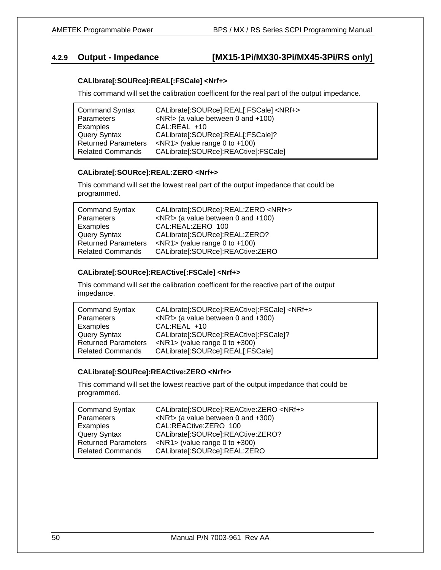## **4.2.9 Output - Impedance [MX15-1Pi/MX30-3Pi/MX45-3Pi/RS only]**

#### **CALibrate[:SOURce]:REAL[:FSCale] <Nrf+>**

This command will set the calibration coefficent for the real part of the output impedance.

| <b>Command Syntax</b>      | CALibrate[:SOURce]:REAL[:FSCale] <nrf+></nrf+> |
|----------------------------|------------------------------------------------|
| Parameters                 | $\langle$ NRf $>$ (a value between 0 and +100) |
| Examples                   | CAL:REAL +10                                   |
| Query Syntax               | CALibrate[:SOURce]:REAL[:FSCale]?              |
| <b>Returned Parameters</b> | $\langle$ NR1> (value range 0 to +100)         |
| <b>Related Commands</b>    | CALibrate[:SOURce]:REACtive[:FSCale]           |

#### **CALibrate[:SOURce]:REAL:ZERO <Nrf+>**

This command will set the lowest real part of the output impedance that could be programmed.

| <b>Command Syntax</b>      | CALibrate[:SOURce]:REAL:ZERO <nrf+></nrf+>     |
|----------------------------|------------------------------------------------|
| <b>Parameters</b>          | $\langle$ NRf $>$ (a value between 0 and +100) |
| Examples                   | CAL:REAL:ZERO 100                              |
| Query Syntax               | CALibrate[:SOURce]:REAL:ZERO?                  |
| <b>Returned Parameters</b> | $\langle$ NR1> (value range 0 to +100)         |
| <b>Related Commands</b>    | CALibrate[:SOURce]:REACtive:ZERO               |

#### **CALibrate[:SOURce]:REACtive[:FSCale] <Nrf+>**

This command will set the calibration coefficent for the reactive part of the output impedance.

| <b>Command Syntax</b>      | CALibrate[:SOURce]:REACtive[:FSCale] <nrf+></nrf+> |
|----------------------------|----------------------------------------------------|
| Parameters                 | $\langle$ NRf> (a value between 0 and +300)        |
| Examples                   | $CAL: REAL + 10$                                   |
| Query Syntax               | CALibrate[:SOURce]:REACtive[:FSCale]?              |
| <b>Returned Parameters</b> | $\langle$ NR1> (value range 0 to +300)             |
| <b>Related Commands</b>    | CALibrate[:SOURce]:REAL[:FSCale]                   |

#### **CALibrate[:SOURce]:REACtive:ZERO <Nrf+>**

This command will set the lowest reactive part of the output impedance that could be programmed.

| <b>Command Syntax</b>      | CALibrate[:SOURce]:REACtive:ZERO <nrf+></nrf+> |
|----------------------------|------------------------------------------------|
| Parameters                 | $\langle$ NRf> (a value between 0 and +300)    |
| Examples                   | CAL:REACtive:ZERO 100                          |
| Query Syntax               | CALibrate[:SOURce]:REACtive:ZERO?              |
| <b>Returned Parameters</b> | $\langle$ NR1> (value range 0 to +300)         |
| Related Commands           | CALibrate[:SOURce]:REAL:ZERO                   |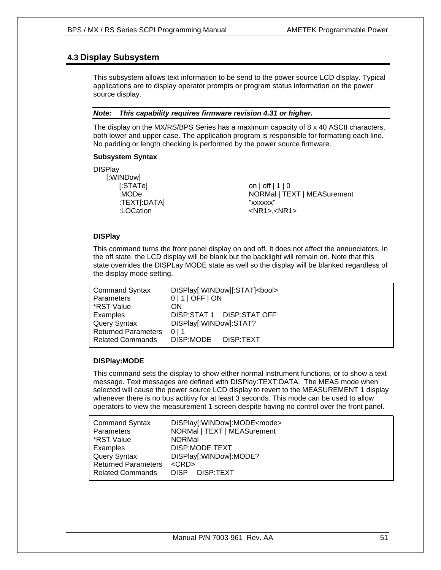## **4.3 Display Subsystem**

This subsystem allows text information to be send to the power source LCD display. Typical applications are to display operator prompts or program status information on the power source display.

#### *Note: This capability requires firmware revision 4.31 or higher.*

The display on the MX/RS/BPS Series has a maximum capacity of 8 x 40 ASCII characters, both lower and upper case. The application program is responsible for formatting each line. No padding or length checking is performed by the power source firmware.

#### **Subsystem Syntax**

**DISPlay**  [:WINDow] [:STATe] on | off | 1 | 0 :TEXT[:DATA] "xxxxxx"

:MODe NORMal | TEXT | MEASurement :LOCation <NR1>,<NR1>

### **DISPlay**

This command turns the front panel display on and off. It does not affect the annunciators. In the off state, the LCD display will be blank but the backlight will remain on. Note that this state overrides the DISPLay:MODE state as well so the display will be blanked regardless of the display mode setting.

| <b>Command Syntax</b>      | DISPlay[:WINDow][:STAT]<br>cool> |
|----------------------------|----------------------------------|
| Parameters                 | $0 1 $ OFF $ $ ON                |
| *RST Value                 | ΩN                               |
| Examples                   | DISP:STAT 1 DISP:STAT OFF        |
| <b>Query Syntax</b>        | DISPlay[:WINDow]:STAT?           |
| <b>Returned Parameters</b> | 0 <sub>1</sub> 1                 |
| <b>Related Commands</b>    | DISP:MODE<br>DISP:TEXT           |

### **DISPlay:MODE**

This command sets the display to show either normal instrument functions, or to show a text message. Text messages are defined with DISPlay:TEXT:DATA. The MEAS mode when selected will cause the power source LCD display to revert to the MEASUREMENT 1 display whenever there is no bus actitivy for at least 3 seconds. This mode can be used to allow operators to view the measurement 1 screen despite having no control over the front panel.

| <b>Command Syntax</b>      | DISPlay[:WINDow]:MODE <mode></mode> |
|----------------------------|-------------------------------------|
| <b>Parameters</b>          | NORMal   TEXT   MEASurement         |
| *RST Value                 | <b>NORMal</b>                       |
| Examples                   | DISP:MODE TEXT                      |
| Query Syntax               | DISPlay[:WINDow]:MODE?              |
| <b>Returned Parameters</b> | $<$ CRD $>$                         |
| <b>Related Commands</b>    | DISP DISP:TEXT                      |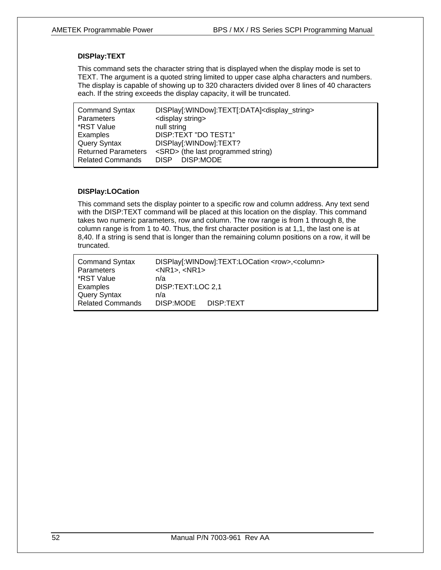#### **DISPlay:TEXT**

This command sets the character string that is displayed when the display mode is set to TEXT. The argument is a quoted string limited to upper case alpha characters and numbers. The display is capable of showing up to 320 characters divided over 8 lines of 40 characters each. If the string exceeds the display capacity, it will be truncated.

| <b>Command Syntax</b>      | DISPlay[:WINDow]:TEXT[:DATA] <display_string></display_string> |
|----------------------------|----------------------------------------------------------------|
| Parameters                 | <display string=""></display>                                  |
| *RST Value                 | null string                                                    |
| Examples                   | DISP:TEXT "DO TEST1"                                           |
| <b>Query Syntax</b>        | DISPlay[:WINDow]:TEXT?                                         |
| <b>Returned Parameters</b> | <srd> (the last programmed string)</srd>                       |
| <b>Related Commands</b>    | DISP DISP:MODE                                                 |

#### **DISPlay:LOCation**

This command sets the display pointer to a specific row and column address. Any text send with the DISP:TEXT command will be placed at this location on the display. This command takes two numeric parameters, row and column. The row range is from 1 through 8, the column range is from 1 to 40. Thus, the first character position is at 1,1, the last one is at 8,40. If a string is send that is longer than the remaining column positions on a row, it will be truncated.

| <b>Command Syntax</b>   | DISPlay[:WINDow]:TEXT:LOCation <row>,<column></column></row> |
|-------------------------|--------------------------------------------------------------|
| Parameters              | $<$ NR1>, $<$ NR1>                                           |
| *RST Value              | n/a                                                          |
| Examples                | DISP:TEXT:LOC 2.1                                            |
| <b>Query Syntax</b>     | n/a                                                          |
| <b>Related Commands</b> | DISP:MODE DISP:TEXT                                          |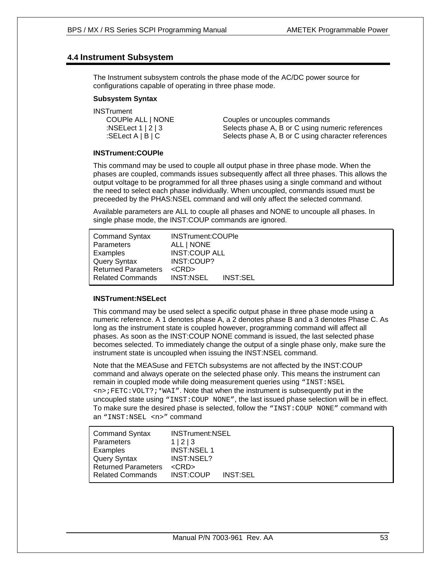## **4.4 Instrument Subsystem**

The Instrument subsystem controls the phase mode of the AC/DC power source for configurations capable of operating in three phase mode.

#### **Subsystem Syntax**

**INSTrument** 

 COUPle ALL | NONE Couples or uncouples commands :NSELect 1 | 2 | 3 Selects phase A, B or C using numeric references :SELect A | B | C Selects phase A, B or C using character references

#### **INSTrument:COUPle**

This command may be used to couple all output phase in three phase mode. When the phases are coupled, commands issues subsequently affect all three phases. This allows the output voltage to be programmed for all three phases using a single command and without the need to select each phase individually. When uncoupled, commands issued must be preceeded by the PHAS:NSEL command and will only affect the selected command.

Available parameters are ALL to couple all phases and NONE to uncouple all phases. In single phase mode, the INST:COUP commands are ignored.

| <b>Command Syntax</b><br>Parameters<br>Examples<br><b>Query Syntax</b><br><b>Returned Parameters</b> | INSTrument:COUPle<br>ALL   NONE<br><b>INST:COUP ALL</b><br>INST:COUP?<br>$<$ CRD $>$ |                 |  |
|------------------------------------------------------------------------------------------------------|--------------------------------------------------------------------------------------|-----------------|--|
| <b>Related Commands</b>                                                                              | <b>INST:NSEL</b>                                                                     | <b>INST:SEL</b> |  |

#### **INSTrument:NSELect**

This command may be used select a specific output phase in three phase mode using a numeric reference. A 1 denotes phase A, a 2 denotes phase B and a 3 denotes Phase C. As long as the instrument state is coupled however, programming command will affect all phases. As soon as the INST:COUP NONE command is issued, the last selected phase becomes selected. To immediately change the output of a single phase only, make sure the instrument state is uncoupled when issuing the INST:NSEL command.

Note that the MEASuse and FETCh subsystems are not affected by the INST:COUP command and always operate on the selected phase only. This means the instrument can remain in coupled mode while doing measurement queries using "INST:NSEL  $\langle n \rangle$ ; FETC: VOLT?; \* WAI". Note that when the instrument is subsequently put in the uncoupled state using "INST:COUP NONE", the last issued phase selection will be in effect. To make sure the desired phase is selected, follow the "INST:COUP NONE" command with an "INST:NSEL <n>" command

| <b>Command Syntax</b>      | <b>INSTrument:NSEL</b> |                 |
|----------------------------|------------------------|-----------------|
| Parameters                 | 1 2 3                  |                 |
| Examples                   | <b>INST:NSEL 1</b>     |                 |
| <b>Query Syntax</b>        | INST:NSEL?             |                 |
| <b>Returned Parameters</b> | $<$ CRD $>$            |                 |
| <b>Related Commands</b>    | INST:COUP              | <b>INST:SEL</b> |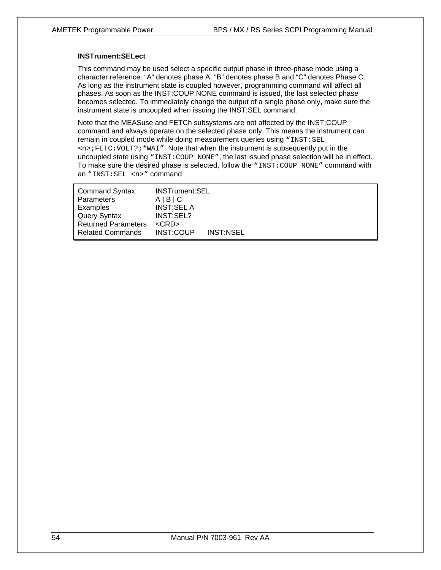#### **INSTrument:SELect**

This command may be used select a specific output phase in three-phase mode using a character reference. "A" denotes phase A, "B" denotes phase B and "C" denotes Phase C. As long as the instrument state is coupled however, programming command will affect all phases. As soon as the INST:COUP NONE command is issued, the last selected phase becomes selected. To immediately change the output of a single phase only, make sure the instrument state is uncoupled when issuing the INST:SEL command.

Note that the MEASuse and FETCh subsystems are not affected by the INST:COUP command and always operate on the selected phase only. This means the instrument can remain in coupled mode while doing measurement queries using "INST: SEL  $\langle n \rangle$ ; FETC: VOLT?; \*WAI". Note that when the instrument is subsequently put in the uncoupled state using "INST:COUP NONE", the last issued phase selection will be in effect. To make sure the desired phase is selected, follow the "INST:COUP NONE" command with an "INST:SEL <n>" command

| <b>Command Syntax</b>      | <b>INSTrument:SEL</b> |           |
|----------------------------|-----------------------|-----------|
| <b>Parameters</b>          | A B C                 |           |
| Examples                   | <b>INST:SEL A</b>     |           |
| Query Syntax               | INST:SEL?             |           |
| <b>Returned Parameters</b> | $<$ CRD $>$           |           |
| <b>Related Commands</b>    | INST:COUP             | INST:NSEL |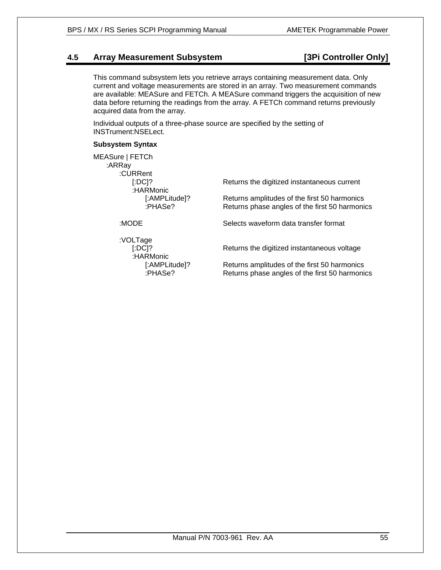## **4.5 Array Measurement Subsystem [3Pi Controller Only]**

This command subsystem lets you retrieve arrays containing measurement data. Only current and voltage measurements are stored in an array. Two measurement commands are available: MEASure and FETCh. A MEASure command triggers the acquisition of new data before returning the readings from the array. A FETCh command returns previously acquired data from the array.

Individual outputs of a three-phase source are specified by the setting of INSTrument:NSELect.

#### **Subsystem Syntax**

| MEASure   FETCh<br>:ARRay<br>:CURRent |                                                                                                |
|---------------------------------------|------------------------------------------------------------------------------------------------|
| $[:DC]$ ?<br>:HARMonic                | Returns the digitized instantaneous current                                                    |
| [:AMPLitude]?<br>:PHASe?              | Returns amplitudes of the first 50 harmonics<br>Returns phase angles of the first 50 harmonics |
| :MODE                                 | Selects waveform data transfer format                                                          |
| :VOLTage<br>$[.DC]$ ?<br>:HARMonic    | Returns the digitized instantaneous voltage                                                    |
| [:AMPLitude]?<br>:PHASe?              | Returns amplitudes of the first 50 harmonics<br>Returns phase angles of the first 50 harmonics |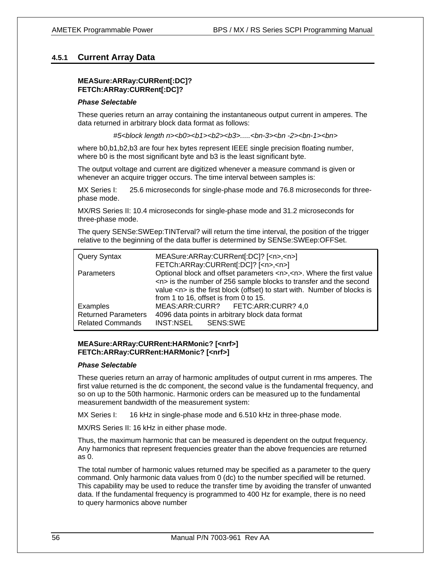## **4.5.1 Current Array Data**

#### **MEASure:ARRay:CURRent[:DC]? FETCh:ARRay:CURRent[:DC]?**

#### *Phase Selectable*

These queries return an array containing the instantaneous output current in amperes. The data returned in arbitrary block data format as follows:

*#5<block length n><b0><b1><b2><b3>.....<bn-3><bn -2><bn-1><bn>* 

where b0,b1,b2,b3 are four hex bytes represent IEEE single precision floating number, where b0 is the most significant byte and b3 is the least significant byte.

The output voltage and current are digitized whenever a measure command is given or whenever an acquire trigger occurs. The time interval between samples is:

MX Series I: 25.6 microseconds for single-phase mode and 76.8 microseconds for threephase mode.

MX/RS Series II: 10.4 microseconds for single-phase mode and 31.2 microseconds for three-phase mode.

The query SENSe:SWEep:TINTerval? will return the time interval, the position of the trigger relative to the beginning of the data buffer is determined by SENSe:SWEep:OFFSet.

| <b>Query Syntax</b>                                               | MEASure:ARRay:CURRent[:DC]? [ <n>,<n>]<br/>FETCh:ARRay:CURRent[:DC]? [<n>,<n>]</n></n></n></n>                                                                                                                                                                                                          |
|-------------------------------------------------------------------|---------------------------------------------------------------------------------------------------------------------------------------------------------------------------------------------------------------------------------------------------------------------------------------------------------|
| Parameters                                                        | Optional block and offset parameters <n>,<n>. Where the first value<br/><n> is the number of 256 sample blocks to transfer and the second<br/>value <math>\langle n \rangle</math> is the first block (offset) to start with. Number of blocks is<br/>from 1 to 16, offset is from 0 to 15.</n></n></n> |
| Examples<br><b>Returned Parameters</b><br><b>Related Commands</b> | MEAS:ARR:CURR? FETC:ARR:CURR? 4,0<br>4096 data points in arbitrary block data format<br>INST:NSEL SENS:SWE                                                                                                                                                                                              |

#### **MEASure:ARRay:CURRent:HARMonic? [<nrf>] FETCh:ARRay:CURRent:HARMonic? [<nrf>]**

#### *Phase Selectable*

These queries return an array of harmonic amplitudes of output current in rms amperes. The first value returned is the dc component, the second value is the fundamental frequency, and so on up to the 50th harmonic. Harmonic orders can be measured up to the fundamental measurement bandwidth of the measurement system:

MX Series I: 16 kHz in single-phase mode and 6.510 kHz in three-phase mode.

MX/RS Series II: 16 kHz in either phase mode.

Thus, the maximum harmonic that can be measured is dependent on the output frequency. Any harmonics that represent frequencies greater than the above frequencies are returned as 0.

The total number of harmonic values returned may be specified as a parameter to the query command. Only harmonic data values from 0 (dc) to the number specified will be returned. This capability may be used to reduce the transfer time by avoiding the transfer of unwanted data. If the fundamental frequency is programmed to 400 Hz for example, there is no need to query harmonics above number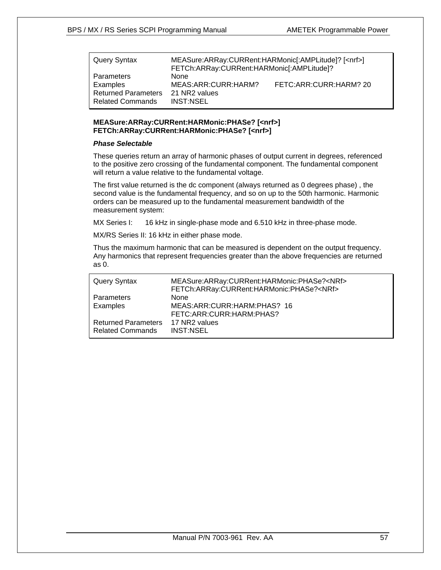| Query Syntax                                          | MEASure:ARRay:CURRent:HARMonic[:AMPLitude]? [ <nrf>]<br/>FETCh:ARRay:CURRent:HARMonic[:AMPLitude]?</nrf> |                        |
|-------------------------------------------------------|----------------------------------------------------------------------------------------------------------|------------------------|
| Parameters<br>Examples                                | <b>None</b><br>MEAS:ARR:CURR:HARM?                                                                       | FETC:ARR:CURR:HARM? 20 |
| <b>Returned Parameters</b><br><b>Related Commands</b> | 21 NR2 values<br><b>INST:NSEL</b>                                                                        |                        |

#### **MEASure:ARRay:CURRent:HARMonic:PHASe? [<nrf>] FETCh:ARRay:CURRent:HARMonic:PHASe? [<nrf>]**

#### *Phase Selectable*

These queries return an array of harmonic phases of output current in degrees, referenced to the positive zero crossing of the fundamental component. The fundamental component will return a value relative to the fundamental voltage.

The first value returned is the dc component (always returned as 0 degrees phase) , the second value is the fundamental frequency, and so on up to the 50th harmonic. Harmonic orders can be measured up to the fundamental measurement bandwidth of the measurement system:

MX Series I: 16 kHz in single-phase mode and 6.510 kHz in three-phase mode.

MX/RS Series II: 16 kHz in either phase mode.

Thus the maximum harmonic that can be measured is dependent on the output frequency. Any harmonics that represent frequencies greater than the above frequencies are returned as 0.

| Query Syntax               | MEASure:ARRay:CURRent:HARMonic:PHASe? <nrf><br/>FETCh:ARRay:CURRent:HARMonic:PHASe?<nrf></nrf></nrf> |
|----------------------------|------------------------------------------------------------------------------------------------------|
| Parameters                 | <b>None</b>                                                                                          |
| Examples                   | MEAS:ARR:CURR:HARM:PHAS? 16<br>FETC:ARR:CURR:HARM:PHAS?                                              |
| <b>Returned Parameters</b> | 17 NR2 values                                                                                        |
| <b>Related Commands</b>    | <b>INST:NSEL</b>                                                                                     |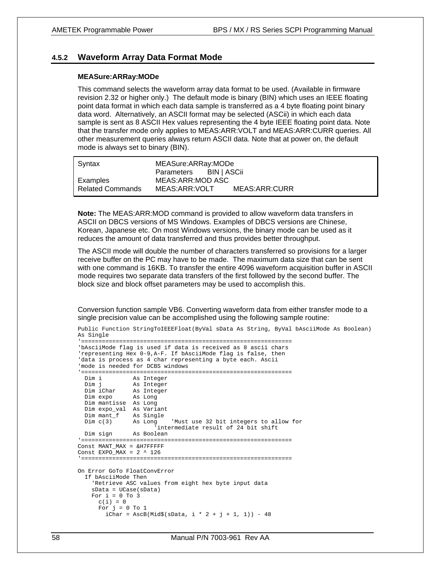#### **4.5.2 Waveform Array Data Format Mode**

#### **MEASure:ARRay:MODe**

This command selects the waveform array data format to be used. (Available in firmware revision 2.32 or higher only.) The default mode is binary (BIN) which uses an IEEE floating point data format in which each data sample is transferred as a 4 byte floating point binary data word. Alternatively, an ASCII format may be selected (ASCii) in which each data sample is sent as 8 ASCII Hex values representing the 4 byte IEEE floating point data. Note that the transfer mode only applies to MEAS:ARR:VOLT and MEAS:ARR:CURR queries. All other measurement queries always return ASCII data. Note that at power on, the default mode is always set to binary (BIN).

| Syntax                  | MEASure: ARRay: MODe   |               |
|-------------------------|------------------------|---------------|
|                         | Parameters BIN   ASCII |               |
| Examples                | MEAS:ARR:MOD ASC       |               |
| <b>Related Commands</b> | MEAS:ARR:VOLT          | MEAS:ARR:CURR |

**Note:** The MEAS:ARR:MOD command is provided to allow waveform data transfers in ASCII on DBCS versions of MS Windows. Examples of DBCS versions are Chinese, Korean, Japanese etc. On most Windows versions, the binary mode can be used as it reduces the amount of data transferred and thus provides better throughput.

The ASCII mode will double the number of characters transferred so provisions for a larger receive buffer on the PC may have to be made. The maximum data size that can be sent with one command is 16KB. To transfer the entire 4096 waveform acquisition buffer in ASCII mode requires two separate data transfers of the first followed by the second buffer. The block size and block offset parameters may be used to accomplish this.

Conversion function sample VB6. Converting waveform data from either transfer mode to a single precision value can be accomplished using the following sample routine:

```
Public Function StringToIEEEFloat(ByVal sData As String, ByVal bAsciiMode As Boolean) 
As Single 
'============================================================= 
'bAsciiMode flag is used if data is received as 8 ascii chars 
'representing Hex 0-9,A-F. If bAsciiMode flag is false, then 
'data is process as 4 char representing a byte each. Ascii 
'mode is needed for DCBS windows 
'============================================================= 
 Dim i As Integer 
 Dim j As Integer 
 Dim iChar As Integer 
 Dim expo As Long 
 Dim mantisse As Long 
 Dim expo_val As Variant 
  Dim mant_f As Single 
  Dim c(3) As Long 'Must use 32 bit integers to allow for 
 <sup>1</sup>intermediate result of 24 bit shift<br>Dim sign as Boolean
             As Boolean
'============================================================= 
Const. MANT MAX = \& H7FFFFF
Const EXPO_MAX = 2 \text{ }^{\wedge} 126'============================================================= 
On Error GoTo FloatConvError 
  If bAsciiMode Then 
     'Retrieve ASC values from eight hex byte input data 
    sData = UCase(sData) 
   For i = 0 To 3
     c(i) = 0For j = 0 To 1iChar = AscB(Mid$(sData, i * 2 + j + 1, 1)) - 48
```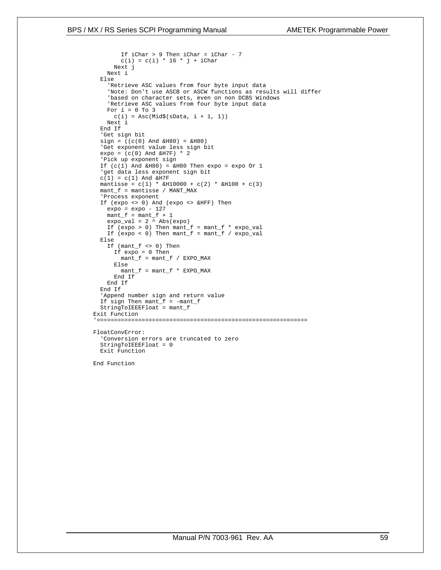#### BPS / MX / RS Series SCPI Programming Manual AMETEK Programmable Power

```
 If iChar > 9 Then iChar = iChar - 7 
        c(i) = c(i) * 16 * j + iChar Next j 
     Next i 
   Else 
     'Retrieve ASC values from four byte input data 
     'Note: Don't use ASCB or ASCW functions as results will differ 
     'based on character sets, even on non DCBS Windows 
     'Retrieve ASC values from four byte input data 
    For i = 0 To 3
     c(i) = Acc(Mid\xi(sData, i + 1, 1)) Next i 
   End If 
   'Get sign bit 
   sign = ((c(0) And &H80) = &H80) 
   'Get exponent value less sign bit 
  expo = (c(0) And &H7F) * 2
   'Pick up exponent sign 
  If (c(1) And kH80 = kH80 Then expo = expo Or 1
   'get data less exponent sign bit 
  c(1) = c(1) And &H7Fmantisse = c(1) * \&H10000 + c(2) * \&H100 + c(3) mant_f = mantisse / MANT_MAX 
   'Process exponent 
   If (expo <> 0) And (expo <> &HFF) Then 
    expo = expo - 127mant_f = mant_f + 1 expo_val = 2 ^ Abs(expo) 
    If (expo > 0) Then mant f = mant_f * expo_valIf (expo < 0) Then mant f = mant f / expo val
   Else 
     If (mant_f <> 0) Then 
       If expo = 0 Then 
        mant_f = mant_f / EXPO_MAX Else 
        mant_f = mant_f * EXPO_MAX End If 
     End If 
   End If 
   'Append number sign and return value 
   If sign Then mant_f = -mant_f 
   StringToIEEEFloat = mant_f 
Exit Function 
'============================================================= 
FloatConvError: 
   'Conversion errors are truncated to zero 
   StringToIEEEFloat = 0 
  Exit Function
```
End Function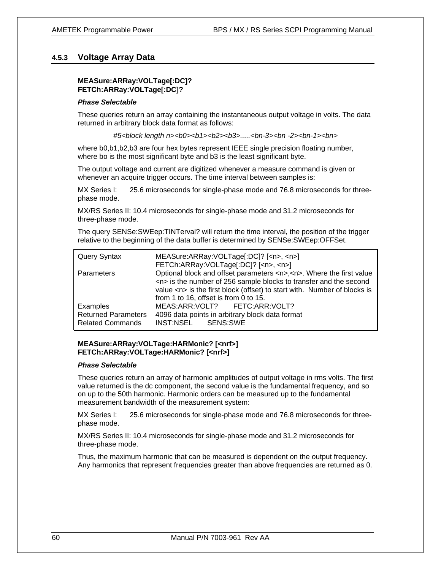## **4.5.3 Voltage Array Data**

#### **MEASure:ARRay:VOLTage[:DC]? FETCh:ARRay:VOLTage[:DC]?**

#### *Phase Selectable*

These queries return an array containing the instantaneous output voltage in volts. The data returned in arbitrary block data format as follows:

*#5<block length n><b0><b1><b2><b3>.....<bn-3><bn -2><bn-1><bn>* 

where b0,b1,b2,b3 are four hex bytes represent IEEE single precision floating number, where bo is the most significant byte and b3 is the least significant byte.

The output voltage and current are digitized whenever a measure command is given or whenever an acquire trigger occurs. The time interval between samples is:

MX Series I: 25.6 microseconds for single-phase mode and 76.8 microseconds for threephase mode.

MX/RS Series II: 10.4 microseconds for single-phase mode and 31.2 microseconds for three-phase mode.

The query SENSe:SWEep:TINTerval? will return the time interval, the position of the trigger relative to the beginning of the data buffer is determined by SENSe:SWEep:OFFSet.

| Query Syntax                                                      | MEASure:ARRay:VOLTage[:DC]? [ <n>, <n>]<br/>FETCh:ARRay:VOLTage[:DC]? [<n>, <n>]</n></n></n></n>                                                                                                                                                                                                        |
|-------------------------------------------------------------------|---------------------------------------------------------------------------------------------------------------------------------------------------------------------------------------------------------------------------------------------------------------------------------------------------------|
| Parameters                                                        | Optional block and offset parameters <n>,<n>. Where the first value<br/><n> is the number of 256 sample blocks to transfer and the second<br/>value <math>\langle n \rangle</math> is the first block (offset) to start with. Number of blocks is<br/>from 1 to 16, offset is from 0 to 15.</n></n></n> |
| Examples<br><b>Returned Parameters</b><br><b>Related Commands</b> | MEAS:ARR:VOLT? FETC:ARR:VOLT?<br>4096 data points in arbitrary block data format<br>INST:NSEL SENS:SWE                                                                                                                                                                                                  |

#### **MEASure:ARRay:VOLTage:HARMonic? [<nrf>] FETCh:ARRay:VOLTage:HARMonic? [<nrf>]**

#### *Phase Selectable*

These queries return an array of harmonic amplitudes of output voltage in rms volts. The first value returned is the dc component, the second value is the fundamental frequency, and so on up to the 50th harmonic. Harmonic orders can be measured up to the fundamental measurement bandwidth of the measurement system:

MX Series I: 25.6 microseconds for single-phase mode and 76.8 microseconds for threephase mode.

MX/RS Series II: 10.4 microseconds for single-phase mode and 31.2 microseconds for three-phase mode.

Thus, the maximum harmonic that can be measured is dependent on the output frequency. Any harmonics that represent frequencies greater than above frequencies are returned as 0.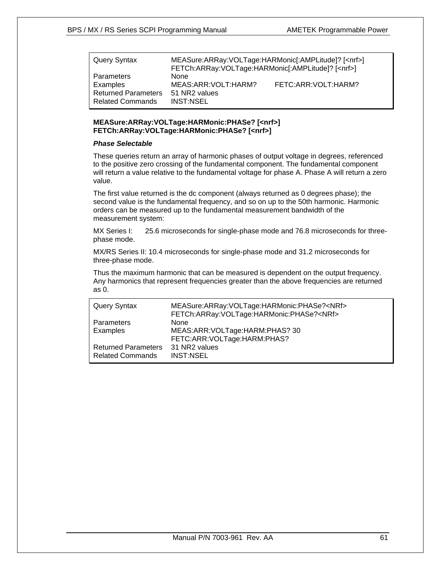| Query Syntax                                          | MEASure:ARRay:VOLTage:HARMonic[:AMPLitude]? [ <nrf>]<br/>FETCh:ARRay:VOLTage:HARMonic[:AMPLitude]? [<nrf>]</nrf></nrf> |                     |
|-------------------------------------------------------|------------------------------------------------------------------------------------------------------------------------|---------------------|
| Parameters<br>Examples                                | <b>None</b><br>MEAS:ARR:VOLT:HARM?                                                                                     | FETC:ARR:VOLT:HARM? |
| <b>Returned Parameters</b><br><b>Related Commands</b> | 51 NR2 values<br><b>INST:NSEL</b>                                                                                      |                     |

#### **MEASure:ARRay:VOLTage:HARMonic:PHASe? [<nrf>] FETCh:ARRay:VOLTage:HARMonic:PHASe? [<nrf>]**

### *Phase Selectable*

These queries return an array of harmonic phases of output voltage in degrees, referenced to the positive zero crossing of the fundamental component. The fundamental component will return a value relative to the fundamental voltage for phase A. Phase A will return a zero value.

The first value returned is the dc component (always returned as 0 degrees phase); the second value is the fundamental frequency, and so on up to the 50th harmonic. Harmonic orders can be measured up to the fundamental measurement bandwidth of the measurement system:

MX Series I: 25.6 microseconds for single-phase mode and 76.8 microseconds for threephase mode.

MX/RS Series II: 10.4 microseconds for single-phase mode and 31.2 microseconds for three-phase mode.

Thus the maximum harmonic that can be measured is dependent on the output frequency. Any harmonics that represent frequencies greater than the above frequencies are returned as 0.

| Query Syntax               | MEASure:ARRay:VOLTage:HARMonic:PHASe? <nrf><br/>FETCh:ARRay:VOLTage:HARMonic:PHASe?<nrf></nrf></nrf> |
|----------------------------|------------------------------------------------------------------------------------------------------|
| Parameters                 | <b>None</b>                                                                                          |
| Examples                   | MEAS:ARR:VOLTage:HARM:PHAS? 30                                                                       |
|                            | FETC:ARR:VOLTage:HARM:PHAS?                                                                          |
| <b>Returned Parameters</b> | 31 NR2 values                                                                                        |
| <b>Related Commands</b>    | INST:NSEL                                                                                            |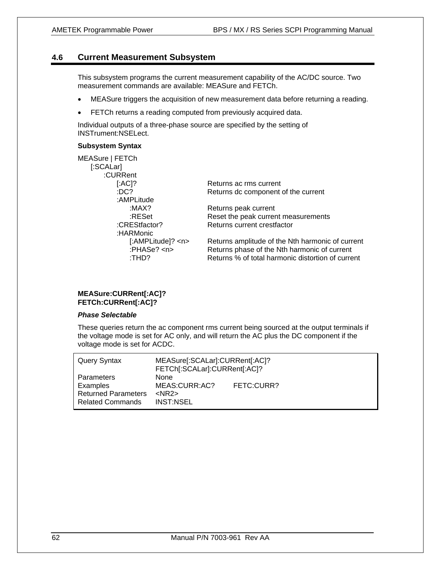## **4.6 Current Measurement Subsystem**

This subsystem programs the current measurement capability of the AC/DC source. Two measurement commands are available: MEASure and FETCh.

- MEASure triggers the acquisition of new measurement data before returning a reading.
- FETCh returns a reading computed from previously acquired data.

Individual outputs of a three-phase source are specified by the setting of INSTrument:NSELect.

#### **Subsystem Syntax**

MEASure | FETCh [:SCALar] :CURRent [:AC]? Returns ac rms current :DC? Returns dc component of the current :AMPLitude :MAX? Returns peak current :RESet Reset the peak current measurements :CREStfactor? Returns current crestfactor :HARMonic [:AMPLitude]? <n> Returns amplitude of the Nth harmonic of current :PHASe? <n> Returns phase of the Nth harmonic of current :THD? Returns % of total harmonic distortion of current

#### **MEASure:CURRent[:AC]? FETCh:CURRent[:AC]?**

#### *Phase Selectable*

These queries return the ac component rms current being sourced at the output terminals if the voltage mode is set for AC only, and will return the AC plus the DC component if the voltage mode is set for ACDC.

| Query Syntax               | MEASure[:SCALar]:CURRent[:AC]?<br>FETCh[:SCALar]:CURRent[:AC]? |            |
|----------------------------|----------------------------------------------------------------|------------|
| Parameters                 | <b>None</b>                                                    |            |
| Examples                   | MEAS:CURR:AC?                                                  | FETC:CURR? |
| <b>Returned Parameters</b> | $<$ NR2 $>$                                                    |            |
| <b>Related Commands</b>    | <b>INST:NSEL</b>                                               |            |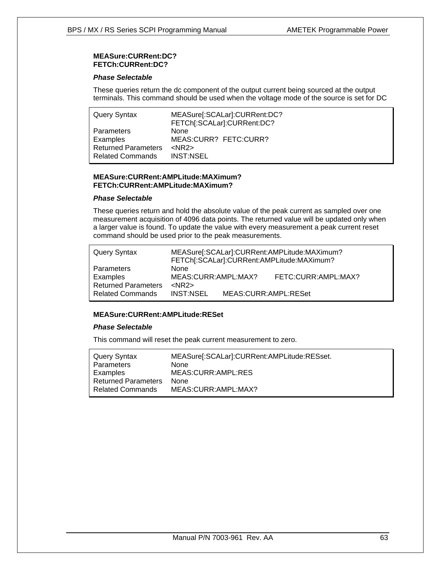#### **MEASure:CURRent:DC? FETCh:CURRent:DC?**

#### *Phase Selectable*

These queries return the dc component of the output current being sourced at the output terminals. This command should be used when the voltage mode of the source is set for DC

| <b>Query Syntax</b>        | MEASure[:SCALar]:CURRent:DC?<br>FETCh[:SCALar]:CURRent:DC? |
|----------------------------|------------------------------------------------------------|
| Parameters                 | <b>None</b>                                                |
| Examples                   | MEAS:CURR? FETC:CURR?                                      |
| <b>Returned Parameters</b> | $<$ NR2 $>$                                                |
| <b>Related Commands</b>    | <b>INST:NSEL</b>                                           |

#### **MEASure:CURRent:AMPLitude:MAXimum? FETCh:CURRent:AMPLitude:MAXimum?**

#### *Phase Selectable*

These queries return and hold the absolute value of the peak current as sampled over one measurement acquisition of 4096 data points. The returned value will be updated only when a larger value is found. To update the value with every measurement a peak current reset command should be used prior to the peak measurements.

| Query Syntax               |                     |                      | MEASure[:SCALar]:CURRent:AMPLitude:MAXimum?<br>FETCh[:SCALar]:CURRent:AMPLitude:MAXimum? |
|----------------------------|---------------------|----------------------|------------------------------------------------------------------------------------------|
| Parameters                 | <b>None</b>         |                      |                                                                                          |
| Examples                   | MEAS:CURR:AMPL:MAX? |                      | FETC:CURR:AMPL:MAX?                                                                      |
| <b>Returned Parameters</b> | $<$ NR2 $>$         |                      |                                                                                          |
| <b>Related Commands</b>    | <b>INST:NSEL</b>    | MEAS:CURR:AMPL:RESet |                                                                                          |

#### **MEASure:CURRent:AMPLitude:RESet**

#### *Phase Selectable*

This command will reset the peak current measurement to zero.

| Query Syntax               | MEASure[:SCALar]:CURRent:AMPLitude:RESset. |
|----------------------------|--------------------------------------------|
| Parameters                 | None                                       |
| Examples                   | MEAS:CURR:AMPL:RES                         |
| <b>Returned Parameters</b> | <b>None</b>                                |
| <b>Related Commands</b>    | MEAS:CURR:AMPL:MAX?                        |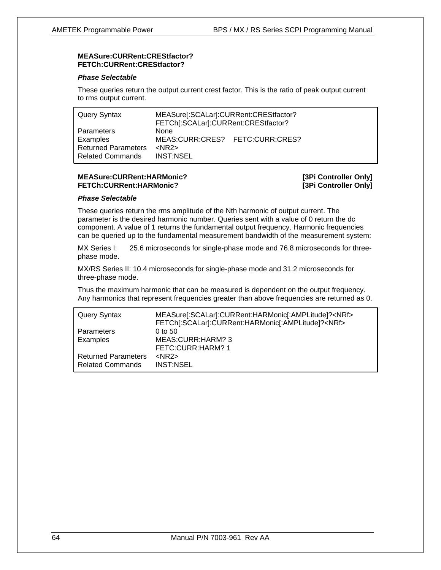#### **MEASure:CURRent:CREStfactor? FETCh:CURRent:CREStfactor?**

#### *Phase Selectable*

These queries return the output current crest factor. This is the ratio of peak output current to rms output current.

| <b>Query Syntax</b>                                                             | MEASure[:SCALar]:CURRent:CREStfactor?<br>FETCh[:SCALar]:CURRent:CREStfactor? |  |
|---------------------------------------------------------------------------------|------------------------------------------------------------------------------|--|
| Parameters<br>Examples<br><b>Returned Parameters</b><br><b>Related Commands</b> | <b>None</b><br>MEAS:CURR:CRES? FETC:CURR:CRES?<br>$<$ NR2 $>$<br>INST:NSEL   |  |

#### **MEASure:CURRent:HARMonic? [3Pi Controller Only] FETCh:CURRent:HARMonic? [3Pi Controller Only]**

#### *Phase Selectable*

These queries return the rms amplitude of the Nth harmonic of output current. The parameter is the desired harmonic number. Queries sent with a value of 0 return the dc component. A value of 1 returns the fundamental output frequency. Harmonic frequencies can be queried up to the fundamental measurement bandwidth of the measurement system:

MX Series I: 25.6 microseconds for single-phase mode and 76.8 microseconds for threephase mode.

MX/RS Series II: 10.4 microseconds for single-phase mode and 31.2 microseconds for three-phase mode.

Thus the maximum harmonic that can be measured is dependent on the output frequency. Any harmonics that represent frequencies greater than above frequencies are returned as 0.

| Query Syntax               | MEASure[:SCALar]:CURRent:HARMonic[:AMPLitude]? <nrf><br/>FETCh[:SCALar]:CURRent:HARMonic[:AMPLitude]?<nrf></nrf></nrf> |
|----------------------------|------------------------------------------------------------------------------------------------------------------------|
| <b>Parameters</b>          | $0$ to 50                                                                                                              |
| Examples                   | MEAS:CURR:HARM? 3                                                                                                      |
|                            | FETC:CURR:HARM? 1                                                                                                      |
| <b>Returned Parameters</b> | $<$ NR2 $>$                                                                                                            |
| <b>Related Commands</b>    | INST:NSEL                                                                                                              |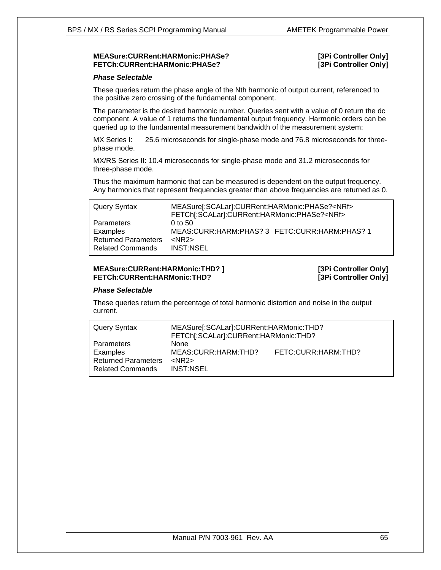#### **MEASure:CURRent:HARMonic:PHASe? [3Pi Controller Only] FETCh:CURRent:HARMonic:PHASe? [3Pi Controller Only]**

#### *Phase Selectable*

These queries return the phase angle of the Nth harmonic of output current, referenced to the positive zero crossing of the fundamental component.

The parameter is the desired harmonic number. Queries sent with a value of 0 return the dc component. A value of 1 returns the fundamental output frequency. Harmonic orders can be queried up to the fundamental measurement bandwidth of the measurement system:

MX Series I: 25.6 microseconds for single-phase mode and 76.8 microseconds for threephase mode.

MX/RS Series II: 10.4 microseconds for single-phase mode and 31.2 microseconds for three-phase mode.

Thus the maximum harmonic that can be measured is dependent on the output frequency. Any harmonics that represent frequencies greater than above frequencies are returned as 0.

| Query Syntax               | MEASure[:SCALar]:CURRent:HARMonic:PHASe? <nrf><br/>FETCh[:SCALar]:CURRent:HARMonic:PHASe?<nrf></nrf></nrf> |
|----------------------------|------------------------------------------------------------------------------------------------------------|
| Parameters                 | $0$ to 50                                                                                                  |
| Examples                   | MEAS:CURR:HARM:PHAS? 3 FETC:CURR:HARM:PHAS? 1                                                              |
| <b>Returned Parameters</b> | $<$ NR2 $>$                                                                                                |
| <b>Related Commands</b>    | <b>INST:NSEL</b>                                                                                           |

### **MEASure:CURRent:HARMonic:THD? ] [3Pi Controller Only] FETCh:CURRent:HARMonic:THD? [3Pi Controller Only]**

#### *Phase Selectable*

These queries return the percentage of total harmonic distortion and noise in the output current.

| <b>Query Syntax</b>                                                             | MEASure[:SCALar]:CURRent:HARMonic:THD?<br>FETCh[:SCALar]:CURRent:HARMonic:THD? |                     |
|---------------------------------------------------------------------------------|--------------------------------------------------------------------------------|---------------------|
| Parameters<br>Examples<br><b>Returned Parameters</b><br><b>Related Commands</b> | <b>None</b><br>MEAS: CURR: HARM: THD?<br>$<$ NR2 $>$<br><b>INST:NSEL</b>       | FETC:CURR:HARM:THD? |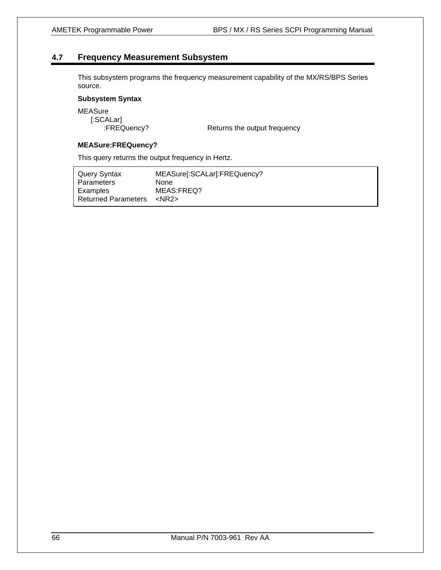# **4.7 Frequency Measurement Subsystem**

This subsystem programs the frequency measurement capability of the MX/RS/BPS Series source.

## **Subsystem Syntax**

MEASure [:SCALar]

:FREQuency? Returns the output frequency

#### **MEASure:FREQuency?**

This query returns the output frequency in Hertz.

| Query Syntax               | MEASure[:SCALar]:FREQuency? |
|----------------------------|-----------------------------|
| Parameters                 | None                        |
| Examples                   | MEAS:FREQ?                  |
| <b>Returned Parameters</b> | <nr2></nr2>                 |
|                            |                             |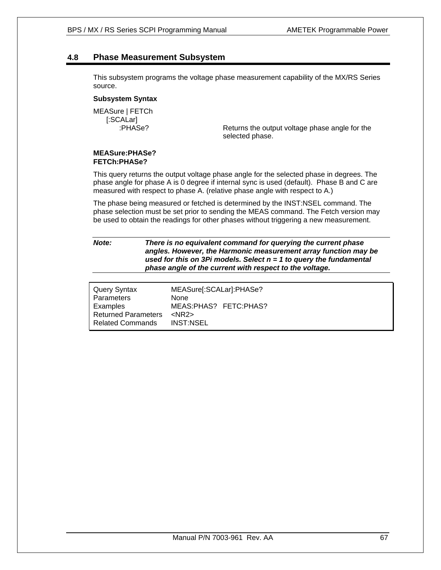## **4.8 Phase Measurement Subsystem**

This subsystem programs the voltage phase measurement capability of the MX/RS Series source.

#### **Subsystem Syntax**

MEASure | FETCh [:SCALar]

 :PHASe? Returns the output voltage phase angle for the selected phase.

#### **MEASure:PHASe? FETCh:PHASe?**

This query returns the output voltage phase angle for the selected phase in degrees. The phase angle for phase A is 0 degree if internal sync is used (default). Phase B and C are measured with respect to phase A. (relative phase angle with respect to A.)

The phase being measured or fetched is determined by the INST:NSEL command. The phase selection must be set prior to sending the MEAS command. The Fetch version may be used to obtain the readings for other phases without triggering a new measurement.

*Note: There is no equivalent command for querying the current phase angles. However, the Harmonic measurement array function may be used for this on 3Pi models. Select n = 1 to query the fundamental phase angle of the current with respect to the voltage.* 

| Query Syntax               | MEASure[:SCALar]:PHASe? |
|----------------------------|-------------------------|
| Parameters                 | None                    |
| Examples                   | MEAS: PHAS? FETC: PHAS? |
| <b>Returned Parameters</b> | $<$ NR2 $>$             |
| <b>Related Commands</b>    | <b>INST:NSEL</b>        |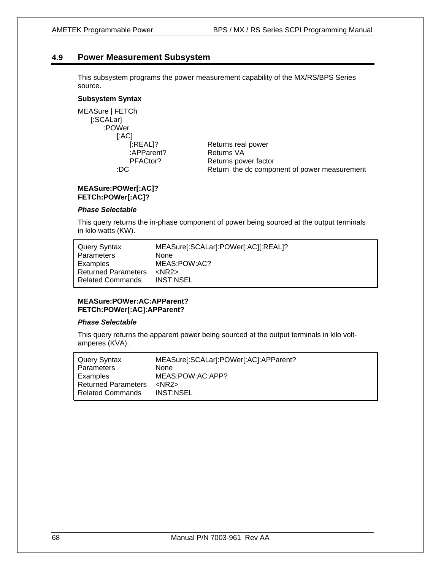## **4.9 Power Measurement Subsystem**

This subsystem programs the power measurement capability of the MX/RS/BPS Series source.

#### **Subsystem Syntax**

MEASure | FETCh [:SCALar] :POWer [:AC]

[:REAL]? Returns real power :APParent? Returns VA PFACtor? Returns power factor :DC Return the dc component of power measurement

#### **MEASure:POWer[:AC]? FETCh:POWer[:AC]?**

#### *Phase Selectable*

This query returns the in-phase component of power being sourced at the output terminals in kilo watts (KW).

| Query Syntax               | MEASure[:SCALar]:POWer[:AC][:REAL]? |
|----------------------------|-------------------------------------|
| <b>Parameters</b>          | <b>None</b>                         |
| Examples                   | MEAS:POW:AC?                        |
| <b>Returned Parameters</b> | $<$ NR2 $>$                         |
| <b>Related Commands</b>    | INST:NSEL                           |

#### **MEASure:POWer:AC:APParent? FETCh:POWer[:AC]:APParent?**

#### *Phase Selectable*

This query returns the apparent power being sourced at the output terminals in kilo voltamperes (KVA).

| Query Syntax               | MEASure[:SCALar]:POWer[:AC]:APParent? |
|----------------------------|---------------------------------------|
| Parameters                 | <b>None</b>                           |
| Examples                   | MEAS:POW:AC:APP?                      |
| <b>Returned Parameters</b> | $<$ NR2 $>$                           |
| <b>Related Commands</b>    | INST:NSEL                             |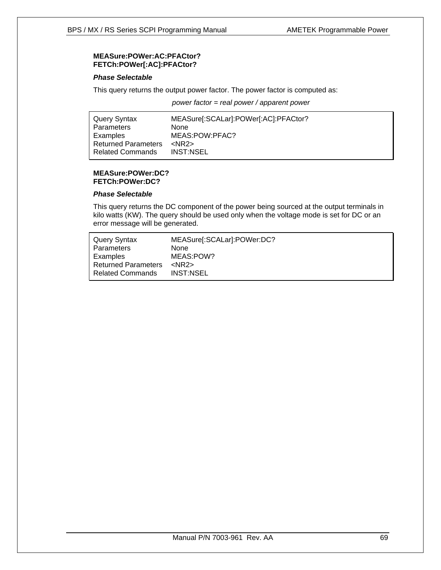#### **MEASure:POWer:AC:PFACtor? FETCh:POWer[:AC]:PFACtor?**

#### *Phase Selectable*

This query returns the output power factor. The power factor is computed as:

*power factor = real power / apparent power* 

| Query Syntax               | MEASure[:SCALar]:POWer[:AC]:PFACtor? |
|----------------------------|--------------------------------------|
| Parameters                 | None                                 |
| Examples                   | MEAS:POW:PFAC?                       |
| <b>Returned Parameters</b> | $<$ NR2 $>$                          |
| <b>Related Commands</b>    | INST:NSEL                            |

#### **MEASure:POWer:DC? FETCh:POWer:DC?**

#### *Phase Selectable*

This query returns the DC component of the power being sourced at the output terminals in kilo watts (KW). The query should be used only when the voltage mode is set for DC or an error message will be generated.

| Query Syntax               | MEASure[:SCALar]:POWer:DC? |
|----------------------------|----------------------------|
| Parameters                 | <b>None</b>                |
| Examples                   | MEAS:POW?                  |
| <b>Returned Parameters</b> | $<$ NR2 $>$                |
| <b>Related Commands</b>    | <b>INST:NSEL</b>           |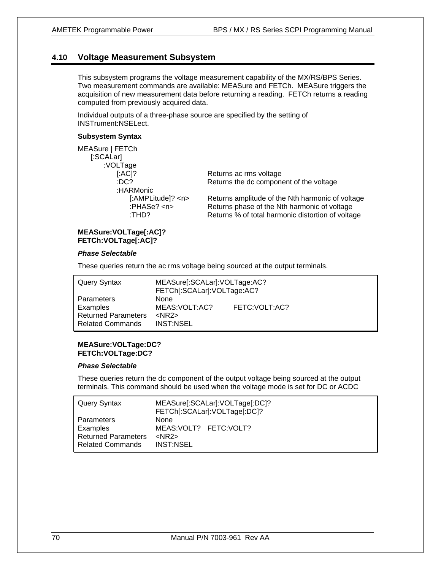## **4.10 Voltage Measurement Subsystem**

This subsystem programs the voltage measurement capability of the MX/RS/BPS Series. Two measurement commands are available: MEASure and FETCh. MEASure triggers the acquisition of new measurement data before returning a reading. FETCh returns a reading computed from previously acquired data.

Individual outputs of a three-phase source are specified by the setting of INSTrument:NSELect.

#### **Subsystem Syntax**

| MEASure   FETCh           |
|---------------------------|
| [:SCALar]                 |
| :VOLTage                  |
| $[AAC]$ ?                 |
| :DC?                      |
| :HARMonic                 |
| [:AMPLitude]              |
| :PHASe? <n:< td=""></n:<> |
| :THD?                     |
|                           |

Returns ac rms voltage Returns the dc component of the voltage

? <n> Returns amplitude of the Nth harmonic of voltage Returns phase of the Nth harmonic of voltage Returns % of total harmonic distortion of voltage

#### **MEASure:VOLTage[:AC]? FETCh:VOLTage[:AC]?**

#### *Phase Selectable*

These queries return the ac rms voltage being sourced at the output terminals.

| Query Syntax                                                                           | MEASure[:SCALar]:VOLTage:AC?<br>FETCh[:SCALar]:VOLTage:AC? |                 |
|----------------------------------------------------------------------------------------|------------------------------------------------------------|-----------------|
| <b>Parameters</b><br>Examples<br><b>Returned Parameters</b><br><b>Related Commands</b> | <b>None</b><br>MEAS: VOLT: AC?<br>$<$ NR2 $>$<br>INST:NSEL | FETC: VOLT: AC? |

#### **MEASure:VOLTage:DC? FETCh:VOLTage:DC?**

#### *Phase Selectable*

These queries return the dc component of the output voltage being sourced at the output terminals. This command should be used when the voltage mode is set for DC or ACDC

| Query Syntax               | MEASure[:SCALar]:VOLTage[:DC]?<br>FETCh[:SCALar]:VOLTage[:DC]? |
|----------------------------|----------------------------------------------------------------|
| Parameters                 | None                                                           |
| Examples                   | MEAS: VOLT? FETC: VOLT?                                        |
| <b>Returned Parameters</b> | $<$ NR2 $>$                                                    |
| <b>Related Commands</b>    | <b>INST:NSEL</b>                                               |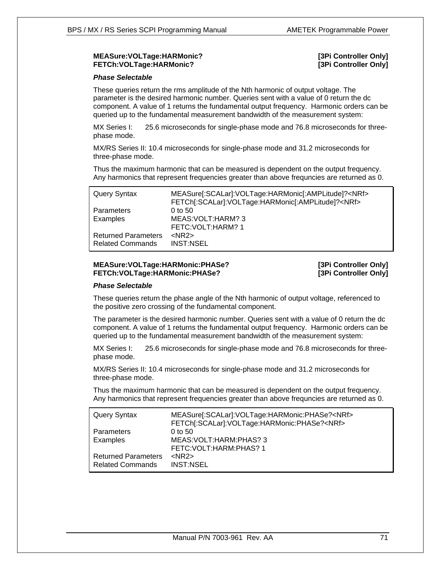#### **MEASure:VOLTage:HARMonic? [3Pi Controller Only] FETCh:VOLTage:HARMonic?** *CONTROLTAGE: LARMONIC* **<b>***CONTROLTAGE: LARMONIC CONTROLTAGE: LARMONIC CONTROLTAGE: LARMONIC*

#### *Phase Selectable*

These queries return the rms amplitude of the Nth harmonic of output voltage. The parameter is the desired harmonic number. Queries sent with a value of 0 return the dc component. A value of 1 returns the fundamental output frequency. Harmonic orders can be queried up to the fundamental measurement bandwidth of the measurement system:

MX Series I: 25.6 microseconds for single-phase mode and 76.8 microseconds for threephase mode.

MX/RS Series II: 10.4 microseconds for single-phase mode and 31.2 microseconds for three-phase mode.

Thus the maximum harmonic that can be measured is dependent on the output frequency. Any harmonics that represent frequencies greater than above frequncies are returned as 0.

| Query Syntax               | MEASure[:SCALar]:VOLTage:HARMonic[:AMPLitude]? <nrf><br/>FETCh[:SCALar]:VOLTage:HARMonic[:AMPLitude]?<nrf></nrf></nrf> |
|----------------------------|------------------------------------------------------------------------------------------------------------------------|
| Parameters                 | $0$ to 50                                                                                                              |
| Examples                   | MEAS: VOLT: HARM? 3                                                                                                    |
|                            | FETC: VOLT: HARM? 1                                                                                                    |
| <b>Returned Parameters</b> | $<$ NR2 $>$                                                                                                            |
| <b>Related Commands</b>    | <b>INST:NSEL</b>                                                                                                       |

#### **MEASure:VOLTage:HARMonic:PHASe? [3Pi Controller Only] FETCh:VOLTage:HARMonic:PHASe? [3Pi Controller Only]**

#### *Phase Selectable*

These queries return the phase angle of the Nth harmonic of output voltage, referenced to the positive zero crossing of the fundamental component.

The parameter is the desired harmonic number. Queries sent with a value of 0 return the dc component. A value of 1 returns the fundamental output frequency. Harmonic orders can be queried up to the fundamental measurement bandwidth of the measurement system:

MX Series I: 25.6 microseconds for single-phase mode and 76.8 microseconds for threephase mode.

MX/RS Series II: 10.4 microseconds for single-phase mode and 31.2 microseconds for three-phase mode.

Thus the maximum harmonic that can be measured is dependent on the output frequency. Any harmonics that represent frequencies greater than above frequncies are returned as 0.

| Query Syntax               | MEASure[:SCALar]:VOLTage:HARMonic:PHASe? <nrf><br/>FETCh[:SCALar]:VOLTage:HARMonic:PHASe?<nrf></nrf></nrf> |
|----------------------------|------------------------------------------------------------------------------------------------------------|
| <b>Parameters</b>          | $0$ to 50                                                                                                  |
| Examples                   | MEAS: VOLT: HARM: PHAS? 3                                                                                  |
|                            | FETC: VOLT: HARM: PHAS? 1                                                                                  |
| <b>Returned Parameters</b> | $<$ NR2 $>$                                                                                                |
| <b>Related Commands</b>    | <b>INST:NSEL</b>                                                                                           |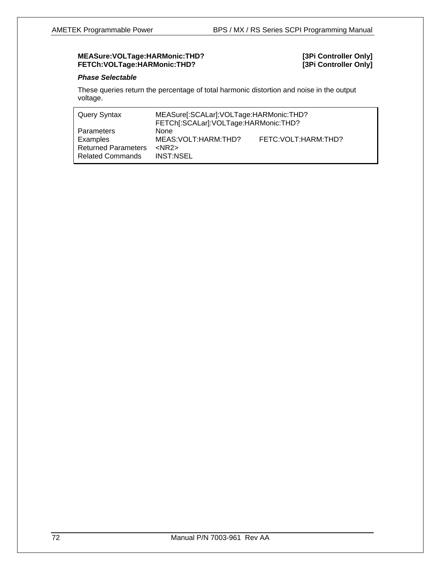#### **MEASure:VOLTage:HARMonic:THD? [3Pi Controller Only] FETCh:VOLTage:HARMonic:THD? [3Pi Controller Only]**

#### *Phase Selectable*

These queries return the percentage of total harmonic distortion and noise in the output voltage.

| Query Syntax                                                                    | MEASure[:SCALar]: VOLTage: HARMonic: THD?<br>FETCh[:SCALar]:VOLTage:HARMonic:THD? |                        |
|---------------------------------------------------------------------------------|-----------------------------------------------------------------------------------|------------------------|
| Parameters<br>Examples<br><b>Returned Parameters</b><br><b>Related Commands</b> | <b>None</b><br>MEAS: VOLT: HARM: THD?<br>$<$ NR2 $>$<br>INST:NSEL                 | FETC: VOLT: HARM: THD? |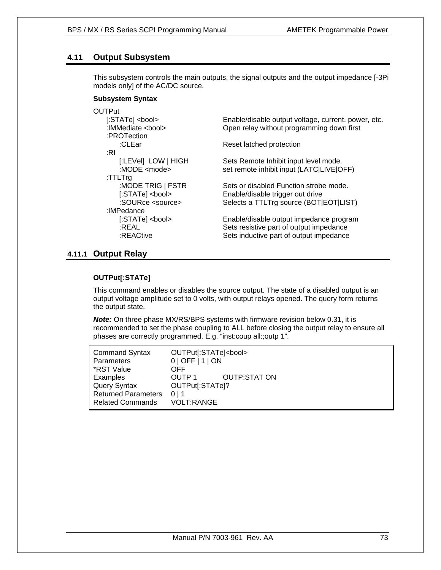# **4.11 Output Subsystem**

This subsystem controls the main outputs, the signal outputs and the output impedance [-3Pi models only] of the AC/DC source.

### **Subsystem Syntax**

| <b>OUTPut</b><br>[:STATe] <bool><br/>:IMMediate <bool><br/>:PROTection</bool></bool> | Enable/disable output voltage, current, power, etc.<br>Open relay without programming down first                              |
|--------------------------------------------------------------------------------------|-------------------------------------------------------------------------------------------------------------------------------|
| :CLEar                                                                               | Reset latched protection                                                                                                      |
| ∶RI                                                                                  |                                                                                                                               |
| [:LEVel] LOW   HIGH<br>:MODE $\leq$ mode $\geq$                                      | Sets Remote Inhibit input level mode.<br>set remote inhibit input (LATC LIVE OFF)                                             |
| :TTLTrq                                                                              |                                                                                                                               |
| :MODE TRIG   FSTR                                                                    | Sets or disabled Function strobe mode.                                                                                        |
| [:STATe] <bool></bool>                                                               | Enable/disable trigger out drive                                                                                              |
| :SOURce <source/>                                                                    | Selects a TTLTrg source (BOT EOT LIST)                                                                                        |
| :IMPedance                                                                           |                                                                                                                               |
| $[:STATE] <$ bool><br>:REAL<br>:REACtive                                             | Enable/disable output impedance program<br>Sets resistive part of output impedance<br>Sets inductive part of output impedance |

### **4.11.1 Output Relay**

### **OUTPut[:STATe]**

This command enables or disables the source output. The state of a disabled output is an output voltage amplitude set to 0 volts, with output relays opened. The query form returns the output state.

*Note:* On three phase MX/RS/BPS systems with firmware revision below 0.31, it is recommended to set the phase coupling to ALL before closing the output relay to ensure all phases are correctly programmed. E.g. "inst:coup all:;outp 1".

| <b>Command Syntax</b>      | OUTPut[:STATe] <bool></bool> |              |
|----------------------------|------------------------------|--------------|
| Parameters                 | 0   OFF   1   ON             |              |
| *RST Value                 | OFF                          |              |
| Examples                   | OUTP <sub>1</sub>            | OUTP:STAT ON |
| <b>Query Syntax</b>        | OUTPut[:STATe]?              |              |
| <b>Returned Parameters</b> | 0 <sub>1</sub> 1             |              |
| <b>Related Commands</b>    | <b>VOLT:RANGE</b>            |              |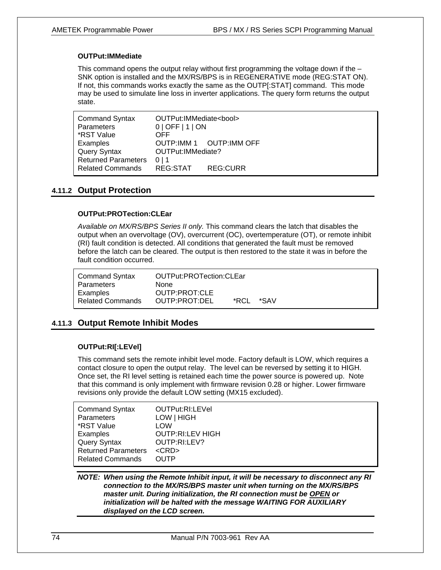### **OUTPut:IMMediate**

This command opens the output relay without first programming the voltage down if the  $-$ SNK option is installed and the MX/RS/BPS is in REGENERATIVE mode (REG:STAT ON). If not, this commands works exactly the same as the OUTP[:STAT] command. This mode may be used to simulate line loss in inverter applications. The query form returns the output state.

| <b>Command Syntax</b>                             | OUTPut:IMMediate <bool></bool>         |          |  |
|---------------------------------------------------|----------------------------------------|----------|--|
| <b>Parameters</b>                                 | 0   OFF   1   ON                       |          |  |
| *RST Value                                        | OFF                                    |          |  |
| Examples                                          | OUTP:IMM 1 OUTP:IMM OFF                |          |  |
| <b>Query Syntax</b><br><b>Returned Parameters</b> | OUTPut: IMMediate?<br>0 <sub>1</sub> 1 |          |  |
| <b>Related Commands</b>                           | REG:STAT                               | REG:CURR |  |

# **4.11.2 Output Protection**

# **OUTPut:PROTection:CLEar**

*Available on MX/RS/BPS Series II only.* This command clears the latch that disables the output when an overvoltage (OV), overcurrent (OC), overtemperature (OT), or remote inhibit (RI) fault condition is detected. All conditions that generated the fault must be removed before the latch can be cleared. The output is then restored to the state it was in before the fault condition occurred.

| <b>Command Syntax</b> | OUTPut:PROTection:CLEar |       |      |  |
|-----------------------|-------------------------|-------|------|--|
| Parameters            | None                    |       |      |  |
| Examples              | OUTP:PROT:CLE           |       |      |  |
| Related Commands      | OUTP:PROT:DEL           | *RCI. | *SAV |  |

# **4.11.3 Output Remote Inhibit Modes**

### **OUTPut:RI[:LEVel]**

This command sets the remote inhibit level mode. Factory default is LOW, which requires a contact closure to open the output relay. The level can be reversed by setting it to HIGH. Once set, the RI level setting is retained each time the power source is powered up. Note that this command is only implement with firmware revision 0.28 or higher. Lower firmware revisions only provide the default LOW setting (MX15 excluded).

| <b>Command Syntax</b>      | OUTPut:RI:LEVel         |
|----------------------------|-------------------------|
| <b>Parameters</b>          | LOW   HIGH              |
| *RST Value                 | LOW                     |
| Examples                   | <b>OUTP:RI:LEV HIGH</b> |
| Query Syntax               | OUTP:RI:LEV?            |
| <b>Returned Parameters</b> | $<$ CRD $>$             |
| <b>Related Commands</b>    | <b>OUTP</b>             |

*NOTE: When using the Remote Inhibit input, it will be necessary to disconnect any RI connection to the MX/RS/BPS master unit when turning on the MX/RS/BPS master unit. During initialization, the RI connection must be OPEN or initialization will be halted with the message WAITING FOR AUXILIARY displayed on the LCD screen.*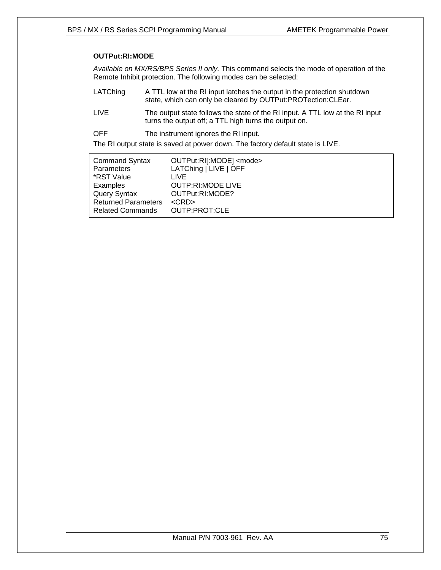# **OUTPut:RI:MODE**

*Available on MX/RS/BPS Series II only.* This command selects the mode of operation of the Remote Inhibit protection. The following modes can be selected:

- LATChing A TTL low at the RI input latches the output in the protection shutdown state, which can only be cleared by OUTPut:PROTection:CLEar.
- LIVE The output state follows the state of the RI input. A TTL low at the RI input turns the output off; a TTL high turns the output on.
- OFF The instrument ignores the RI input.

The RI output state is saved at power down. The factory default state is LIVE.

| <b>Command Syntax</b>      | OUTPut:RI[:MODE] <mode></mode> |
|----------------------------|--------------------------------|
| Parameters                 | LATChing   LIVE   OFF          |
| *RST Value                 | LIVE                           |
| Examples                   | <b>OUTP:RI:MODE LIVE</b>       |
| Query Syntax               | OUTPut:RI:MODE?                |
| <b>Returned Parameters</b> | $\langle$ CRD $>$              |
| <b>Related Commands</b>    | OUTP:PROT:CLE                  |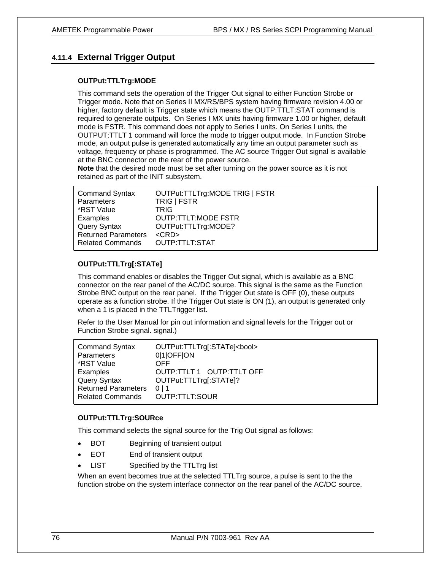# **4.11.4 External Trigger Output**

### **OUTPut:TTLTrg:MODE**

This command sets the operation of the Trigger Out signal to either Function Strobe or Trigger mode. Note that on Series II MX/RS/BPS system having firmware revision 4.00 or higher, factory default is Trigger state which means the OUTP:TTLT:STAT command is required to generate outputs. On Series I MX units having firmware 1.00 or higher, default mode is FSTR. This command does not apply to Series I units. On Series I units, the OUTPUT:TTLT 1 command will force the mode to trigger output mode. In Function Strobe mode, an output pulse is generated automatically any time an output parameter such as voltage, frequency or phase is programmed. The AC source Trigger Out signal is available at the BNC connector on the rear of the power source.

**Note** that the desired mode must be set after turning on the power source as it is not retained as part of the INIT subsystem.

| <b>Command Syntax</b>      | OUTPut:TTLTrg:MODE TRIG   FSTR |
|----------------------------|--------------------------------|
| Parameters                 | TRIG   FSTR                    |
| *RST Value                 | <b>TRIG</b>                    |
| Examples                   | <b>OUTP:TTLT:MODE FSTR</b>     |
| <b>Query Syntax</b>        | OUTPut:TTLTrg:MODE?            |
| <b>Returned Parameters</b> | $<$ CRD $>$                    |
| <b>Related Commands</b>    | OUTP:TTLT:STAT                 |

### **OUTPut:TTLTrg[:STATe]**

This command enables or disables the Trigger Out signal, which is available as a BNC connector on the rear panel of the AC/DC source. This signal is the same as the Function Strobe BNC output on the rear panel. If the Trigger Out state is OFF (0), these outputs operate as a function strobe. If the Trigger Out state is ON (1), an output is generated only when a 1 is placed in the TTLTrigger list.

Refer to the User Manual for pin out information and signal levels for the Trigger out or Function Strobe signal. signal.)

| <b>Command Syntax</b>      | OUTPut:TTLTrg[:STATe] <bool></bool> |
|----------------------------|-------------------------------------|
| Parameters                 | 0 1 OFF ON                          |
| *RST Value                 | OFF                                 |
| Examples                   | OUTP:TTLT 1 OUTP:TTLT OFF           |
| <b>Query Syntax</b>        | OUTPut:TTLTrg[:STATe]?              |
| <b>Returned Parameters</b> | 0 <sub>1</sub> 1                    |
| <b>Related Commands</b>    | OUTP:TTLT:SOUR                      |

### **OUTPut:TTLTrg:SOURce**

This command selects the signal source for the Trig Out signal as follows:

- BOT Beginning of transient output
- EOT End of transient output
- LIST Specified by the TTLTrg list

When an event becomes true at the selected TTLTrg source, a pulse is sent to the the function strobe on the system interface connector on the rear panel of the AC/DC source.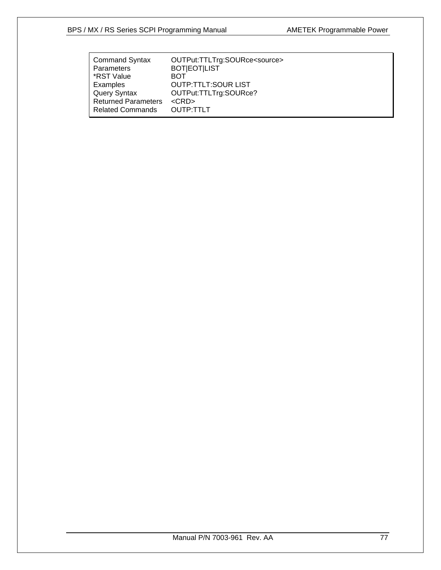| <b>Command Syntax</b>      | OUTPut:TTLTrg:SOURce <source/> |
|----------------------------|--------------------------------|
| <b>Parameters</b>          | <b>BOT EOT LIST</b>            |
| *RST Value                 | BOT                            |
| Examples                   | <b>OUTP:TTLT:SOUR LIST</b>     |
| <b>Query Syntax</b>        | OUTPut:TTLTrg:SOURce?          |
| <b>Returned Parameters</b> | $<$ CRD $>$                    |
| <b>Related Commands</b>    | OUTP:TTLT                      |
|                            |                                |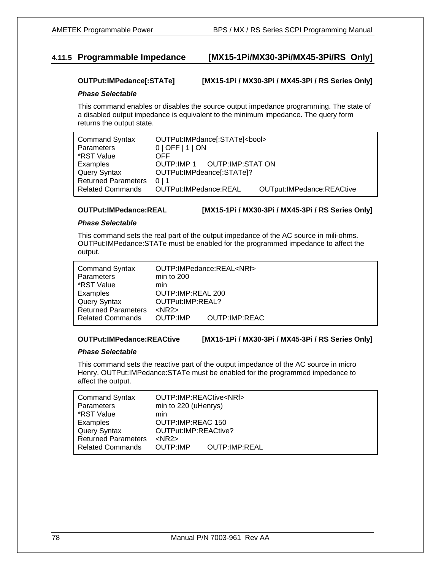# **4.11.5 Programmable Impedance [MX15-1Pi/MX30-3Pi/MX45-3Pi/RS Only]**

### **OUTPut:IMPedance[:STATe] [MX15-1Pi / MX30-3Pi / MX45-3Pi / RS Series Only]**

### *Phase Selectable*

This command enables or disables the source output impedance programming. The state of a disabled output impedance is equivalent to the minimum impedance. The query form returns the output state.

| <b>Command Syntax</b><br><b>Parameters</b> | OUTPut:IMPdance[:STATe] <bool><br/>0   OFF   1   ON</bool> |  |  |
|--------------------------------------------|------------------------------------------------------------|--|--|
| *RST Value                                 | OFF                                                        |  |  |
| Examples                                   | OUTP:IMP 1 OUTP:IMP:STAT ON                                |  |  |
| <b>Query Syntax</b>                        | OUTPut:IMPdeance[:STATe]?                                  |  |  |
| <b>Returned Parameters</b>                 | 0 <sub>1</sub> 1                                           |  |  |
| <b>Related Commands</b>                    | OUTPut: IMPedance: REAL<br>OUTput:IMPedance:REACtive       |  |  |

### **OUTPut:IMPedance:REAL [MX15-1Pi / MX30-3Pi / MX45-3Pi / RS Series Only]**

### *Phase Selectable*

This command sets the real part of the output impedance of the AC source in mili-ohms. OUTPut:IMPedance:STATe must be enabled for the programmed impedance to affect the output.

| <b>Command Syntax</b><br>Parameters | min to $200$      | OUTP:IMPedance:REAL <nrf></nrf> |  |
|-------------------------------------|-------------------|---------------------------------|--|
| *RST Value                          | min               |                                 |  |
|                                     |                   |                                 |  |
| Examples                            | OUTP:IMP:REAL 200 |                                 |  |
| <b>Query Syntax</b>                 | OUTPut:IMP:REAL?  |                                 |  |
| <b>Returned Parameters</b>          | $<$ NR2 $>$       |                                 |  |
| <b>Related Commands</b>             | OUTP:IMP          | <b>OUTP:IMP:REAC</b>            |  |

### **OUTPut:IMPedance:REACtive [MX15-1Pi / MX30-3Pi / MX45-3Pi / RS Series Only]**

### *Phase Selectable*

This command sets the reactive part of the output impedance of the AC source in micro Henry. OUTPut:IMPedance:STATe must be enabled for the programmed impedance to affect the output.

| <b>Command Syntax</b>      | OUTP:IMP:REACtive <nrf></nrf> |                      |  |
|----------------------------|-------------------------------|----------------------|--|
| <b>Parameters</b>          | min to 220 (uHenrys)          |                      |  |
| *RST Value                 | min                           |                      |  |
| Examples                   | OUTP:IMP:REAC 150             |                      |  |
| <b>Query Syntax</b>        | OUTPut:IMP:REACtive?          |                      |  |
| <b>Returned Parameters</b> | $<$ NR2 $>$                   |                      |  |
| <b>Related Commands</b>    | OUTP:IMP                      | <b>OUTP:IMP:REAL</b> |  |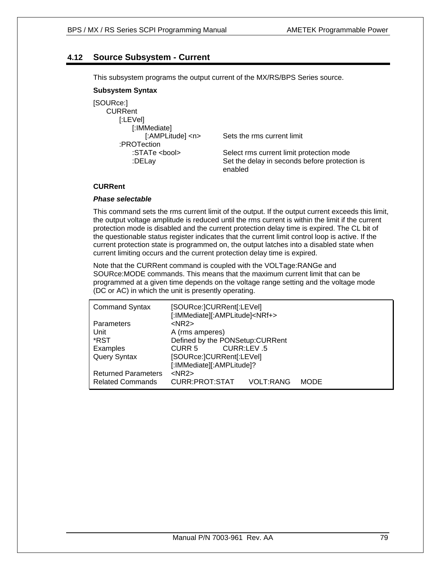# **4.12 Source Subsystem - Current**

This subsystem programs the output current of the MX/RS/BPS Series source.

### **Subsystem Syntax**

| [SOURce:]            |
|----------------------|
| CURRent              |
| [:LEVel]             |
| [:IMMediate]         |
| [:AMPLitude] <n></n> |
| :PROTection          |
| :STATe <bool></bool> |
| :DELay               |
|                      |

Sets the rms current limit

Select rms current limit protection mode Set the delay in seconds before protection is enabled

### **CURRent**

### *Phase selectable*

This command sets the rms current limit of the output. If the output current exceeds this limit, the output voltage amplitude is reduced until the rms current is within the limit if the current protection mode is disabled and the current protection delay time is expired. The CL bit of the questionable status register indicates that the current limit control loop is active. If the current protection state is programmed on, the output latches into a disabled state when current limiting occurs and the current protection delay time is expired.

Note that the CURRent command is coupled with the VOLTage:RANGe and SOURce:MODE commands. This means that the maximum current limit that can be programmed at a given time depends on the voltage range setting and the voltage mode (DC or AC) in which the unit is presently operating.

| <b>Command Syntax</b>      | [SOURce:]CURRent[:LEVel]<br>[:IMMediate][:AMPLitude] <nrf+></nrf+> |            |             |  |
|----------------------------|--------------------------------------------------------------------|------------|-------------|--|
| <b>Parameters</b>          | $<$ NR2 $>$                                                        |            |             |  |
| Unit                       | A (rms amperes)                                                    |            |             |  |
| *RST                       | Defined by the PONSetup: CURRent                                   |            |             |  |
| Examples                   | CURR 5                                                             | CURR:LEV.5 |             |  |
| <b>Query Syntax</b>        | [SOURce:]CURRent[:LEVel]                                           |            |             |  |
|                            | [:IMMediate][:AMPLitude]?                                          |            |             |  |
| <b>Returned Parameters</b> | $<$ NR2 $>$                                                        |            |             |  |
| <b>Related Commands</b>    | CURR:PROT:STAT                                                     | VOLT:RANG  | <b>MODE</b> |  |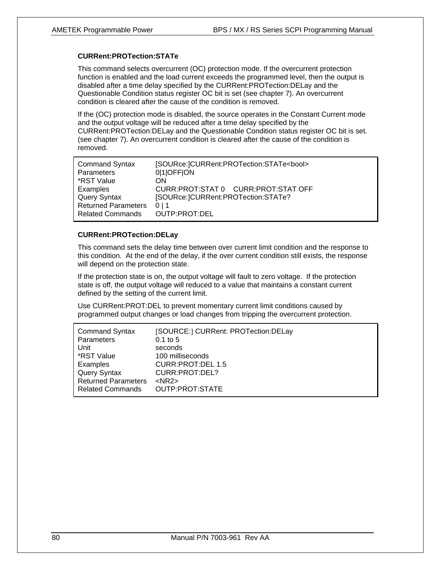### **CURRent:PROTection:STATe**

This command selects overcurrent (OC) protection mode. If the overcurrent protection function is enabled and the load current exceeds the programmed level, then the output is disabled after a time delay specified by the CURRent:PROTection:DELay and the Questionable Condition status register OC bit is set (see chapter 7). An overcurrent condition is cleared after the cause of the condition is removed.

If the (OC) protection mode is disabled, the source operates in the Constant Current mode and the output voltage will be reduced after a time delay specified by the CURRent:PROTection:DELay and the Questionable Condition status register OC bit is set. (see chapter 7). An overcurrent condition is cleared after the cause of the condition is removed.

| <b>Command Syntax</b>      | [SOURce:]CURRent:PROTection:STATe <bool></bool> |
|----------------------------|-------------------------------------------------|
| Parameters                 | 0 1 OFF ON                                      |
| *RST Value                 | ON                                              |
| Examples                   | CURR: PROT: STAT 0 CURR: PROT: STAT OFF         |
| Query Syntax               | [SOURce:]CURRent:PROTection:STATe?              |
| <b>Returned Parameters</b> | 0 <sup>1</sup> 1                                |
| <b>Related Commands</b>    | OUTP:PROT:DEL                                   |

### **CURRent:PROTection:DELay**

This command sets the delay time between over current limit condition and the response to this condition. At the end of the delay, if the over current condition still exists, the response will depend on the protection state.

If the protection state is on, the output voltage will fault to zero voltage. If the protection state is off, the output voltage will reduced to a value that maintains a constant current defined by the setting of the current limit.

Use CURRent:PROT:DEL to prevent momentary current limit conditions caused by programmed output changes or load changes from tripping the overcurrent protection.

| <b>Command Syntax</b>      | [SOURCE:] CURRent: PROTection:DELay |
|----------------------------|-------------------------------------|
| Parameters                 | $0.1$ to 5                          |
| Unit                       | seconds                             |
| *RST Value                 | 100 milliseconds                    |
| Examples                   | <b>CURR:PROT:DEL 1.5</b>            |
| Query Syntax               | CURR: PROT: DEL?                    |
| <b>Returned Parameters</b> | $<$ NR2 $>$                         |
| <b>Related Commands</b>    | OUTP:PROT:STATE                     |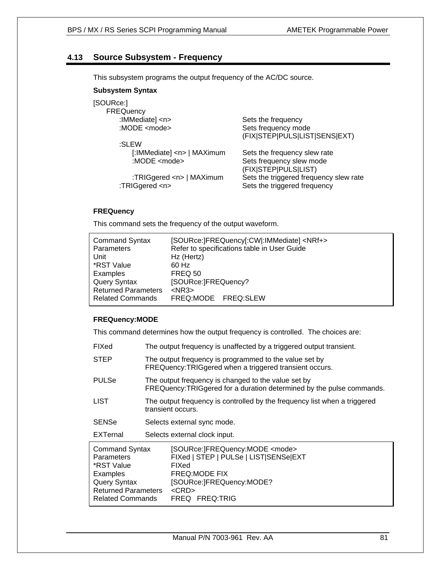# **4.13 Source Subsystem - Frequency**

This subsystem programs the output frequency of the AC/DC source.

### **Subsystem Syntax**

# [SOURce:] **FREQuency**

 :SLEW :MODE <mode> Sets frequency slew mode

:TRIGgered <n> Sets the triggered frequency

 :IMMediate] <n> Sets the frequency :MODE <mode> Sets frequency mode (FIX|STEP|PULS|LIST|SENS|EXT)

 [:IMMediate] <n> | MAXimum Sets the frequency slew rate (FIX|STEP|PULS|LIST) :TRIGgered <n> | MAXimum Sets the triggered frequency slew rate

### **FREQuency**

This command sets the frequency of the output waveform.

| <b>Command Syntax</b><br><b>Parameters</b> | [SOURce:]FREQuency[:CW]:IMMediate] <nrf+><br/>Refer to specifications table in User Guide</nrf+> |
|--------------------------------------------|--------------------------------------------------------------------------------------------------|
| Unit                                       | Hz (Hertz)                                                                                       |
| *RST Value                                 | 60 Hz                                                                                            |
| Examples                                   | <b>FREQ 50</b>                                                                                   |
| Query Syntax                               | [SOURce:]FREQuency?                                                                              |
| <b>Returned Parameters</b>                 | $<$ NR3 $>$                                                                                      |
| <b>Related Commands</b>                    | FREQ:MODE FREQ:SLEW                                                                              |

### **FREQuency:MODE**

This command determines how the output frequency is controlled. The choices are:

- FIXed The output frequency is unaffected by a triggered output transient.
- STEP The output frequency is programmed to the value set by FREQuency:TRIGgered when a triggered transient occurs.
- PULSe The output frequency is changed to the value set by FREQuency:TRIGgered for a duration determined by the pulse commands.
- LIST The output frequency is controlled by the frequency list when a triggered transient occurs.
- SENSe Selects external sync mode.
- EXTernal Selects external clock input.

| <b>Command Syntax</b>      | [SOURce:]FREQuency:MODE <mode></mode> |
|----------------------------|---------------------------------------|
| <b>Parameters</b>          | FIXed   STEP   PULSe   LIST SENSe EXT |
| *RST Value                 | FIXed                                 |
| Examples                   | <b>FREQ:MODE FIX</b>                  |
| Query Syntax               | [SOURce:]FREQuency:MODE?              |
| <b>Returned Parameters</b> | $<$ CRD $>$                           |
| <b>Related Commands</b>    | FREQ FREQ:TRIG                        |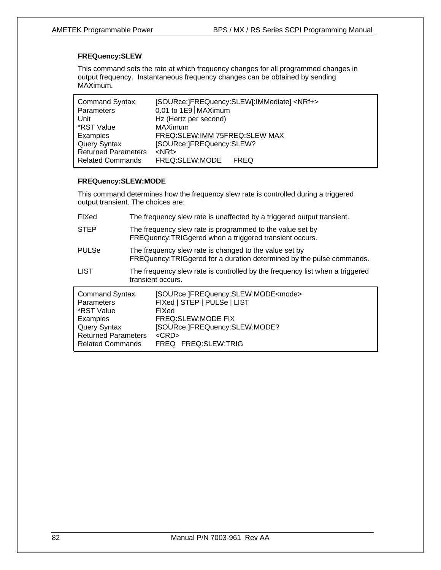### **FREQuency:SLEW**

This command sets the rate at which frequency changes for all programmed changes in output frequency. Instantaneous frequency changes can be obtained by sending MAXimum.

| <b>Command Syntax</b>      |                               | [SOURce:]FREQuency:SLEW[:IMMediate] <nrf+></nrf+> |
|----------------------------|-------------------------------|---------------------------------------------------|
| Parameters                 | 0.01 to $1E9$ MAXimum         |                                                   |
| Unit                       | Hz (Hertz per second)         |                                                   |
| *RST Value                 | <b>MAXimum</b>                |                                                   |
| Examples                   | FREQ:SLEW:IMM 75FREQ:SLEW MAX |                                                   |
| <b>Query Syntax</b>        | [SOURce:]FREQuency:SLEW?      |                                                   |
| <b>Returned Parameters</b> | $<$ NRf $>$                   |                                                   |
| <b>Related Commands</b>    | FREQ:SLEW:MODE FREQ           |                                                   |

### **FREQuency:SLEW:MODE**

This command determines how the frequency slew rate is controlled during a triggered output transient. The choices are:

| FIXed                                                                                                                                                | The frequency slew rate is unaffected by a triggered output transient.                                                          |                                                                                                                                                                                                                   |
|------------------------------------------------------------------------------------------------------------------------------------------------------|---------------------------------------------------------------------------------------------------------------------------------|-------------------------------------------------------------------------------------------------------------------------------------------------------------------------------------------------------------------|
| <b>STEP</b>                                                                                                                                          | The frequency slew rate is programmed to the value set by<br>FREQuency: TRIGgered when a triggered transient occurs.            |                                                                                                                                                                                                                   |
| <b>PULSe</b>                                                                                                                                         | The frequency slew rate is changed to the value set by<br>FREQuency: TRIGgered for a duration determined by the pulse commands. |                                                                                                                                                                                                                   |
| <b>LIST</b>                                                                                                                                          | The frequency slew rate is controlled by the frequency list when a triggered<br>transient occurs.                               |                                                                                                                                                                                                                   |
| <b>Command Syntax</b><br><b>Parameters</b><br>*RST Value<br>Examples<br><b>Query Syntax</b><br><b>Returned Parameters</b><br><b>Related Commands</b> |                                                                                                                                 | [SOURce:]FREQuency:SLEW:MODE <mode><br/>FIXed   STEP   PULSe   LIST<br/>FIXed<br/>FREQ:SLEW:MODE FIX<br/>[SOURce:]FREQuency:SLEW:MODE?<br/><math>&lt;</math>CRD<math>&gt;</math><br/>FREQ FREQ: SLEW: TRIG</mode> |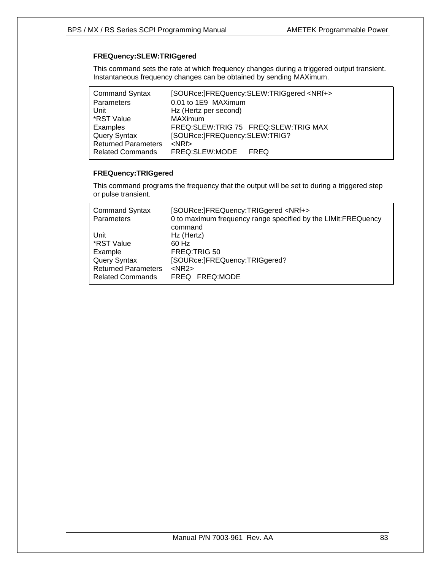# **FREQuency:SLEW:TRIGgered**

This command sets the rate at which frequency changes during a triggered output transient. Instantaneous frequency changes can be obtained by sending MAXimum.

| <b>Command Syntax</b>      |                               | [SOURce:]FREQuency:SLEW:TRIGgered <nrf+></nrf+> |
|----------------------------|-------------------------------|-------------------------------------------------|
| Parameters                 | 0.01 to $1E9$ MAXimum         |                                                 |
| Unit                       | Hz (Hertz per second)         |                                                 |
| *RST Value                 | <b>MAXimum</b>                |                                                 |
| Examples                   |                               | FREQ:SLEW:TRIG 75 FREQ:SLEW:TRIG MAX            |
| <b>Query Syntax</b>        | [SOURce:]FREQuency:SLEW:TRIG? |                                                 |
| <b>Returned Parameters</b> | $<$ NRf $>$                   |                                                 |
| <b>Related Commands</b>    | FREQ:SLEW:MODE FREQ           |                                                 |

### **FREQuency:TRIGgered**

This command programs the frequency that the output will be set to during a triggered step or pulse transient.

| <b>Command Syntax</b><br>Parameters | [SOURce:]FREQuency:TRIGgered <nrf+><br/>0 to maximum frequency range specified by the LIMit: FREQuency</nrf+> |
|-------------------------------------|---------------------------------------------------------------------------------------------------------------|
|                                     | command                                                                                                       |
| Unit                                | Hz (Hertz)                                                                                                    |
| *RST Value                          | 60 Hz                                                                                                         |
| Example                             | FREQ:TRIG 50                                                                                                  |
| <b>Query Syntax</b>                 | [SOURce:]FREQuency:TRIGgered?                                                                                 |
| <b>Returned Parameters</b>          | $<$ NR2 $>$                                                                                                   |
| <b>Related Commands</b>             | FREQ FREQ:MODE                                                                                                |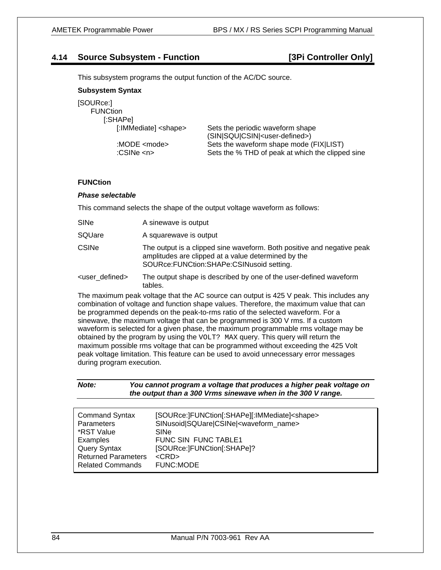# **4.14 Source Subsystem - Function [3Pi Controller Only]**

This subsystem programs the output function of the AC/DC source.

### **Subsystem Syntax**

| [SOURce:]                    |                                                  |
|------------------------------|--------------------------------------------------|
| <b>FUNCtion</b>              |                                                  |
| [:SHAPe]                     |                                                  |
| [:IMMediate] <shape></shape> | Sets the periodic waveform shape                 |
|                              | (SIN SQU CSIN  <user-defined>)</user-defined>    |
| :MODE <mode></mode>          | Sets the waveform shape mode (FIX LIST)          |
| :CSINe $\langle n \rangle$   | Sets the % THD of peak at which the clipped sine |

### **FUNCtion**

### *Phase selectable*

This command selects the shape of the output voltage waveform as follows:

tables.

| SINe                     | A sinewave is output                                                                                                                                                      |
|--------------------------|---------------------------------------------------------------------------------------------------------------------------------------------------------------------------|
| SQUare                   | A squarewave is output                                                                                                                                                    |
| <b>CSINe</b>             | The output is a clipped sine waveform. Both positive and negative peak<br>amplitudes are clipped at a value determined by the<br>SOURce:FUNCtion:SHAPe:CSINusoid setting. |
| <user defined=""></user> | The output shape is described by one of the user-defined waveform                                                                                                         |

The maximum peak voltage that the AC source can output is 425 V peak. This includes any combination of voltage and function shape values. Therefore, the maximum value that can be programmed depends on the peak-to-rms ratio of the selected waveform. For a sinewave, the maximum voltage that can be programmed is 300 V rms. If a custom waveform is selected for a given phase, the maximum programmable rms voltage may be obtained by the program by using the VOLT? MAX query. This query will return the maximum possible rms voltage that can be programmed without exceeding the 425 Volt peak voltage limitation. This feature can be used to avoid unnecessary error messages during program execution.

| Note: | You cannot program a voltage that produces a higher peak voltage on |
|-------|---------------------------------------------------------------------|
|       | the output than a 300 Vrms sinewave when in the 300 V range.        |

| <b>Command Syntax</b><br><b>Parameters</b>            | [SOURce:]FUNCtion[:SHAPe][:IMMediate] <shape><br/>SINusoid SQUare CSINe <waveform name=""><br/><b>SINe</b></waveform></shape> |
|-------------------------------------------------------|-------------------------------------------------------------------------------------------------------------------------------|
| *RST Value<br>Examples<br>Query Syntax                | FUNC SIN FUNC TABLE1<br>[SOURce: FUNCtion[: SHAPe]?                                                                           |
| <b>Returned Parameters</b><br><b>Related Commands</b> | $<$ CRD $>$<br><b>FUNC:MODE</b>                                                                                               |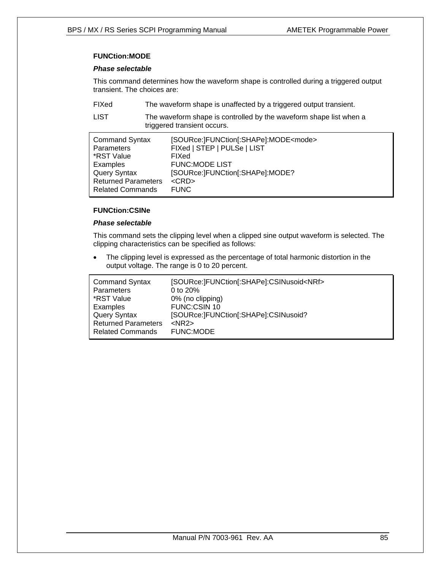# **FUNCtion:MODE**

### *Phase selectable*

This command determines how the waveform shape is controlled during a triggered output transient. The choices are:

FIXed The waveform shape is unaffected by a triggered output transient.

LIST The waveform shape is controlled by the waveform shape list when a triggered transient occurs.

| <b>Command Syntax</b>      | [SOURce:]FUNCtion[:SHAPe]:MODE <mode></mode> |
|----------------------------|----------------------------------------------|
| <b>Parameters</b>          | FIXed   STEP   PULSe   LIST                  |
| *RST Value                 | FIXed                                        |
| Examples                   | <b>FUNC:MODE LIST</b>                        |
| Query Syntax               | [SOURce:]FUNCtion[:SHAPe]:MODE?              |
| <b>Returned Parameters</b> | $<$ CRD $>$                                  |
| <b>Related Commands</b>    | <b>FUNC</b>                                  |

### **FUNCtion:CSINe**

### *Phase selectable*

This command sets the clipping level when a clipped sine output waveform is selected. The clipping characteristics can be specified as follows:

The clipping level is expressed as the percentage of total harmonic distortion in the output voltage. The range is 0 to 20 percent.

| <b>Command Syntax</b>      | [SOURce:]FUNCtion[:SHAPe]:CSINusoid <nrf></nrf> |
|----------------------------|-------------------------------------------------|
| Parameters                 | 0 to $20\%$                                     |
| *RST Value                 | 0% (no clipping)                                |
| Examples                   | FUNC:CSIN 10                                    |
| Query Syntax               | [SOURce:]FUNCtion[:SHAPe]:CSINusoid?            |
| <b>Returned Parameters</b> | $<$ NR2 $>$                                     |
| <b>Related Commands</b>    | FUNC:MODE                                       |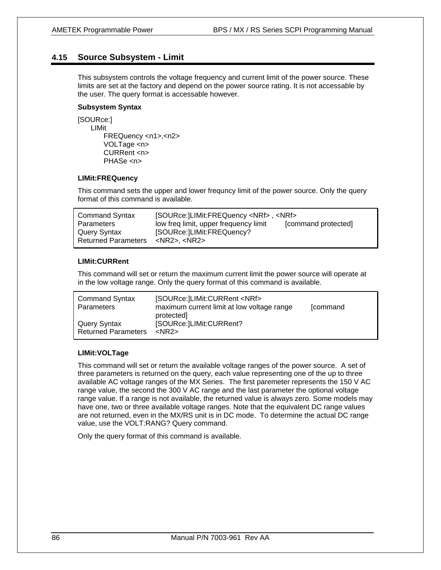# **4.15 Source Subsystem - Limit**

This subsystem controls the voltage frequency and current limit of the power source. These limits are set at the factory and depend on the power source rating. It is not accessable by the user. The query format is accessable however.

# **Subsystem Syntax**

[SOURce:] LIMit FREQuency <n1>,<n2> VOLTage <n> CURRent <n> PHASe <n>

### **LIMit:FREQuency**

This command sets the upper and lower frequncy limit of the power source. Only the query format of this command is available.

| <b>Command Syntax</b>      | [SOURce: LIMit: FREQuency <nrf>, <nrf></nrf></nrf> |                     |
|----------------------------|----------------------------------------------------|---------------------|
| Parameters                 | low freq limit, upper frequency limit              | [command protected] |
| Query Syntax               | [SOURce: LIMit: FREQuency?                         |                     |
| <b>Returned Parameters</b> | $<$ NR2>. $<$ NR2>                                 |                     |

### **LIMit:CURRent**

This command will set or return the maximum current limit the power source will operate at in the low voltage range. Only the query format of this command is available.

| <b>Command Syntax</b><br>Parameters        | [SOURce: ]LIMit: CURRent <nrf><br/>maximum current limit at low voltage range<br/>protected]</nrf> | <b>fcommand</b> |
|--------------------------------------------|----------------------------------------------------------------------------------------------------|-----------------|
| Query Syntax<br><b>Returned Parameters</b> | [SOURce: ]LIMit: CURRent?<br>$<$ NR2 $>$                                                           |                 |

### **LIMit:VOLTage**

This command will set or return the available voltage ranges of the power source. A set of three parameters is returned on the query, each value representing one of the up to three available AC voltage ranges of the MX Series. The first paremeter represents the 150 V AC range value, the second the 300 V AC range and the last parameter the optional voltage range value. If a range is not available, the returned value is always zero. Some models may have one, two or three available voltage ranges. Note that the equivalent DC range values are not returned, even in the MX/RS unit is in DC mode. To determine the actual DC range value, use the VOLT:RANG? Query command.

Only the query format of this command is available.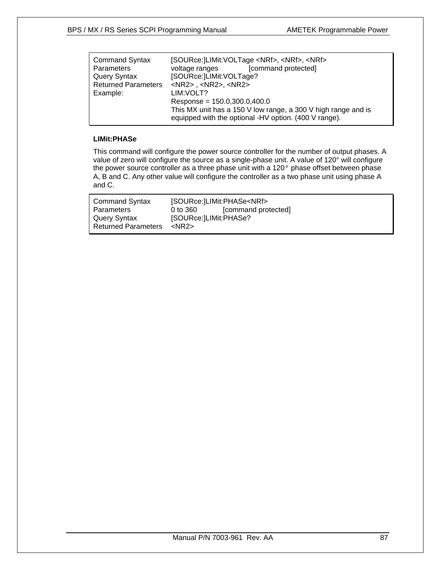| <b>Command Syntax</b><br><b>Parameters</b> | [SOURce:   LIMit: VOLTage < NRf>, < NRf>, < NRf><br>[command protected]<br>voltage ranges                              |  |  |
|--------------------------------------------|------------------------------------------------------------------------------------------------------------------------|--|--|
| <b>Query Syntax</b>                        | [SOURce:]LIMit:VOLTage?                                                                                                |  |  |
| <b>Returned Parameters</b>                 | $<$ NR2>, $<$ NR2>, $<$ NR2>                                                                                           |  |  |
| Example:                                   | LIM: VOLT?                                                                                                             |  |  |
|                                            | Response = $150.0,300.0,400.0$                                                                                         |  |  |
|                                            | This MX unit has a 150 V low range, a 300 V high range and is<br>equipped with the optional -HV option. (400 V range). |  |  |

### **LIMit:PHASe**

This command will configure the power source controller for the number of output phases. A value of zero will configure the source as a single-phase unit. A value of 120° will configure the power source controller as a three phase unit with a 120° phase offset between phase A, B and C. Any other value will configure the controller as a two phase unit using phase A and C.

| [command protected]<br><b>Parameters</b><br>0 to 360<br>[SOURce:]LIMit:PHASe?<br>Query Syntax | <b>Command Syntax</b>      | [SOURce: LIMit: PHASe <nrf></nrf> |  |  |
|-----------------------------------------------------------------------------------------------|----------------------------|-----------------------------------|--|--|
|                                                                                               |                            |                                   |  |  |
|                                                                                               |                            |                                   |  |  |
|                                                                                               | <b>Returned Parameters</b> | <nr2></nr2>                       |  |  |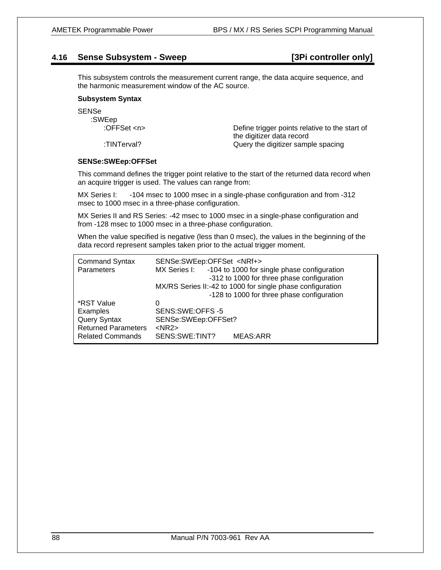# **4.16 Sense Subsystem - Sweep [3Pi controller only]**

This subsystem controls the measurement current range, the data acquire sequence, and the harmonic measurement window of the AC source.

### **Subsystem Syntax**

SENSe

| :SWEep                      |                                                |
|-----------------------------|------------------------------------------------|
| :OFFSet $\langle n \rangle$ | Define trigger points relative to the start of |
|                             | the digitizer data record                      |
| :TINTerval?                 | Query the digitizer sample spacing             |

### **SENSe:SWEep:OFFSet**

This command defines the trigger point relative to the start of the returned data record when an acquire trigger is used. The values can range from:

MX Series I: -104 msec to 1000 msec in a single-phase configuration and from -312 msec to 1000 msec in a three-phase configuration.

MX Series II and RS Series: -42 msec to 1000 msec in a single-phase configuration and from -128 msec to 1000 msec in a three-phase configuration.

When the value specified is negative (less than 0 msec), the values in the beginning of the data record represent samples taken prior to the actual trigger moment.

| <b>Command Syntax</b><br>Parameters                                                                    | SENSe:SWEep:OFFSet <nrf+></nrf+>                                             | MX Series I: -104 to 1000 for single phase configuration<br>-312 to 1000 for three phase configuration<br>MX/RS Series II:-42 to 1000 for single phase configuration<br>-128 to 1000 for three phase configuration |
|--------------------------------------------------------------------------------------------------------|------------------------------------------------------------------------------|--------------------------------------------------------------------------------------------------------------------------------------------------------------------------------------------------------------------|
| *RST Value<br>Examples<br><b>Query Syntax</b><br><b>Returned Parameters</b><br><b>Related Commands</b> | 0<br>SENS:SWE:OFFS-5<br>SENSe:SWEep:OFFSet?<br>$<$ NR2 $>$<br>SENS:SWE:TINT? | <b>MEAS:ARR</b>                                                                                                                                                                                                    |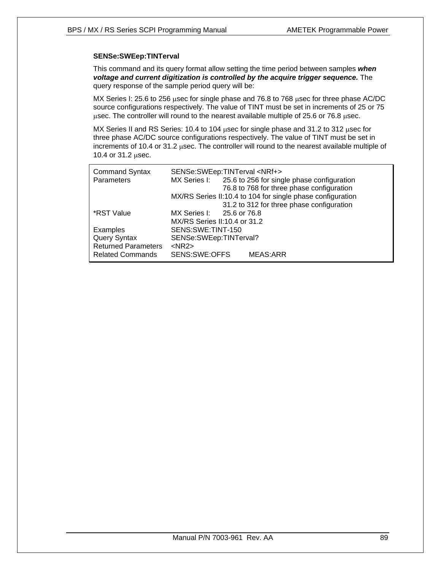### **SENSe:SWEep:TINTerval**

This command and its query format allow setting the time period between samples *when voltage and current digitization is controlled by the acquire trigger sequence.* The query response of the sample period query will be:

MX Series I: 25.6 to 256 μsec for single phase and 76.8 to 768 μsec for three phase AC/DC source configurations respectively. The value of TINT must be set in increments of 25 or 75 μsec. The controller will round to the nearest available multiple of 25.6 or 76.8 μsec.

MX Series II and RS Series: 10.4 to 104 μsec for single phase and 31.2 to 312 μsec for three phase AC/DC source configurations respectively. The value of TINT must be set in increments of 10.4 or 31.2 μsec. The controller will round to the nearest available multiple of 10.4 or 31.2 μsec.

| <b>Command Syntax</b>      | SENSe:SWEep:TINTerval <nrf+></nrf+> |                                                            |
|----------------------------|-------------------------------------|------------------------------------------------------------|
| Parameters                 |                                     | MX Series I: 25.6 to 256 for single phase configuration    |
|                            |                                     | 76.8 to 768 for three phase configuration                  |
|                            |                                     | MX/RS Series II:10.4 to 104 for single phase configuration |
|                            |                                     | 31.2 to 312 for three phase configuration                  |
| *RST Value                 | MX Series I: 25.6 or 76.8           |                                                            |
|                            | MX/RS Series II:10.4 or 31.2        |                                                            |
| Examples                   | SENS:SWE:TINT-150                   |                                                            |
| Query Syntax               | SENSe:SWEep:TINTerval?              |                                                            |
| <b>Returned Parameters</b> | $<$ NR2 $>$                         |                                                            |
| <b>Related Commands</b>    | SENS:SWE:OFFS                       | <b>MEAS:ARR</b>                                            |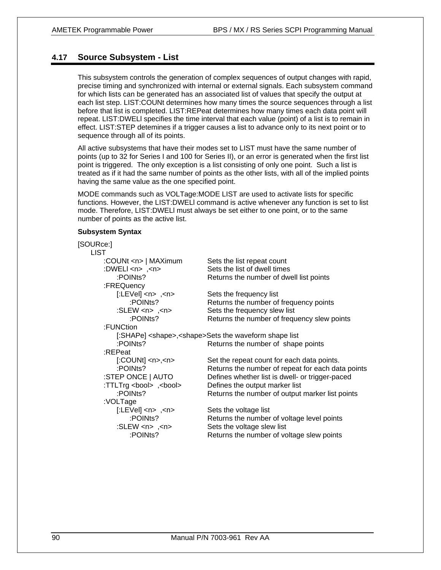# **4.17 Source Subsystem - List**

This subsystem controls the generation of complex sequences of output changes with rapid, precise timing and synchronized with internal or external signals. Each subsystem command for which lists can be generated has an associated list of values that specify the output at each list step. LIST:COUNt determines how many times the source sequences through a list before that list is completed. LIST:REPeat determines how many times each data point will repeat. LIST:DWELl specifies the time interval that each value (point) of a list is to remain in effect. LIST:STEP detemines if a trigger causes a list to advance only to its next point or to sequence through all of its points.

All active subsystems that have their modes set to LIST must have the same number of points (up to 32 for Series I and 100 for Series II), or an error is generated when the first list point is triggered. The only exception is a list consisting of only one point. Such a list is treated as if it had the same number of points as the other lists, with all of the implied points having the same value as the one specified point.

MODE commands such as VOLTage:MODE LIST are used to activate lists for specific functions. However, the LIST:DWELl command is active whenever any function is set to list mode. Therefore, LIST:DWELl must always be set either to one point, or to the same number of points as the active list.

### **Subsystem Syntax**

| [SOURce:]                            |                                                                       |
|--------------------------------------|-----------------------------------------------------------------------|
| <b>LIST</b>                          |                                                                       |
| :COUNt <n>   MAXimum</n>             | Sets the list repeat count                                            |
| :DWELI <n>, <n></n></n>              | Sets the list of dwell times                                          |
| :POINts?                             | Returns the number of dwell list points                               |
| :FREQuency                           |                                                                       |
| $[:LEVe]$ <n>, <n></n></n>           | Sets the frequency list                                               |
| :POINts?                             | Returns the number of frequency points                                |
| : $SLEW < n$ > ,< $n$ >              | Sets the frequency slew list                                          |
| :POINts?                             | Returns the number of frequency slew points                           |
| :FUNCtion                            |                                                                       |
|                                      | [:SHAPe] <shape>, <shape>Sets the waveform shape list</shape></shape> |
| :POINts?                             | Returns the number of shape points                                    |
| :REPeat                              |                                                                       |
| $[$ :COUNt $]$ <n>,<n></n></n>       | Set the repeat count for each data points.                            |
| :POINts?                             | Returns the number of repeat for each data points                     |
| :STEP ONCE   AUTO                    | Defines whether list is dwell- or trigger-paced                       |
| :TTLTrg <bool>, <bool></bool></bool> | Defines the output marker list                                        |
| :POINts?                             | Returns the number of output marker list points                       |
| :VOLTage                             |                                                                       |
| $[:LEVel]$ <n>, <n></n></n>          | Sets the voltage list                                                 |
| :POINts?                             | Returns the number of voltage level points                            |
| : $SLEW < n$ , $\langle n \rangle$   | Sets the voltage slew list                                            |
| :POINts?                             | Returns the number of voltage slew points                             |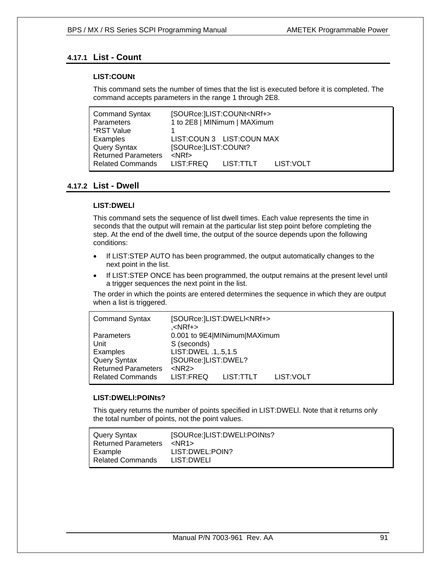# **4.17.1 List - Count**

### **LIST:COUNt**

This command sets the number of times that the list is executed before it is completed. The command accepts parameters in the range 1 through 2E8.

| <b>Command Syntax</b>      |                      | [SOURce:]LIST:COUNt <nrf+></nrf+> |            |
|----------------------------|----------------------|-----------------------------------|------------|
| Parameters                 |                      | 1 to 2E8   MINimum   MAXimum      |            |
| *RST Value                 |                      |                                   |            |
| Examples                   |                      | LIST:COUN 3 LIST:COUN MAX         |            |
| <b>Query Syntax</b>        | [SOURce:]LIST:COUNt? |                                   |            |
| <b>Returned Parameters</b> | $<$ NRf $>$          |                                   |            |
| <b>Related Commands</b>    | LIST:FREQ            | LIST:TTLT                         | LIST: VOLT |

# **4.17.2 List - Dwell**

### **LIST:DWELl**

This command sets the sequence of list dwell times. Each value represents the time in seconds that the output will remain at the particular list step point before completing the step. At the end of the dwell time, the output of the source depends upon the following conditions:

- If LIST:STEP AUTO has been programmed, the output automatically changes to the next point in the list.
- If LIST:STEP ONCE has been programmed, the output remains at the present level until a trigger sequences the next point in the list.

The order in which the points are entered determines the sequence in which they are output when a list is triggered.

| <b>Command Syntax</b>      | <nrf+>.</nrf+>         | [SOURce: ]LIST: DWELI <nrf+></nrf+> |            |  |
|----------------------------|------------------------|-------------------------------------|------------|--|
| Parameters                 |                        | 0.001 to 9E4 MINimum MAXimum        |            |  |
| Unit                       | S (seconds)            |                                     |            |  |
| Examples                   | LIST: DWEL .1, .5, 1.5 |                                     |            |  |
| <b>Query Syntax</b>        | [SOURce:]LIST:DWEL?    |                                     |            |  |
| <b>Returned Parameters</b> | $<$ NR2 $>$            |                                     |            |  |
| <b>Related Commands</b>    | LIST:FREQ              | LIST:TTLT                           | LIST: VOLT |  |

### **LIST:DWELl:POINts?**

This query returns the number of points specified in LIST:DWELl. Note that it returns only the total number of points, not the point values.

| Query Syntax               | [SOURce:]LIST:DWELI:POINts? |
|----------------------------|-----------------------------|
| <b>Returned Parameters</b> | <nr1></nr1>                 |
| Example                    | LIST:DWEL:POIN?             |
| <b>Related Commands</b>    | LIST:DWELI                  |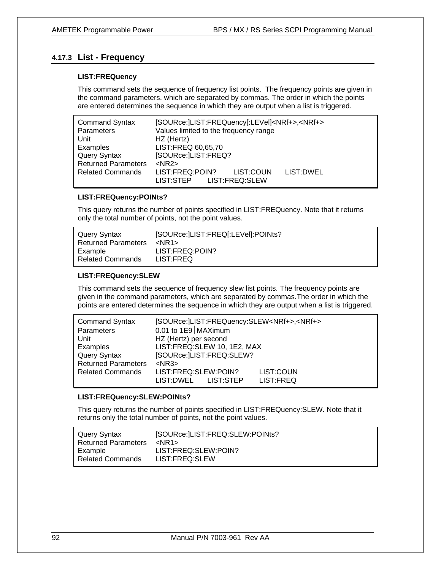# **4.17.3 List - Frequency**

### **LIST:FREQuency**

This command sets the sequence of frequency list points. The frequency points are given in the command parameters, which are separated by commas. The order in which the points are entered determines the sequence in which they are output when a list is triggered.

| <b>Command Syntax</b>      | [SOURce:]LIST:FREQuency[:LEVel] <nrf+>,<nrf+></nrf+></nrf+>            |  |  |
|----------------------------|------------------------------------------------------------------------|--|--|
| Parameters                 | Values limited to the frequency range                                  |  |  |
| Unit                       | HZ (Hertz)                                                             |  |  |
| Examples                   | LIST:FREQ 60,65,70                                                     |  |  |
| Query Syntax               | [SOURce:]LIST:FREQ?                                                    |  |  |
| <b>Returned Parameters</b> | $<$ NR2 $>$                                                            |  |  |
| <b>Related Commands</b>    | LIST:FREQ:POIN?<br>LIST: DWEL<br>LIST:COUN<br>LIST:STEP LIST:FREQ:SLEW |  |  |

### **LIST:FREQuency:POINts?**

This query returns the number of points specified in LIST:FREQuency. Note that it returns only the total number of points, not the point values.

| Query Syntax               | [SOURce:  LIST: FREQ[: LEVel]: POINts? |
|----------------------------|----------------------------------------|
| <b>Returned Parameters</b> | $<$ NR1 $>$                            |
| Example                    | LIST:FREQ:POIN?                        |
| <b>Related Commands</b>    | LIST:FREQ                              |

### **LIST:FREQuency:SLEW**

This command sets the sequence of frequency slew list points. The frequency points are given in the command parameters, which are separated by commas.The order in which the points are entered determines the sequence in which they are output when a list is triggered.

| <b>Command Syntax</b>      | [SOURce:]LIST:FREQuency:SLEW <nrf+>,<nrf+></nrf+></nrf+> |           |  |
|----------------------------|----------------------------------------------------------|-----------|--|
| Parameters                 | 0.01 to $1E9$ MAXimum                                    |           |  |
| Unit                       | HZ (Hertz) per second                                    |           |  |
| Examples                   | LIST:FREQ:SLEW 10, 1E2, MAX                              |           |  |
| <b>Query Syntax</b>        | [SOURce:]LIST:FREQ:SLEW?                                 |           |  |
| <b>Returned Parameters</b> | $<$ NR3 $>$                                              |           |  |
| <b>Related Commands</b>    | LIST:FREQ:SLEW:POIN?                                     | LIST:COUN |  |
|                            | LIST:STEP<br>LIST:DWEL                                   | LIST:FREQ |  |

### **LIST:FREQuency:SLEW:POINts?**

This query returns the number of points specified in LIST:FREQuency:SLEW. Note that it returns only the total number of points, not the point values.

| Query Syntax               | [SOURce:]LIST:FREQ:SLEW:POINts? |
|----------------------------|---------------------------------|
| <b>Returned Parameters</b> | $<$ NR1 $>$                     |
| Example                    | LIST:FREQ:SLEW:POIN?            |
| <b>Related Commands</b>    | LIST:FREQ:SLEW                  |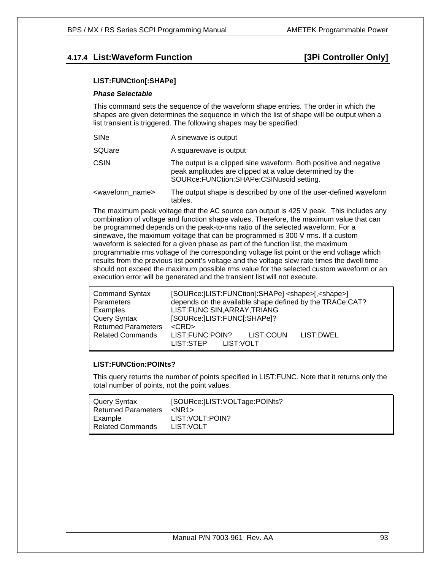# **4.17.4 List: Waveform Function 1.17.4 List: Waveform Function**

### **LIST:FUNCtion[:SHAPe]**

### *Phase Selectable*

This command sets the sequence of the waveform shape entries. The order in which the shapes are given determines the sequence in which the list of shape will be output when a list transient is triggered. The following shapes may be specified:

| SINe                          | A sinewave is output                                                                                                                                                         |  |
|-------------------------------|------------------------------------------------------------------------------------------------------------------------------------------------------------------------------|--|
| SQUare                        | A squarewave is output                                                                                                                                                       |  |
| <b>CSIN</b>                   | The output is a clipped sine waveform. Both positive and negative<br>peak amplitudes are clipped at a value determined by the<br>SOURce: FUNCtion: SHAPe: CSINusoid setting. |  |
| <waveform name=""></waveform> | The output shape is described by one of the user-defined waveform<br>tables.                                                                                                 |  |

The maximum peak voltage that the AC source can output is 425 V peak. This includes any combination of voltage and function shape values. Therefore, the maximum value that can be programmed depends on the peak-to-rms ratio of the selected waveform. For a sinewave, the maximum voltage that can be programmed is 300 V rms. If a custom waveform is selected for a given phase as part of the function list, the maximum programmable rms voltage of the corresponding voltage list point or the end voltage which results from the previous list point's voltage and the voltage slew rate times the dwell time should not exceed the maximum possible rms value for the selected custom waveform or an execution error will be generated and the transient list will not execute.

| <b>Command Syntax</b><br>Parameters | [SOURce:  LIST: FUNCtion [: SHAPe] < shape> [, < shape>]<br>depends on the available shape defined by the TRACe:CAT? |
|-------------------------------------|----------------------------------------------------------------------------------------------------------------------|
| Examples                            | LIST: FUNC SIN, ARRAY, TRIANG                                                                                        |
| Query Syntax                        | [SOURce:]LIST:FUNC[:SHAPe]?                                                                                          |
| <b>Returned Parameters</b>          | $<$ CRD $>$                                                                                                          |
| <b>Related Commands</b>             | LIST:FUNC:POIN?<br>LIST:COUN<br>LIST:DWEL<br>LIST:STEP LIST:VOLT                                                     |

### **LIST:FUNCtion:POINts?**

This query returns the number of points specified in LIST:FUNC. Note that it returns only the total number of points, not the point values.

| Query Syntax                          | [SOURce:   LIST: VOLTage: POINts? |
|---------------------------------------|-----------------------------------|
| <b>Returned Parameters</b><br>Example | $<$ NR1 $>$<br>LIST: VOLT: POIN?  |
| <b>Related Commands</b>               | LIST:VOLT                         |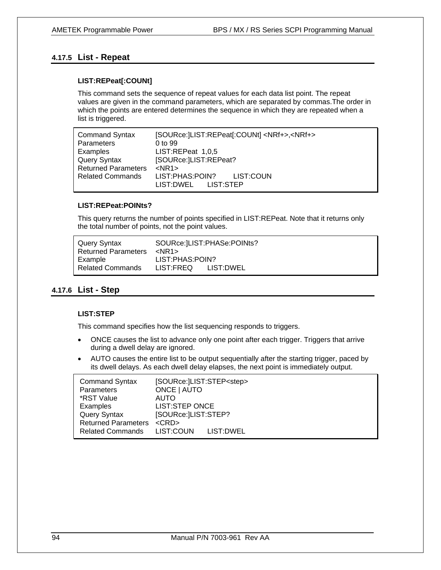# **4.17.5 List - Repeat**

### **LIST:REPeat[:COUNt]**

This command sets the sequence of repeat values for each data list point. The repeat values are given in the command parameters, which are separated by commas.The order in which the points are entered determines the sequence in which they are repeated when a list is triggered.

| <b>Command Syntax</b>      | [SOURce: ]LIST:REPeat[:COUNt] <nrf+>,<nrf+></nrf+></nrf+> |  |  |
|----------------------------|-----------------------------------------------------------|--|--|
| Parameters                 | 0 to 99                                                   |  |  |
| Examples                   | LIST:REPeat 1,0,5                                         |  |  |
| <b>Query Syntax</b>        | [SOURce:]LIST:REPeat?                                     |  |  |
| <b>Returned Parameters</b> | $<$ NR1 $>$                                               |  |  |
| <b>Related Commands</b>    | LIST:PHAS:POIN?<br>LIST:COUN                              |  |  |
|                            | LIST:STEP<br>LIST:DWEL                                    |  |  |

# **LIST:REPeat:POINts?**

This query returns the number of points specified in LIST:REPeat. Note that it returns only the total number of points, not the point values.

| Query Syntax               |                     | SOURce: LIST: PHASe: POINts? |
|----------------------------|---------------------|------------------------------|
| <b>Returned Parameters</b> | $<$ NR1 $>$         |                              |
| Example                    | LIST:PHAS:POIN?     |                              |
| <b>Related Commands</b>    | LIST:FREQ LIST:DWEL |                              |

### **4.17.6 List - Step**

### **LIST:STEP**

This command specifies how the list sequencing responds to triggers.

- ONCE causes the list to advance only one point after each trigger. Triggers that arrive during a dwell delay are ignored.
- AUTO causes the entire list to be output sequentially after the starting trigger, paced by its dwell delays. As each dwell delay elapses, the next point is immediately output.

| <b>Command Syntax</b>      |                     | [SOURce:]LIST:STEP <step></step> |  |
|----------------------------|---------------------|----------------------------------|--|
| <b>Parameters</b>          | ONCE   AUTO         |                                  |  |
| *RST Value                 | AUTO                |                                  |  |
| Examples                   | LIST:STEP ONCE      |                                  |  |
| Query Syntax               | [SOURce:]LIST:STEP? |                                  |  |
| <b>Returned Parameters</b> | $<$ CRD $>$         |                                  |  |
| <b>Related Commands</b>    | LIST:COUN LIST:DWEL |                                  |  |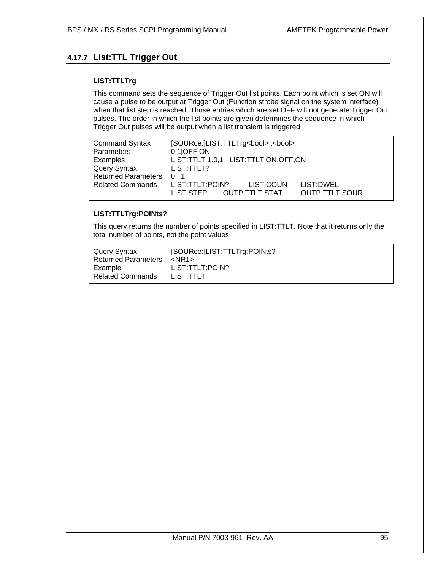# **4.17.7 List:TTL Trigger Out**

### **LIST:TTLTrg**

This command sets the sequence of Trigger Out list points. Each point which is set ON will cause a pulse to be output at Trigger Out (Function strobe signal on the system interface) when that list step is reached. Those entries which are set OFF will not generate Trigger Out pulses. The order in which the list points are given determines the sequence in which Trigger Out pulses will be output when a list transient is triggered.

| <b>Command Syntax</b>      | [SOURce:  LIST:TTLTrg <bool>, <bool></bool></bool>                                         |
|----------------------------|--------------------------------------------------------------------------------------------|
| Parameters                 | 0 1 OFF ON                                                                                 |
| Examples                   | LIST:TTLT 1,0,1 LIST:TTLT ON, OFF, ON                                                      |
| Query Syntax               | LIST:TTLT?                                                                                 |
| <b>Returned Parameters</b> | 0 <sub>1</sub> 1                                                                           |
| <b>Related Commands</b>    | LIST:TTLT:POIN?<br>LIST:COUN<br>LIST:DWEL<br>OUTP:TTLT:SOUR<br>OUTP:TTLT:STAT<br>LIST:STEP |

# **LIST:TTLTrg:POINts?**

This query returns the number of points specified in LIST:TTLT. Note that it returns only the total number of points, not the point values.

| Query Syntax               | [SOURce:   LIST: TTLTrg: POINts? |
|----------------------------|----------------------------------|
| <b>Returned Parameters</b> | <nr1></nr1>                      |
| Example                    | LIST:TTLT:POIN?                  |
| <b>Related Commands</b>    | LIST:TTLT                        |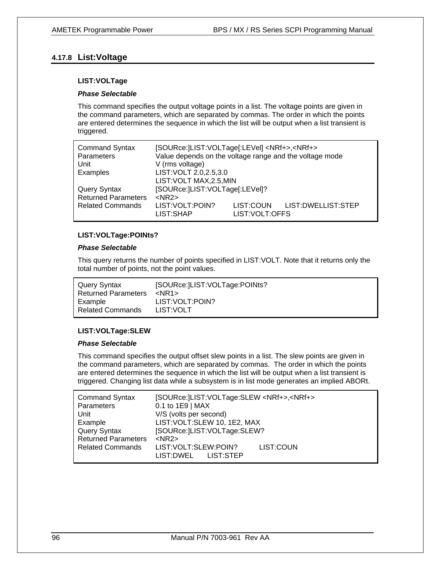# **4.17.8 List:Voltage**

### **LIST:VOLTage**

### *Phase Selectable*

This command specifies the output voltage points in a list. The voltage points are given in the command parameters, which are separated by commas. The order in which the points are entered determines the sequence in which the list will be output when a list transient is triggered.

| <b>Command Syntax</b><br>Parameters<br>Unit       | [SOURce: ]LIST: VOLTage[:LEVel] <nrf+>, <nrf+><br/>Value depends on the voltage range and the voltage mode<br/>V (rms voltage)</nrf+></nrf+> |                               |                      |
|---------------------------------------------------|----------------------------------------------------------------------------------------------------------------------------------------------|-------------------------------|----------------------|
| Examples                                          | LIST: VOLT 2.0, 2.5, 3.0<br>LIST: VOLT MAX, 2.5, MIN                                                                                         |                               |                      |
| <b>Query Syntax</b><br><b>Returned Parameters</b> | [SOURce: ]LIST: VOLTage[: LEVel]?<br>$<$ NR2 $>$                                                                                             |                               |                      |
| <b>Related Commands</b>                           | LIST: VOLT: POIN?<br>LIST:SHAP                                                                                                               | LIST:COUN<br>LIST: VOLT: OFFS | LIST: DWELLIST: STEP |

### **LIST:VOLTage:POINts?**

### *Phase Selectable*

This query returns the number of points specified in LIST:VOLT. Note that it returns only the total number of points, not the point values.

| Query Syntax               | [SOURce: ]LIST: VOLTage: POINts? |
|----------------------------|----------------------------------|
| <b>Returned Parameters</b> | $<$ NR1 $>$                      |
| Example                    | LIST: VOLT: POIN?                |
| <b>Related Commands</b>    | LIST:VOLT                        |

### **LIST:VOLTage:SLEW**

### *Phase Selectable*

This command specifies the output offset slew points in a list. The slew points are given in the command parameters, which are separated by commas. The order in which the points are entered determines the sequence in which the list will be output when a list transient is triggered. Changing list data while a subsystem is in list mode generates an implied ABORt.

| <b>Command Syntax</b>      | [SOURce:]LIST:VOLTage:SLEW <nrf+>,<nrf+></nrf+></nrf+>        |  |
|----------------------------|---------------------------------------------------------------|--|
| Parameters                 | 0.1 to 1E9   MAX                                              |  |
| Unit                       | V/S (volts per second)                                        |  |
| Example                    | LIST: VOLT: SLEW 10, 1E2, MAX                                 |  |
| <b>Query Syntax</b>        | [SOURce:]LIST:VOLTage:SLEW?                                   |  |
| <b>Returned Parameters</b> | $<$ NR2 $>$                                                   |  |
| <b>Related Commands</b>    | LIST: VOLT: SLEW: POIN?<br>LIST:COUN<br>LIST: DWEL LIST: STEP |  |
|                            |                                                               |  |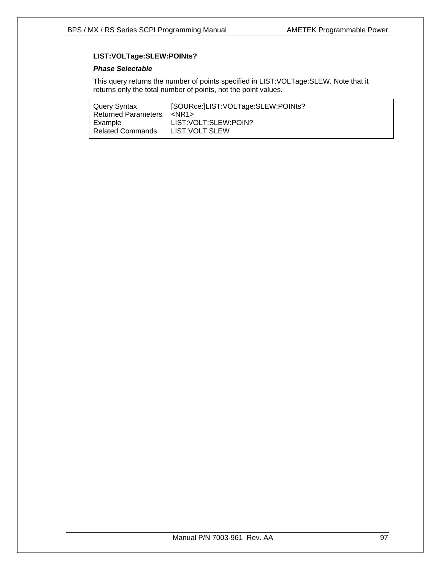# **LIST:VOLTage:SLEW:POINts?**

### *Phase Selectable*

This query returns the number of points specified in LIST:VOLTage:SLEW. Note that it returns only the total number of points, not the point values.

| [SOURce: ]LIST: VOLTage: SLEW: POINts? |
|----------------------------------------|
| $<$ NR1 $>$                            |
| LIST: VOLT: SLEW: POIN?                |
| LIST: VOLT: SLEW                       |
|                                        |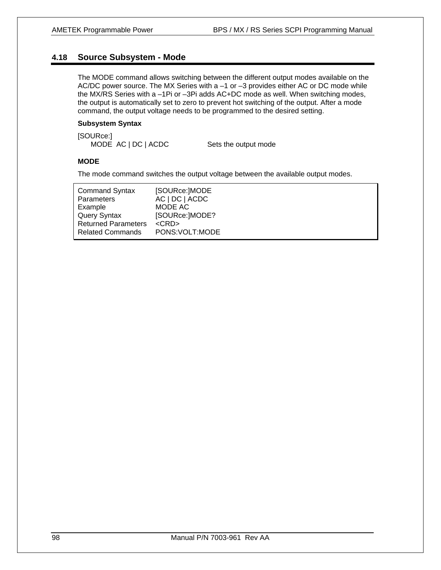# **4.18 Source Subsystem - Mode**

The MODE command allows switching between the different output modes available on the AC/DC power source. The MX Series with a  $-1$  or  $-3$  provides either AC or DC mode while the MX/RS Series with a –1Pi or –3Pi adds AC+DC mode as well. When switching modes, the output is automatically set to zero to prevent hot switching of the output. After a mode command, the output voltage needs to be programmed to the desired setting.

### **Subsystem Syntax**

[SOURce:] MODE AC | DC | ACDC Sets the output mode

### **MODE**

The mode command switches the output voltage between the available output modes.

| <b>Command Syntax</b>      | [SOURce:]MODE    |
|----------------------------|------------------|
| Parameters                 | AC   DC   ACDC   |
| Example                    | MODE AC          |
| <b>Query Syntax</b>        | [SOURce:]MODE?   |
| <b>Returned Parameters</b> | $<$ CRD $>$      |
| <b>Related Commands</b>    | PONS: VOLT: MODE |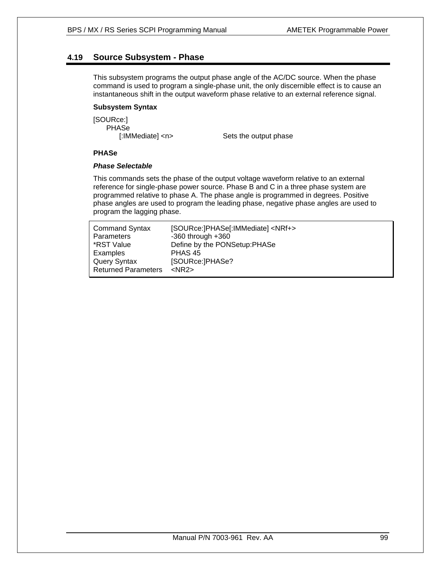# **4.19 Source Subsystem - Phase**

This subsystem programs the output phase angle of the AC/DC source. When the phase command is used to program a single-phase unit, the only discernible effect is to cause an instantaneous shift in the output waveform phase relative to an external reference signal.

### **Subsystem Syntax**

[SOURce:] PHASe

[:IMMediate] <n> Sets the output phase

### **PHASe**

### *Phase Selectable*

This commands sets the phase of the output voltage waveform relative to an external reference for single-phase power source. Phase B and C in a three phase system are programmed relative to phase A. The phase angle is programmed in degrees. Positive phase angles are used to program the leading phase, negative phase angles are used to program the lagging phase.

| <b>Command Syntax</b><br>Parameters | [SOURce:]PHASe[:IMMediate] <nrf+><br/><math>-360</math> through <math>+360</math></nrf+> |
|-------------------------------------|------------------------------------------------------------------------------------------|
| *RST Value                          | Define by the PONSetup:PHASe                                                             |
| Examples                            | PHAS 45                                                                                  |
| Query Syntax                        | [SOURce:]PHASe?                                                                          |
| <b>Returned Parameters</b>          | $<$ NR2 $>$                                                                              |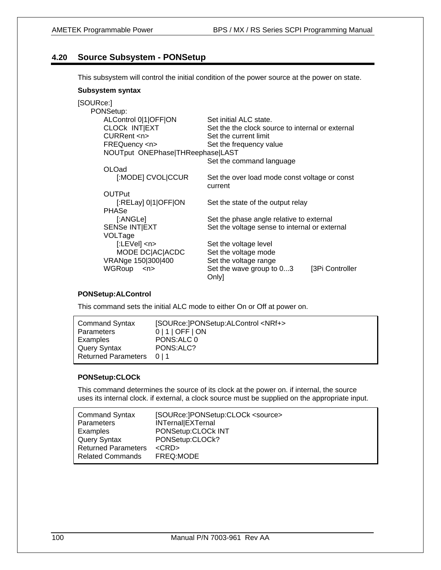# **4.20 Source Subsystem - PONSetup**

This subsystem will control the initial condition of the power source at the power on state.

### **Subsystem syntax**

| [SOURce:]                            |                                                  |
|--------------------------------------|--------------------------------------------------|
| PONSetup:                            |                                                  |
| ALControl 0 1 OFF ON                 | Set initial ALC state.                           |
| CLOCK INTIEXT                        | Set the the clock source to internal or external |
| CURRent <n></n>                      | Set the current limit                            |
| FREQuency <n></n>                    | Set the frequency value                          |
| NOUTput ONEPhase THReephase LAST     |                                                  |
|                                      | Set the command language                         |
| OLOad                                |                                                  |
| [:MODE] CVOLICCUR                    | Set the over load mode const voltage or const    |
|                                      | current                                          |
| <b>OUTPut</b>                        |                                                  |
| $[$ :RELay] 0 1 OFF ON               | Set the state of the output relay                |
| <b>PHASe</b>                         |                                                  |
| [:ANGLe]                             | Set the phase angle relative to external         |
| <b>SENSe INTIEXT</b>                 | Set the voltage sense to internal or external    |
| VOLTage                              |                                                  |
| $[:LEVe]$ <n></n>                    | Set the voltage level                            |
| MODE DC AC ACDC                      | Set the voltage mode                             |
| VRANge 150 300 400                   | Set the voltage range                            |
| <b>WGRoup</b><br>$\langle n \rangle$ | Set the wave group to 03<br>[3Pi Controller      |
|                                      | Only]                                            |

### **PONSetup:ALControl**

This command sets the initial ALC mode to either On or Off at power on.

| <b>Command Syntax</b>      | [SOURce:]PONSetup:ALControl <nrf+></nrf+> |
|----------------------------|-------------------------------------------|
| Parameters                 | $0 1 $ OFF $ $ ON                         |
| Examples                   | PONS: ALC 0                               |
| Query Syntax               | PONS: ALC?                                |
| <b>Returned Parameters</b> | 011                                       |

### **PONSetup:CLOCk**

This command determines the source of its clock at the power on. if internal, the source uses its internal clock. if external, a clock source must be supplied on the appropriate input.

| <b>Command Syntax</b>      | [SOURce:]PONSetup:CLOCk <source/> |
|----------------------------|-----------------------------------|
| Parameters                 | INTernal EXTernal                 |
| Examples                   | PONSetup:CLOCk INT                |
| <b>Query Syntax</b>        | PONSetup:CLOCk?                   |
| <b>Returned Parameters</b> | $<$ CRD $>$                       |
| <b>Related Commands</b>    | FREQ:MODE                         |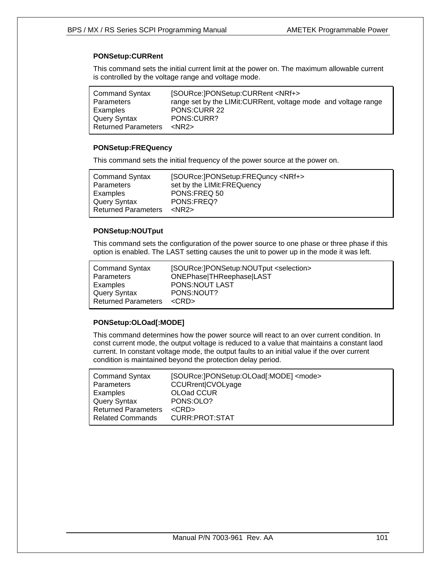# **PONSetup:CURRent**

This command sets the initial current limit at the power on. The maximum allowable current is controlled by the voltage range and voltage mode.

| <b>Command Syntax</b>      | [SOURce:]PONSetup:CURRent <nrf+></nrf+>                         |
|----------------------------|-----------------------------------------------------------------|
| <b>Parameters</b>          | range set by the LIMit: CURRent, voltage mode and voltage range |
| Examples                   | <b>PONS:CURR 22</b>                                             |
| Query Syntax               | PONS:CURR?                                                      |
| <b>Returned Parameters</b> | $<$ NR2 $>$                                                     |

### **PONSetup:FREQuency**

This command sets the initial frequency of the power source at the power on.

| <b>Command Syntax</b>      | [SOURce:]PONSetup:FREQuncy <nrf+></nrf+> |
|----------------------------|------------------------------------------|
| <b>Parameters</b>          | set by the LIMit: FREQuency              |
| Examples                   | PONS:FREQ 50                             |
| Query Syntax               | PONS:FREQ?                               |
| <b>Returned Parameters</b> | $<$ NR2 $>$                              |
|                            |                                          |

### **PONSetup:NOUTput**

This command sets the configuration of the power source to one phase or three phase if this option is enabled. The LAST setting causes the unit to power up in the mode it was left.

| <b>Command Syntax</b>      | [SOURce:]PONSetup:NOUTput <selection></selection> |
|----------------------------|---------------------------------------------------|
| Parameters                 | ONEPhase THReephase LAST                          |
| Examples                   | PONS:NOUT LAST                                    |
| Query Syntax               | PONS:NOUT?                                        |
| <b>Returned Parameters</b> | $<$ CRD $>$                                       |

### **PONSetup:OLOad[:MODE]**

This command determines how the power source will react to an over current condition. In const current mode, the output voltage is reduced to a value that maintains a constant laod current. In constant voltage mode, the output faults to an initial value if the over current condition is maintained beyond the protection delay period.

| [SOURce: PONSetup: OLOad[: MODE] <mode><br/>CCURrent CVOLyage</mode> |
|----------------------------------------------------------------------|
| OLOad CCUR                                                           |
| PONS:OLO?                                                            |
| $<$ CRD $>$                                                          |
| CURR: PROT: STAT                                                     |
|                                                                      |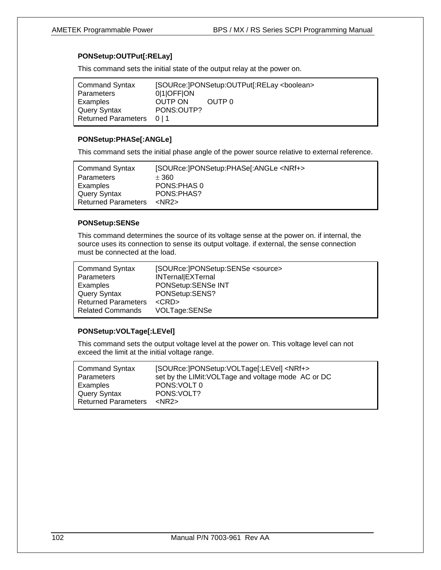# **PONSetup:OUTPut[:RELay]**

This command sets the initial state of the output relay at the power on.

| <b>Command Syntax</b>     |             | [SOURce:]PONSetup:OUTPut[:RELay <boolean></boolean> |
|---------------------------|-------------|-----------------------------------------------------|
| Parameters                | 010FFON     |                                                     |
| Examples                  | OUTP ON     | OUTP 0                                              |
| Query Syntax              | PONS: OUTP? |                                                     |
| Returned Parameters 0   1 |             |                                                     |

### **PONSetup:PHASe[:ANGLe]**

This command sets the initial phase angle of the power source relative to external reference.

| <b>Command Syntax</b>      | [SOURce:]PONSetup:PHASe[:ANGLe <nrf+></nrf+> |
|----------------------------|----------------------------------------------|
| Parameters                 | ± 360                                        |
| Examples                   | PONS: PHAS 0                                 |
| Query Syntax               | PONS:PHAS?                                   |
| <b>Returned Parameters</b> | $<$ NR2 $>$                                  |

### **PONSetup:SENSe**

This command determines the source of its voltage sense at the power on. if internal, the source uses its connection to sense its output voltage. if external, the sense connection must be connected at the load.

| <b>Command Syntax</b>      | [SOURce:]PONSetup:SENSe <source/> |
|----------------------------|-----------------------------------|
| Parameters                 | INTernal EXTernal                 |
| Examples                   | PONSetup:SENSe INT                |
| Query Syntax               | PONSetup:SENS?                    |
| <b>Returned Parameters</b> | $<$ CRD $>$                       |
| <b>Related Commands</b>    | VOLTage:SENSe                     |

### **PONSetup:VOLTage[:LEVel]**

This command sets the output voltage level at the power on. This voltage level can not exceed the limit at the initial voltage range.

| <b>Command Syntax</b>      | [SOURce:]PONSetup:VOLTage[:LEVel] <nrf+></nrf+>     |
|----------------------------|-----------------------------------------------------|
| Parameters                 | set by the LIMit: VOLTage and voltage mode AC or DC |
| Examples                   | PONS: VOLT 0                                        |
| Query Syntax               | PONS: VOLT?                                         |
| <b>Returned Parameters</b> | $<$ NR2 $>$                                         |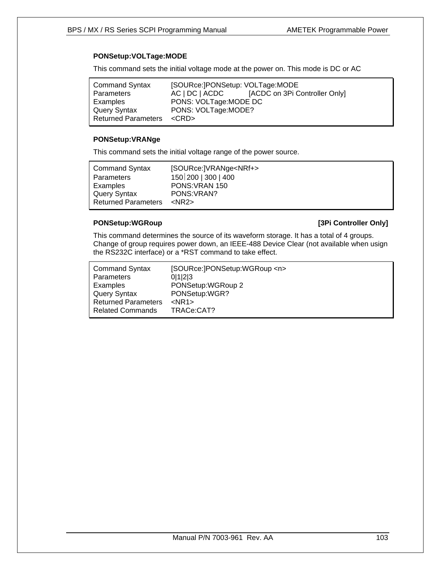# **PONSetup:VOLTage:MODE**

This command sets the initial voltage mode at the power on. This mode is DC or AC

| AC   DC   ACDC | [ACDC on 3Pi Controller Only]                                                                   |
|----------------|-------------------------------------------------------------------------------------------------|
|                |                                                                                                 |
|                |                                                                                                 |
|                |                                                                                                 |
|                | [SOURce:]PONSetup: VOLTage:MODE<br>PONS: VOLTage: MODE DC<br>PONS: VOLTage:MODE?<br><crd></crd> |

### **PONSetup:VRANge**

This command sets the initial voltage range of the power source.

| <b>Command Syntax</b>      | [SOURce:]VRANge <nrf+></nrf+> |
|----------------------------|-------------------------------|
| Parameters                 | 150 200   300   400           |
| Examples                   | PONS: VRAN 150                |
| Query Syntax               | PONS: VRAN?                   |
| <b>Returned Parameters</b> | $<$ NR2 $>$                   |

### **PONSetup:WGRoup PONSetup:WGRoup** *PONSetup:WGROUP*

This command determines the source of its waveform storage. It has a total of 4 groups. Change of group requires power down, an IEEE-488 Device Clear (not available when usign the RS232C interface) or a \*RST command to take effect.

| <b>Command Syntax</b>      | [SOURce:]PONSetup:WGRoup <n></n> |
|----------------------------|----------------------------------|
| Parameters                 | 0 1 2 3                          |
| Examples                   | PONSetup: WGRoup 2               |
| Query Syntax               | PONSetup:WGR?                    |
| <b>Returned Parameters</b> | $<$ NR1 $>$                      |
| <b>Related Commands</b>    | TRACe:CAT?                       |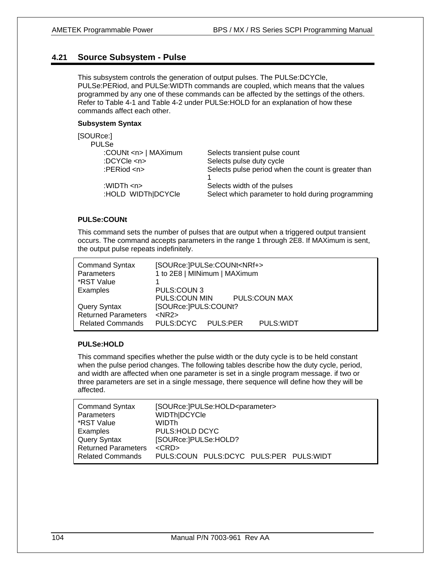# **4.21 Source Subsystem - Pulse**

This subsystem controls the generation of output pulses. The PULSe:DCYCle, PULSe:PERiod, and PULSe:WIDTh commands are coupled, which means that the values programmed by any one of these commands can be affected by the settings of the others. Refer to Table 4-1 and Table 4-2 under PULSe:HOLD for an explanation of how these commands affect each other.

### **Subsystem Syntax**

| [SOURce:]                                        |                                                                                  |
|--------------------------------------------------|----------------------------------------------------------------------------------|
| <b>PULSe</b>                                     |                                                                                  |
| :COUNt <n>   MAXimum</n>                         | Selects transient pulse count                                                    |
| :DCYCle <n></n>                                  | Selects pulse duty cycle                                                         |
| : $PERiod < n$                                   | Selects pulse period when the count is greater than                              |
| :WIDTh $\langle n \rangle$<br>:HOLD WIDTh DCYCle | Selects width of the pulses<br>Select which parameter to hold during programming |

### **PULSe:COUNt**

This command sets the number of pulses that are output when a triggered output transient occurs. The command accepts parameters in the range 1 through 2E8. If MAXimum is sent, the output pulse repeats indefinitely.

| <b>Command Syntax</b><br><b>Parameters</b><br>*RST Value                     | [SOURce:]PULSe:COUNt <nrf+><br/>1 to 2E8   MINimum   MAXimum</nrf+>       |  |  |
|------------------------------------------------------------------------------|---------------------------------------------------------------------------|--|--|
| Examples                                                                     | PULS:COUN 3<br>PULS:COUN MIN<br>PULS:COUN MAX                             |  |  |
| <b>Query Syntax</b><br><b>Returned Parameters</b><br><b>Related Commands</b> | [SOURce: ]PULS: COUNt?<br>$<$ NR2 $>$<br>PULS:DCYC PULS:PER<br>PULS: WIDT |  |  |

### **PULSe:HOLD**

This command specifies whether the pulse width or the duty cycle is to be held constant when the pulse period changes. The following tables describe how the duty cycle, period, and width are affected when one parameter is set in a single program message. if two or three parameters are set in a single message, there sequence will define how they will be affected.

| <b>Command Syntax</b>      | [SOURce:]PULSe:HOLD <parameter></parameter> |
|----------------------------|---------------------------------------------|
| <b>Parameters</b>          | WIDTh DCYCle                                |
| *RST Value                 | WIDTh                                       |
| Examples                   | PULS:HOLD DCYC                              |
| <b>Query Syntax</b>        | [SOURce: ]PULSe: HOLD?                      |
| <b>Returned Parameters</b> | $<$ CRD $>$                                 |
| <b>Related Commands</b>    | PULS:COUN PULS:DCYC PULS:PER PULS:WIDT      |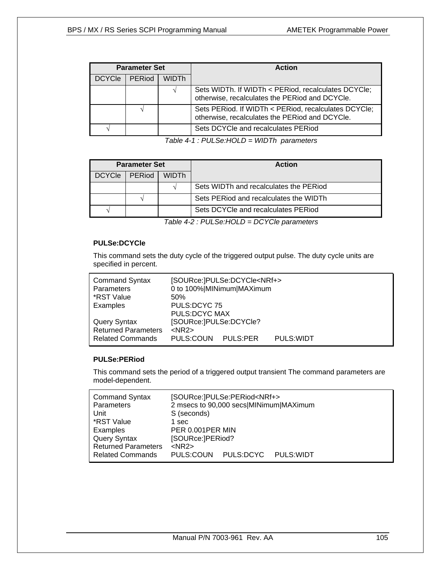| <b>Parameter Set</b> |        |              | <b>Action</b>                                                                                          |
|----------------------|--------|--------------|--------------------------------------------------------------------------------------------------------|
| <b>DCYCle</b>        | PERiod | <b>WIDTh</b> |                                                                                                        |
|                      |        |              | Sets WIDTh. If WIDTh < PERiod, recalculates DCYCle;<br>otherwise, recalculates the PERiod and DCYCle.  |
|                      |        |              | Sets PERiod. If WIDTh < PERiod, recalculates DCYCle;<br>otherwise, recalculates the PERiod and DCYCle. |
|                      |        |              | Sets DCYCle and recalculates PERiod                                                                    |

*Table 4-1 : PULSe:HOLD = WIDTh parameters* 

| <b>Parameter Set</b> |               |       | <b>Action</b>                          |
|----------------------|---------------|-------|----------------------------------------|
| DCYCle               | <b>PERiod</b> | WIDTh |                                        |
|                      |               |       | Sets WIDTh and recalculates the PERiod |
|                      |               |       | Sets PERiod and recalculates the WIDTh |
|                      |               |       | Sets DCYCle and recalculates PERiod    |

*Table 4-2 : PULSe:HOLD = DCYCle parameters* 

# **PULSe:DCYCle**

This command sets the duty cycle of the triggered output pulse. The duty cycle units are specified in percent.

| <b>Command Syntax</b><br>Parameters | [SOURce:]PULSe:DCYCle <nrf+><br/>0 to 100% MINimum MAXimum</nrf+> |                 |            |  |
|-------------------------------------|-------------------------------------------------------------------|-----------------|------------|--|
| *RST Value                          | 50%                                                               |                 |            |  |
| Examples                            | PULS:DCYC 75                                                      |                 |            |  |
|                                     | PULS:DCYC MAX                                                     |                 |            |  |
| Query Syntax                        | [SOURce:]PULSe:DCYCle?                                            |                 |            |  |
| <b>Returned Parameters</b>          | $<$ NR2 $>$                                                       |                 |            |  |
| <b>Related Commands</b>             | PULS:COUN                                                         | <b>PULS:PER</b> | PULS: WIDT |  |

### **PULSe:PERiod**

This command sets the period of a triggered output transient The command parameters are model-dependent.

| <b>Command Syntax</b><br><b>Parameters</b><br>Unit | [SOURce:]PULSe:PERiod <nrf+><br/>2 msecs to 90,000 secs MINimum MAXimum<br/>S (seconds)</nrf+> |
|----------------------------------------------------|------------------------------------------------------------------------------------------------|
| *RST Value                                         | 1 sec                                                                                          |
| Examples                                           | PER 0.001PER MIN                                                                               |
| <b>Query Syntax</b>                                | [SOURce:]PERiod?                                                                               |
| <b>Returned Parameters</b>                         | $<$ NR2 $>$                                                                                    |
| <b>Related Commands</b>                            | PULS:COUN PULS:DCYC<br>PULS: WIDT                                                              |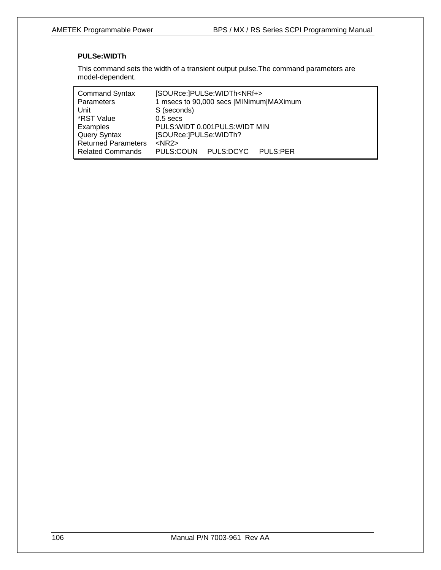# **PULSe:WIDTh**

This command sets the width of a transient output pulse.The command parameters are model-dependent.

| <b>Command Syntax</b>      | [SOURce:]PULSe:WIDTh <nrf+></nrf+>      |
|----------------------------|-----------------------------------------|
| Parameters                 | 1 msecs to 90,000 secs  MINimum MAXimum |
| Unit                       | S (seconds)                             |
| *RST Value                 | $0.5$ secs                              |
| Examples                   | PULS: WIDT 0.001 PULS: WIDT MIN         |
| <b>Query Syntax</b>        | [SOURce:]PULSe:WIDTh?                   |
| <b>Returned Parameters</b> | $<$ NR2 $>$                             |
| <b>Related Commands</b>    | PULS:DCYC<br>PULS:COUN<br>PULS:PER      |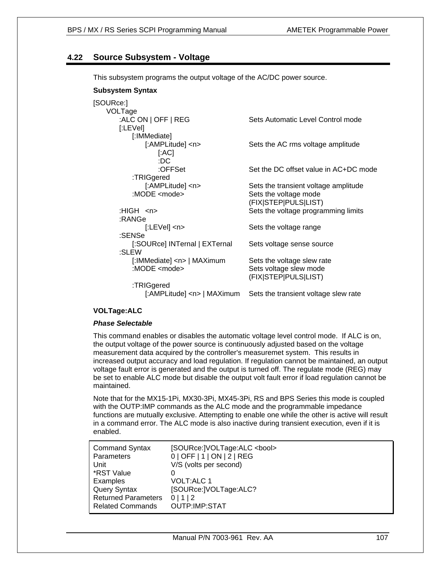# **4.22 Source Subsystem - Voltage**

This subsystem programs the output voltage of the AC/DC power source.

### **Subsystem Syntax**

| [SOURce:]                      |                                       |
|--------------------------------|---------------------------------------|
| VOLTage                        |                                       |
| :ALC ON   OFF   REG            | Sets Automatic Level Control mode     |
| [:LEVel]                       |                                       |
| [:IMMediate]                   |                                       |
| [:AMPLitude] <n></n>           | Sets the AC rms voltage amplitude     |
| [AC]                           |                                       |
|                                |                                       |
| :DC                            |                                       |
| :OFFSet                        | Set the DC offset value in AC+DC mode |
| :TRIGgered                     |                                       |
| [:AMPLitude] <n></n>           | Sets the transient voltage amplitude  |
| : $MODE$ <mode></mode>         | Sets the voltage mode                 |
|                                | (FIX STEP PULS LIST)                  |
| :HIGH $\langle n \rangle$      | Sets the voltage programming limits   |
| :RANGe                         |                                       |
|                                |                                       |
| $[:LEVe]$ <n></n>              | Sets the voltage range                |
| :SENSe                         |                                       |
| [:SOURce] INTernal   EXTernal  | Sets voltage sense source             |
| :SLEW                          |                                       |
| [:IMMediate] <n>   MAXimum</n> | Sets the voltage slew rate            |
| :MODE <mode></mode>            | Sets voltage slew mode                |
|                                | (FIX STEP PULS LIST)                  |
| :TRIGgered                     |                                       |
|                                |                                       |
| [:AMPLitude] <n>   MAXimum</n> | Sets the transient voltage slew rate  |

### **VOLTage:ALC**

### *Phase Selectable*

This command enables or disables the automatic voltage level control mode. If ALC is on, the output voltage of the power source is continuously adjusted based on the voltage measurement data acquired by the controller's measuremet system. This results in increased output accuracy and load regulation. If regulation cannot be maintained, an output voltage fault error is generated and the output is turned off. The regulate mode (REG) may be set to enable ALC mode but disable the output volt fault error if load regulation cannot be maintained.

Note that for the MX15-1Pi, MX30-3Pi, MX45-3Pi, RS and BPS Series this mode is coupled with the OUTP:IMP commands as the ALC mode and the programmable impedance functions are mutually exclusive. Attempting to enable one while the other is active will result in a command error. The ALC mode is also inactive during transient execution, even if it is enabled.

| <b>Command Syntax</b><br>Parameters | [SOURce:]VOLTage:ALC <bool><br/>0   OFF   1   ON   2   REG</bool> |
|-------------------------------------|-------------------------------------------------------------------|
| Unit                                | V/S (volts per second)                                            |
| *RST Value                          |                                                                   |
| Examples                            | <b>VOLT:ALC 1</b>                                                 |
| <b>Query Syntax</b>                 | [SOURce:]VOLTage:ALC?                                             |
| <b>Returned Parameters</b>          | 0 1 2                                                             |
| <b>Related Commands</b>             | OUTP:IMP:STAT                                                     |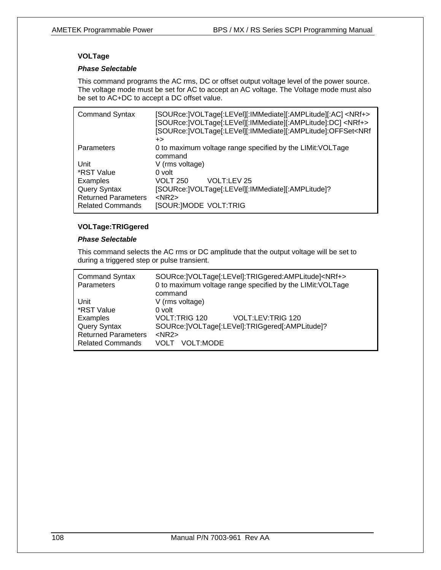# **VOLTage**

### *Phase Selectable*

This command programs the AC rms, DC or offset output voltage level of the power source. The voltage mode must be set for AC to accept an AC voltage. The Voltage mode must also be set to AC+DC to accept a DC offset value.

| <b>Command Syntax</b>      | [SOURce:]VOLTage[:LEVel][:IMMediate][:AMPLitude][:AC] <nrf+><br/>[SOURce:]VOLTage[:LEVel][:IMMediate][:AMPLitude]:DC]<nrf+><br/>[SOURce:]VOLTage[:LEVel][:IMMediate][:AMPLitude]:OFFSet<nrf<br><math>_{+&gt;}</math></nrf<br></nrf+></nrf+> |
|----------------------------|---------------------------------------------------------------------------------------------------------------------------------------------------------------------------------------------------------------------------------------------|
| Parameters                 | 0 to maximum voltage range specified by the LIMit: VOLTage<br>command                                                                                                                                                                       |
| Unit                       | V (rms voltage)                                                                                                                                                                                                                             |
| *RST Value                 | 0 volt                                                                                                                                                                                                                                      |
| Examples                   | VOLT:LEV 25<br><b>VOLT 250</b>                                                                                                                                                                                                              |
| <b>Query Syntax</b>        | [SOURce:]VOLTage[:LEVel][:IMMediate][:AMPLitude]?                                                                                                                                                                                           |
| <b>Returned Parameters</b> | $<$ NR2 $>$                                                                                                                                                                                                                                 |
| <b>Related Commands</b>    | [SOUR:]MODE VOLT:TRIG                                                                                                                                                                                                                       |

### **VOLTage:TRIGgered**

### *Phase Selectable*

This command selects the AC rms or DC amplitude that the output voltage will be set to during a triggered step or pulse transient.

| <b>Command Syntax</b><br>Parameters | SOURce:   VOLTage[:LEVel]: TRIGgered: AMPLitude] <nrf+><br/>0 to maximum voltage range specified by the LIMit: VOLTage<br/>command</nrf+> |
|-------------------------------------|-------------------------------------------------------------------------------------------------------------------------------------------|
| Unit                                | V (rms voltage)                                                                                                                           |
| *RST Value                          | 0 volt                                                                                                                                    |
| Examples                            | VOLT:TRIG 120<br>VOLT:LEV:TRIG 120                                                                                                        |
| <b>Query Syntax</b>                 | SOURce:   VOLTage[:LEVel]: TRIGgered[: AMPLitude]?                                                                                        |
| <b>Returned Parameters</b>          | $<$ NR2 $>$                                                                                                                               |
| <b>Related Commands</b>             | VOLT:MODE<br>VOLT                                                                                                                         |
|                                     |                                                                                                                                           |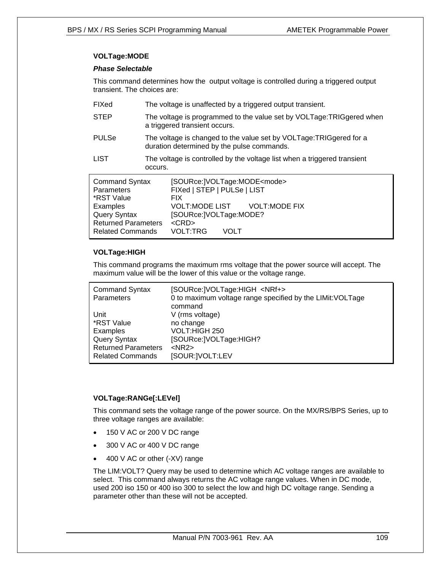## **VOLTage:MODE**

### *Phase Selectable*

This command determines how the output voltage is controlled during a triggered output transient. The choices are:

| FIXed                                                                                                                                                | The voltage is unaffected by a triggered output transient.                                                                                                                                                      |  |  |
|------------------------------------------------------------------------------------------------------------------------------------------------------|-----------------------------------------------------------------------------------------------------------------------------------------------------------------------------------------------------------------|--|--|
| <b>STEP</b>                                                                                                                                          | The voltage is programmed to the value set by VOLTage: TRIGgered when<br>a triggered transient occurs.                                                                                                          |  |  |
| <b>PULSe</b>                                                                                                                                         | The voltage is changed to the value set by VOLTage: TRIGgered for a<br>duration determined by the pulse commands.                                                                                               |  |  |
| <b>LIST</b>                                                                                                                                          | The voltage is controlled by the voltage list when a triggered transient<br>occurs.                                                                                                                             |  |  |
| <b>Command Syntax</b><br><b>Parameters</b><br>*RST Value<br>Examples<br><b>Query Syntax</b><br><b>Returned Parameters</b><br><b>Related Commands</b> | [SOURce:]VOLTage:MODE <mode><br/>FIXed   STEP   PULSe   LIST<br/>FIX.<br/>VOLT:MODE LIST VOLT:MODE FIX<br/>[SOURce:]VOLTage:MODE?<br/><math>&lt;</math>CRD<math>&gt;</math><br/><b>VOLT:TRG</b><br/>VOLT</mode> |  |  |

## **VOLTage:HIGH**

This command programs the maximum rms voltage that the power source will accept. The maximum value will be the lower of this value or the voltage range.

| <b>Command Syntax</b><br><b>Parameters</b> | [SOURce:   VOLTage: HIGH <nrf+><br/>0 to maximum voltage range specified by the LIMit: VOLTage<br/>command</nrf+> |
|--------------------------------------------|-------------------------------------------------------------------------------------------------------------------|
| Unit                                       | V (rms voltage)                                                                                                   |
| *RST Value                                 | no change                                                                                                         |
| Examples                                   | VOLT: HIGH 250                                                                                                    |
| Query Syntax                               | [SOURce:]VOLTage:HIGH?                                                                                            |
| <b>Returned Parameters</b>                 | $<$ NR2 $>$                                                                                                       |
| <b>Related Commands</b>                    | [SOUR:   VOLT: LEV                                                                                                |

## **VOLTage:RANGe[:LEVel]**

This command sets the voltage range of the power source. On the MX/RS/BPS Series, up to three voltage ranges are available:

- 150 V AC or 200 V DC range
- 300 V AC or 400 V DC range
- 400 V AC or other (-XV) range

The LIM:VOLT? Query may be used to determine which AC voltage ranges are available to select. This command always returns the AC voltage range values. When in DC mode, used 200 iso 150 or 400 iso 300 to select the low and high DC voltage range. Sending a parameter other than these will not be accepted.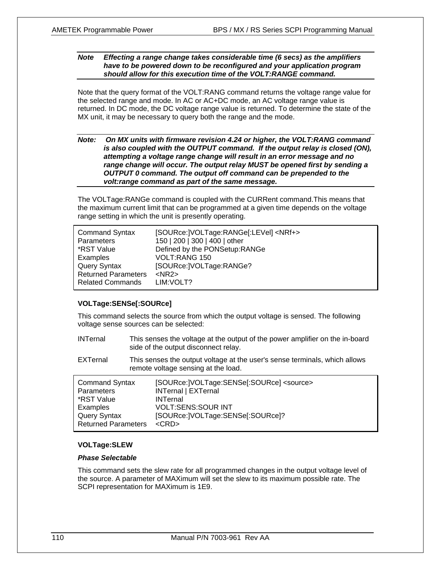#### *Note Effecting a range change takes considerable time (6 secs) as the amplifiers have to be powered down to be reconfigured and your application program should allow for this execution time of the VOLT:RANGE command.*

Note that the query format of the VOLT:RANG command returns the voltage range value for the selected range and mode. In AC or AC+DC mode, an AC voltage range value is returned. In DC mode, the DC voltage range value is returned. To determine the state of the MX unit, it may be necessary to query both the range and the mode.

#### *Note: On MX units with firmware revision 4.24 or higher, the VOLT:RANG command is also coupled with the OUTPUT command. If the output relay is closed (ON), attempting a voltage range change will result in an error message and no range change will occur. The output relay MUST be opened first by sending a OUTPUT 0 command. The output off command can be prepended to the volt:range command as part of the same message.*

The VOLTage:RANGe command is coupled with the CURRent command.This means that the maximum current limit that can be programmed at a given time depends on the voltage range setting in which the unit is presently operating.

| <b>Command Syntax</b>      | [SOURce:   VOLTage: RANGe[: LEVel] < NRf+> |
|----------------------------|--------------------------------------------|
| <b>Parameters</b>          | 150   200   300   400   other              |
| *RST Value                 | Defined by the PONSetup:RANGe              |
| Examples                   | VOLT:RANG 150                              |
| Query Syntax               | [SOURce:   VOLTage: RANGe?                 |
| <b>Returned Parameters</b> | $<$ NR2 $>$                                |
| <b>Related Commands</b>    | LIM: VOLT?                                 |

## **VOLTage:SENSe[:SOURce]**

This command selects the source from which the output voltage is sensed. The following voltage sense sources can be selected:

| <b>INTernal</b> | This senses the voltage at the output of the power amplifier on the in-board |
|-----------------|------------------------------------------------------------------------------|
|                 | side of the output disconnect relay.                                         |

EXTernal This senses the output voltage at the user's sense terminals, which allows remote voltage sensing at the load.

| <b>Command Syntax</b>      | [SOURce:   VOLTage: SENSe[: SOURce] <source/> |
|----------------------------|-----------------------------------------------|
| Parameters                 | <b>INTernal   EXTernal</b>                    |
| *RST Value                 | <b>INTernal</b>                               |
| Examples                   | <b>VOLT:SENS:SOUR INT</b>                     |
| Query Syntax               | [SOURce:   VOLTage: SENSe[: SOURce]?          |
| <b>Returned Parameters</b> | $\langle$ CRD $>$                             |

## **VOLTage:SLEW**

#### *Phase Selectable*

This command sets the slew rate for all programmed changes in the output voltage level of the source. A parameter of MAXimum will set the slew to its maximum possible rate. The SCPI representation for MAXimum is 1E9.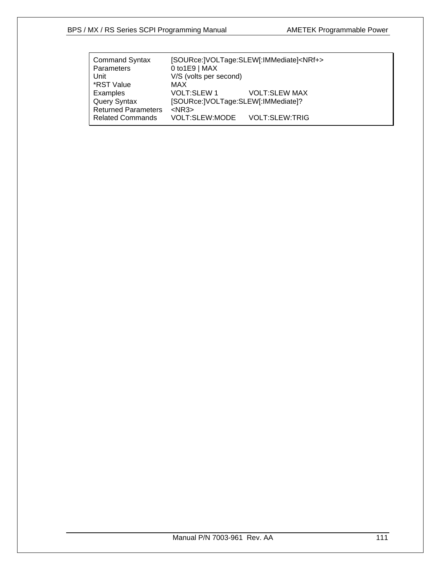|                    | [SOURce:]VOLTage:SLEW[:IMMediate] <nrf+></nrf+>              |  |
|--------------------|--------------------------------------------------------------|--|
| $0$ to 1E9   MAX   |                                                              |  |
|                    |                                                              |  |
| MAX                |                                                              |  |
| <b>VOLT:SLEW 1</b> | <b>VOLT:SLEW MAX</b>                                         |  |
|                    |                                                              |  |
| $<$ NR3 $>$        |                                                              |  |
| VOLT:SLEW:MODE     | <b>VOLT:SLEW:TRIG</b>                                        |  |
|                    | V/S (volts per second)<br>[SOURce:]VOLTage:SLEW[:IMMediate]? |  |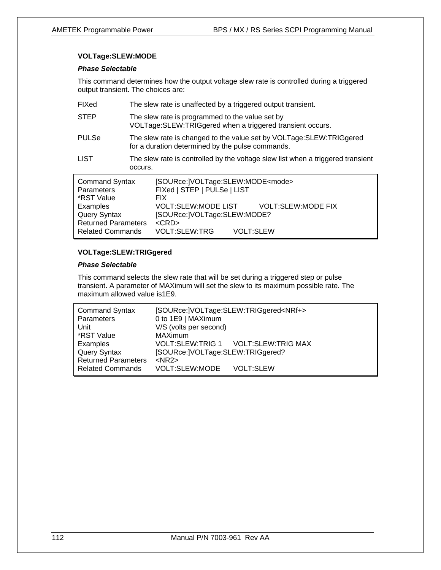## **VOLTage:SLEW:MODE**

## *Phase Selectable*

This command determines how the output voltage slew rate is controlled during a triggered output transient. The choices are:

| FIXed                                                                                                              | The slew rate is unaffected by a triggered output transient.                                                                                                                                                      |  |  |
|--------------------------------------------------------------------------------------------------------------------|-------------------------------------------------------------------------------------------------------------------------------------------------------------------------------------------------------------------|--|--|
| <b>STEP</b>                                                                                                        | The slew rate is programmed to the value set by<br>VOLTage: SLEW: TRIGgered when a triggered transient occurs.                                                                                                    |  |  |
| <b>PULSe</b>                                                                                                       | The slew rate is changed to the value set by VOLTage: SLEW: TRIGgered<br>for a duration determined by the pulse commands.                                                                                         |  |  |
| <b>LIST</b>                                                                                                        | The slew rate is controlled by the voltage slew list when a triggered transient<br>occurs.                                                                                                                        |  |  |
| <b>Command Syntax</b><br>Parameters<br>*RST Value<br>Examples<br><b>Query Syntax</b><br><b>Returned Parameters</b> | [SOURce:]VOLTage:SLEW:MODE <mode><br/>FIXed   STEP   PULSe   LIST<br/>FIX.<br/>VOLT:SLEW:MODE LIST<br/><b>VOLT:SLEW:MODE FIX</b><br/>[SOURce:]VOLTage:SLEW:MODE?<br/><math>&lt;</math>CRD<math>&gt;</math></mode> |  |  |
| <b>Related Commands</b>                                                                                            | <b>VOLT:SLEW:TRG</b><br><b>VOLT:SLEW</b>                                                                                                                                                                          |  |  |

## **VOLTage:SLEW:TRIGgered**

## *Phase Selectable*

This command selects the slew rate that will be set during a triggered step or pulse transient. A parameter of MAXimum will set the slew to its maximum possible rate. The maximum allowed value is1E9.

| <b>Command Syntax</b>      |                                  | [SOURce:]VOLTage:SLEW:TRIGgered <nrf+></nrf+> |  |
|----------------------------|----------------------------------|-----------------------------------------------|--|
| Parameters                 | 0 to 1E9   MAXimum               |                                               |  |
| Unit                       | V/S (volts per second)           |                                               |  |
| *RST Value                 | <b>MAXimum</b>                   |                                               |  |
| Examples                   |                                  | VOLT:SLEW:TRIG 1 VOLT:SLEW:TRIG MAX           |  |
| <b>Query Syntax</b>        | [SOURce:]VOLTage:SLEW:TRIGgered? |                                               |  |
| <b>Returned Parameters</b> | $<$ NR2 $>$                      |                                               |  |
| <b>Related Commands</b>    | VOLT:SLEW:MODE                   | <b>VOLT:SLEW</b>                              |  |
|                            |                                  |                                               |  |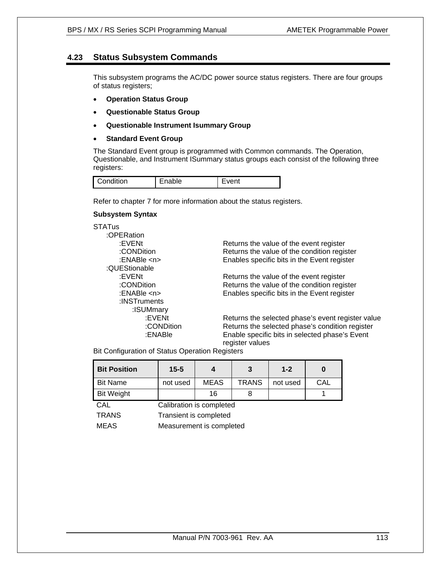## **4.23 Status Subsystem Commands**

This subsystem programs the AC/DC power source status registers. There are four groups of status registers;

- **Operation Status Group**
- **Questionable Status Group**
- **Questionable Instrument Isummary Group**
- **Standard Event Group**

The Standard Event group is programmed with Common commands. The Operation, Questionable, and Instrument ISummary status groups each consist of the following three registers:

| Condition | nable | vent |
|-----------|-------|------|
|-----------|-------|------|

Refer to chapter 7 for more information about the status registers.

#### **Subsystem Syntax**

**STATus** 

 :OPERation :EVENt **Returns** the value of the event register :CONDition Returns the value of the condition register :ENABle <n> Enables specific bits in the Event register :QUEStionable :EVENt<br>CONDition **Returns the value of the event register**:<br>Returns the value of the condition regis Returns the value of the condition register :ENABle <n> Enables specific bits in the Event register :INSTruments :ISUMmary :EVENt Returns the selected phase's event register value :CONDition Returns the selected phase's condition register :ENABle Enable specific bits in selected phase's Event register values

Bit Configuration of Status Operation Registers

| <b>Bit Position</b> | $15 - 5$                 |             |              | $1 - 2$  |     |
|---------------------|--------------------------|-------------|--------------|----------|-----|
| <b>Bit Name</b>     | not used                 | <b>MEAS</b> | <b>TRANS</b> | not used | CAL |
| <b>Bit Weight</b>   |                          | 16          |              |          |     |
| CAL                 | Calibration is completed |             |              |          |     |

TRANS Transient is completed

MEAS Measurement is completed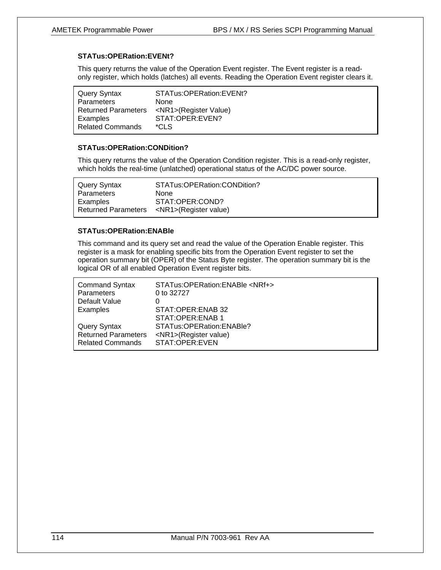## **STATus:OPERation:EVENt?**

This query returns the value of the Operation Event register. The Event register is a readonly register, which holds (latches) all events. Reading the Operation Event register clears it.

| <b>Query Syntax</b>        | STATus:OPERation:EVENt?     |
|----------------------------|-----------------------------|
| Parameters                 | <b>None</b>                 |
| <b>Returned Parameters</b> | <nr1>(Register Value)</nr1> |
| Examples                   | STAT:OPER:EVEN?             |
| <b>Related Commands</b>    | $^{\star}$ CLS              |

## **STATus:OPERation:CONDition?**

This query returns the value of the Operation Condition register. This is a read-only register, which holds the real-time (unlatched) operational status of the AC/DC power source.

| Query Syntax | STATus:OPERation:CONDition?                     |
|--------------|-------------------------------------------------|
| Parameters   | <b>None</b>                                     |
| Examples     | STAT:OPER:COND?                                 |
|              | Returned Parameters <nr1>(Register value)</nr1> |

## **STATus:OPERation:ENABle**

This command and its query set and read the value of the Operation Enable register. This register is a mask for enabling specific bits from the Operation Event register to set the operation summary bit (OPER) of the Status Byte register. The operation summary bit is the logical OR of all enabled Operation Event register bits.

| <b>Command Syntax</b><br>Parameters | STATus: OPERation: ENABle <nrf+><br/>0 to 32727</nrf+> |
|-------------------------------------|--------------------------------------------------------|
| Default Value                       |                                                        |
| Examples                            | STAT:OPER:ENAB 32                                      |
|                                     | STAT:OPER:ENAB 1                                       |
| <b>Query Syntax</b>                 | STATus:OPERation:ENABle?                               |
| <b>Returned Parameters</b>          | <nr1>(Register value)</nr1>                            |
| <b>Related Commands</b>             | STAT:OPER:EVEN                                         |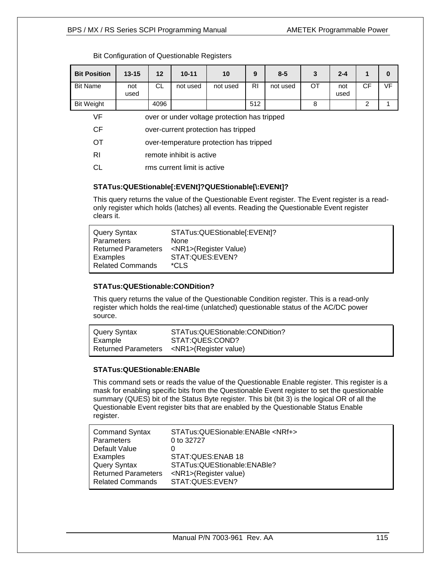## BPS / MX / RS Series SCPI Programming Manual **AMETEK Programmable Power**

| <b>Bit Position</b> | $13 - 15$                                    | $12 \,$ | $10 - 11$ | 10       | 9              | $8 - 5$  | 3  | $2 - 4$     | 1         | 0         |
|---------------------|----------------------------------------------|---------|-----------|----------|----------------|----------|----|-------------|-----------|-----------|
| <b>Bit Name</b>     | not<br>used                                  | CL.     | not used  | not used | R <sub>l</sub> | not used | OT | not<br>used | <b>CF</b> | <b>VF</b> |
| <b>Bit Weight</b>   |                                              | 4096    |           |          | 512            |          | 8  |             | 2         |           |
| VF                  | over or under voltage protection has tripped |         |           |          |                |          |    |             |           |           |
| <b>CF</b>           | over-current protection has tripped          |         |           |          |                |          |    |             |           |           |
| <b>OT</b>           | over-temperature protection has tripped      |         |           |          |                |          |    |             |           |           |
| <b>RI</b>           | remote inhibit is active                     |         |           |          |                |          |    |             |           |           |
| СL                  | rms current limit is active                  |         |           |          |                |          |    |             |           |           |

## Bit Configuration of Questionable Registers

## **STATus:QUEStionable[:EVENt]?QUEStionable[\:EVENt]?**

This query returns the value of the Questionable Event register. The Event register is a readonly register which holds (latches) all events. Reading the Questionable Event register clears it.

| Query Syntax               | STATus:QUEStionable[:EVENt]? |
|----------------------------|------------------------------|
| <b>Parameters</b>          | <b>None</b>                  |
| <b>Returned Parameters</b> | <nr1>(Register Value)</nr1>  |
| Examples                   | STAT:QUES:EVEN?              |
| <b>Related Commands</b>    | *CLS                         |

## **STATus:QUEStionable:CONDition?**

This query returns the value of the Questionable Condition register. This is a read-only register which holds the real-time (unlatched) questionable status of the AC/DC power source.

| Query Syntax | STATus:QUEStionable:CONDition?                  |
|--------------|-------------------------------------------------|
| Example      | STAT:QUES:COND?                                 |
|              | Returned Parameters <nr1>(Register value)</nr1> |

## **STATus:QUEStionable:ENABle**

This command sets or reads the value of the Questionable Enable register. This register is a mask for enabling specific bits from the Questionable Event register to set the questionable summary (QUES) bit of the Status Byte register. This bit (bit 3) is the logical OR of all the Questionable Event register bits that are enabled by the Questionable Status Enable register.

| <b>Command Syntax</b><br>Parameters | STATus:QUESionable:ENABle <nrf+><br/>0 to 32727</nrf+> |
|-------------------------------------|--------------------------------------------------------|
| Default Value                       |                                                        |
| Examples                            | STAT:QUES:ENAB 18                                      |
| <b>Query Syntax</b>                 | STATus:QUEStionable:ENABle?                            |
| <b>Returned Parameters</b>          | <nr1>(Register value)</nr1>                            |
| <b>Related Commands</b>             |                                                        |
|                                     | STAT:QUES:EVEN?                                        |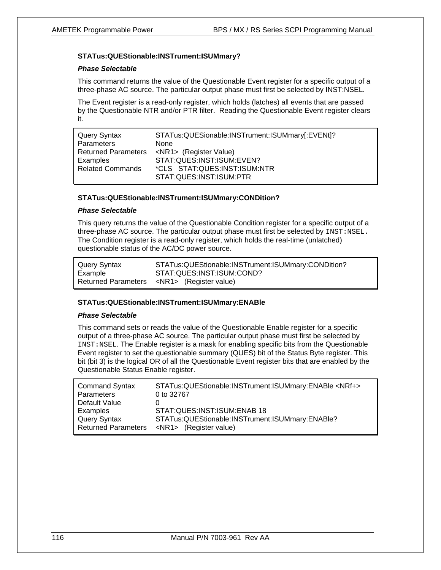#### **STATus:QUEStionable:INSTrument:ISUMmary?**

#### *Phase Selectable*

This command returns the value of the Questionable Event register for a specific output of a three-phase AC source. The particular output phase must first be selected by INST:NSEL.

The Event register is a read-only register, which holds (latches) all events that are passed by the Questionable NTR and/or PTR filter. Reading the Questionable Event register clears it.

| Query Syntax            | STATus:QUESionable:INSTrument:ISUMmary[:EVENt]?  |
|-------------------------|--------------------------------------------------|
| <b>Parameters</b>       | <b>None</b>                                      |
|                         | Returned Parameters <nr1> (Register Value)</nr1> |
| Examples                | STAT:QUES:INST:ISUM:EVEN?                        |
| <b>Related Commands</b> | *CLS STAT:QUES:INST:ISUM:NTR                     |
|                         | STAT:QUES:INST:ISUM:PTR                          |

#### **STATus:QUEStionable:INSTrument:ISUMmary:CONDition?**

#### *Phase Selectable*

This query returns the value of the Questionable Condition register for a specific output of a three-phase AC source. The particular output phase must first be selected by  $INST:NSEL$ . The Condition register is a read-only register, which holds the real-time (unlatched) questionable status of the AC/DC power source.

| Query Syntax | STATus:QUEStionable:INSTrument:ISUMmary:CONDition? |
|--------------|----------------------------------------------------|
| Example      | STAT:QUES:INST:ISUM:COND?                          |
|              | Returned Parameters <nr1> (Register value)</nr1>   |

#### **STATus:QUEStionable:INSTrument:ISUMmary:ENABle**

#### *Phase Selectable*

This command sets or reads the value of the Questionable Enable register for a specific output of a three-phase AC source. The particular output phase must first be selected by INST:NSEL. The Enable register is a mask for enabling specific bits from the Questionable Event register to set the questionable summary (QUES) bit of the Status Byte register. This bit (bit 3) is the logical OR of all the Questionable Event register bits that are enabled by the Questionable Status Enable register.

| <b>Command Syntax</b>      | STATus:QUEStionable:INSTrument:ISUMmary:ENABle <nrf+></nrf+> |
|----------------------------|--------------------------------------------------------------|
| Parameters                 | 0 to 32767                                                   |
| Default Value              |                                                              |
| Examples                   | STAT:QUES:INST:ISUM:ENAB 18                                  |
| Query Syntax               | STATus:QUEStionable:INSTrument:ISUMmary:ENABle?              |
| <b>Returned Parameters</b> | <nr1> (Register value)</nr1>                                 |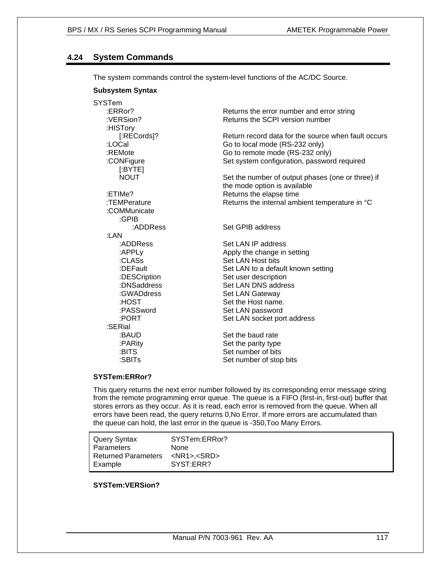## **4.24 System Commands**

The system commands control the system-level functions of the AC/DC Source.

## **Subsystem Syntax**

| <b>SYSTem</b> |                                                     |
|---------------|-----------------------------------------------------|
| :ERRor?       | Returns the error number and error string           |
| :VERSion?     | Returns the SCPI version number                     |
| :HISTory      |                                                     |
| [:RECords]?   | Return record data for the source when fault occurs |
| :LOCal        | Go to local mode (RS-232 only)                      |
| :REMote       | Go to remote mode (RS-232 only)                     |
| :CONFigure    | Set system configuration, password required         |
| $[$ : BYTE]   |                                                     |
| <b>NOUT</b>   | Set the number of output phases (one or three) if   |
|               | the mode option is available                        |
| :ETIMe?       | Returns the elapse time                             |
| :TEMPerature  | Returns the internal ambient temperature in °C      |
| :COMMunicate  |                                                     |
| :GPIB         |                                                     |
| :ADDRess      | Set GPIB address                                    |
| :LAN          |                                                     |
| :ADDRess      | Set LAN IP address                                  |
| :APPLy        | Apply the change in setting                         |
| :CLASs        | Set LAN Host bits                                   |
| :DEFault      | Set LAN to a default known setting                  |
| :DESCription  | Set user description                                |
| :DNSaddress   | Set LAN DNS address                                 |
| :GWADdress    | Set LAN Gateway                                     |
| :HOST         | Set the Host name.                                  |
| :PASSword     | Set LAN password                                    |
| :PORT         | Set LAN socket port address                         |
| :SERial       |                                                     |
| :BAUD         | Set the baud rate                                   |
| :PARity       | Set the parity type                                 |
| :BITS         | Set number of bits                                  |
| :SBITs        | Set number of stop bits                             |
|               |                                                     |

## **SYSTem:ERRor?**

This query returns the next error number followed by its corresponding error message string from the remote programming error queue. The queue is a FIFO (first-in, first-out) buffer that stores errors as they occur. As it is read, each error is removed from the queue. When all errors have been read, the query returns 0,No Error. If more errors are accumulated than the queue can hold, the last error in the queue is -350,Too Many Errors.

Query Syntax SYSTem:ERRor? Parameters None<br>Returned Parameters <NR1>,<SRD> Returned Parameters Example SYST:ERR?

## **SYSTem:VERSion?**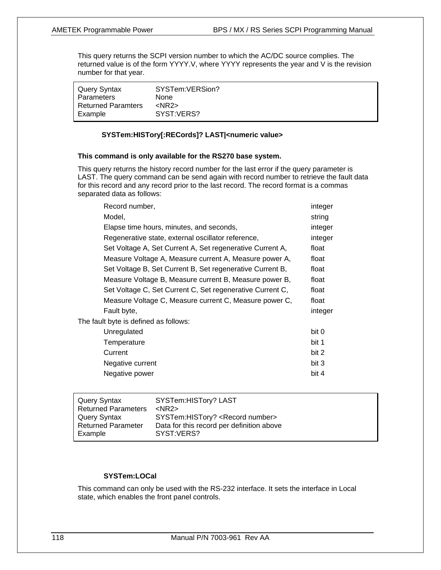This query returns the SCPI version number to which the AC/DC source complies. The returned value is of the form YYYY.V, where YYYY represents the year and V is the revision number for that year.

| Query Syntax              | SYSTem:VERSion? |
|---------------------------|-----------------|
| <b>Parameters</b>         | None            |
| <b>Returned Paramters</b> | $<$ NR2 $>$     |
| Example                   | SYST:VERS?      |

## **SYSTem:HISTory[:RECords]? LAST|<numeric value>**

#### **This command is only available for the RS270 base system.**

This query returns the history record number for the last error if the query parameter is LAST. The query command can be send again with record number to retrieve the fault data for this record and any record prior to the last record. The record format is a commas separated data as follows:

| Record number,                                            | integer |
|-----------------------------------------------------------|---------|
| Model,                                                    | string  |
| Elapse time hours, minutes, and seconds,                  | integer |
| Regenerative state, external oscillator reference,        | integer |
| Set Voltage A, Set Current A, Set regenerative Current A, | float   |
| Measure Voltage A, Measure current A, Measure power A,    | float   |
| Set Voltage B, Set Current B, Set regenerative Current B, | float   |
| Measure Voltage B, Measure current B, Measure power B,    | float   |
| Set Voltage C, Set Current C, Set regenerative Current C, | float   |
| Measure Voltage C, Measure current C, Measure power C,    | float   |
| Fault byte,                                               | integer |
| The fault byte is defined as follows:                     |         |
| Unregulated                                               | bit 0   |
| Temperature                                               | bit 1   |
| Current                                                   | bit 2   |
| Negative current                                          | bit 3   |
| Negative power                                            | bit 4   |

| Query Syntax               | SYSTem: HISTory? LAST                       |
|----------------------------|---------------------------------------------|
| <b>Returned Parameters</b> | $<$ NR2 $>$                                 |
| Query Syntax               | SYSTem:HISTory? <record number=""></record> |
| <b>Returned Parameter</b>  | Data for this record per definition above   |
| Example                    | SYST:VERS?                                  |
|                            |                                             |

## **SYSTem:LOCal**

This command can only be used with the RS-232 interface. It sets the interface in Local state, which enables the front panel controls.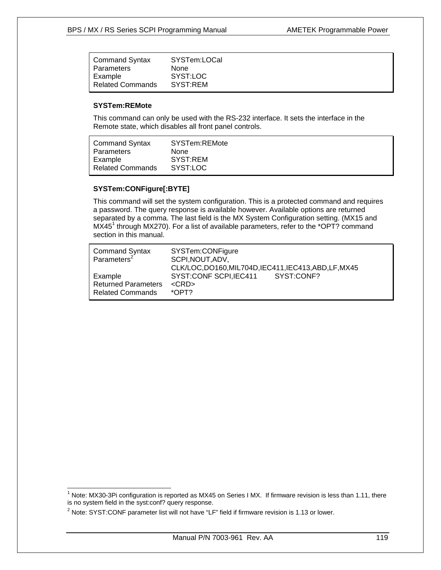| l Command Syntax        | SYSTem:LOCal |
|-------------------------|--------------|
| Parameters              | None         |
| Example                 | SYST:LOC     |
| <b>Related Commands</b> | SYST:REM     |

#### **SYSTem:REMote**

 $\overline{\phantom{a}}$ 

This command can only be used with the RS-232 interface. It sets the interface in the Remote state, which disables all front panel controls.

| l Command Syntax   | SYSTem:REMote |
|--------------------|---------------|
| Parameters         | <b>None</b>   |
| Example            | SYST:REM      |
| l Related Commands | SYST:LOC      |

## **SYSTem:CONFigure[:BYTE]**

This command will set the system configuration. This is a protected command and requires a password. The query response is available however. Available options are returned separated by a comma. The last field is the MX System Configuration setting. (MX15 and MX45<sup>1</sup> through MX270). For a list of available parameters, refer to the \*OPT? command section in this manual.

| <b>Command Syntax</b><br>Parameters <sup>2</sup> | SYSTem:CONFigure<br>SCPI, NOUT, ADV,<br>CLK/LOC,DO160,MIL704D,IEC411,IEC413,ABD,LF,MX45 |
|--------------------------------------------------|-----------------------------------------------------------------------------------------|
| Example                                          | SYST:CONF SCPI, IEC411 SYST:CONF?                                                       |
| <b>Returned Parameters</b>                       | $<$ CRD $>$                                                                             |
| <b>Related Commands</b>                          | $*$ OPT?                                                                                |

 $1$  Note: MX30-3Pi configuration is reported as MX45 on Series I MX. If firmware revision is less than 1.11, there is no system field in the syst:conf? query response.

 $2$  Note: SYST: CONF parameter list will not have "LF" field if firmware revision is 1.13 or lower.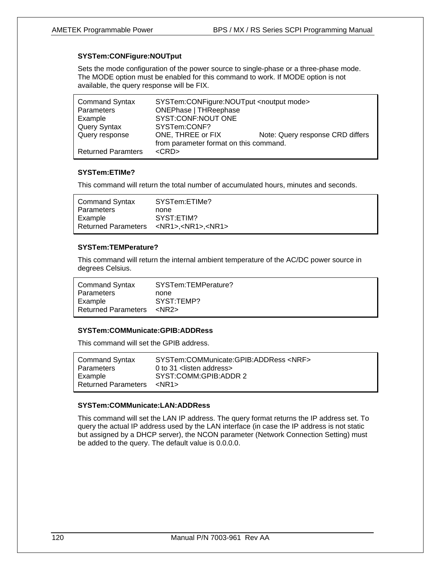## **SYSTem:CONFigure:NOUTput**

Sets the mode configuration of the power source to single-phase or a three-phase mode. The MODE option must be enabled for this command to work. If MODE option is not available, the query response will be FIX.

| <b>Command Syntax</b><br>Parameters | SYSTem:CONFigure:NOUTput <noutput mode=""><br/><b>ONEPhase   THReephase</b></noutput> |                                  |
|-------------------------------------|---------------------------------------------------------------------------------------|----------------------------------|
| Example                             | SYST:CONF:NOUT ONE                                                                    |                                  |
| Query Syntax                        | SYSTem:CONF?                                                                          |                                  |
| Query response                      | ONE, THREE or FIX                                                                     | Note: Query response CRD differs |
|                                     | from parameter format on this command.                                                |                                  |
| <b>Returned Paramters</b>           | $<$ CRD $>$                                                                           |                                  |

## **SYSTem:ETIMe?**

This command will return the total number of accumulated hours, minutes and seconds.

| <b>Command Syntax</b> | SYSTem:ETIMe?                                           |
|-----------------------|---------------------------------------------------------|
| Parameters            | none                                                    |
| Example               | SYST:ETIM?                                              |
|                       | Returned Parameters <nr1>,<nr1>,<nr1></nr1></nr1></nr1> |

## **SYSTem:TEMPerature?**

This command will return the internal ambient temperature of the AC/DC power source in degrees Celsius.

| <b>Command Syntax</b>      | SYSTem:TEMPerature? |
|----------------------------|---------------------|
| Parameters                 | none                |
| Example                    | SYST:TEMP?          |
| <b>Returned Parameters</b> | <nr2></nr2>         |

## **SYSTem:COMMunicate:GPIB:ADDRess**

This command will set the GPIB address.

| <b>Command Syntax</b>      | SYSTem:COMMunicate:GPIB:ADDRess <nrf></nrf> |
|----------------------------|---------------------------------------------|
| Parameters                 | 0 to 31 $\le$ listen address >              |
| Example                    | SYST:COMM:GPIB:ADDR 2                       |
| <b>Returned Parameters</b> | <nr1></nr1>                                 |

#### **SYSTem:COMMunicate:LAN:ADDRess**

This command will set the LAN IP address. The query format returns the IP address set. To query the actual IP address used by the LAN interface (in case the IP address is not static but assigned by a DHCP server), the NCON parameter (Network Connection Setting) must be added to the query. The default value is 0.0.0.0.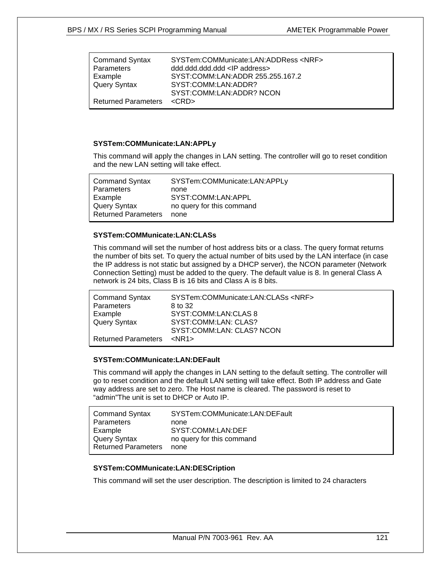| <b>Command Syntax</b>           | SYSTem:COMMunicate:LAN:ADDRess <nrf></nrf> |
|---------------------------------|--------------------------------------------|
| Parameters                      | ddd.ddd.ddd.ddd <lp address=""></lp>       |
| Example                         | SYST:COMM:LAN:ADDR 255.255.167.2           |
| <b>Query Syntax</b>             | SYST:COMM:LAN:ADDR?                        |
|                                 | SYST:COMM:LAN:ADDR? NCON                   |
| Returned Parameters <crd></crd> |                                            |

## **SYSTem:COMMunicate:LAN:APPLy**

This command will apply the changes in LAN setting. The controller will go to reset condition and the new LAN setting will take effect.

| <b>Command Syntax</b>      | SYSTem:COMMunicate:LAN:APPLy |
|----------------------------|------------------------------|
| Parameters                 | none                         |
| Example                    | SYST:COMM:LAN:APPL           |
| Query Syntax               | no query for this command    |
| <b>Returned Parameters</b> | none                         |

## **SYSTem:COMMunicate:LAN:CLASs**

This command will set the number of host address bits or a class. The query format returns the number of bits set. To query the actual number of bits used by the LAN interface (in case the IP address is not static but assigned by a DHCP server), the NCON parameter (Network Connection Setting) must be added to the query. The default value is 8. In general Class A network is 24 bits, Class B is 16 bits and Class A is 8 bits.

| <b>Command Syntax</b>      | SYSTem:COMMunicate:LAN:CLASs <nrf></nrf> |
|----------------------------|------------------------------------------|
| Parameters                 | 8 to 32                                  |
| Example                    | SYST:COMM:LAN:CLAS 8                     |
| <b>Query Syntax</b>        | SYST:COMM:LAN: CLAS?                     |
|                            | SYST:COMM:LAN: CLAS? NCON                |
| <b>Returned Parameters</b> | $<$ NR1 $>$                              |

## **SYSTem:COMMunicate:LAN:DEFault**

This command will apply the changes in LAN setting to the default setting. The controller will go to reset condition and the default LAN setting will take effect. Both IP address and Gate way address are set to zero. The Host name is cleared. The password is reset to "admin"The unit is set to DHCP or Auto IP.

| <b>Command Syntax</b>      | SYSTem:COMMunicate:LAN:DEFault |
|----------------------------|--------------------------------|
| Parameters                 | none                           |
| Example                    | SYST:COMM:LAN:DEF              |
| Query Syntax               | no query for this command      |
| <b>Returned Parameters</b> | none                           |

## **SYSTem:COMMunicate:LAN:DESCription**

This command will set the user description. The description is limited to 24 characters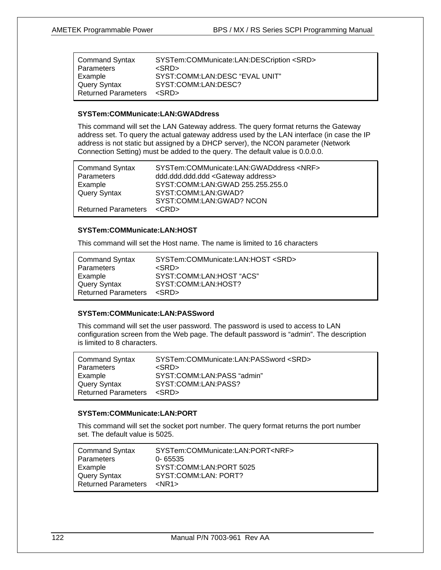| <b>Command Syntax</b>      | SYSTem:COMMunicate:LAN:DESCription <srd></srd> |
|----------------------------|------------------------------------------------|
| Parameters                 | $<$ SRD $>$                                    |
| Example                    | SYST:COMM:LAN:DESC "EVAL UNIT"                 |
| <b>Query Syntax</b>        | SYST:COMM:LAN:DESC?                            |
| <b>Returned Parameters</b> | $<$ SRD $>$                                    |

#### **SYSTem:COMMunicate:LAN:GWADdress**

This command will set the LAN Gateway address. The query format returns the Gateway address set. To query the actual gateway address used by the LAN interface (in case the IP address is not static but assigned by a DHCP server), the NCON parameter (Network Connection Setting) must be added to the query. The default value is 0.0.0.0.

| <b>Command Syntax</b><br><b>Parameters</b> | SYSTem:COMMunicate:LAN:GWADddress <nrf><br/>ddd.ddd.ddd.ddd <gateway address=""></gateway></nrf> |
|--------------------------------------------|--------------------------------------------------------------------------------------------------|
| Example                                    | SYST:COMM:LAN:GWAD 255.255.255.0                                                                 |
| <b>Query Syntax</b>                        | SYST:COMM:LAN:GWAD?                                                                              |
|                                            | SYST:COMM:LAN:GWAD? NCON                                                                         |
| Returned Parameters <crd></crd>            |                                                                                                  |

## **SYSTem:COMMunicate:LAN:HOST**

This command will set the Host name. The name is limited to 16 characters

| <b>Command Syntax</b>      | SYSTem:COMMunicate:LAN:HOST <srd></srd> |
|----------------------------|-----------------------------------------|
| Parameters                 | $<$ SRD $>$                             |
| Example                    | SYST:COMM:LAN:HOST "ACS"                |
| Query Syntax               | SYST:COMM:LAN:HOST?                     |
| <b>Returned Parameters</b> | $<$ SRD $>$                             |

#### **SYSTem:COMMunicate:LAN:PASSword**

This command will set the user password. The password is used to access to LAN configuration screen from the Web page. The default password is "admin". The description is limited to 8 characters.

| <b>Command Syntax</b>      | SYSTem:COMMunicate:LAN:PASSword <srd></srd> |
|----------------------------|---------------------------------------------|
| Parameters                 | $<$ SRD $>$                                 |
| Example                    | SYST:COMM:LAN:PASS "admin"                  |
| <b>Query Syntax</b>        | SYST:COMM:LAN:PASS?                         |
| <b>Returned Parameters</b> | <srd></srd>                                 |
|                            |                                             |

## **SYSTem:COMMunicate:LAN:PORT**

This command will set the socket port number. The query format returns the port number set. The default value is 5025.

| <b>Command Syntax</b>      | SYSTem:COMMunicate:LAN:PORT <nrf></nrf> |
|----------------------------|-----------------------------------------|
| <b>Parameters</b>          | $0 - 65535$                             |
| Example                    | SYST:COMM:LAN:PORT 5025                 |
| Query Syntax               | SYST:COMM:LAN: PORT?                    |
| <b>Returned Parameters</b> | $<$ NR1 $>$                             |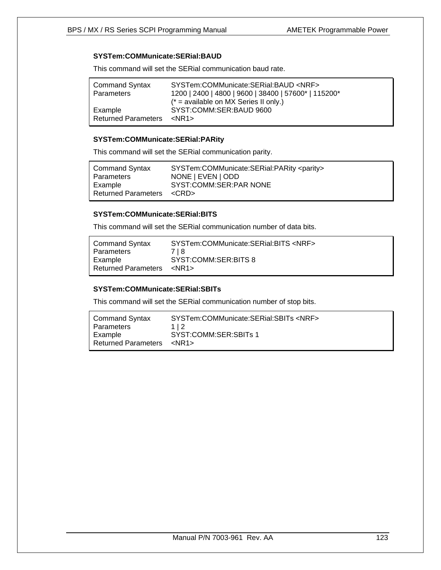## **SYSTem:COMMunicate:SERial:BAUD**

This command will set the SERial communication baud rate.

| <b>Command Syntax</b>                 | SYSTem:COMMunicate:SERial:BAUD <nrf></nrf>                                        |
|---------------------------------------|-----------------------------------------------------------------------------------|
| Parameters                            | 1200   2400   4800   9600   38400   57600*   115200*                              |
| Example<br><b>Returned Parameters</b> | $(* = available on MX Series II only.)$<br>SYST:COMM:SER:BAUD 9600<br><nr1></nr1> |

#### **SYSTem:COMMunicate:SERial:PARity**

This command will set the SERial communication parity.

| <b>Command Syntax</b>      | SYSTem:COMMunicate:SERial:PARity <parity></parity> |
|----------------------------|----------------------------------------------------|
| Parameters                 | NONE   EVEN   ODD                                  |
| Example                    | SYST:COMM:SER:PAR NONE                             |
| <b>Returned Parameters</b> | <crd></crd>                                        |

## **SYSTem:COMMunicate:SERial:BITS**

This command will set the SERial communication number of data bits.

| <b>Command Syntax</b>      | SYSTem:COMMunicate:SERial:BITS <nrf></nrf> |
|----------------------------|--------------------------------------------|
| Parameters                 | 718                                        |
| Example                    | SYST:COMM:SER:BITS 8                       |
| <b>Returned Parameters</b> | kNR1>                                      |

#### **SYSTem:COMMunicate:SERial:SBITs**

This command will set the SERial communication number of stop bits.

| Command Syntax             | SYSTem:COMMunicate:SERial:SBITs <nrf></nrf> |
|----------------------------|---------------------------------------------|
| Parameters                 | 112                                         |
| Example                    | SYST:COMM:SER:SBITs 1                       |
| <b>Returned Parameters</b> | <nr1></nr1>                                 |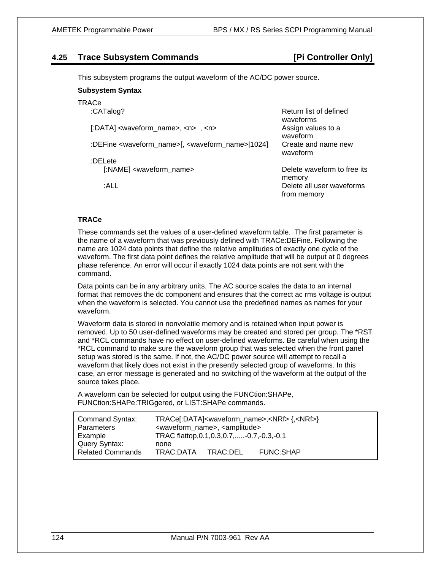## **4.25 Trace Subsystem Commands [Pi Controller Only]**

This subsystem programs the output waveform of the AC/DC power source.

## **Subsystem Syntax**

## **TRACe**

| :CATalog?                                                                       | Return list of defined<br>waveforms      |
|---------------------------------------------------------------------------------|------------------------------------------|
| $[ADATA]$ <waveform_name>, <n>, <n></n></n></waveform_name>                     | Assign values to a<br>waveform           |
| :DEFine <waveform_name>[, <waveform_name>[1024]</waveform_name></waveform_name> | Create and name new<br>waveform          |
| :DELete                                                                         |                                          |
| [:NAME] <waveform_name></waveform_name>                                         | Delete waveform to free its<br>memory    |
| :ALL                                                                            | Delete all user waveforms<br>from memory |

## **TRACe**

These commands set the values of a user-defined waveform table. The first parameter is the name of a waveform that was previously defined with TRACe:DEFine. Following the name are 1024 data points that define the relative amplitudes of exactly one cycle of the waveform. The first data point defines the relative amplitude that will be output at 0 degrees phase reference. An error will occur if exactly 1024 data points are not sent with the command.

Data points can be in any arbitrary units. The AC source scales the data to an internal format that removes the dc component and ensures that the correct ac rms voltage is output when the waveform is selected. You cannot use the predefined names as names for your waveform.

Waveform data is stored in nonvolatile memory and is retained when input power is removed. Up to 50 user-defined waveforms may be created and stored per group. The \*RST and \*RCL commands have no effect on user-defined waveforms. Be careful when using the \*RCL command to make sure the waveform group that was selected when the front panel setup was stored is the same. If not, the AC/DC power source will attempt to recall a waveform that likely does not exist in the presently selected group of waveforms. In this case, an error message is generated and no switching of the waveform at the output of the source takes place.

A waveform can be selected for output using the FUNCtion:SHAPe, FUNCtion:SHAPe:TRIGgered, or LIST:SHAPe commands.

| <b>Command Syntax:</b>  | TRACe[:DATA] <waveform_name>,<nrf>{,<nrf>}</nrf></nrf></waveform_name> |          |                  |  |
|-------------------------|------------------------------------------------------------------------|----------|------------------|--|
| <b>Parameters</b>       | <waveform_name>, <amplitude></amplitude></waveform_name>               |          |                  |  |
| Example                 | TRAC flattop, 0.1, 0.3, 0.7,  - 0.7, - 0.3, - 0.1                      |          |                  |  |
| Query Syntax:           | none                                                                   |          |                  |  |
| <b>Related Commands</b> | TRAC:DATA                                                              | TRAC:DEL | <b>FUNC:SHAP</b> |  |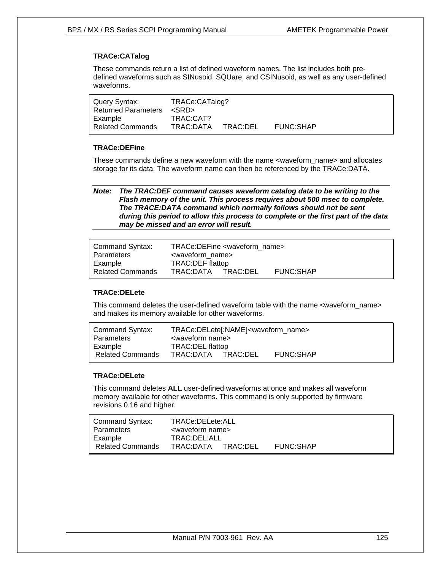## **TRACe:CATalog**

These commands return a list of defined waveform names. The list includes both predefined waveforms such as SINusoid, SQUare, and CSINusoid, as well as any user-defined waveforms.

| Query Syntax:<br>Returned Parameters <srd></srd> | TRACe:CATalog?     |                  |  |
|--------------------------------------------------|--------------------|------------------|--|
| Example                                          | TRAC:CAT?          |                  |  |
| <b>Related Commands</b>                          | TRAC:DATA TRAC:DEL | <b>FUNC:SHAP</b> |  |

## **TRACe:DEFine**

These commands define a new waveform with the name <waveform\_name> and allocates storage for its data. The waveform name can then be referenced by the TRACe:DATA.

*Note: The TRAC:DEF command causes waveform catalog data to be writing to the Flash memory of the unit. This process requires about 500 msec to complete. The TRACE:DATA command which normally follows should not be sent during this period to allow this process to complete or the first part of the data may be missed and an error will result.* 

| Command Syntax:<br>Parameters | TRACe:DEFine <waveform_name><br/><waveform name=""></waveform></waveform_name> |  |                  |  |
|-------------------------------|--------------------------------------------------------------------------------|--|------------------|--|
| Example                       | TRAC:DEF flattop                                                               |  |                  |  |
| <b>Related Commands</b>       | TRAC:DATA TRAC:DEL                                                             |  | <b>FUNC:SHAP</b> |  |

## **TRACe:DELete**

This command deletes the user-defined waveform table with the name <waveform\_name> and makes its memory available for other waveforms.

| Command Syntax:<br>Parameters | TRACe:DELete[:NAME] <waveform_name><br/><waveform name=""></waveform></waveform_name> |          |                  |  |
|-------------------------------|---------------------------------------------------------------------------------------|----------|------------------|--|
| Example                       | TRAC: DEL flattop                                                                     |          |                  |  |
| <b>Related Commands</b>       | TRAC:DATA                                                                             | TRAC:DEL | <b>FUNC:SHAP</b> |  |

## **TRACe:DELete**

This command deletes **ALL** user-defined waveforms at once and makes all waveform memory available for other waveforms. This command is only supported by firmware revisions 0.16 and higher.

| Command Syntax:<br>Parameters | TRACe:DELete:ALL<br><waveform name=""></waveform> |                  |
|-------------------------------|---------------------------------------------------|------------------|
| Example                       | TRAC:DEL:ALL                                      |                  |
| <b>Related Commands</b>       | TRAC:DATA TRAC:DEL                                | <b>FUNC:SHAP</b> |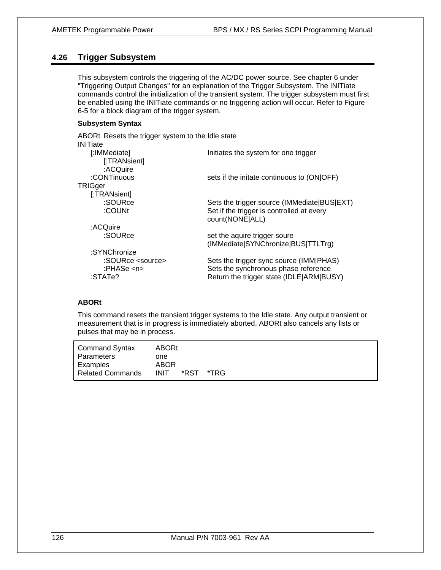# **4.26 Trigger Subsystem**

This subsystem controls the triggering of the AC/DC power source. See chapter 6 under "Triggering Output Changes" for an explanation of the Trigger Subsystem. The INITiate commands control the initialization of the transient system. The trigger subsystem must first be enabled using the INITiate commands or no triggering action will occur. Refer to Figure 6-5 for a block diagram of the trigger system.

## **Subsystem Syntax**

| ABORt Resets the trigger system to the Idle state |                                                                                 |
|---------------------------------------------------|---------------------------------------------------------------------------------|
| <b>INITiate</b>                                   |                                                                                 |
| [:IMMediate]                                      | Initiates the system for one trigger                                            |
| [:TRANsient]                                      |                                                                                 |
| :ACQuire                                          |                                                                                 |
| :CONTinuous                                       | sets if the initate continuous to (ON OFF)                                      |
| TRIGger                                           |                                                                                 |
| [:TRANsient]                                      |                                                                                 |
| :SOURce                                           | Sets the trigger source (IMMediate BUS EXT)                                     |
| :COUNt                                            | Set if the trigger is controlled at every<br>count(NONE ALL)                    |
| :ACQuire                                          |                                                                                 |
| :SOURce                                           | set the aquire trigger soure                                                    |
|                                                   | (IMMediate SYNChronize BUS TTLTrg)                                              |
| :SYNChronize                                      |                                                                                 |
| :SOURce <source/><br>:PHASe <n></n>               | Sets the trigger sync source (IMM PHAS)<br>Sets the synchronous phase reference |
| :STATe?                                           | Return the trigger state (IDLE ARM BUSY)                                        |
|                                                   |                                                                                 |

## **ABORt**

This command resets the transient trigger systems to the Idle state. Any output transient or measurement that is in progress is immediately aborted. ABORt also cancels any lists or pulses that may be in process.

| <b>Command Syntax</b><br>Parameters | <b>ABORt</b><br>one        |      |      |  |  |  |
|-------------------------------------|----------------------------|------|------|--|--|--|
| Examples<br><b>Related Commands</b> | <b>ABOR</b><br><b>INIT</b> | *RST | *TRG |  |  |  |
|                                     |                            |      |      |  |  |  |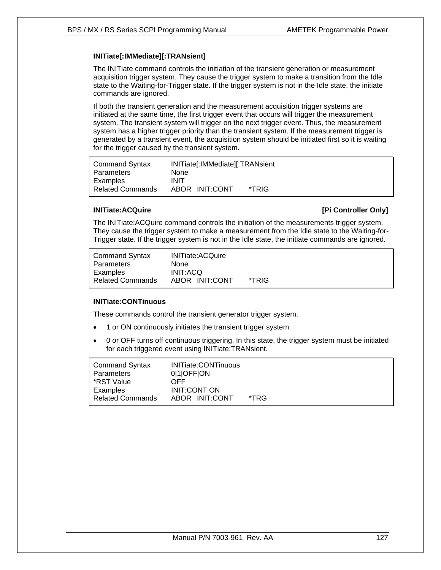## **INITiate[:IMMediate][:TRANsient]**

The INITiate command controls the initiation of the transient generation or measurement acquisition trigger system. They cause the trigger system to make a transition from the Idle state to the Waiting-for-Trigger state. If the trigger system is not in the Idle state, the initiate commands are ignored.

If both the transient generation and the measurement acquisition trigger systems are initiated at the same time, the first trigger event that occurs will trigger the measurement system. The transient system will trigger on the next trigger event. Thus, the measurement system has a higher trigger priority than the transient system. If the measurement trigger is generated by a transient event, the acquisition system should be initiated first so it is waiting for the trigger caused by the transient system.

| Command Syntax          | INITiate[:IMMediate][:TRANsient |       |
|-------------------------|---------------------------------|-------|
| l Parameters            | None                            |       |
| Examples                | <b>INIT</b>                     |       |
| <b>Related Commands</b> | ABOR INIT:CONT                  | *TRIG |

## **INITiate:ACQuire INITIATE: INITIATE: INITIATE: IPI Controller Only**

The INITiate:ACQuire command controls the initiation of the measurements trigger system. They cause the trigger system to make a measurement from the Idle state to the Waiting-for-Trigger state. If the trigger system is not in the Idle state, the initiate commands are ignored.

| <b>Command Syntax</b>   | <b>INITiate:ACQuire</b> |       |
|-------------------------|-------------------------|-------|
| Parameters              | <b>None</b>             |       |
| Examples                | <b>INIT:ACO</b>         |       |
| <b>Related Commands</b> | ABOR INIT:CONT          | *TRIG |

## **INITiate:CONTinuous**

These commands control the transient generator trigger system.

- 1 or ON continuously initiates the transient trigger system.
- 0 or OFF turns off continuous triggering. In this state, the trigger system must be initiated for each triggered event using INITiate:TRANsient.

| <b>Command Syntax</b><br>Parameters | <b>INITiate:CONTinuous</b><br>010FFON |      |  |
|-------------------------------------|---------------------------------------|------|--|
| *RST Value                          | OFF                                   |      |  |
| Examples                            | <b>INIT:CONT ON</b>                   |      |  |
| <b>Related Commands</b>             | ABOR INIT:CONT                        | *TRG |  |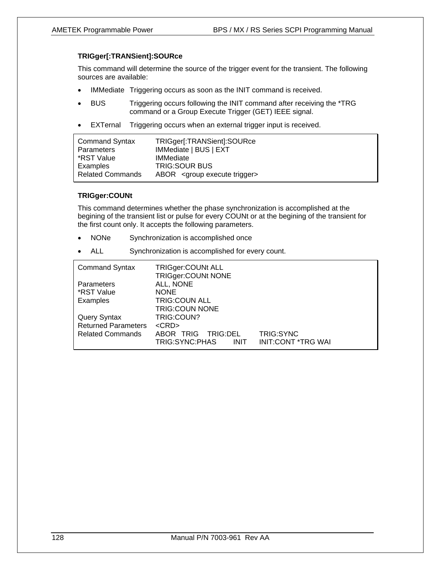### **TRIGger[:TRANSient]:SOURce**

This command will determine the source of the trigger event for the transient. The following sources are available:

- IMMediate Triggering occurs as soon as the INIT command is received.
- BUS Triggering occurs following the INIT command after receiving the \*TRG command or a Group Execute Trigger (GET) IEEE signal.
- EXTernal Triggering occurs when an external trigger input is received.

| <b>Command Syntax</b>   | TRIGger[:TRANSient]:SOURce                 |  |  |
|-------------------------|--------------------------------------------|--|--|
| Parameters              | IMMediate   BUS   EXT                      |  |  |
| *RST Value              | <b>IMMediate</b>                           |  |  |
| Examples                | <b>TRIG:SOUR BUS</b>                       |  |  |
| <b>Related Commands</b> | ABOR <group execute="" trigger=""></group> |  |  |

## **TRIGger:COUNt**

This command determines whether the phase synchronization is accomplished at the begining of the transient list or pulse for every COUNt or at the begining of the transient for the first count only. It accepts the following parameters.

- NONe Synchronization is accomplished once
- ALL Synchronization is accomplished for every count.

| <b>Command Syntax</b>      | <b>TRIGger:COUNt ALL</b><br>TRIGger:COUNt NONE         |                                        |
|----------------------------|--------------------------------------------------------|----------------------------------------|
| <b>Parameters</b>          | ALL, NONE                                              |                                        |
| *RST Value                 | <b>NONE</b>                                            |                                        |
| Examples                   | <b>TRIG:COUN ALL</b>                                   |                                        |
|                            | <b>TRIG:COUN NONE</b>                                  |                                        |
| <b>Query Syntax</b>        | TRIG:COUN?                                             |                                        |
| <b>Returned Parameters</b> | $<$ CRD $>$                                            |                                        |
| <b>Related Commands</b>    | ABOR TRIG<br>TRIG:DEL<br>TRIG:SYNC:PHAS<br><b>INIT</b> | TRIG:SYNC<br><b>INIT:CONT *TRG WAI</b> |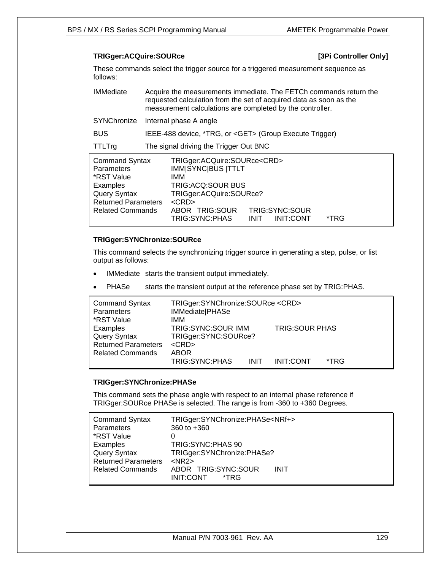## **TRIGger:ACQuire:SOURce [3Pi Controller Only]**

These commands select the trigger source for a triggered measurement sequence as follows:

| <b>IMMediate</b>                                                                                                                              | Acquire the measurements immediate. The FETCh commands return the<br>requested calculation from the set of acquired data as soon as the<br>measurement calculations are completed by the controller.                                                                          |  |  |
|-----------------------------------------------------------------------------------------------------------------------------------------------|-------------------------------------------------------------------------------------------------------------------------------------------------------------------------------------------------------------------------------------------------------------------------------|--|--|
| SYNChronize                                                                                                                                   | Internal phase A angle                                                                                                                                                                                                                                                        |  |  |
| <b>BUS</b>                                                                                                                                    | IEEE-488 device, *TRG, or <get> (Group Execute Trigger)</get>                                                                                                                                                                                                                 |  |  |
| <b>TTLTrg</b>                                                                                                                                 | The signal driving the Trigger Out BNC                                                                                                                                                                                                                                        |  |  |
| <b>Command Syntax</b><br><b>Parameters</b><br>*RST Value<br>Examples<br>Query Syntax<br><b>Returned Parameters</b><br><b>Related Commands</b> | TRIGger:ACQuire:SOURce <crd><br/><b>IMM SYNC BUS  TTLT</b><br/>IMM<br/>TRIG: ACQ: SOUR BUS<br/>TRIGger:ACQuire:SOURce?<br/><math>&lt;</math>CRD<math>&gt;</math><br/>ABOR TRIG:SOUR<br/>TRIG:SYNC:SOUR<br/>TRIG:SYNC:PHAS<br/><b>INIT:CONT</b><br/><b>INIT</b><br/>*TRG</crd> |  |  |

## **TRIGger:SYNChronize:SOURce**

This command selects the synchronizing trigger source in generating a step, pulse, or list output as follows:

- IMMediate starts the transient output immediately.
- PHASe starts the transient output at the reference phase set by TRIG:PHAS.

| <b>Command Syntax</b><br>Parameters<br>*RST Value                                        | TRIGger:SYNChronize:SOURce <crd><br/>IMMediate PHASe<br/>IMM.</crd>             |             |                       |      |
|------------------------------------------------------------------------------------------|---------------------------------------------------------------------------------|-------------|-----------------------|------|
| Examples<br><b>Query Syntax</b><br><b>Returned Parameters</b><br><b>Related Commands</b> | <b>TRIG:SYNC:SOUR IMM</b><br>TRIGger:SYNC:SOURce?<br>$<$ CRD $>$<br><b>ABOR</b> |             | <b>TRIG:SOUR PHAS</b> |      |
|                                                                                          | TRIG:SYNC:PHAS                                                                  | <b>INIT</b> | <b>INIT:CONT</b>      | *TRG |

#### **TRIGger:SYNChronize:PHASe**

This command sets the phase angle with respect to an internal phase reference if TRIGger:SOURce PHASe is selected. The range is from -360 to +360 Degrees.

| <b>Command Syntax</b><br>Parameters<br>*RST Value | TRIGger:SYNChronize:PHASe <nrf+><br/>360 to <math>+360</math><br/>0</nrf+> |
|---------------------------------------------------|----------------------------------------------------------------------------|
| Examples                                          | TRIG: SYNC: PHAS 90                                                        |
| <b>Query Syntax</b>                               | TRIGger:SYNChronize:PHASe?                                                 |
| <b>Returned Parameters</b>                        | $<$ NR2 $>$                                                                |
| <b>Related Commands</b>                           | ABOR TRIG:SYNC:SOUR<br><b>INIT</b><br>INIT:CONT<br>*TRG                    |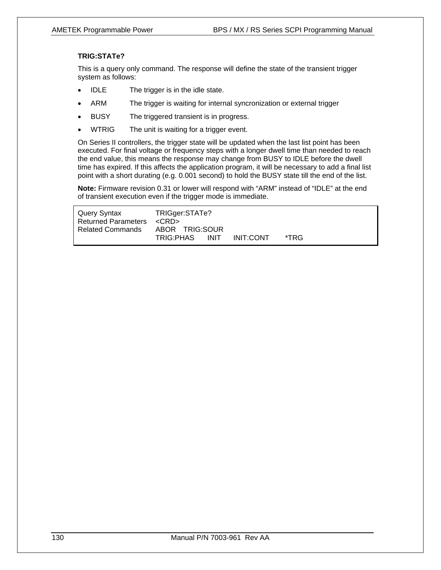## **TRIG:STATe?**

This is a query only command. The response will define the state of the transient trigger system as follows:

- IDLE The trigger is in the idle state.
- ARM The trigger is waiting for internal syncronization or external trigger
- BUSY The triggered transient is in progress.
- WTRIG The unit is waiting for a trigger event.

On Series II controllers, the trigger state will be updated when the last list point has been executed. For final voltage or frequency steps with a longer dwell time than needed to reach the end value, this means the response may change from BUSY to IDLE before the dwell time has expired. If this affects the application program, it will be necessary to add a final list point with a short durating (e.g. 0.001 second) to hold the BUSY state till the end of the list.

**Note:** Firmware revision 0.31 or lower will respond with "ARM" instead of "IDLE" at the end of transient execution even if the trigger mode is immediate.

| Query Syntax                    | TRIGger:STATe?           |                |  |
|---------------------------------|--------------------------|----------------|--|
| Returned Parameters <crd></crd> |                          |                |  |
| Related Commands                | ABOR TRIG:SOUR           |                |  |
|                                 | TRIG:PHAS<br><b>INIT</b> | INIT:CONT *TRG |  |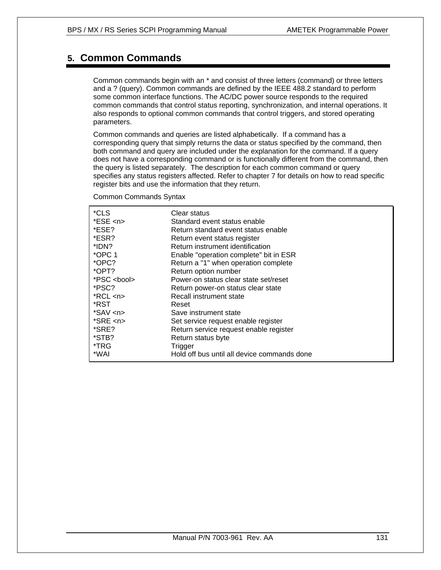# **5. Common Commands**

Common commands begin with an \* and consist of three letters (command) or three letters and a ? (query). Common commands are defined by the IEEE 488.2 standard to perform some common interface functions. The AC/DC power source responds to the required common commands that control status reporting, synchronization, and internal operations. It also responds to optional common commands that control triggers, and stored operating parameters.

Common commands and queries are listed alphabetically. If a command has a corresponding query that simply returns the data or status specified by the command, then both command and query are included under the explanation for the command. If a query does not have a corresponding command or is functionally different from the command, then the query is listed separately. The description for each common command or query specifies any status registers affected. Refer to chapter 7 for details on how to read specific register bits and use the information that they return.

Common Commands Syntax

| *CLS               | Clear status                                |
|--------------------|---------------------------------------------|
| $*ESE$ <n></n>     | Standard event status enable                |
| *ESE?              | Return standard event status enable         |
| *ESR?              | Return event status register                |
| *IDN?              | Return instrument identification            |
| $*$ OPC 1          | Enable "operation complete" bit in ESR      |
| *OPC?              | Return a "1" when operation complete        |
| *OPT?              | Return option number                        |
| *PSC <bool></bool> | Power-on status clear state set/reset       |
| *PSC?              | Return power-on status clear state          |
| $*RCL < n$         | Recall instrument state                     |
| *RST.              | Reset                                       |
| *SAV <n></n>       | Save instrument state                       |
| $*SRE < n$         | Set service request enable register         |
| *SRE?              | Return service request enable register      |
| *STB?              | Return status byte                          |
| *TRG               | Trigger                                     |
| *WAI               | Hold off bus until all device commands done |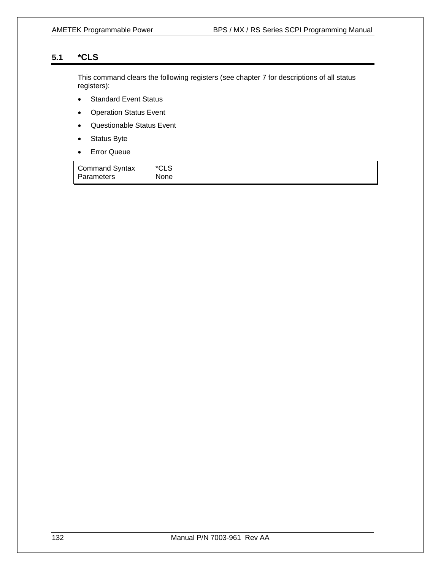# **5.1 \*CLS**

This command clears the following registers (see chapter 7 for descriptions of all status registers):

- Standard Event Status
- Operation Status Event
- Questionable Status Event
- Status Byte
- Error Queue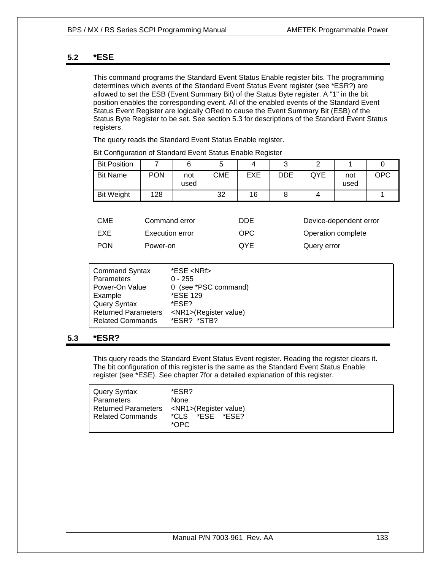## **5.2 \*ESE**

This command programs the Standard Event Status Enable register bits. The programming determines which events of the Standard Event Status Event register (see \*ESR?) are allowed to set the ESB (Event Summary Bit) of the Status Byte register. A "1" in the bit position enables the corresponding event. All of the enabled events of the Standard Event Status Event Register are logically ORed to cause the Event Summary Bit (ESB) of the Status Byte Register to be set. See section 5.3 for descriptions of the Standard Event Status registers.

The query reads the Standard Event Status Enable register.

| <b>Bit Position</b> |            |             |     |     | ັ   |     |             |            |
|---------------------|------------|-------------|-----|-----|-----|-----|-------------|------------|
| <b>Bit Name</b>     | <b>PON</b> | not<br>used | CME | EXE | DDE | QYE | not<br>used | <b>OPC</b> |
| <b>Bit Weight</b>   | 128        |             | 32  | 16  |     |     |             |            |

Bit Configuration of Standard Event Status Enable Register

| CME        | Command error   | DDE        | Device-dependent error |
|------------|-----------------|------------|------------------------|
| EXE        | Execution error | OPC.       | Operation complete     |
| <b>PON</b> | Power-on        | <b>OYE</b> | Query error            |

| <b>Command Syntax</b>      | *ESE <nrf></nrf>            |
|----------------------------|-----------------------------|
| Parameters                 | $0 - 255$                   |
| Power-On Value             | 0 (see *PSC command)        |
| Example                    | *ESE 129                    |
| Query Syntax               | *ESE?                       |
| <b>Returned Parameters</b> | <nr1>(Register value)</nr1> |
| Related Commands           | *ESR? *STB?                 |

## **5.3 \*ESR?**

This query reads the Standard Event Status Event register. Reading the register clears it. The bit configuration of this register is the same as the Standard Event Status Enable register (see \*ESE). See chapter 7for a detailed explanation of this register.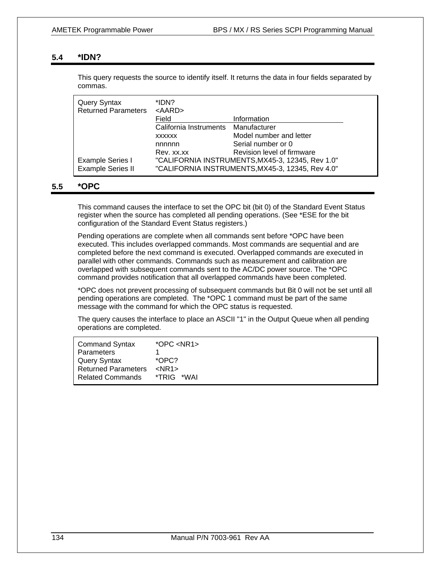## **5.4 \*IDN?**

This query requests the source to identify itself. It returns the data in four fields separated by commas.

| Query Syntax<br><b>Returned Parameters</b>          | *IDN?<br>$<$ AARD $>$  |                                                                                                      |
|-----------------------------------------------------|------------------------|------------------------------------------------------------------------------------------------------|
|                                                     | Field                  | Information                                                                                          |
|                                                     | California Instruments | Manufacturer                                                                                         |
|                                                     | <b>XXXXXX</b>          | Model number and letter                                                                              |
|                                                     | nnnnn                  | Serial number or 0                                                                                   |
|                                                     | Rev. xx.xx             | Revision level of firmware                                                                           |
| <b>Example Series I</b><br><b>Example Series II</b> |                        | "CALIFORNIA INSTRUMENTS, MX45-3, 12345, Rev 1.0"<br>"CALIFORNIA INSTRUMENTS, MX45-3, 12345, Rev 4.0" |

## **5.5 \*OPC**

This command causes the interface to set the OPC bit (bit 0) of the Standard Event Status register when the source has completed all pending operations. (See \*ESE for the bit configuration of the Standard Event Status registers.)

Pending operations are complete when all commands sent before \*OPC have been executed. This includes overlapped commands. Most commands are sequential and are completed before the next command is executed. Overlapped commands are executed in parallel with other commands. Commands such as measurement and calibration are overlapped with subsequent commands sent to the AC/DC power source. The \*OPC command provides notification that all overlapped commands have been completed.

\*OPC does not prevent processing of subsequent commands but Bit 0 will not be set until all pending operations are completed. The \*OPC 1 command must be part of the same message with the command for which the OPC status is requested.

The query causes the interface to place an ASCII "1" in the Output Queue when all pending operations are completed.

| <b>Command Syntax</b>      | $*$ OPC <nr1></nr1> |
|----------------------------|---------------------|
| Parameters                 |                     |
| Query Syntax               | $*OPC?$             |
| <b>Returned Parameters</b> | $<$ NR1 $>$         |
| <b>Related Commands</b>    | *TRIG.<br>*WAI      |
|                            |                     |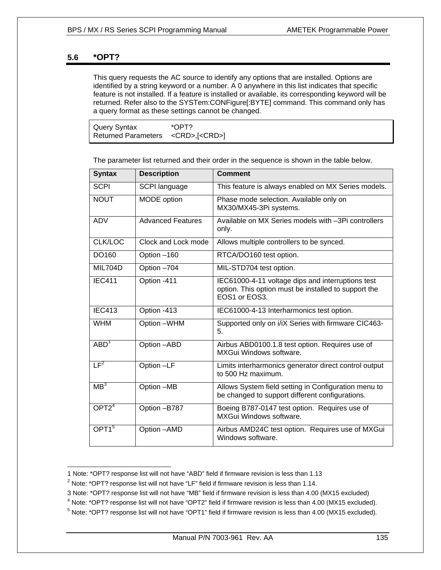## **5.6 \*OPT?**

 $\overline{a}$ 

This query requests the AC source to identify any options that are installed. Options are identified by a string keyword or a number. A 0 anywhere in this list indicates that specific feature is not installed. If a feature is installed or available, its corresponding keyword will be returned. Refer also to the SYSTem:CONFigure[:BYTE] command. This command only has a query format as these settings cannot be changed.

| *OPT?<br>Query Syntax                         |
|-----------------------------------------------|
| Returned Parameters <crd>,[<crd>]</crd></crd> |

The parameter list returned and their order in the sequence is shown in the table below.

| <b>Syntax</b>      | <b>Description</b>       | <b>Comment</b>                                                                                                             |
|--------------------|--------------------------|----------------------------------------------------------------------------------------------------------------------------|
| <b>SCPI</b>        | SCPI language            | This feature is always enabled on MX Series models.                                                                        |
| <b>NOUT</b>        | MODE option              | Phase mode selection. Available only on<br>MX30/MX45-3Pi systems.                                                          |
| <b>ADV</b>         | <b>Advanced Features</b> | Available on MX Series models with -3Pi controllers<br>only.                                                               |
| <b>CLK/LOC</b>     | Clock and Lock mode      | Allows multiple controllers to be synced.                                                                                  |
| DO160              | Option -160              | RTCA/DO160 test option.                                                                                                    |
| <b>MIL704D</b>     | Option -704              | MIL-STD704 test option.                                                                                                    |
| IEC <sub>411</sub> | Option -411              | IEC61000-4-11 voltage dips and interruptions test<br>option. This option must be installed to support the<br>EOS1 or EOS3. |
| <b>IEC413</b>      | Option -413              | IEC61000-4-13 Interharmonics test option.                                                                                  |
| <b>WHM</b>         | Option -WHM              | Supported only on i/iX Series with firmware CIC463-<br>5.                                                                  |
| ABD <sup>1</sup>   | Option -ABD              | Airbus ABD0100.1.8 test option. Requires use of<br>MXGui Windows software.                                                 |
| LF <sup>2</sup>    | Option -LF               | Limits interharmonics generator direct control output<br>to 500 Hz maximum.                                                |
| MB <sup>3</sup>    | Option -MB               | Allows System field setting in Configuration menu to<br>be changed to support different configurations.                    |
| OPT2 <sup>4</sup>  | Option -B787             | Boeing B787-0147 test option. Requires use of<br>MXGui Windows software.                                                   |
| OPT1 <sup>5</sup>  | Option - AMD             | Airbus AMD24C test option. Requires use of MXGui<br>Windows software.                                                      |

<sup>1</sup> Note: \*OPT? response list will not have "ABD" field if firmware revision is less than 1.13<br><sup>2</sup> Note: \*OPT? response list will not have "LE" field if firmware revision is less than 1.14

 $2$  Note: \*OPT? response list will not have "LF" field if firmware revision is less than 1.14.

<sup>3</sup> Note: \*OPT? response list will not have "MB" field if firmware revision is less than 4.00 (MX15 excluded) 4

<sup>&</sup>lt;sup>4</sup> Note: \*OPT? response list will not have "OPT2" field if firmware revision is less than 4.00 (MX15 excluded).

 $5$  Note:  $*$ OPT? response list will not have "OPT1" field if firmware revision is less than 4.00 (MX15 excluded).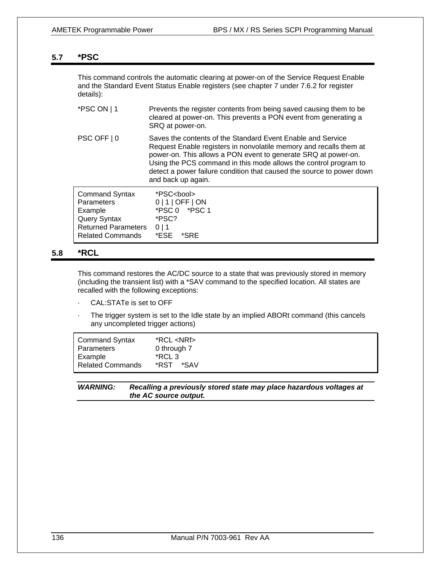## **5.7 \*PSC**

This command controls the automatic clearing at power-on of the Service Request Enable and the Standard Event Status Enable registers (see chapter 7 under 7.6.2 for register details):

| *PSC ON   1                                                                                                                    | Prevents the register contents from being saved causing them to be<br>cleared at power-on. This prevents a PON event from generating a<br>SRQ at power-on.                                                                                                                                                                                                             |
|--------------------------------------------------------------------------------------------------------------------------------|------------------------------------------------------------------------------------------------------------------------------------------------------------------------------------------------------------------------------------------------------------------------------------------------------------------------------------------------------------------------|
| PSC OFF   0                                                                                                                    | Saves the contents of the Standard Event Enable and Service<br>Request Enable registers in nonvolatile memory and recalls them at<br>power-on. This allows a PON event to generate SRQ at power-on.<br>Using the PCS command in this mode allows the control program to<br>detect a power failure condition that caused the source to power down<br>and back up again. |
| <b>Command Syntax</b><br><b>Parameters</b><br>Example<br>Query Syntax<br><b>Returned Parameters</b><br><b>Related Commands</b> | *PSC <bool><br/><math>0 1 </math> OFF <math> </math> ON<br/>*PSC 0 *PSC 1<br/>*PSC?<br/>0 1<br/>*ESE.<br/>*SRE</bool>                                                                                                                                                                                                                                                  |

## **5.8 \*RCL**

This command restores the AC/DC source to a state that was previously stored in memory (including the transient list) with a \*SAV command to the specified location. All states are recalled with the following exceptions:

- CAL: STATe is set to OFF
- The trigger system is set to the Idle state by an implied ABORt command (this cancels any uncompleted trigger actions)

| <b>Command Syntax</b>   | $*RCL < NRF$ |
|-------------------------|--------------|
| Parameters              | 0 through 7  |
| Example                 | *RCL 3       |
| <b>Related Commands</b> | *SAV<br>*RST |

## *WARNING: Recalling a previously stored state may place hazardous voltages at the AC source output.*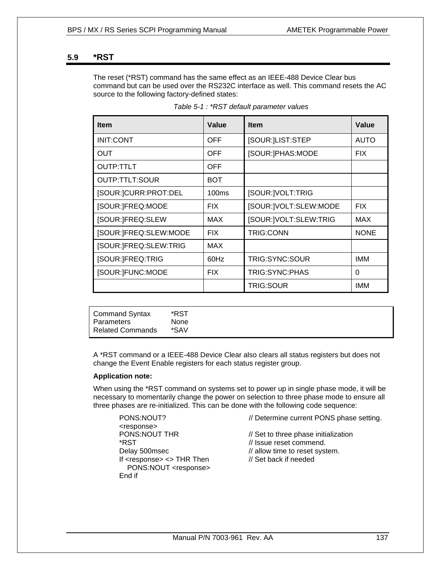## **5.9 \*RST**

The reset (\*RST) command has the same effect as an IEEE-488 Device Clear bus command but can be used over the RS232C interface as well. This command resets the AC source to the following factory-defined states:

| <b>Item</b>           | Value      | <b>Item</b>           | Value       |
|-----------------------|------------|-----------------------|-------------|
| <b>INIT:CONT</b>      | OFF        | [SOUR:]LIST:STEP      | <b>AUTO</b> |
| OUT                   | OFF        | [SOUR:]PHAS:MODE      | <b>FIX</b>  |
| OUTP:TTLT             | OFF        |                       |             |
| OUTP:TTLT:SOUR        | <b>BOT</b> |                       |             |
| [SOUR:]CURR:PROT:DEL  | 100ms      | [SOUR:]VOLT:TRIG      |             |
| [SOUR:]FREQ:MODE      | <b>FIX</b> | [SOUR:]VOLT:SLEW:MODE | <b>FIX</b>  |
| [SOUR:]FREQ:SLEW      | <b>MAX</b> | [SOUR:]VOLT:SLEW:TRIG | <b>MAX</b>  |
| [SOUR:]FREQ:SLEW:MODE | <b>FIX</b> | <b>TRIG:CONN</b>      | <b>NONE</b> |
| [SOUR:]FREQ:SLEW:TRIG | MAX        |                       |             |
| [SOUR:]FREQ:TRIG      | 60Hz       | TRIG:SYNC:SOUR        | <b>IMM</b>  |
| [SOUR:]FUNC:MODE      | <b>FIX</b> | TRIG:SYNC:PHAS        | 0           |
|                       |            | <b>TRIG:SOUR</b>      | IMM         |

| Table 5-1: *RST default parameter values |  |
|------------------------------------------|--|
|------------------------------------------|--|

| <b>Command Syntax</b>   | *RST        |
|-------------------------|-------------|
| Parameters              | <b>None</b> |
| <b>Related Commands</b> | *SAV        |

A \*RST command or a IEEE-488 Device Clear also clears all status registers but does not change the Event Enable registers for each status register group.

#### **Application note:**

When using the \*RST command on systems set to power up in single phase mode, it will be necessary to momentarily change the power on selection to three phase mode to ensure all three phases are re-initialized. This can be done with the following code sequence:

<response> \*RST // Issue reset commend. If <response> <> THR Then // Set back if needed PONS:NOUT <response> End if

PONS:NOUT? // Determine current PONS phase setting.

PONS:NOUT THR // Set to three phase initialization Delay 500msec // allow time to reset system.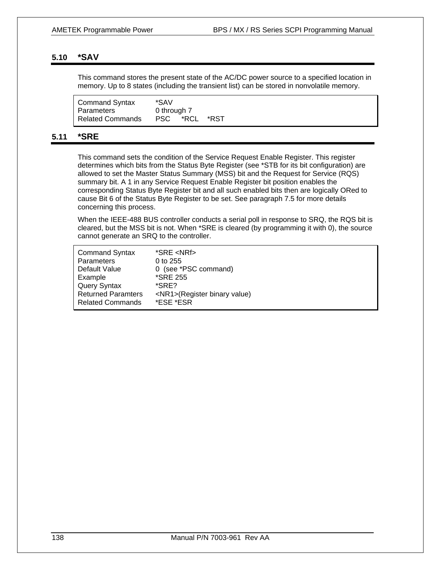## **5.10 \*SAV**

This command stores the present state of the AC/DC power source to a specified location in memory. Up to 8 states (including the transient list) can be stored in nonvolatile memory.

| <b>Command Syntax</b>   | *SAV         |      |
|-------------------------|--------------|------|
| Parameters              | 0 through 7  |      |
| <b>Related Commands</b> | *RCL<br>PSC. | *RST |

## **5.11 \*SRE**

This command sets the condition of the Service Request Enable Register. This register determines which bits from the Status Byte Register (see \*STB for its bit configuration) are allowed to set the Master Status Summary (MSS) bit and the Request for Service (RQS) summary bit. A 1 in any Service Request Enable Register bit position enables the corresponding Status Byte Register bit and all such enabled bits then are logically ORed to cause Bit 6 of the Status Byte Register to be set. See paragraph 7.5 for more details concerning this process.

When the IEEE-488 BUS controller conducts a serial poll in response to SRQ, the RQS bit is cleared, but the MSS bit is not. When \*SRE is cleared (by programming it with 0), the source cannot generate an SRQ to the controller.

| <b>Command Syntax</b>     | *SRE <nrf></nrf>                   |
|---------------------------|------------------------------------|
| Parameters                | 0 to 255                           |
| Default Value             | 0 (see *PSC command)               |
| Example                   | <i><b>*SRE 255</b></i>             |
| <b>Query Syntax</b>       | *SRE?                              |
| <b>Returned Paramters</b> | <nr1>(Register binary value)</nr1> |
| <b>Related Commands</b>   | *ESE *ESR                          |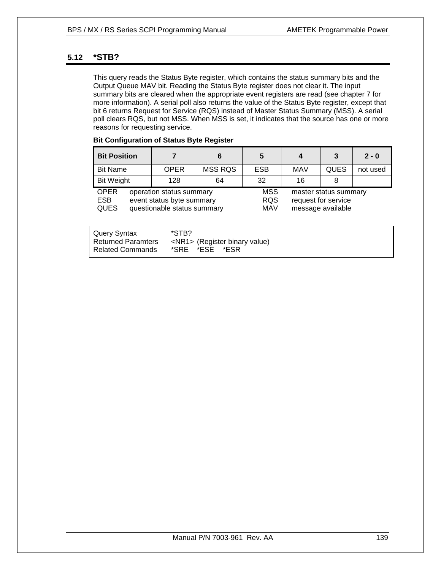## **5.12 \*STB?**

This query reads the Status Byte register, which contains the status summary bits and the Output Queue MAV bit. Reading the Status Byte register does not clear it. The input summary bits are cleared when the appropriate event registers are read (see chapter 7 for more information). A serial poll also returns the value of the Status Byte register, except that bit 6 returns Request for Service (RQS) instead of Master Status Summary (MSS). A serial poll clears RQS, but not MSS. When MSS is set, it indicates that the source has one or more reasons for requesting service.

| <b>Bit Configuration of Status Byte Register</b> |  |  |
|--------------------------------------------------|--|--|
|                                                  |  |  |

| <b>Bit Position</b>                                                                                                              |  |                                        | 6              | 5                                                                 | 4          | 3           | $2 - 0$  |
|----------------------------------------------------------------------------------------------------------------------------------|--|----------------------------------------|----------------|-------------------------------------------------------------------|------------|-------------|----------|
| <b>Bit Name</b>                                                                                                                  |  | <b>OPER</b>                            | <b>MSS RQS</b> | <b>ESB</b>                                                        | <b>MAV</b> | <b>QUES</b> | not used |
| <b>Bit Weight</b>                                                                                                                |  | 128                                    | 64             | 32                                                                | 16         |             |          |
| <b>OPER</b><br>operation status summary<br><b>ESB</b><br>event status byte summary<br><b>QUES</b><br>questionable status summary |  | <b>MSS</b><br><b>RQS</b><br><b>MAV</b> |                | master status summary<br>request for service<br>message available |            |             |          |

| l Query Syntax     | *STB?                               |
|--------------------|-------------------------------------|
| Returned Paramters | <nr1> (Register binary value)</nr1> |
| l Related Commands | *SRE *ESE *ESR                      |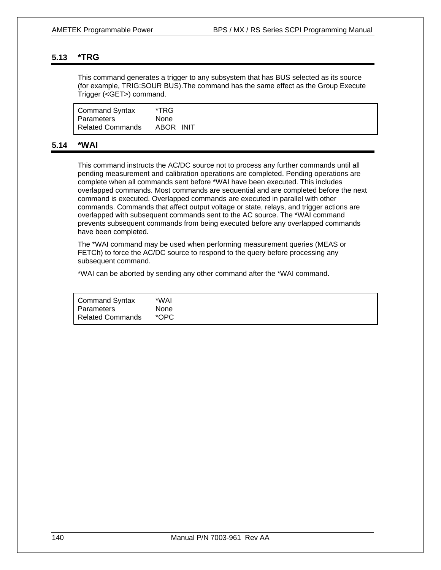## **5.13 \*TRG**

This command generates a trigger to any subsystem that has BUS selected as its source (for example, TRIG:SOUR BUS).The command has the same effect as the Group Execute Trigger (<GET>) command.

| Command Syntax          | *TRG        |  |
|-------------------------|-------------|--|
| Parameters              | <b>None</b> |  |
| <b>Related Commands</b> | ABOR INIT   |  |

## **5.14 \*WAI**

This command instructs the AC/DC source not to process any further commands until all pending measurement and calibration operations are completed. Pending operations are complete when all commands sent before \*WAI have been executed. This includes overlapped commands. Most commands are sequential and are completed before the next command is executed. Overlapped commands are executed in parallel with other commands. Commands that affect output voltage or state, relays, and trigger actions are overlapped with subsequent commands sent to the AC source. The \*WAI command prevents subsequent commands from being executed before any overlapped commands have been completed.

The \*WAI command may be used when performing measurement queries (MEAS or FETCh) to force the AC/DC source to respond to the query before processing any subsequent command.

\*WAI can be aborted by sending any other command after the \*WAI command.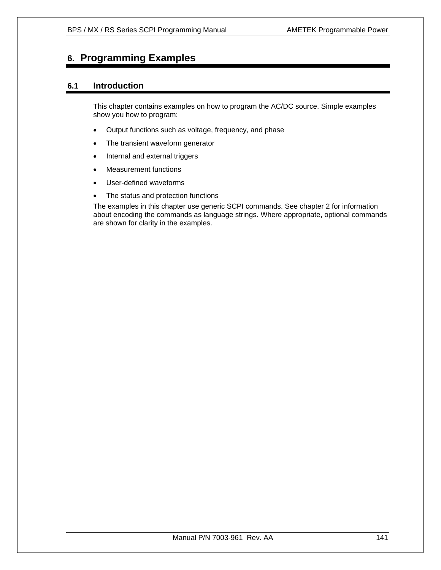# **6. Programming Examples**

## **6.1 Introduction**

This chapter contains examples on how to program the AC/DC source. Simple examples show you how to program:

- Output functions such as voltage, frequency, and phase
- The transient waveform generator
- Internal and external triggers
- Measurement functions
- User-defined waveforms
- The status and protection functions

The examples in this chapter use generic SCPI commands. See chapter 2 for information about encoding the commands as language strings. Where appropriate, optional commands are shown for clarity in the examples.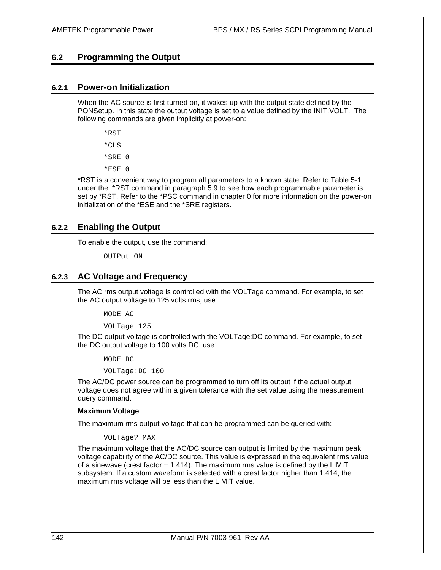## **6.2 Programming the Output**

## **6.2.1 Power-on Initialization**

When the AC source is first turned on, it wakes up with the output state defined by the PONSetup. In this state the output voltage is set to a value defined by the INIT:VOLT. The following commands are given implicitly at power-on:

\*RST

 $*$ CLS

\*SRE 0

\*ESE 0

\*RST is a convenient way to program all parameters to a known state. Refer to Table 5-1 under the \*RST command in paragraph 5.9 to see how each programmable parameter is set by \*RST. Refer to the \*PSC command in chapter 0 for more information on the power-on initialization of the \*ESE and the \*SRE registers.

## **6.2.2 Enabling the Output**

To enable the output, use the command:

OUTPut ON

## **6.2.3 AC Voltage and Frequency**

The AC rms output voltage is controlled with the VOLTage command. For example, to set the AC output voltage to 125 volts rms, use:

MODE AC

VOLTage 125

The DC output voltage is controlled with the VOLTage:DC command. For example, to set the DC output voltage to 100 volts DC, use:

MODE DC

VOLTage:DC 100

The AC/DC power source can be programmed to turn off its output if the actual output voltage does not agree within a given tolerance with the set value using the measurement query command.

#### **Maximum Voltage**

The maximum rms output voltage that can be programmed can be queried with:

#### VOLTage? MAX

The maximum voltage that the AC/DC source can output is limited by the maximum peak voltage capability of the AC/DC source. This value is expressed in the equivalent rms value of a sinewave (crest factor  $= 1.414$ ). The maximum rms value is defined by the LIMIT subsystem. If a custom waveform is selected with a crest factor higher than 1.414, the maximum rms voltage will be less than the LIMIT value.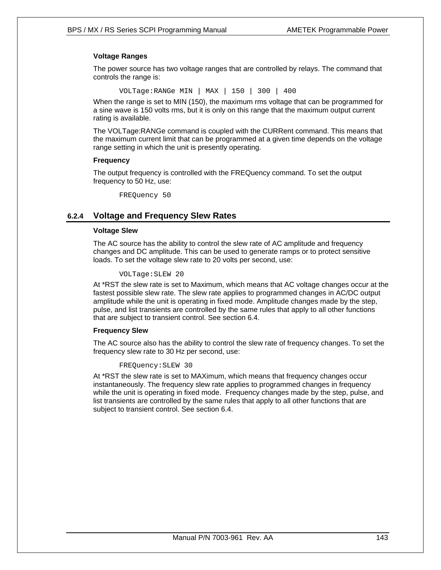## **Voltage Ranges**

The power source has two voltage ranges that are controlled by relays. The command that controls the range is:

VOLTage:RANGe MIN | MAX | 150 | 300 | 400

When the range is set to MIN (150), the maximum rms voltage that can be programmed for a sine wave is 150 volts rms, but it is only on this range that the maximum output current rating is available.

The VOLTage:RANGe command is coupled with the CURRent command. This means that the maximum current limit that can be programmed at a given time depends on the voltage range setting in which the unit is presently operating.

#### **Frequency**

The output frequency is controlled with the FREQuency command. To set the output frequency to 50 Hz, use:

FREQuency 50

## **6.2.4 Voltage and Frequency Slew Rates**

#### **Voltage Slew**

The AC source has the ability to control the slew rate of AC amplitude and frequency changes and DC amplitude. This can be used to generate ramps or to protect sensitive loads. To set the voltage slew rate to 20 volts per second, use:

#### VOLTage:SLEW 20

At \*RST the slew rate is set to Maximum, which means that AC voltage changes occur at the fastest possible slew rate. The slew rate applies to programmed changes in AC/DC output amplitude while the unit is operating in fixed mode. Amplitude changes made by the step, pulse, and list transients are controlled by the same rules that apply to all other functions that are subject to transient control. See section 6.4.

#### **Frequency Slew**

The AC source also has the ability to control the slew rate of frequency changes. To set the frequency slew rate to 30 Hz per second, use:

FREQuency:SLEW 30

At \*RST the slew rate is set to MAXimum, which means that frequency changes occur instantaneously. The frequency slew rate applies to programmed changes in frequency while the unit is operating in fixed mode. Frequency changes made by the step, pulse, and list transients are controlled by the same rules that apply to all other functions that are subject to transient control. See section 6.4.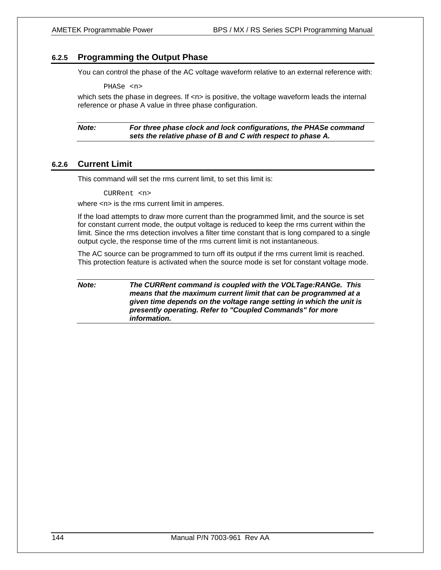## **6.2.5 Programming the Output Phase**

You can control the phase of the AC voltage waveform relative to an external reference with:

PHASe <n>

which sets the phase in degrees. If  $\langle n \rangle$  is positive, the voltage waveform leads the internal reference or phase A value in three phase configuration.

*Note: For three phase clock and lock configurations, the PHASe command sets the relative phase of B and C with respect to phase A.* 

## **6.2.6 Current Limit**

This command will set the rms current limit, to set this limit is:

CURRent <n>

where  $\langle n \rangle$  is the rms current limit in amperes.

If the load attempts to draw more current than the programmed limit, and the source is set for constant current mode, the output voltage is reduced to keep the rms current within the limit. Since the rms detection involves a filter time constant that is long compared to a single output cycle, the response time of the rms current limit is not instantaneous.

The AC source can be programmed to turn off its output if the rms current limit is reached. This protection feature is activated when the source mode is set for constant voltage mode.

*Note: The CURRent command is coupled with the VOLTage:RANGe. This means that the maximum current limit that can be programmed at a given time depends on the voltage range setting in which the unit is presently operating. Refer to "Coupled Commands" for more information.*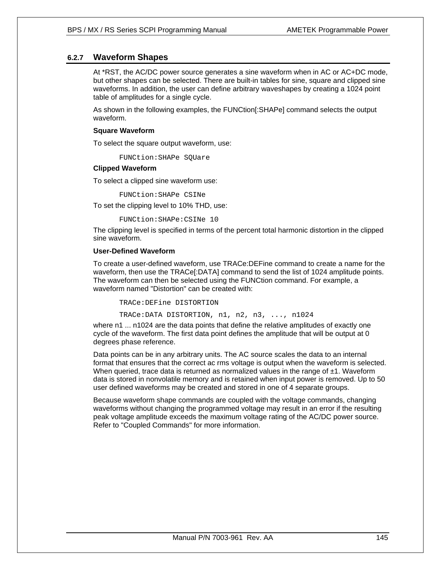# **6.2.7 Waveform Shapes**

At \*RST, the AC/DC power source generates a sine waveform when in AC or AC+DC mode, but other shapes can be selected. There are built-in tables for sine, square and clipped sine waveforms. In addition, the user can define arbitrary waveshapes by creating a 1024 point table of amplitudes for a single cycle.

As shown in the following examples, the FUNCtion[:SHAPe] command selects the output waveform.

## **Square Waveform**

To select the square output waveform, use:

FUNCtion:SHAPe SQUare

#### **Clipped Waveform**

To select a clipped sine waveform use:

FUNCtion:SHAPe CSINe

To set the clipping level to 10% THD, use:

```
FUNCtion:SHAPe:CSINe 10
```
The clipping level is specified in terms of the percent total harmonic distortion in the clipped sine waveform.

## **User-Defined Waveform**

To create a user-defined waveform, use TRACe:DEFine command to create a name for the waveform, then use the TRACe[:DATA] command to send the list of 1024 amplitude points. The waveform can then be selected using the FUNCtion command. For example, a waveform named "Distortion" can be created with:

TRACe:DEFine DISTORTION

TRACe:DATA DISTORTION, n1, n2, n3, ..., n1024

where n1 ... n1024 are the data points that define the relative amplitudes of exactly one cycle of the waveform. The first data point defines the amplitude that will be output at 0 degrees phase reference.

Data points can be in any arbitrary units. The AC source scales the data to an internal format that ensures that the correct ac rms voltage is output when the waveform is selected. When queried, trace data is returned as normalized values in the range of  $\pm 1$ . Waveform data is stored in nonvolatile memory and is retained when input power is removed. Up to 50 user defined waveforms may be created and stored in one of 4 separate groups.

Because waveform shape commands are coupled with the voltage commands, changing waveforms without changing the programmed voltage may result in an error if the resulting peak voltage amplitude exceeds the maximum voltage rating of the AC/DC power source. Refer to "Coupled Commands" for more information.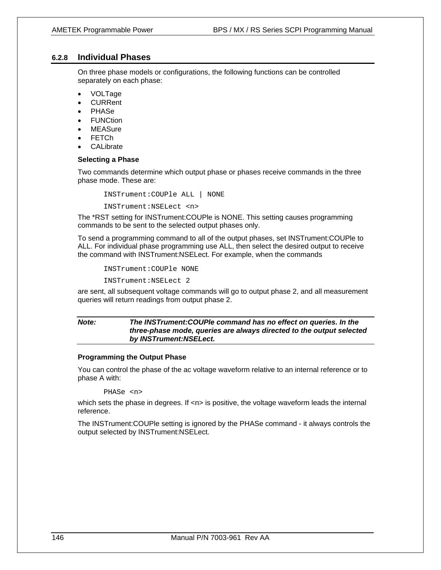# **6.2.8 Individual Phases**

On three phase models or configurations, the following functions can be controlled separately on each phase:

- VOLTage
- CURRent
- PHASe
- **FUNCtion**
- MEASure
- **FETCh**
- **CALibrate**

#### **Selecting a Phase**

Two commands determine which output phase or phases receive commands in the three phase mode. These are:

INSTrument:COUPle ALL | NONE

INSTrument:NSELect <n>

The \*RST setting for INSTrument:COUPle is NONE. This setting causes programming commands to be sent to the selected output phases only.

To send a programming command to all of the output phases, set INSTrument:COUPle to ALL. For individual phase programming use ALL, then select the desired output to receive the command with INSTrument:NSELect. For example, when the commands

INSTrument:COUPle NONE

INSTrument:NSELect 2

are sent, all subsequent voltage commands will go to output phase 2, and all measurement queries will return readings from output phase 2.

## *Note: The INSTrument:COUPle command has no effect on queries. In the three-phase mode, queries are always directed to the output selected by INSTrument:NSELect.*

#### **Programming the Output Phase**

You can control the phase of the ac voltage waveform relative to an internal reference or to phase A with:

#### PHASe <n>

which sets the phase in degrees. If  $\langle n \rangle$  is positive, the voltage waveform leads the internal reference.

The INSTrument:COUPle setting is ignored by the PHASe command - it always controls the output selected by INSTrument:NSELect.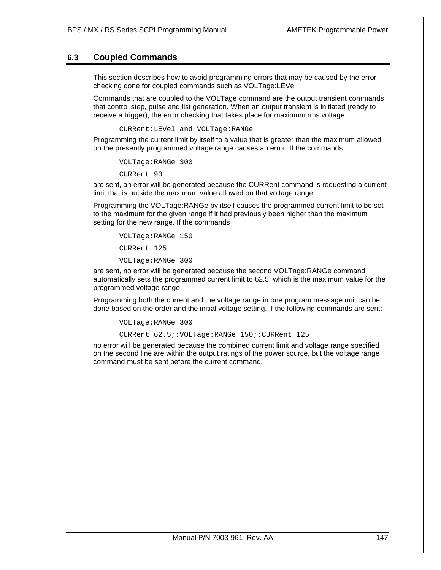# **6.3 Coupled Commands**

This section describes how to avoid programming errors that may be caused by the error checking done for coupled commands such as VOLTage:LEVel.

Commands that are coupled to the VOLTage command are the output transient commands that control step, pulse and list generation. When an output transient is initiated (ready to receive a trigger), the error checking that takes place for maximum rms voltage.

CURRent:LEVel and VOLTage:RANGe

Programming the current limit by itself to a value that is greater than the maximum allowed on the presently programmed voltage range causes an error. If the commands

VOLTage:RANGe 300

CURRent 90

are sent, an error will be generated because the CURRent command is requesting a current limit that is outside the maximum value allowed on that voltage range.

Programming the VOLTage:RANGe by itself causes the programmed current limit to be set to the maximum for the given range if it had previously been higher than the maximum setting for the new range. If the commands

```
VOLTage:RANGe 150 
CURRent 125 
VOLTage:RANGe 300
```
are sent, no error will be generated because the second VOLTage:RANGe command automatically sets the programmed current limit to 62.5, which is the maximum value for the programmed voltage range.

Programming both the current and the voltage range in one program message unit can be done based on the order and the initial voltage setting. If the following commands are sent:

```
VOLTage:RANGe 300 
CURRent 62.5;:VOLTage:RANGe 150;:CURRent 125
```
no error will be generated because the combined current limit and voltage range specified on the second line are within the output ratings of the power source, but the voltage range command must be sent before the current command.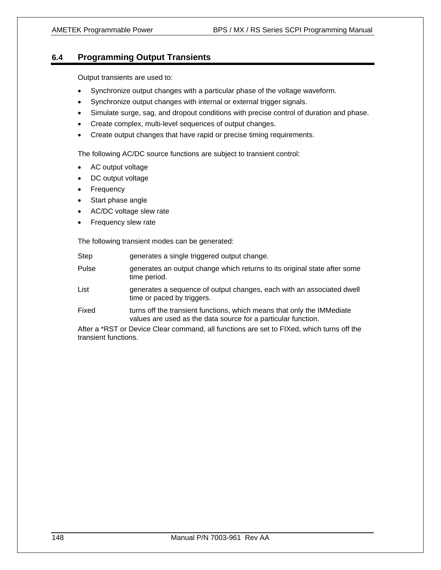# **6.4 Programming Output Transients**

Output transients are used to:

- Synchronize output changes with a particular phase of the voltage waveform.
- Synchronize output changes with internal or external trigger signals.
- Simulate surge, sag, and dropout conditions with precise control of duration and phase.
- Create complex, multi-level sequences of output changes.
- Create output changes that have rapid or precise timing requirements.

The following AC/DC source functions are subject to transient control:

- AC output voltage
- DC output voltage
- Frequency
- Start phase angle
- AC/DC voltage slew rate
- Frequency slew rate

The following transient modes can be generated:

| <b>Step</b>                                                                                                       | generates a single triggered output change.                                                                                             |  |
|-------------------------------------------------------------------------------------------------------------------|-----------------------------------------------------------------------------------------------------------------------------------------|--|
| Pulse                                                                                                             | generates an output change which returns to its original state after some<br>time period.                                               |  |
| List                                                                                                              | generates a sequence of output changes, each with an associated dwell<br>time or paced by triggers.                                     |  |
| Fixed                                                                                                             | turns off the transient functions, which means that only the IMMediate<br>values are used as the data source for a particular function. |  |
| After a *RST or Device Clear command, all functions are set to FIXed, which turns off the<br>transient functions. |                                                                                                                                         |  |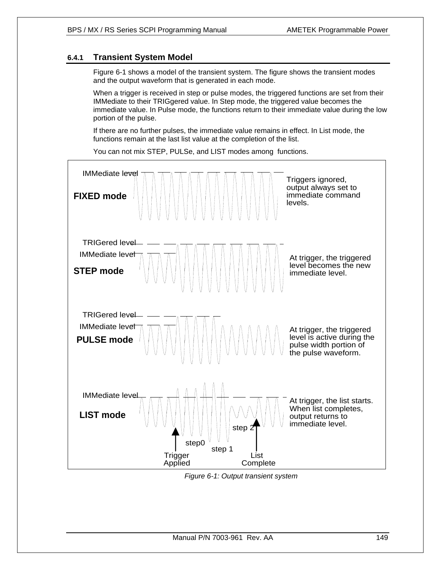# **6.4.1 Transient System Model**

Figure 6-1 shows a model of the transient system. The figure shows the transient modes and the output waveform that is generated in each mode.

When a trigger is received in step or pulse modes, the triggered functions are set from their IMMediate to their TRIGgered value. In Step mode, the triggered value becomes the immediate value. In Pulse mode, the functions return to their immediate value during the low portion of the pulse.

If there are no further pulses, the immediate value remains in effect. In List mode, the functions remain at the last list value at the completion of the list.



You can not mix STEP, PULSe, and LIST modes among functions.

*Figure 6-1: Output transient system*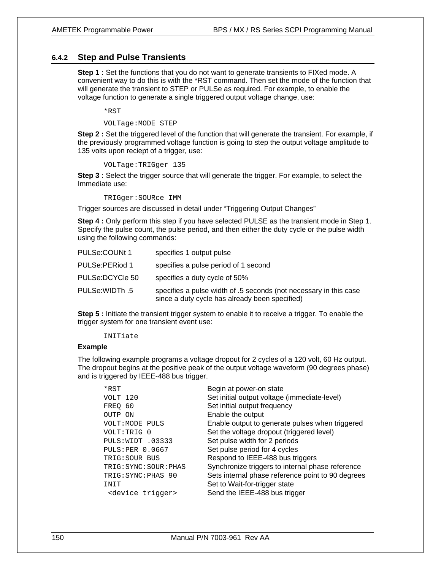## **6.4.2 Step and Pulse Transients**

**Step 1 :** Set the functions that you do not want to generate transients to FIXed mode. A convenient way to do this is with the \*RST command. Then set the mode of the function that will generate the transient to STEP or PULSe as required. For example, to enable the voltage function to generate a single triggered output voltage change, use:

\*RST

VOLTage:MODE STEP

**Step 2 :** Set the triggered level of the function that will generate the transient. For example, if the previously programmed voltage function is going to step the output voltage amplitude to 135 volts upon reciept of a trigger, use:

VOLTage:TRIGger 135

**Step 3 :** Select the trigger source that will generate the trigger. For example, to select the Immediate use:

TRIGger:SOURce IMM

Trigger sources are discussed in detail under "Triggering Output Changes"

**Step 4 :** Only perform this step if you have selected PULSE as the transient mode in Step 1. Specify the pulse count, the pulse period, and then either the duty cycle or the pulse width using the following commands:

| PULSe:COUNt 1   | specifies 1 output pulse                                                                                            |
|-----------------|---------------------------------------------------------------------------------------------------------------------|
| PULSe: PERiod 1 | specifies a pulse period of 1 second                                                                                |
| PULSe:DCYCle 50 | specifies a duty cycle of 50%                                                                                       |
| PULSe: WIDTh .5 | specifies a pulse width of .5 seconds (not necessary in this case<br>since a duty cycle has already been specified) |

**Step 5** : Initiate the transient trigger system to enable it to receive a trigger. To enable the trigger system for one transient event use:

#### INITiate

#### **Example**

The following example programs a voltage dropout for 2 cycles of a 120 volt, 60 Hz output. The dropout begins at the positive peak of the output voltage waveform (90 degrees phase) and is triggered by IEEE-488 bus trigger.

| $*$ RST                      | Begin at power-on state                           |
|------------------------------|---------------------------------------------------|
| VOLT 120                     | Set initial output voltage (immediate-level)      |
| FREO 60                      | Set initial output frequency                      |
| OUTP ON                      | Enable the output                                 |
| VOLT: MODE PULS              | Enable output to generate pulses when triggered   |
| VOLT:TRIG 0                  | Set the voltage dropout (triggered level)         |
| PULS:WIDT .03333             | Set pulse width for 2 periods                     |
| <b>PULS: PER 0.0667</b>      | Set pulse period for 4 cycles                     |
| TRIG: SOUR BUS               | Respond to IEEE-488 bus triggers                  |
| TRIG: SYNC: SOUR: PHAS       | Synchronize triggers to internal phase reference  |
| TRIG: SYNC: PHAS 90          | Sets internal phase reference point to 90 degrees |
| TNTT                         | Set to Wait-for-trigger state                     |
| <device trigger=""></device> | Send the IEEE-488 bus trigger                     |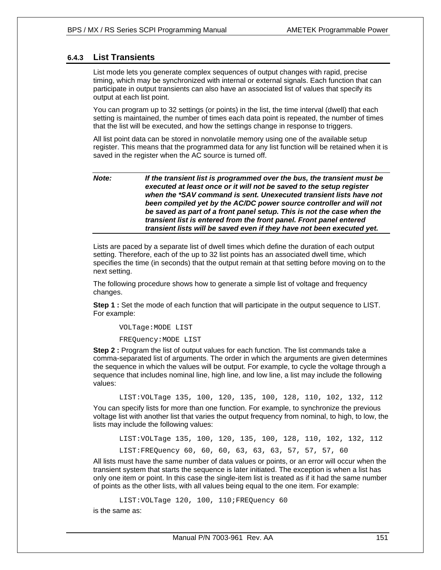# **6.4.3 List Transients**

List mode lets you generate complex sequences of output changes with rapid, precise timing, which may be synchronized with internal or external signals. Each function that can participate in output transients can also have an associated list of values that specify its output at each list point.

You can program up to 32 settings (or points) in the list, the time interval (dwell) that each setting is maintained, the number of times each data point is repeated, the number of times that the list will be executed, and how the settings change in response to triggers.

All list point data can be stored in nonvolatile memory using one of the available setup register. This means that the programmed data for any list function will be retained when it is saved in the register when the AC source is turned off.

## *Note: If the transient list is programmed over the bus, the transient must be executed at least once or it will not be saved to the setup register when the \*SAV command is sent. Unexecuted transient lists have not been compiled yet by the AC/DC power source controller and will not be saved as part of a front panel setup. This is not the case when the transient list is entered from the front panel. Front panel entered transient lists will be saved even if they have not been executed yet.*

Lists are paced by a separate list of dwell times which define the duration of each output setting. Therefore, each of the up to 32 list points has an associated dwell time, which specifies the time (in seconds) that the output remain at that setting before moving on to the next setting.

The following procedure shows how to generate a simple list of voltage and frequency changes.

**Step 1 :** Set the mode of each function that will participate in the output sequence to LIST. For example:

VOLTage:MODE LIST

FREQuency:MODE LIST

**Step 2 :** Program the list of output values for each function. The list commands take a comma-separated list of arguments. The order in which the arguments are given determines the sequence in which the values will be output. For example, to cycle the voltage through a sequence that includes nominal line, high line, and low line, a list may include the following values:

LIST:VOLTage 135, 100, 120, 135, 100, 128, 110, 102, 132, 112

You can specify lists for more than one function. For example, to synchronize the previous voltage list with another list that varies the output frequency from nominal, to high, to low, the lists may include the following values:

LIST:VOLTage 135, 100, 120, 135, 100, 128, 110, 102, 132, 112

LIST:FREQuency 60, 60, 60, 63, 63, 63, 57, 57, 57, 60

All lists must have the same number of data values or points, or an error will occur when the transient system that starts the sequence is later initiated. The exception is when a list has only one item or point. In this case the single-item list is treated as if it had the same number of points as the other lists, with all values being equal to the one item. For example:

LIST:VOLTage 120, 100, 110;FREQuency 60

is the same as: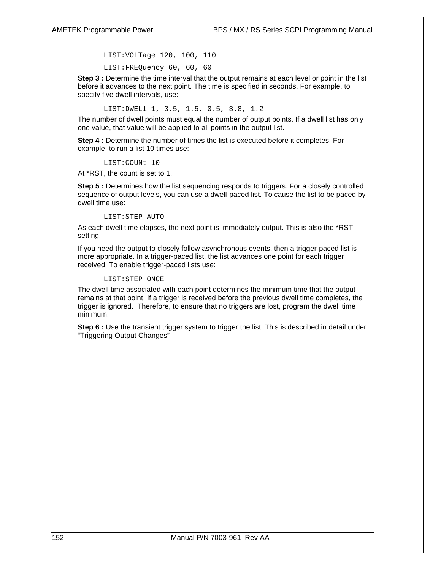LIST:VOLTage 120, 100, 110

LIST:FREQuency 60, 60, 60

**Step 3 :** Determine the time interval that the output remains at each level or point in the list before it advances to the next point. The time is specified in seconds. For example, to specify five dwell intervals, use:

LIST:DWELl 1, 3.5, 1.5, 0.5, 3.8, 1.2

The number of dwell points must equal the number of output points. If a dwell list has only one value, that value will be applied to all points in the output list.

**Step 4 :** Determine the number of times the list is executed before it completes. For example, to run a list 10 times use:

LIST:COUNt 10

At \*RST, the count is set to 1.

**Step 5 :** Determines how the list sequencing responds to triggers. For a closely controlled sequence of output levels, you can use a dwell-paced list. To cause the list to be paced by dwell time use:

#### LIST:STEP AUTO

As each dwell time elapses, the next point is immediately output. This is also the \*RST setting.

If you need the output to closely follow asynchronous events, then a trigger-paced list is more appropriate. In a trigger-paced list, the list advances one point for each trigger received. To enable trigger-paced lists use:

#### LIST:STEP ONCE

The dwell time associated with each point determines the minimum time that the output remains at that point. If a trigger is received before the previous dwell time completes, the trigger is ignored. Therefore, to ensure that no triggers are lost, program the dwell time minimum.

**Step 6 :** Use the transient trigger system to trigger the list. This is described in detail under "Triggering Output Changes"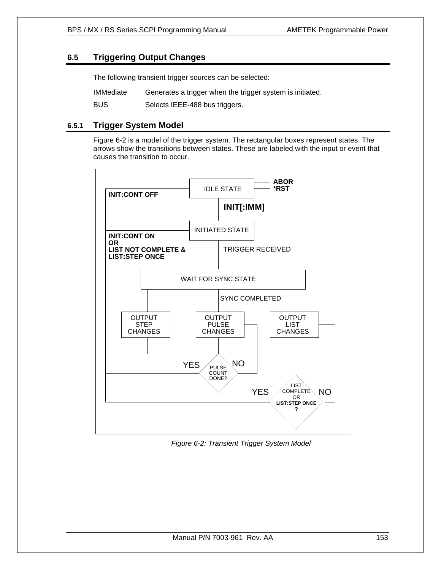# **6.5 Triggering Output Changes**

The following transient trigger sources can be selected:

IMMediate Generates a trigger when the trigger system is initiated.

BUS Selects IEEE-488 bus triggers.

# **6.5.1 Trigger System Model**

Figure 6-2 is a model of the trigger system. The rectangular boxes represent states. The arrows show the transitions between states. These are labeled with the input or event that causes the transition to occur.



*Figure 6-2: Transient Trigger System Model*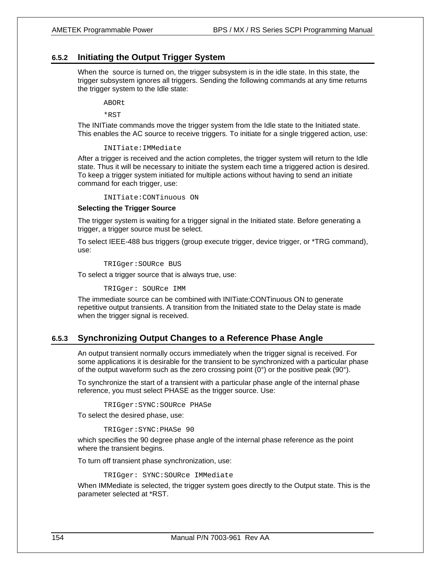# **6.5.2 Initiating the Output Trigger System**

When the source is turned on, the trigger subsystem is in the idle state. In this state, the trigger subsystem ignores all triggers. Sending the following commands at any time returns the trigger system to the Idle state:

ABORt

\*RST

The INITiate commands move the trigger system from the Idle state to the Initiated state. This enables the AC source to receive triggers. To initiate for a single triggered action, use:

#### INITiate:IMMediate

After a trigger is received and the action completes, the trigger system will return to the Idle state. Thus it will be necessary to initiate the system each time a triggered action is desired. To keep a trigger system initiated for multiple actions without having to send an initiate command for each trigger, use:

INITiate:CONTinuous ON

#### **Selecting the Trigger Source**

The trigger system is waiting for a trigger signal in the Initiated state. Before generating a trigger, a trigger source must be select.

To select IEEE-488 bus triggers (group execute trigger, device trigger, or \*TRG command), use:

TRIGger:SOURce BUS

To select a trigger source that is always true, use:

TRIGger: SOURce IMM

The immediate source can be combined with INITiate:CONTinuous ON to generate repetitive output transients. A transition from the Initiated state to the Delay state is made when the trigger signal is received.

# **6.5.3 Synchronizing Output Changes to a Reference Phase Angle**

An output transient normally occurs immediately when the trigger signal is received. For some applications it is desirable for the transient to be synchronized with a particular phase of the output waveform such as the zero crossing point  $(0^{\circ})$  or the positive peak  $(90^{\circ})$ .

To synchronize the start of a transient with a particular phase angle of the internal phase reference, you must select PHASE as the trigger source. Use:

TRIGger:SYNC:SOURce PHASe

To select the desired phase, use:

#### TRIGger:SYNC:PHASe 90

which specifies the 90 degree phase angle of the internal phase reference as the point where the transient begins.

To turn off transient phase synchronization, use:

TRIGger: SYNC:SOURce IMMediate

When IMMediate is selected, the trigger system goes directly to the Output state. This is the parameter selected at \*RST.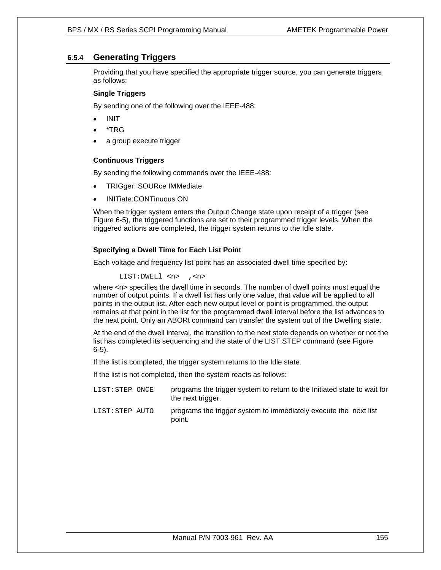# **6.5.4 Generating Triggers**

Providing that you have specified the appropriate trigger source, you can generate triggers as follows:

## **Single Triggers**

By sending one of the following over the IEEE-488:

- INIT
- \*TRG
- a group execute trigger

## **Continuous Triggers**

By sending the following commands over the IEEE-488:

- TRIGger: SOURce IMMediate
- INITiate:CONTinuous ON

When the trigger system enters the Output Change state upon receipt of a trigger (see Figure 6-5), the triggered functions are set to their programmed trigger levels. When the triggered actions are completed, the trigger system returns to the Idle state.

## **Specifying a Dwell Time for Each List Point**

Each voltage and frequency list point has an associated dwell time specified by:

LIST:DWELl <n> ,<n>

where  $\langle n \rangle$  specifies the dwell time in seconds. The number of dwell points must equal the number of output points. If a dwell list has only one value, that value will be applied to all points in the output list. After each new output level or point is programmed, the output remains at that point in the list for the programmed dwell interval before the list advances to the next point. Only an ABORt command can transfer the system out of the Dwelling state.

At the end of the dwell interval, the transition to the next state depends on whether or not the list has completed its sequencing and the state of the LIST:STEP command (see Figure 6-5).

If the list is completed, the trigger system returns to the Idle state.

If the list is not completed, then the system reacts as follows:

- LIST:STEP ONCE programs the trigger system to return to the Initiated state to wait for the next trigger.
- LIST:STEP AUTO programs the trigger system to immediately execute the next list point.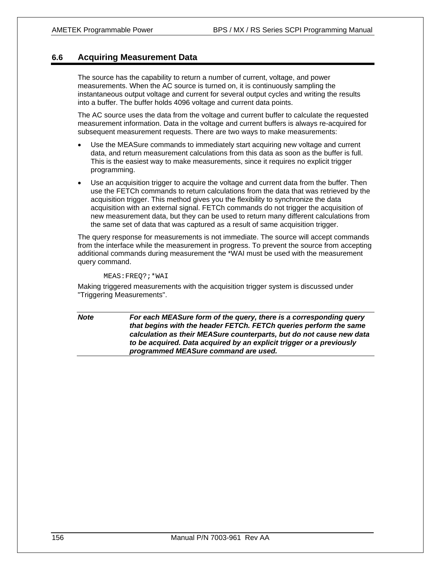# **6.6 Acquiring Measurement Data**

The source has the capability to return a number of current, voltage, and power measurements. When the AC source is turned on, it is continuously sampling the instantaneous output voltage and current for several output cycles and writing the results into a buffer. The buffer holds 4096 voltage and current data points.

The AC source uses the data from the voltage and current buffer to calculate the requested measurement information. Data in the voltage and current buffers is always re-acquired for subsequent measurement requests. There are two ways to make measurements:

- Use the MEASure commands to immediately start acquiring new voltage and current data, and return measurement calculations from this data as soon as the buffer is full. This is the easiest way to make measurements, since it requires no explicit trigger programming.
- Use an acquisition trigger to acquire the voltage and current data from the buffer. Then use the FETCh commands to return calculations from the data that was retrieved by the acquisition trigger. This method gives you the flexibility to synchronize the data acquisition with an external signal. FETCh commands do not trigger the acquisition of new measurement data, but they can be used to return many different calculations from the same set of data that was captured as a result of same acquisition trigger.

The query response for measurements is not immediate. The source will accept commands from the interface while the measurement in progress. To prevent the source from accepting additional commands during measurement the \*WAI must be used with the measurement query command.

#### MEAS:FREQ?;\*WAI

Making triggered measurements with the acquisition trigger system is discussed under "Triggering Measurements".

*Note For each MEASure form of the query, there is a corresponding query that begins with the header FETCh. FETCh queries perform the same calculation as their MEASure counterparts, but do not cause new data to be acquired. Data acquired by an explicit trigger or a previously programmed MEASure command are used.*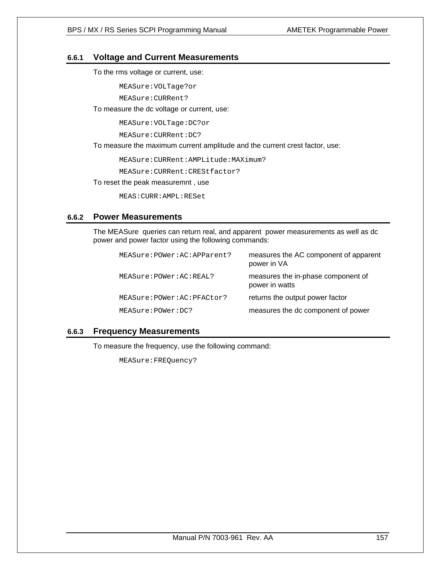# **6.6.1 Voltage and Current Measurements**

To the rms voltage or current, use:

MEASure:VOLTage?or

MEASure:CURRent?

## To measure the dc voltage or current, use:

MEASure:VOLTage:DC?or

MEASure:CURRent:DC?

To measure the maximum current amplitude and the current crest factor, use:

MEASure:CURRent:AMPLitude:MAXimum?

MEASure:CURRent:CREStfactor?

To reset the peak measuremnt , use

MEAS:CURR:AMPL:RESet

# **6.6.2 Power Measurements**

The MEASure queries can return real, and apparent power measurements as well as dc power and power factor using the following commands:

| MEASure: POWer: AC: APParent? | measures the AC component of apparent<br>power in VA |
|-------------------------------|------------------------------------------------------|
| MEASure: POWer: AC: REAL?     | measures the in-phase component of<br>power in watts |
| MEASure: POWer: AC: PFACtor?  | returns the output power factor                      |
| MEASure: POWer: DC?           | measures the dc component of power                   |

# **6.6.3 Frequency Measurements**

To measure the frequency, use the following command:

MEASure:FREQuency?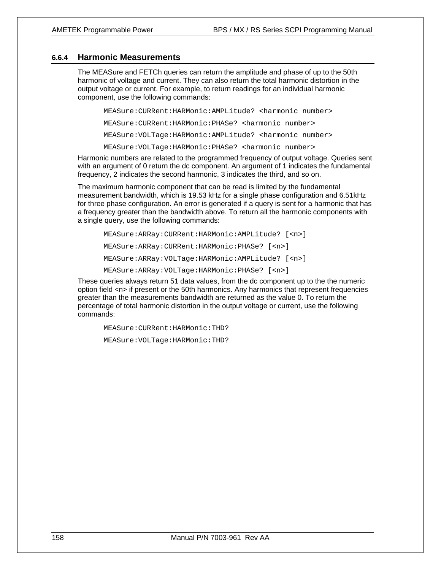## **6.6.4 Harmonic Measurements**

The MEASure and FETCh queries can return the amplitude and phase of up to the 50th harmonic of voltage and current. They can also return the total harmonic distortion in the output voltage or current. For example, to return readings for an individual harmonic component, use the following commands:

MEASure:CURRent:HARMonic:AMPLitude? <harmonic number> MEASure:CURRent:HARMonic:PHASe? <harmonic number> MEASure:VOLTage:HARMonic:AMPLitude? <harmonic number> MEASure:VOLTage:HARMonic:PHASe? <harmonic number>

Harmonic numbers are related to the programmed frequency of output voltage. Queries sent with an argument of 0 return the dc component. An argument of 1 indicates the fundamental frequency, 2 indicates the second harmonic, 3 indicates the third, and so on.

The maximum harmonic component that can be read is limited by the fundamental measurement bandwidth, which is 19.53 kHz for a single phase configuration and 6.51kHz for three phase configuration. An error is generated if a query is sent for a harmonic that has a frequency greater than the bandwidth above. To return all the harmonic components with a single query, use the following commands:

MEASure:ARRay:CURRent:HARMonic:AMPLitude? [<n>] MEASure:ARRay:CURRent:HARMonic:PHASe? [<n>] MEASure:ARRay:VOLTage:HARMonic:AMPLitude? [<n>] MEASure:ARRay:VOLTage:HARMonic:PHASe? [<n>]

These queries always return 51 data values, from the dc component up to the the numeric option field <n> if present or the 50th harmonics. Any harmonics that represent frequencies greater than the measurements bandwidth are returned as the value 0. To return the percentage of total harmonic distortion in the output voltage or current, use the following commands:

MEASure:CURRent:HARMonic:THD?

MEASure:VOLTage:HARMonic:THD?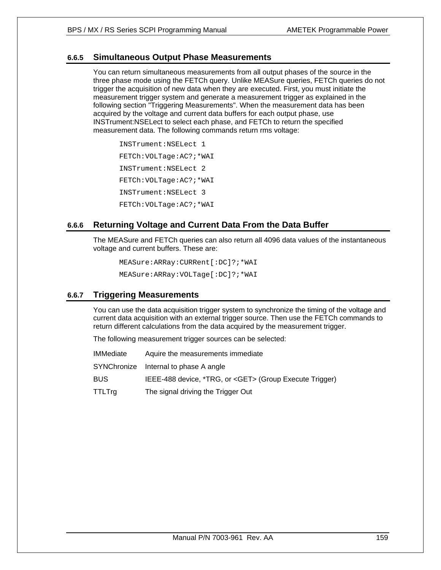# **6.6.5 Simultaneous Output Phase Measurements**

You can return simultaneous measurements from all output phases of the source in the three phase mode using the FETCh query. Unlike MEASure queries, FETCh queries do not trigger the acquisition of new data when they are executed. First, you must initiate the measurement trigger system and generate a measurement trigger as explained in the following section "Triggering Measurements". When the measurement data has been acquired by the voltage and current data buffers for each output phase, use INSTrument:NSELect to select each phase, and FETCh to return the specified measurement data. The following commands return rms voltage:

INSTrument:NSELect 1 FETCh:VOLTage:AC?;\*WAI INSTrument:NSELect 2 FETCh:VOLTage:AC?;\*WAI INSTrument:NSELect 3 FETCh:VOLTage:AC?;\*WAI

# **6.6.6 Returning Voltage and Current Data From the Data Buffer**

The MEASure and FETCh queries can also return all 4096 data values of the instantaneous voltage and current buffers. These are:

MEASure:ARRay:CURRent[:DC]?;\*WAI MEASure:ARRay:VOLTage[:DC]?;\*WAI

# **6.6.7 Triggering Measurements**

You can use the data acquisition trigger system to synchronize the timing of the voltage and current data acquisition with an external trigger source. Then use the FETCh commands to return different calculations from the data acquired by the measurement trigger.

The following measurement trigger sources can be selected:

| IMMediate | Aquire the measurements immediate                             |
|-----------|---------------------------------------------------------------|
|           | SYNChronize Internal to phase A angle                         |
| BUS       | IEEE-488 device, *TRG, or <get> (Group Execute Trigger)</get> |
| TTLTrg    | The signal driving the Trigger Out                            |
|           |                                                               |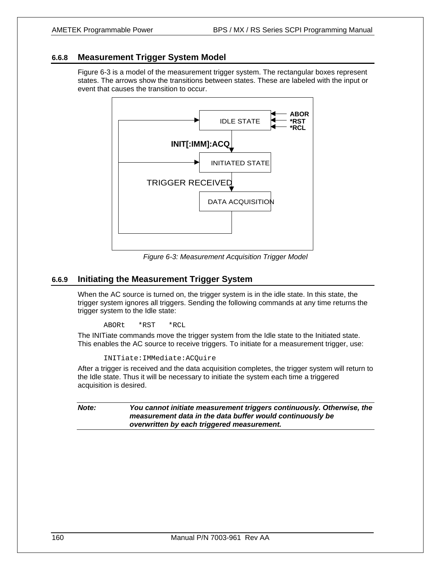# **6.6.8 Measurement Trigger System Model**

Figure 6-3 is a model of the measurement trigger system. The rectangular boxes represent states. The arrows show the transitions between states. These are labeled with the input or event that causes the transition to occur.



*Figure 6-3: Measurement Acquisition Trigger Model* 

# **6.6.9 Initiating the Measurement Trigger System**

When the AC source is turned on, the trigger system is in the idle state. In this state, the trigger system ignores all triggers. Sending the following commands at any time returns the trigger system to the Idle state:

ABORt \*RST \*RCL

The INITiate commands move the trigger system from the Idle state to the Initiated state. This enables the AC source to receive triggers. To initiate for a measurement trigger, use:

```
INITiate:IMMediate:ACQuire
```
After a trigger is received and the data acquisition completes, the trigger system will return to the Idle state. Thus it will be necessary to initiate the system each time a triggered acquisition is desired.

*Note: You cannot initiate measurement triggers continuously. Otherwise, the measurement data in the data buffer would continuously be overwritten by each triggered measurement.*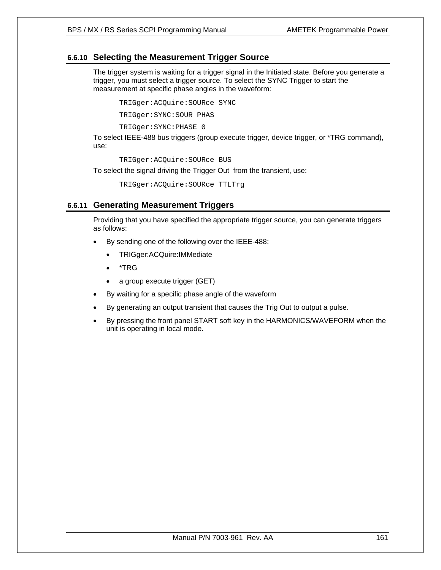# **6.6.10 Selecting the Measurement Trigger Source**

The trigger system is waiting for a trigger signal in the Initiated state. Before you generate a trigger, you must select a trigger source. To select the SYNC Trigger to start the measurement at specific phase angles in the waveform:

TRIGger:ACQuire:SOURce SYNC

TRIGger:SYNC:SOUR PHAS

TRIGger:SYNC:PHASE 0

To select IEEE-488 bus triggers (group execute trigger, device trigger, or \*TRG command), use:

TRIGger:ACQuire:SOURce BUS

To select the signal driving the Trigger Out from the transient, use:

TRIGger:ACQuire:SOURce TTLTrg

# **6.6.11 Generating Measurement Triggers**

Providing that you have specified the appropriate trigger source, you can generate triggers as follows:

- By sending one of the following over the IEEE-488:
	- TRIGger:ACQuire:IMMediate
	- \*TRG
	- a group execute trigger (GET)
- By waiting for a specific phase angle of the waveform
- By generating an output transient that causes the Trig Out to output a pulse.
- By pressing the front panel START soft key in the HARMONICS/WAVEFORM when the unit is operating in local mode.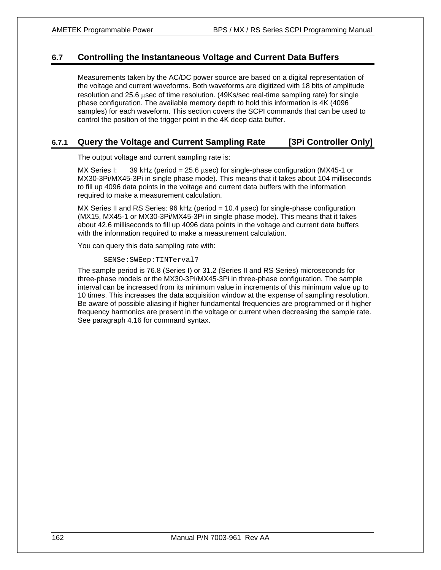# **6.7 Controlling the Instantaneous Voltage and Current Data Buffers**

Measurements taken by the AC/DC power source are based on a digital representation of the voltage and current waveforms. Both waveforms are digitized with 18 bits of amplitude resolution and 25.6 μsec of time resolution. (49Ks/sec real-time sampling rate) for single phase configuration. The available memory depth to hold this information is 4K (4096 samples) for each waveform. This section covers the SCPI commands that can be used to control the position of the trigger point in the 4K deep data buffer.

# **6.7.1 Query the Voltage and Current Sampling Rate [3Pi Controller Only]**

The output voltage and current sampling rate is:

MX Series I: 39 kHz (period =  $25.6 \mu$ sec) for single-phase configuration (MX45-1 or MX30-3Pi/MX45-3Pi in single phase mode). This means that it takes about 104 milliseconds to fill up 4096 data points in the voltage and current data buffers with the information required to make a measurement calculation.

MX Series II and RS Series: 96 kHz (period  $= 10.4$  usec) for single-phase configuration (MX15, MX45-1 or MX30-3Pi/MX45-3Pi in single phase mode). This means that it takes about 42.6 milliseconds to fill up 4096 data points in the voltage and current data buffers with the information required to make a measurement calculation.

You can query this data sampling rate with:

#### SENSe:SWEep:TINTerval?

The sample period is 76.8 (Series I) or 31.2 (Series II and RS Series) microseconds for three-phase models or the MX30-3Pi/MX45-3Pi in three-phase configuration. The sample interval can be increased from its minimum value in increments of this minimum value up to 10 times. This increases the data acquisition window at the expense of sampling resolution. Be aware of possible aliasing if higher fundamental frequencies are programmed or if higher frequency harmonics are present in the voltage or current when decreasing the sample rate. See paragraph 4.16 for command syntax.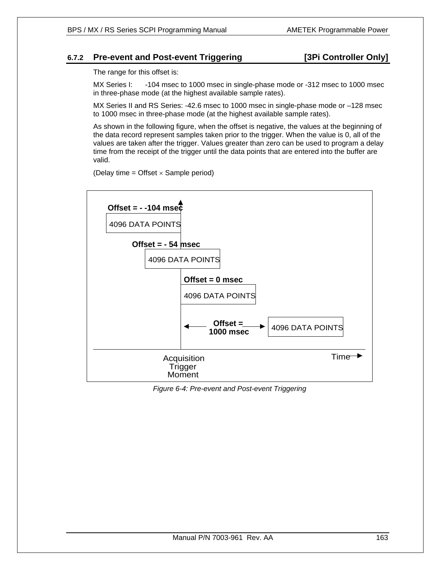# **6.7.2 Pre-event and Post-event Triggering [3Pi Controller Only]**

The range for this offset is:

MX Series I: -104 msec to 1000 msec in single-phase mode or -312 msec to 1000 msec in three-phase mode (at the highest available sample rates).

MX Series II and RS Series: -42.6 msec to 1000 msec in single-phase mode or –128 msec to 1000 msec in three-phase mode (at the highest available sample rates).

As shown in the following figure, when the offset is negative, the values at the beginning of the data record represent samples taken prior to the trigger. When the value is 0, all of the values are taken after the trigger. Values greater than zero can be used to program a delay time from the receipt of the trigger until the data points that are entered into the buffer are valid.

(Delay time = Offset  $\times$  Sample period)



*Figure 6-4: Pre-event and Post-event Triggering*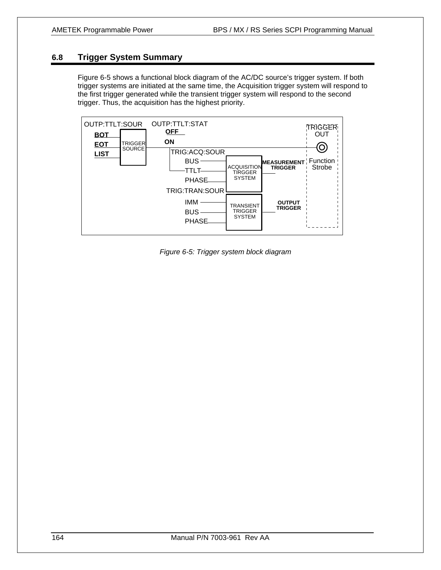# **6.8 Trigger System Summary**

Figure 6-5 shows a functional block diagram of the AC/DC source's trigger system. If both trigger systems are initiated at the same time, the Acquisition trigger system will respond to the first trigger generated while the transient trigger system will respond to the second trigger. Thus, the acquisition has the highest priority.



*Figure 6-5: Trigger system block diagram*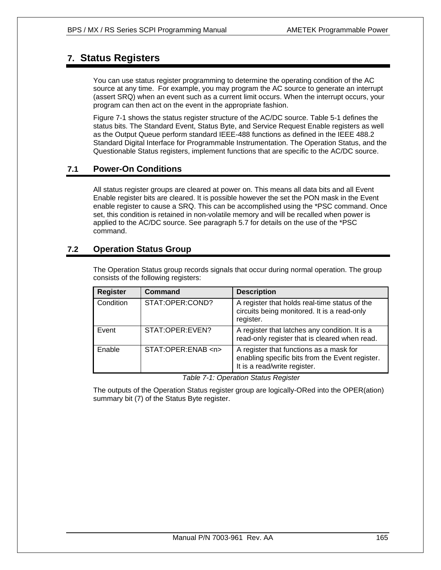# **7. Status Registers**

You can use status register programming to determine the operating condition of the AC source at any time. For example, you may program the AC source to generate an interrupt (assert SRQ) when an event such as a current limit occurs. When the interrupt occurs, your program can then act on the event in the appropriate fashion.

Figure 7-1 shows the status register structure of the AC/DC source. Table 5-1 defines the status bits. The Standard Event, Status Byte, and Service Request Enable registers as well as the Output Queue perform standard IEEE-488 functions as defined in the IEEE 488.2 Standard Digital Interface for Programmable Instrumentation. The Operation Status, and the Questionable Status registers, implement functions that are specific to the AC/DC source.

# **7.1 Power-On Conditions**

All status register groups are cleared at power on. This means all data bits and all Event Enable register bits are cleared. It is possible however the set the PON mask in the Event enable register to cause a SRQ. This can be accomplished using the \*PSC command. Once set, this condition is retained in non-volatile memory and will be recalled when power is applied to the AC/DC source. See paragraph 5.7 for details on the use of the \*PSC command.

# **7.2 Operation Status Group**

The Operation Status group records signals that occur during normal operation. The group consists of the following registers:

| <b>Register</b> | <b>Command</b>         | <b>Description</b>                                                                                                         |
|-----------------|------------------------|----------------------------------------------------------------------------------------------------------------------------|
| Condition       | STAT:OPER:COND?        | A register that holds real-time status of the<br>circuits being monitored. It is a read-only<br>register.                  |
| Event           | STAT:OPER:EVEN?        | A register that latches any condition. It is a<br>read-only register that is cleared when read.                            |
| Enable          | STAT:OPER:ENAB <n></n> | A register that functions as a mask for<br>enabling specific bits from the Event register.<br>It is a read/write register. |

*Table 7-1: Operation Status Register* 

The outputs of the Operation Status register group are logically-ORed into the OPER(ation) summary bit (7) of the Status Byte register.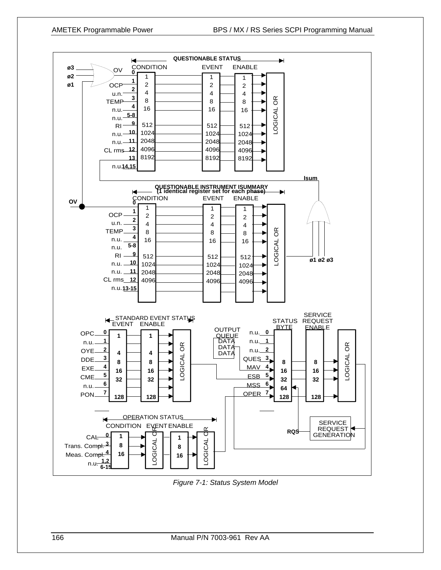

*Figure 7-1: Status System Model*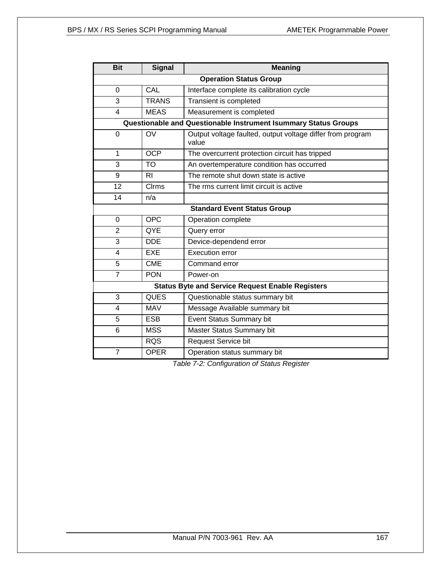| <b>Bit</b>                                                     | <b>Signal</b>  | <b>Meaning</b>                                                      |  |
|----------------------------------------------------------------|----------------|---------------------------------------------------------------------|--|
| <b>Operation Status Group</b>                                  |                |                                                                     |  |
| CAL<br>Interface complete its calibration cycle<br>$\mathbf 0$ |                |                                                                     |  |
| 3                                                              | <b>TRANS</b>   | Transient is completed                                              |  |
| 4                                                              | <b>MEAS</b>    | Measurement is completed                                            |  |
|                                                                |                | Questionable and Questionable Instrument Isummary Status Groups     |  |
| 0                                                              | OV             | Output voltage faulted, output voltage differ from program<br>value |  |
| $\mathbf{1}$                                                   | <b>OCP</b>     | The overcurrent protection circuit has tripped                      |  |
| 3                                                              | <b>TO</b>      | An overtemperature condition has occurred                           |  |
| 9                                                              | R <sub>1</sub> | The remote shut down state is active                                |  |
| 12                                                             | <b>C</b> lrms  | The rms current limit circuit is active                             |  |
| 14                                                             | n/a            |                                                                     |  |
| <b>Standard Event Status Group</b>                             |                |                                                                     |  |
| $\Omega$                                                       | <b>OPC</b>     | Operation complete                                                  |  |
| $\overline{2}$                                                 | QYE            | Query error                                                         |  |
| 3                                                              | <b>DDE</b>     | Device-dependend error                                              |  |
| $\overline{\mathbf{4}}$                                        | <b>EXE</b>     | <b>Execution error</b>                                              |  |
| 5                                                              | <b>CME</b>     | Command error                                                       |  |
| $\overline{7}$                                                 | <b>PON</b>     | Power-on                                                            |  |
| <b>Status Byte and Service Request Enable Registers</b>        |                |                                                                     |  |
| 3                                                              | <b>QUES</b>    | Questionable status summary bit                                     |  |
| $\overline{\mathbf{4}}$                                        | <b>MAV</b>     | Message Available summary bit                                       |  |
| 5                                                              | <b>ESB</b>     | <b>Event Status Summary bit</b>                                     |  |
| 6                                                              | <b>MSS</b>     | Master Status Summary bit                                           |  |
|                                                                | <b>RQS</b>     | <b>Request Service bit</b>                                          |  |
| $\overline{7}$                                                 | <b>OPER</b>    | Operation status summary bit                                        |  |

*Table 7-2: Configuration of Status Register*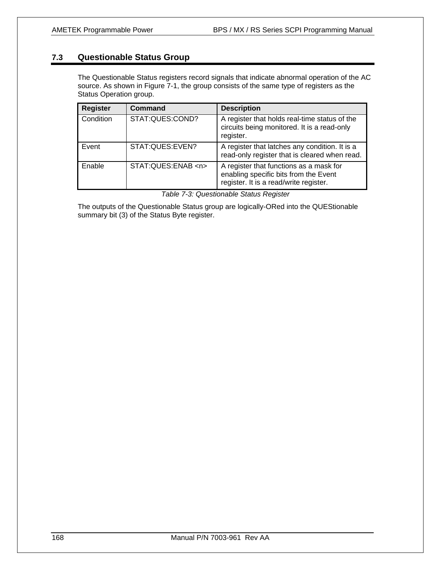# **7.3 Questionable Status Group**

The Questionable Status registers record signals that indicate abnormal operation of the AC source. As shown in Figure 7-1, the group consists of the same type of registers as the Status Operation group.

| <b>Register</b> | Command                | <b>Description</b>                                                                                                         |
|-----------------|------------------------|----------------------------------------------------------------------------------------------------------------------------|
| Condition       | STAT:QUES:COND?        | A register that holds real-time status of the<br>circuits being monitored. It is a read-only<br>register.                  |
| Event           | STAT:QUES:EVEN?        | A register that latches any condition. It is a<br>read-only register that is cleared when read.                            |
| Enable          | STAT:QUES:ENAB <n></n> | A register that functions as a mask for<br>enabling specific bits from the Event<br>register. It is a read/write register. |

The outputs of the Questionable Status group are logically-ORed into the QUEStionable summary bit (3) of the Status Byte register.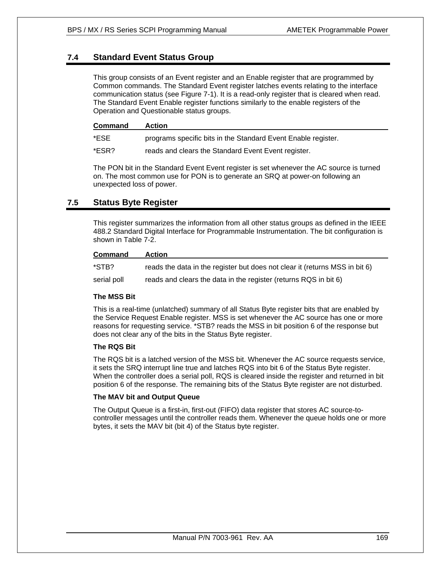# **7.4 Standard Event Status Group**

This group consists of an Event register and an Enable register that are programmed by Common commands. The Standard Event register latches events relating to the interface communication status (see Figure 7-1). It is a read-only register that is cleared when read. The Standard Event Enable register functions similarly to the enable registers of the Operation and Questionable status groups.

| <b>Command</b> | <b>Action</b>                                                 |
|----------------|---------------------------------------------------------------|
| *ESE           | programs specific bits in the Standard Event Enable register. |
| *ESR?          | reads and clears the Standard Event Event register.           |

The PON bit in the Standard Event Event register is set whenever the AC source is turned on. The most common use for PON is to generate an SRQ at power-on following an unexpected loss of power.

# **7.5 Status Byte Register**

This register summarizes the information from all other status groups as defined in the IEEE 488.2 Standard Digital Interface for Programmable Instrumentation. The bit configuration is shown in Table 7-2.

# **Command Action**

\*STB? reads the data in the register but does not clear it (returns MSS in bit 6)

serial poll reads and clears the data in the register (returns RQS in bit 6)

## **The MSS Bit**

This is a real-time (unlatched) summary of all Status Byte register bits that are enabled by the Service Request Enable register. MSS is set whenever the AC source has one or more reasons for requesting service. \*STB? reads the MSS in bit position 6 of the response but does not clear any of the bits in the Status Byte register.

## **The RQS Bit**

The RQS bit is a latched version of the MSS bit. Whenever the AC source requests service, it sets the SRQ interrupt line true and latches RQS into bit 6 of the Status Byte register. When the controller does a serial poll, RQS is cleared inside the register and returned in bit position 6 of the response. The remaining bits of the Status Byte register are not disturbed.

# **The MAV bit and Output Queue**

The Output Queue is a first-in, first-out (FIFO) data register that stores AC source-tocontroller messages until the controller reads them. Whenever the queue holds one or more bytes, it sets the MAV bit (bit 4) of the Status byte register.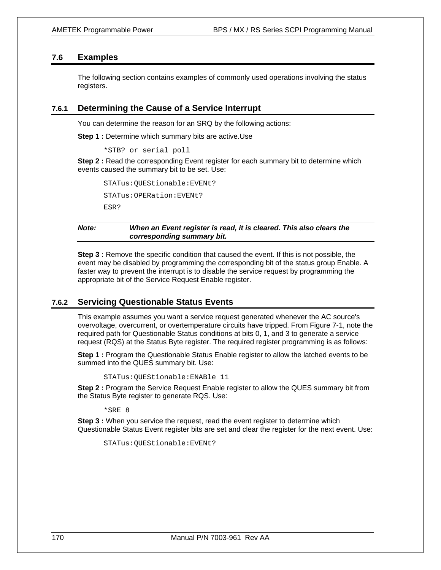# **7.6 Examples**

The following section contains examples of commonly used operations involving the status registers.

# **7.6.1 Determining the Cause of a Service Interrupt**

You can determine the reason for an SRQ by the following actions:

**Step 1 :** Determine which summary bits are active.Use

\*STB? or serial poll

**Step 2 :** Read the corresponding Event register for each summary bit to determine which events caused the summary bit to be set. Use:

STATus:QUEStionable:EVENt? STATus:OPERation:EVENt? ESR?

*Note: When an Event register is read, it is cleared. This also clears the corresponding summary bit.* 

**Step 3** : Remove the specific condition that caused the event. If this is not possible, the event may be disabled by programming the corresponding bit of the status group Enable. A faster way to prevent the interrupt is to disable the service request by programming the appropriate bit of the Service Request Enable register.

# **7.6.2 Servicing Questionable Status Events**

This example assumes you want a service request generated whenever the AC source's overvoltage, overcurrent, or overtemperature circuits have tripped. From Figure 7-1, note the required path for Questionable Status conditions at bits 0, 1, and 3 to generate a service request (RQS) at the Status Byte register. The required register programming is as follows:

**Step 1 :** Program the Questionable Status Enable register to allow the latched events to be summed into the QUES summary bit. Use:

STATus:QUEStionable:ENABle 11

**Step 2 :** Program the Service Request Enable register to allow the QUES summary bit from the Status Byte register to generate RQS. Use:

\*SRE 8

**Step 3** : When you service the request, read the event register to determine which Questionable Status Event register bits are set and clear the register for the next event. Use:

STATus:QUEStionable:EVENt?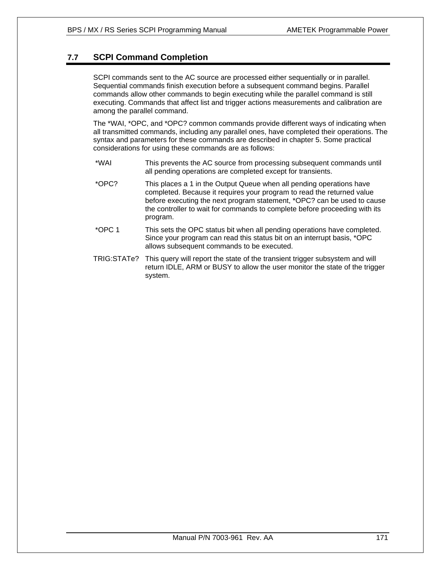# **7.7 SCPI Command Completion**

SCPI commands sent to the AC source are processed either sequentially or in parallel. Sequential commands finish execution before a subsequent command begins. Parallel commands allow other commands to begin executing while the parallel command is still executing. Commands that affect list and trigger actions measurements and calibration are among the parallel command.

The \*WAI, \*OPC, and \*OPC? common commands provide different ways of indicating when all transmitted commands, including any parallel ones, have completed their operations. The syntax and parameters for these commands are described in chapter 5. Some practical considerations for using these commands are as follows:

- \*WAI This prevents the AC source from processing subsequent commands until all pending operations are completed except for transients.
- \*OPC? This places a 1 in the Output Queue when all pending operations have completed. Because it requires your program to read the returned value before executing the next program statement, \*OPC? can be used to cause the controller to wait for commands to complete before proceeding with its program.
- \*OPC 1 This sets the OPC status bit when all pending operations have completed. Since your program can read this status bit on an interrupt basis, \*OPC allows subsequent commands to be executed.
- TRIG:STATe? This query will report the state of the transient trigger subsystem and will return IDLE, ARM or BUSY to allow the user monitor the state of the trigger system.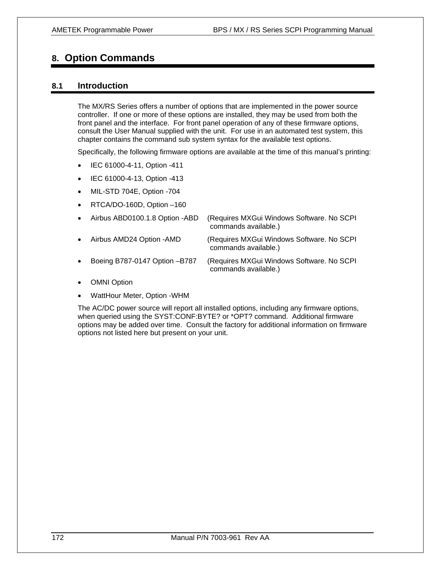# **8. Option Commands**

# **8.1 Introduction**

The MX/RS Series offers a number of options that are implemented in the power source controller. If one or more of these options are installed, they may be used from both the front panel and the interface. For front panel operation of any of these firmware options, consult the User Manual supplied with the unit. For use in an automated test system, this chapter contains the command sub system syntax for the available test options.

Specifically, the following firmware options are available at the time of this manual's printing:

- IEC 61000-4-11, Option -411
- IEC 61000-4-13, Option -413
- MIL-STD 704E, Option -704
- RTCA/DO-160D, Option –160

| $\bullet$ | Airbus ABD0100.1.8 Option -ABD | (Requires MXGui Windows Software. No SCPI<br>commands available.) |
|-----------|--------------------------------|-------------------------------------------------------------------|
| $\bullet$ | Airbus AMD24 Option - AMD      | (Requires MXGui Windows Software. No SCPI<br>commands available.) |
| $\bullet$ | Boeing B787-0147 Option - B787 | (Requires MXGui Windows Software. No SCPI<br>commands available.) |

- **OMNI Option**
- WattHour Meter, Option -WHM

The AC/DC power source will report all installed options, including any firmware options, when queried using the SYST:CONF:BYTE? or \*OPT? command. Additional firmware options may be added over time. Consult the factory for additional information on firmware options not listed here but present on your unit.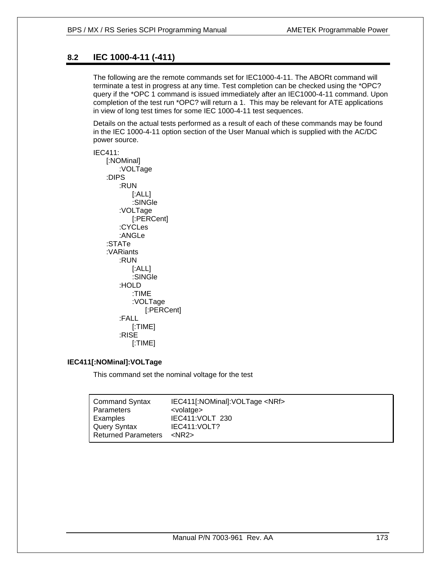# **8.2 IEC 1000-4-11 (-411)**

The following are the remote commands set for IEC1000-4-11. The ABORt command will terminate a test in progress at any time. Test completion can be checked using the \*OPC? query if the \*OPC 1 command is issued immediately after an IEC1000-4-11 command. Upon completion of the test run \*OPC? will return a 1. This may be relevant for ATE applications in view of long test times for some IEC 1000-4-11 test sequences.

Details on the actual tests performed as a result of each of these commands may be found in the IEC 1000-4-11 option section of the User Manual which is supplied with the AC/DC power source.

IEC411: [:NOMinal] :VOLTage :DIPS :RUN [:ALL] :SINGle :VOLTage [:PERCent] :CYCLes :ANGLe :STATe :VARiants :RUN [:ALL] :SINGle :HOLD :TIME :VOLTage [:PERCent] :FALL [:TIME] :RISE [:TIME]

# **IEC411[:NOMinal]:VOLTage**

This command set the nominal voltage for the test

| <b>Command Syntax</b>      | IEC411[:NOMinal]:VOLTage <nrf></nrf> |
|----------------------------|--------------------------------------|
| <b>Parameters</b>          | <volatge></volatge>                  |
| Examples                   | IEC411:VOLT 230                      |
| Query Syntax               | IEC411: VOLT?                        |
| <b>Returned Parameters</b> | $<$ NR2 $>$                          |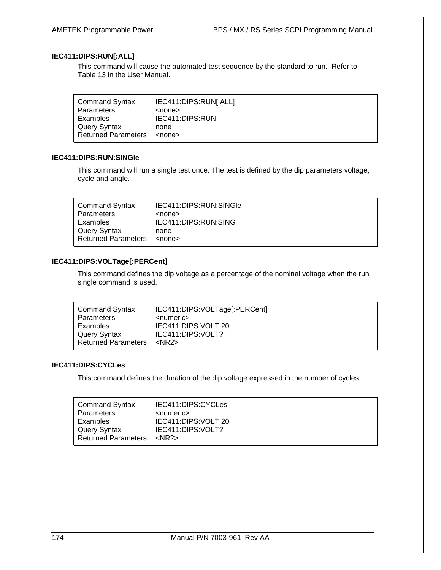# **IEC411:DIPS:RUN[:ALL]**

This command will cause the automated test sequence by the standard to run. Refer to Table 13 in the User Manual.

| <b>Command Syntax</b>      | IEC411:DIPS:RUN[:ALL] |
|----------------------------|-----------------------|
| Parameters                 | <none></none>         |
| Examples                   | IEC411:DIPS:RUN       |
| Query Syntax               | none                  |
| <b>Returned Parameters</b> | <none></none>         |

## **IEC411:DIPS:RUN:SINGle**

This command will run a single test once. The test is defined by the dip parameters voltage, cycle and angle.

| <b>Command Syntax</b>      | IEC411:DIPS:RUN:SINGle |
|----------------------------|------------------------|
| Parameters                 | <none></none>          |
| Examples                   | IEC411:DIPS:RUN:SING   |
| Query Syntax               | none                   |
| <b>Returned Parameters</b> | $nonez$                |

# **IEC411:DIPS:VOLTage[:PERCent]**

This command defines the dip voltage as a percentage of the nominal voltage when the run single command is used.

## **IEC411:DIPS:CYCLes**

This command defines the duration of the dip voltage expressed in the number of cycles.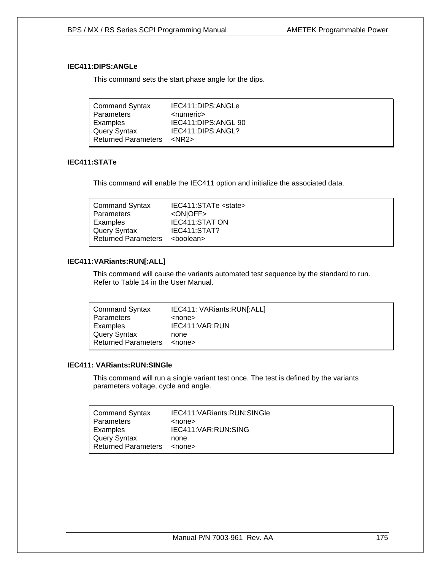## **IEC411:DIPS:ANGLe**

This command sets the start phase angle for the dips.

| <b>Command Syntax</b><br>Parameters | IEC411:DIPS:ANGLe<br><numeric></numeric> |
|-------------------------------------|------------------------------------------|
| Examples                            | IEC411:DIPS:ANGL 90                      |
| Query Syntax                        | IEC411:DIPS:ANGL?                        |
| <b>Returned Parameters</b>          | $<$ NR2 $>$                              |

# **IEC411:STATe**

This command will enable the IEC411 option and initialize the associated data.

| <b>Command Syntax</b>      | IEC411:STATe <state></state> |
|----------------------------|------------------------------|
| Parameters                 | <onioff></onioff>            |
| Examples                   | <b>IEC411:STAT ON</b>        |
| Query Syntax               | IEC411:STAT?                 |
| <b>Returned Parameters</b> | <boolean></boolean>          |

# **IEC411:VARiants:RUN[:ALL]**

This command will cause the variants automated test sequence by the standard to run. Refer to Table 14 in the User Manual.

| Command Syntax      | IEC411: VARiants:RUN[:ALL] |
|---------------------|----------------------------|
| Parameters          | <none></none>              |
| Examples            | IEC411: VAR: RUN           |
| Query Syntax        | none                       |
| Returned Parameters | <none></none>              |

## **IEC411: VARiants:RUN:SINGle**

This command will run a single variant test once. The test is defined by the variants parameters voltage, cycle and angle.

| <b>Command Syntax</b>      | IEC411: VARiants: RUN: SINGle |
|----------------------------|-------------------------------|
| <b>Parameters</b>          | <none></none>                 |
| Examples                   | IEC411:VAR:RUN:SING           |
| Query Syntax               | none                          |
| <b>Returned Parameters</b> | <none></none>                 |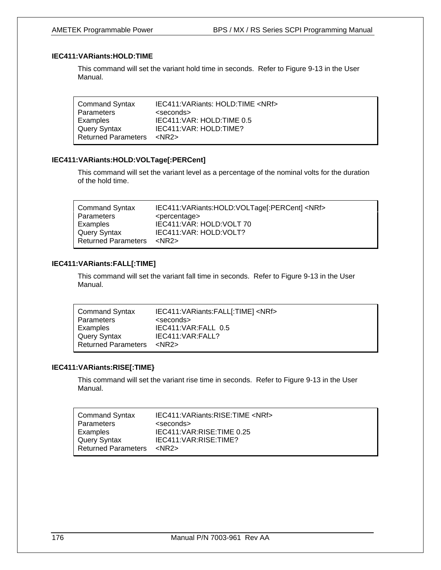# **IEC411:VARiants:HOLD:TIME**

This command will set the variant hold time in seconds. Refer to Figure 9-13 in the User Manual.

| <b>Command Syntax</b>      | IEC411: VARiants: HOLD: TIME <nrf></nrf> |
|----------------------------|------------------------------------------|
| Parameters                 | <seconds></seconds>                      |
| Examples                   | IEC411: VAR: HOLD: TIME 0.5              |
| Query Syntax               | IEC411: VAR: HOLD: TIME?                 |
| <b>Returned Parameters</b> | $<$ NR2 $>$                              |

## **IEC411:VARiants:HOLD:VOLTage[:PERCent]**

This command will set the variant level as a percentage of the nominal volts for the duration of the hold time.

| <b>Command Syntax</b>      | IEC411: VARiants: HOLD: VOLTage[: PERCent] <nrf></nrf> |
|----------------------------|--------------------------------------------------------|
| Parameters                 | <percentage></percentage>                              |
| Examples                   | IEC411: VAR: HOLD: VOLT 70                             |
| Query Syntax               | IEC411: VAR: HOLD: VOLT?                               |
| <b>Returned Parameters</b> | $<$ NR2 $>$                                            |

# **IEC411:VARiants:FALL[:TIME]**

This command will set the variant fall time in seconds. Refer to Figure 9-13 in the User Manual.

| <b>Command Syntax</b>      | IEC411: VARiants: FALL[: TIME] <nrf></nrf> |
|----------------------------|--------------------------------------------|
| <b>Parameters</b>          | <seconds></seconds>                        |
| Examples                   | IEC411:VAR:FALL 0.5                        |
| Query Syntax               | IEC411: VAR: FALL?                         |
| <b>Returned Parameters</b> | $<$ NR2 $>$                                |

## **IEC411:VARiants:RISE[:TIME}**

This command will set the variant rise time in seconds. Refer to Figure 9-13 in the User Manual.

| <b>Command Syntax</b>      | IEC411: VARiants: RISE: TIME <nrf></nrf> |
|----------------------------|------------------------------------------|
| Parameters                 | <seconds></seconds>                      |
| Examples                   | IEC411: VAR: RISE: TIME 0.25             |
| Query Syntax               | IEC411: VAR: RISE: TIME?                 |
| <b>Returned Parameters</b> | <nr2></nr2>                              |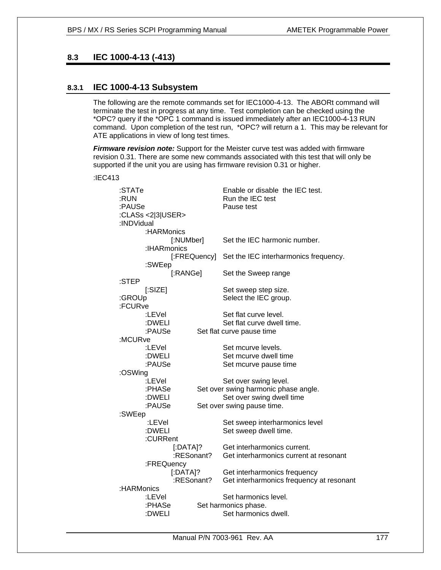# **8.3 IEC 1000-4-13 (-413)**

# **8.3.1 IEC 1000-4-13 Subsystem**

The following are the remote commands set for IEC1000-4-13. The ABORt command will terminate the test in progress at any time. Test completion can be checked using the \*OPC? query if the \*OPC 1 command is issued immediately after an IEC1000-4-13 RUN command. Upon completion of the test run, \*OPC? will return a 1. This may be relevant for ATE applications in view of long test times.

*Firmware revision note:* Support for the Meister curve test was added with firmware revision 0.31. There are some new commands associated with this test that will only be supported if the unit you are using has firmware revision 0.31 or higher.

:IEC413

| :STATe<br>:RUN<br>:PAUSe<br>:INDVidual | :CLASs <2 3 USER> |                           | Enable or disable the IEC test.<br>Run the IEC test<br>Pause test     |
|----------------------------------------|-------------------|---------------------------|-----------------------------------------------------------------------|
|                                        | :HARMonics        |                           |                                                                       |
|                                        |                   | [:NUMber]                 | Set the IEC harmonic number.                                          |
|                                        | :IHARmonics       |                           |                                                                       |
|                                        |                   | [:FREQuency]              | Set the IEC interharmonics frequency.                                 |
|                                        | :SWEep            |                           |                                                                       |
|                                        |                   | [:RANGe]                  | Set the Sweep range                                                   |
| :STEP                                  |                   |                           |                                                                       |
|                                        | [:SIZE]           |                           | Set sweep step size.                                                  |
| :GROUp<br>:FCURve                      |                   |                           | Select the IEC group.                                                 |
|                                        | :LEVel            |                           | Set flat curve level.                                                 |
|                                        | :DWELI            |                           | Set flat curve dwell time.                                            |
|                                        | :PAUSe            |                           | Set flat curve pause time                                             |
| :MCURve                                |                   |                           |                                                                       |
|                                        | :LEVel            |                           | Set mcurve levels.                                                    |
|                                        | :DWELI            |                           | Set mcurve dwell time                                                 |
|                                        | :PAUSe            |                           | Set mcurve pause time                                                 |
| :OSWing                                |                   |                           |                                                                       |
|                                        | :LEVel            |                           | Set over swing level.                                                 |
|                                        | :PHASe            |                           | Set over swing harmonic phase angle.                                  |
|                                        | :DWELI            |                           | Set over swing dwell time                                             |
|                                        | :PAUSe            |                           | Set over swing pause time.                                            |
| :SWEep                                 |                   |                           |                                                                       |
|                                        | :LEVel            |                           | Set sweep interharmonics level                                        |
|                                        | :DWELI            |                           | Set sweep dwell time.                                                 |
|                                        | :CURRent          |                           |                                                                       |
|                                        |                   | $[$ :DATA]?<br>:RESonant? | Get interharmonics current.<br>Get interharmonics current at resonant |
|                                        | :FREQuency        |                           |                                                                       |
|                                        |                   | $[$ :DATA]?               | Get interharmonics frequency                                          |
|                                        |                   | :RESonant?                | Get interharmonics frequency at resonant                              |
| :HARMonics                             |                   |                           |                                                                       |
|                                        | :LEVel            |                           | Set harmonics level.                                                  |
|                                        | :PHASe            |                           | Set harmonics phase.                                                  |
|                                        | :DWELI            |                           | Set harmonics dwell.                                                  |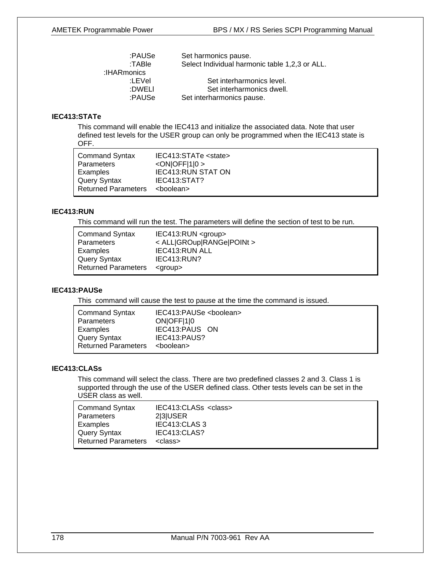| :PAUSe      | Set harmonics pause.                           |
|-------------|------------------------------------------------|
| :TABle      | Select Individual harmonic table 1,2,3 or ALL. |
| :IHARmonics |                                                |
| :LEVel      | Set interharmonics level.                      |
| :DWELI      | Set interharmonics dwell.                      |
| :PAUSe      | Set interharmonics pause.                      |

# **IEC413:STATe**

This command will enable the IEC413 and initialize the associated data. Note that user defined test levels for the USER group can only be programmed when the IEC413 state is OFF.

| <b>Command Syntax</b>      | IEC413:STATe <state></state> |
|----------------------------|------------------------------|
| Parameters                 | $<$ ON $ OFF 1 0>$           |
| Examples                   | <b>IEC413:RUN STAT ON</b>    |
| Query Syntax               | IEC413:STAT?                 |
| <b>Returned Parameters</b> | <boolean></boolean>          |

# **IEC413:RUN**

This command will run the test. The parameters will define the section of test to be run.

| <b>Command Syntax</b><br>Parameters | $IEC413:RUN <$ sqroup ><br>< ALL GROup RANGe POINt > |
|-------------------------------------|------------------------------------------------------|
| Examples                            | IEC413:RUN ALL                                       |
| Query Syntax                        | IEC413:RUN?                                          |
| <b>Returned Parameters</b>          | <group></group>                                      |

# **IEC413:PAUSe**

This command will cause the test to pause at the time the command is issued.

| <b>Command Syntax</b>      | IEC413:PAUSe <boolean></boolean> |
|----------------------------|----------------------------------|
| <b>Parameters</b>          | ONOFF <sub>[1]</sub>             |
| Examples                   | IEC413:PAUS ON                   |
| Query Syntax               | IEC413:PAUS?                     |
| <b>Returned Parameters</b> | <boolean></boolean>              |

# **IEC413:CLASs**

This command will select the class. There are two predefined classes 2 and 3. Class 1 is supported through the use of the USER defined class. Other tests levels can be set in the USER class as well.

| <b>Command Syntax</b><br>Parameters<br>Examples | IEC413:CLASs <class><br/>23USER<br/>IEC413:CLAS 3<br/>IEC413:CLAS?</class> |
|-------------------------------------------------|----------------------------------------------------------------------------|
| Query Syntax<br><b>Returned Parameters</b>      | <class></class>                                                            |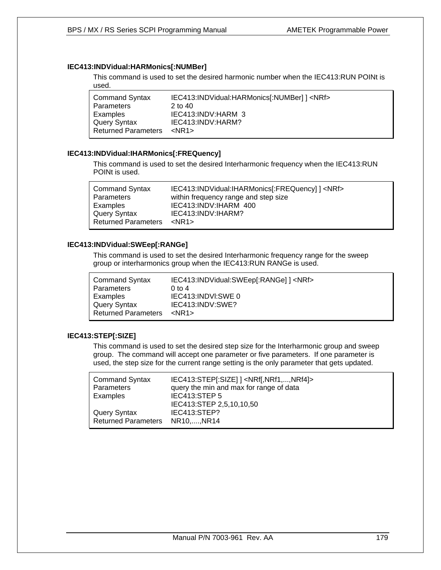## **IEC413:INDVidual:HARMonics[:NUMBer]**

This command is used to set the desired harmonic number when the IEC413:RUN POINt is used.

| <b>Command Syntax</b>      | IEC413:INDVidual:HARMonics[:NUMBer] ] <nrf></nrf> |
|----------------------------|---------------------------------------------------|
| Parameters                 | $2$ to $40$                                       |
| Examples                   | IEC413:INDV:HARM 3                                |
| <b>Query Syntax</b>        | IEC413:INDV:HARM?                                 |
| <b>Returned Parameters</b> | $<$ NR1 $>$                                       |

## **IEC413:INDVidual:IHARMonics[:FREQuency]**

This command is used to set the desired Interharmonic frequency when the IEC413:RUN POINt is used.

| IEC413:INDVidual:IHARMonics[:FREQuency] ] <nrf><br/><b>Command Syntax</b><br/>within frequency range and step size<br/>Parameters<br/>IEC413:INDV:IHARM 400<br/>Examples<br/>IEC413:INDV:IHARM?<br/>Query Syntax<br/><b>Returned Parameters</b><br/><nr1></nr1></nrf> |  |
|-----------------------------------------------------------------------------------------------------------------------------------------------------------------------------------------------------------------------------------------------------------------------|--|
|-----------------------------------------------------------------------------------------------------------------------------------------------------------------------------------------------------------------------------------------------------------------------|--|

## **IEC413:INDVidual:SWEep[:RANGe]**

This command is used to set the desired Interharmonic frequency range for the sweep group or interharmonics group when the IEC413:RUN RANGe is used.

| <b>Command Syntax</b>      | IEC413:INDVidual:SWEep[:RANGe] ] <nrf></nrf> |
|----------------------------|----------------------------------------------|
| Parameters                 | $0 \text{ to } 4$                            |
| Examples                   | IEC413:INDVI:SWE 0                           |
| Query Syntax               | IEC413:INDV:SWE?                             |
| <b>Returned Parameters</b> | $<$ NR1 $>$                                  |
|                            |                                              |

# **IEC413:STEP[:SIZE]**

This command is used to set the desired step size for the Interharmonic group and sweep group. The command will accept one parameter or five parameters. If one parameter is used, the step size for the current range setting is the only parameter that gets updated.

| <b>Command Syntax</b><br><b>Parameters</b>      | IEC413:STEP[:SIZE] ] <nrf[,nrf1,,nrf4]><br/>query the min and max for range of data</nrf[,nrf1,,nrf4]> |
|-------------------------------------------------|--------------------------------------------------------------------------------------------------------|
| Examples                                        | IEC413:STEP 5<br>IEC413:STEP 2,5,10,10,50                                                              |
| Query Syntax<br>Returned Parameters NR10,, NR14 | IEC413:STEP?                                                                                           |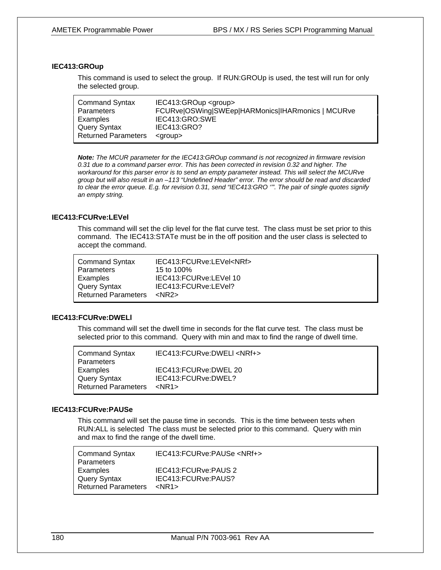## **IEC413:GROup**

This command is used to select the group. If RUN:GROUp is used, the test will run for only the selected group.

| <b>Command Syntax</b><br>Parameters<br>Examples | IEC413:GROup <group><br/>FCURve OSWing SWEep HARMonics IHARmonics   MCURve<br/>IEC413:GRO:SWE</group> |
|-------------------------------------------------|-------------------------------------------------------------------------------------------------------|
| Query Syntax                                    | IEC413:GRO?                                                                                           |
| <b>Returned Parameters</b>                      | <aroup></aroup>                                                                                       |

*Note: The MCUR parameter for the IEC413:GROup command is not recognized in firmware revision 0.31 due to a command parser error. This has been corrected in revision 0.32 and higher. The workaround for this parser error is to send an empty parameter instead. This will select the MCURve group but will also result in an –113 "Undefined Header" error. The error should be read and discarded to clear the error queue. E.g. for revision 0.31, send "IEC413:GRO ''". The pair of single quotes signify an empty string.* 

#### **IEC413:FCURve:LEVel**

This command will set the clip level for the flat curve test. The class must be set prior to this command. The IEC413:STATe must be in the off position and the user class is selected to accept the command.

| <b>Command Syntax</b>      | IEC413:FCURve:LEVel <nrf></nrf> |
|----------------------------|---------------------------------|
| Parameters                 | 15 to 100%                      |
| Examples                   | IEC413:FCURve:LEVel 10          |
| Query Syntax               | IEC413:FCURve:LEVel?            |
| <b>Returned Parameters</b> | $<$ NR2 $>$                     |

#### **IEC413:FCURve:DWELl**

This command will set the dwell time in seconds for the flat curve test. The class must be selected prior to this command. Query with min and max to find the range of dwell time.

| <b>Command Syntax</b>      | IEC413:FCURve:DWELI <nrf+></nrf+> |
|----------------------------|-----------------------------------|
| Parameters                 |                                   |
| Examples                   | IEC413:FCURve:DWEL 20             |
| Query Syntax               | IEC413:FCURve:DWEL?               |
| <b>Returned Parameters</b> | $<$ NR1 $>$                       |

## **IEC413:FCURve:PAUSe**

This command will set the pause time in seconds. This is the time between tests when RUN:ALL is selected The class must be selected prior to this command. Query with min and max to find the range of the dwell time.

| <b>Command Syntax</b><br>Parameters | IEC413:FCURve:PAUSe <nrf+></nrf+> |
|-------------------------------------|-----------------------------------|
| Examples                            | IEC413:FCURve:PAUS 2              |
| Query Syntax                        | IEC413:FCURve:PAUS?               |
| <b>Returned Parameters</b>          | $<$ NR1 $>$                       |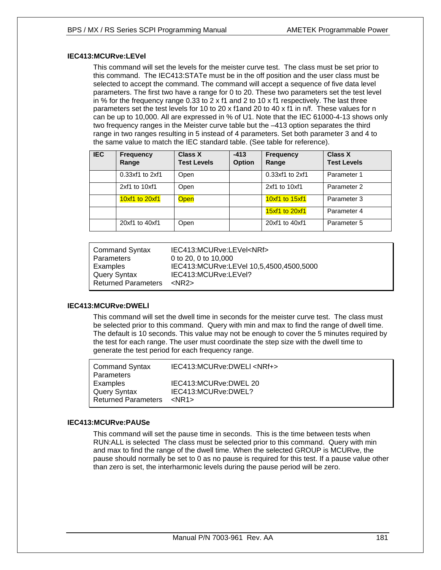#### **IEC413:MCURve:LEVel**

This command will set the levels for the meister curve test. The class must be set prior to this command. The IEC413:STATe must be in the off position and the user class must be selected to accept the command. The command will accept a sequence of five data level parameters. The first two have a range for 0 to 20. These two parameters set the test level in % for the frequency range 0.33 to 2 x f1 and 2 to 10 x f1 respectively. The last three parameters set the test levels for 10 to 20 x f1and 20 to 40 x f1 in n/f. These values for n can be up to 10,000. All are expressed in % of U1. Note that the IEC 61000-4-13 shows only two frequency ranges in the Meister curve table but the –413 option separates the third range in two ranges resulting in 5 instead of 4 parameters. Set both parameter 3 and 4 to the same value to match the IEC standard table. (See table for reference).

| <b>IEC</b> | Frequency<br>Range  | Class X<br><b>Test Levels</b> | $-413$<br><b>Option</b> | <b>Frequency</b><br>Range | <b>Class X</b><br><b>Test Levels</b> |
|------------|---------------------|-------------------------------|-------------------------|---------------------------|--------------------------------------|
|            | $0.33xf1$ to $2xf1$ | Open                          |                         | $0.33xf1$ to $2xf1$       | Parameter 1                          |
|            | 2xf1 to 10xf1       | Open                          |                         | 2xf1 to 10xf1             | Parameter 2                          |
|            | 10xf1 to 20xf1      | <b>Open</b>                   |                         | 10xf1 to 15xf1            | Parameter 3                          |
|            |                     |                               |                         | 15xf1 to 20xf1            | Parameter 4                          |
|            | 20xf1 to 40xf1      | Open                          |                         | 20xf1 to 40xf1            | Parameter 5                          |

| Command Syntax        | IEC413:MCURve:LEVel <nrf></nrf>         |
|-----------------------|-----------------------------------------|
| l Parameters          | 0 to 20, 0 to 10,000                    |
| Examples              | IEC413:MCURve:LEVel 10,5,4500,4500,5000 |
| Query Syntax          | IEC413:MCURve:LEVel?                    |
| l Returned Parameters | $<$ NR2 $>$                             |

#### **IEC413:MCURve:DWELl**

This command will set the dwell time in seconds for the meister curve test. The class must be selected prior to this command. Query with min and max to find the range of dwell time. The default is 10 seconds. This value may not be enough to cover the 5 minutes required by the test for each range. The user must coordinate the step size with the dwell time to generate the test period for each frequency range.

| <b>Command Syntax</b><br><b>Parameters</b> | IEC413:MCURve:DWELI <nrf+></nrf+> |
|--------------------------------------------|-----------------------------------|
| Examples                                   | IEC413:MCURve:DWEL 20             |
| Query Syntax                               | IEC413:MCURve:DWEL?               |
| <b>Returned Parameters</b>                 | $<$ NR1 $>$                       |

#### **IEC413:MCURve:PAUSe**

This command will set the pause time in seconds. This is the time between tests when RUN:ALL is selected The class must be selected prior to this command. Query with min and max to find the range of the dwell time. When the selected GROUP is MCURve, the pause should normally be set to 0 as no pause is required for this test. If a pause value other than zero is set, the interharmonic levels during the pause period will be zero.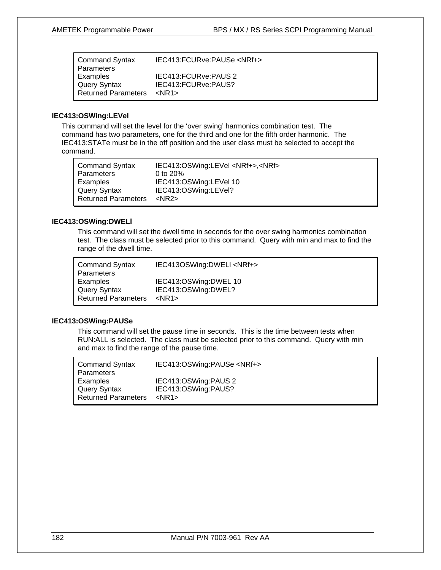| <b>Command Syntax</b>      | IEC413:FCURve:PAUSe <nrf+></nrf+> |
|----------------------------|-----------------------------------|
| Parameters                 |                                   |
| Examples                   | IEC413:FCURve:PAUS 2              |
| <b>Query Syntax</b>        | IEC413:FCURve:PAUS?               |
| <b>Returned Parameters</b> | $<$ NR1 $>$                       |

#### **IEC413:OSWing:LEVel**

This command will set the level for the 'over swing' harmonics combination test. The command has two parameters, one for the third and one for the fifth order harmonic. The IEC413:STATe must be in the off position and the user class must be selected to accept the command.

| <b>Command Syntax</b>      | IEC413:OSWing:LEVel <nrf+>,<nrf></nrf></nrf+> |
|----------------------------|-----------------------------------------------|
| <b>Parameters</b>          | 0 to $20%$                                    |
| Examples                   | IEC413:OSWing:LEVel 10                        |
| <b>Query Syntax</b>        | IEC413:OSWing:LEVel?                          |
| <b>Returned Parameters</b> | $<$ NR2 $>$                                   |

#### **IEC413:OSWing:DWELl**

This command will set the dwell time in seconds for the over swing harmonics combination test. The class must be selected prior to this command. Query with min and max to find the range of the dwell time.

| <b>Command Syntax</b><br>Parameters | IEC413OSWing:DWELI <nrf+></nrf+> |
|-------------------------------------|----------------------------------|
| Examples                            | IEC413:OSWing:DWEL 10            |
| Query Syntax                        | IEC413:OSWing:DWEL?              |
| <b>Returned Parameters</b>          | $<$ NR1 $>$                      |

#### **IEC413:OSWing:PAUSe**

This command will set the pause time in seconds. This is the time between tests when RUN:ALL is selected. The class must be selected prior to this command. Query with min and max to find the range of the pause time.

| IEC413:OSWing:PAUS 2<br>Examples<br>IEC413:OSWing:PAUS?<br>Query Syntax<br><b>Returned Parameters</b><br>$<$ NR1 $>$ | <b>Command Syntax</b> | IEC413:OSWing:PAUSe <nrf+></nrf+> |
|----------------------------------------------------------------------------------------------------------------------|-----------------------|-----------------------------------|
|                                                                                                                      | <b>Parameters</b>     |                                   |
|                                                                                                                      |                       |                                   |
|                                                                                                                      |                       |                                   |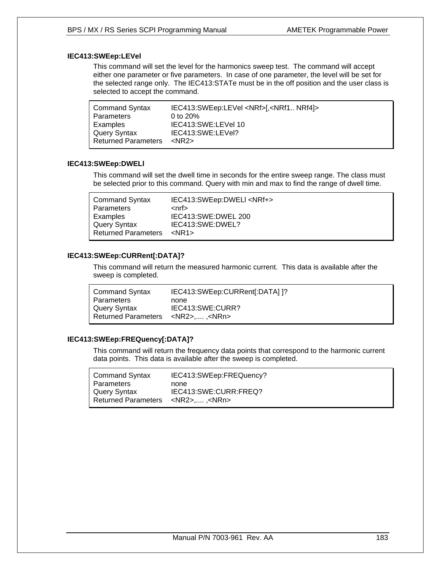### **IEC413:SWEep:LEVel**

This command will set the level for the harmonics sweep test. The command will accept either one parameter or five parameters. In case of one parameter, the level will be set for the selected range only. The IEC413:STATe must be in the off position and the user class is selected to accept the command.

| <b>Command Syntax</b>      | IEC413:SWEep:LEVel <nrf>[,<nrf1 nrf4]=""></nrf1></nrf> |
|----------------------------|--------------------------------------------------------|
| Parameters                 | 0 to $20\%$                                            |
| Examples                   | IEC413:SWE:LEVel 10                                    |
| <b>Query Syntax</b>        | IEC413:SWE:LEVel?                                      |
| <b>Returned Parameters</b> | <nr2></nr2>                                            |

#### **IEC413:SWEep:DWELl**

This command will set the dwell time in seconds for the entire sweep range. The class must be selected prior to this command. Query with min and max to find the range of dwell time.

| <b>Command Syntax</b>      | IEC413:SWEep:DWELI <nrf+></nrf+> |
|----------------------------|----------------------------------|
| Parameters                 | <nrf></nrf>                      |
| Examples                   | IEC413:SWE:DWEL 200              |
| <b>Query Syntax</b>        | IEC413:SWE:DWEL?                 |
| <b>Returned Parameters</b> | $<$ NR1 $>$                      |

#### **IEC413:SWEep:CURRent[:DATA]?**

This command will return the measured harmonic current. This data is available after the sweep is completed.

| Command Syntax                                | IEC413:SWEep:CURRent[:DATA] ]? |
|-----------------------------------------------|--------------------------------|
| Parameters                                    | none                           |
| Query Syntax                                  | IEC413:SWE:CURR?               |
| Returned Parameters <nr2>,, <nrn></nrn></nr2> |                                |

#### **IEC413:SWEep:FREQuency[:DATA]?**

This command will return the frequency data points that correspond to the harmonic current data points. This data is available after the sweep is completed.

| <b>Command Syntax</b>      | IEC413:SWEep:FREQuency?  |
|----------------------------|--------------------------|
| <b>Parameters</b>          | none                     |
| Query Syntax               | IEC413:SWE:CURR:FREQ?    |
| <b>Returned Parameters</b> | <nr2> .<nrn></nrn></nr2> |
|                            |                          |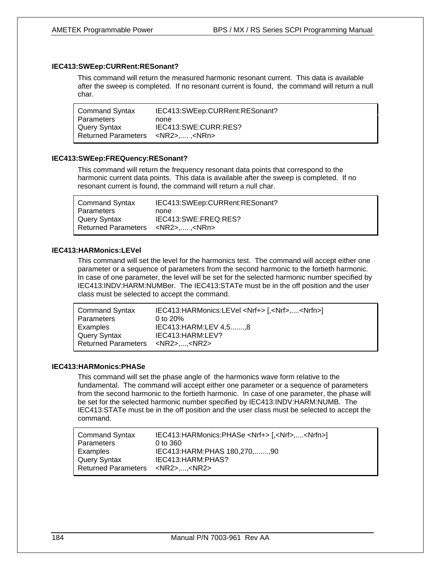#### **IEC413:SWEep:CURRent:RESonant?**

This command will return the measured harmonic resonant current. This data is available after the sweep is completed. If no resonant current is found, the command will return a null char.

| <b>Command Syntax</b>                         | IEC413:SWEep:CURRent:RESonant? |
|-----------------------------------------------|--------------------------------|
| <b>Parameters</b>                             | none                           |
| Query Syntax                                  | IEC413:SWE:CURR:RES?           |
| Returned Parameters <nr2>,, <nrn></nrn></nr2> |                                |

#### **IEC413:SWEep:FREQuency:RESonant?**

This command will return the frequency resonant data points that correspond to the harmonic current data points. This data is available after the sweep is completed. If no resonant current is found, the command will return a null char.

| <b>Command Syntax</b>                        | IEC413:SWEep:CURRent:RESonant? |
|----------------------------------------------|--------------------------------|
| Parameters                                   | none                           |
| Query Syntax                                 | IEC413:SWE:FREQ:RES?           |
| Returned Parameters <nr2>, <nrn></nrn></nr2> |                                |

#### **IEC413:HARMonics:LEVel**

This command will set the level for the harmonics test. The command will accept either one parameter or a sequence of parameters from the second harmonic to the fortieth harmonic. In case of one parameter, the level will be set for the selected harmonic number specified by IEC413:INDV:HARM:NUMBer. The IEC413:STATe must be in the off position and the user class must be selected to accept the command.

| <b>Command Syntax</b>                      | IEC413:HARMonics:LEVel <nrf+> [,<nrf>,<nrfn>]</nrfn></nrf></nrf+> |
|--------------------------------------------|-------------------------------------------------------------------|
| Parameters                                 | 0 to $20\%$                                                       |
| Examples                                   | IEC413: HARM: LEV 4,5, 8                                          |
| Query Syntax                               | IEC413: HARM: LEV?                                                |
| Returned Parameters <nr2><nr2></nr2></nr2> |                                                                   |

#### **IEC413:HARMonics:PHASe**

This command will set the phase angle of the harmonics wave form relative to the fundamental. The command will accept either one parameter or a sequence of parameters from the second harmonic to the fortieth harmonic. In case of one parameter, the phase will be set for the selected harmonic number specified by IEC413:INDV:HARM:NUMB. The IEC413:STATe must be in the off position and the user class must be selected to accept the command.

| <b>Command Syntax</b>      | IEC413:HARMonics:PHASe <nrf+> [,<nrf>,<nrfn>]</nrfn></nrf></nrf+> |
|----------------------------|-------------------------------------------------------------------|
| <b>Parameters</b>          | 0 to 360                                                          |
| Examples                   | IEC413: HARM: PHAS 180, 270, , 90                                 |
| <b>Query Syntax</b>        | IEC413: HARM: PHAS?                                               |
| <b>Returned Parameters</b> | <nr2><nr2></nr2></nr2>                                            |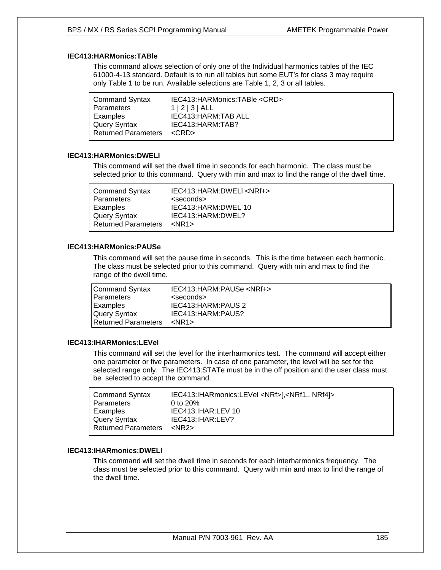#### **IEC413:HARMonics:TABle**

This command allows selection of only one of the Individual harmonics tables of the IEC 61000-4-13 standard. Default is to run all tables but some EUT's for class 3 may require only Table 1 to be run. Available selections are Table 1, 2, 3 or all tables.

| <b>Command Syntax</b>      | IEC413: HARMonics: TABle < CRD> |
|----------------------------|---------------------------------|
| <b>Parameters</b>          | 1 2 3 AL                        |
| Examples                   | IEC413: HARM: TAB ALL           |
| Query Syntax               | IEC413: HARM: TAB?              |
| <b>Returned Parameters</b> | $<$ CRD $>$                     |

#### **IEC413:HARMonics:DWELl**

This command will set the dwell time in seconds for each harmonic. The class must be selected prior to this command. Query with min and max to find the range of the dwell time.

#### **IEC413:HARMonics:PAUSe**

This command will set the pause time in seconds. This is the time between each harmonic. The class must be selected prior to this command. Query with min and max to find the range of the dwell time.

| <b>Command Syntax</b> | IEC413:HARM:PAUSe <nrf+></nrf+> |
|-----------------------|---------------------------------|
| <b>Parameters</b>     | <seconds></seconds>             |
| Examples              | IEC413: HARM: PAUS 2            |
| <b>Query Syntax</b>   | IEC413: HARM: PAUS?             |
| Returned Parameters   | $<$ NR1 $>$                     |
|                       |                                 |

#### **IEC413:IHARMonics:LEVel**

This command will set the level for the interharmonics test. The command will accept either one parameter or five parameters. In case of one parameter, the level will be set for the selected range only. The IEC413:STATe must be in the off position and the user class must be selected to accept the command.

| <b>Command Syntax</b><br>Parameters<br>Examples<br>Query Syntax<br><b>Returned Parameters</b> | IEC413:IHARmonics:LEVel <nrf>[,<nrf1 nrf4]=""><br/>0 to <math>20\%</math><br/>IEC413: IHAR: LEV 10<br/>IEC413: IHAR: LEV?<br/><math>&lt;</math>NR2<math>&gt;</math></nrf1></nrf> |
|-----------------------------------------------------------------------------------------------|----------------------------------------------------------------------------------------------------------------------------------------------------------------------------------|
|                                                                                               |                                                                                                                                                                                  |
|                                                                                               |                                                                                                                                                                                  |

#### **IEC413:IHARmonics:DWELl**

This command will set the dwell time in seconds for each interharmonics frequency. The class must be selected prior to this command. Query with min and max to find the range of the dwell time.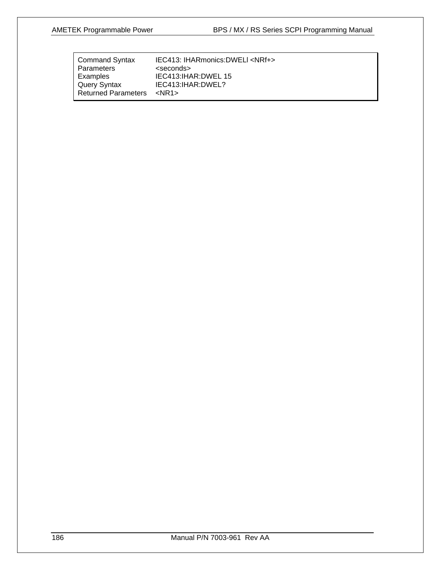| IEC413: IHARmonics: DWELI <nrf+></nrf+> |
|-----------------------------------------|
| <seconds></seconds>                     |
| IEC413: IHAR: DWEL 15                   |
| IEC413: IHAR: DWEL?                     |
| <nr1></nr1>                             |
|                                         |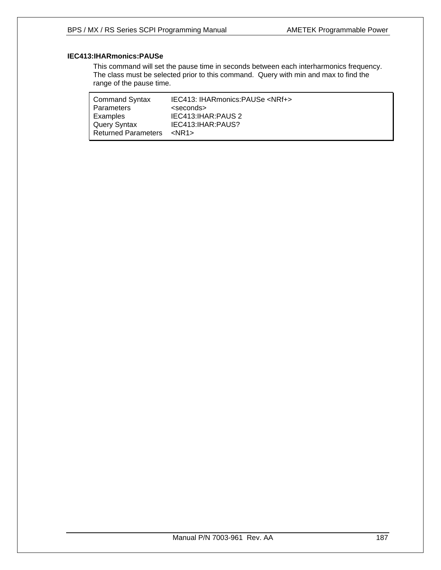# **IEC413:IHARmonics:PAUSe**

This command will set the pause time in seconds between each interharmonics frequency. The class must be selected prior to this command. Query with min and max to find the range of the pause time.

| <b>Command Syntax</b>      | IEC413: IHARmonics:PAUSe <nrf+></nrf+> |
|----------------------------|----------------------------------------|
| <b>Parameters</b>          | <seconds></seconds>                    |
| Examples                   | IEC413: IHAR: PAUS 2                   |
| <b>Query Syntax</b>        | IEC413: IHAR: PAUS?                    |
| <b>Returned Parameters</b> | $<$ NR1 $>$                            |
|                            |                                        |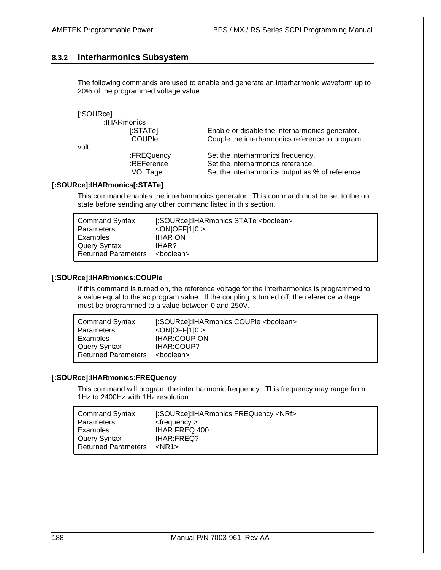### **8.3.2 Interharmonics Subsystem**

The following commands are used to enable and generate an interharmonic waveform up to 20% of the programmed voltage value.

| [:SOURce] |             |                                                  |
|-----------|-------------|--------------------------------------------------|
|           | :IHARmonics |                                                  |
|           | [:STATE]    | Enable or disable the interharmonics generator.  |
|           | :COUPle     | Couple the interharmonics reference to program   |
| volt.     |             |                                                  |
|           | :FREQuency  | Set the interharmonics frequency.                |
|           | :REFerence  | Set the interharmonics reference.                |
|           | :VOLTage    | Set the interharmonics output as % of reference. |

#### **[:SOURce]:IHARmonics[:STATe]**

This command enables the interharmonics generator. This command must be set to the on state before sending any other command listed in this section.

| $<$ ON $ $ OFF $ 1 $ 0 ><br>Parameters            | <b>Command Syntax</b> |
|---------------------------------------------------|-----------------------|
|                                                   |                       |
| <b>IHAR ON</b><br>Examples                        |                       |
| Query Syntax<br>IHAR?                             |                       |
| <b>Returned Parameters</b><br><boolean></boolean> |                       |

#### **[:SOURce]:IHARmonics:COUPle**

If this command is turned on, the reference voltage for the interharmonics is programmed to a value equal to the ac program value. If the coupling is turned off, the reference voltage must be programmed to a value between 0 and 250V.

| <b>Command Syntax</b>      | [:SOURce]:IHARmonics:COUPle <boolean></boolean> |
|----------------------------|-------------------------------------------------|
| Parameters                 | $\langle ON OFF 1 0\rangle$                     |
| Examples                   | <b>IHAR:COUP ON</b>                             |
| Query Syntax               | IHAR:COUP?                                      |
| <b>Returned Parameters</b> | <boolean></boolean>                             |

#### **[:SOURce]:IHARmonics:FREQuency**

This command will program the inter harmonic frequency. This frequency may range from 1Hz to 2400Hz with 1Hz resolution.

| <b>Command Syntax</b>      | [:SOURce]:IHARmonics:FREQuency <nrf></nrf> |
|----------------------------|--------------------------------------------|
| Parameters                 | $<$ frequency $>$                          |
| Examples                   | IHAR:FREQ 400                              |
| Query Syntax               | <b>IHAR:FREQ?</b>                          |
| <b>Returned Parameters</b> | $<$ NR1 $>$                                |
|                            |                                            |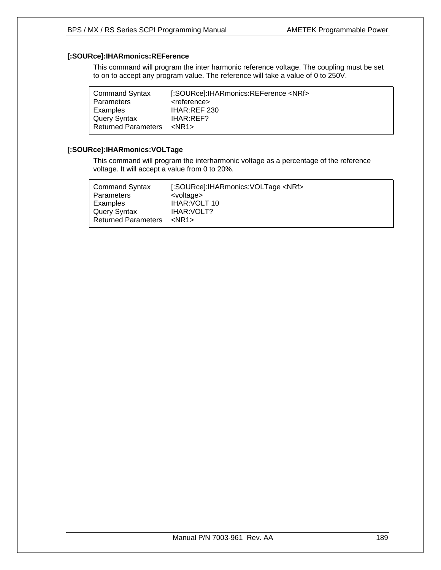# **[:SOURce]:IHARmonics:REFerence**

This command will program the inter harmonic reference voltage. The coupling must be set to on to accept any program value. The reference will take a value of 0 to 250V.

| [:SOURce]:IHARmonics:REFerence <nrf></nrf> |
|--------------------------------------------|
| <reference></reference>                    |
| IHAR:REF 230                               |
| <b>IHAR:REF?</b>                           |
| $<$ NR1 $>$                                |
|                                            |

# **[:SOURce]:IHARmonics:VOLTage**

This command will program the interharmonic voltage as a percentage of the reference voltage. It will accept a value from 0 to 20%.

| <b>Command Syntax</b>      | [:SOURce]:IHARmonics:VOLTage <nrf></nrf> |
|----------------------------|------------------------------------------|
| Parameters                 | <voltage></voltage>                      |
| Examples                   | IHAR: VOLT 10                            |
| Query Syntax               | <b>IHAR:VOLT?</b>                        |
| <b>Returned Parameters</b> | $<$ NR1 $>$                              |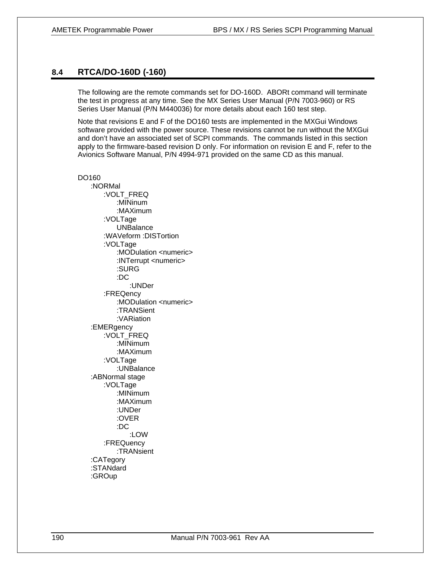#### **8.4 RTCA/DO-160D (-160)**

The following are the remote commands set for DO-160D. ABORt command will terminate the test in progress at any time. See the MX Series User Manual (P/N 7003-960) or RS Series User Manual (P/N M440036) for more details about each 160 test step.

Note that revisions E and F of the DO160 tests are implemented in the MXGui Windows software provided with the power source. These revisions cannot be run without the MXGui and don't have an associated set of SCPI commands. The commands listed in this section apply to the firmware-based revision D only. For information on revision E and F, refer to the Avionics Software Manual, P/N 4994-971 provided on the same CD as this manual.

DO160 :NORMal :VOLT\_FREQ :MINinum :MAXimum :VOLTage UNBalance :WAVeform :DISTortion :VOLTage : MODulation <numeric> :INTerrupt <numeric> :SURG :DC :UNDer :FREQency :MODulation <numeric> :TRANSient :VARiation :EMERgency :VOLT\_FREQ :MINimum :MAXimum :VOLTage :UNBalance :ABNormal stage :VOLTage :MINimum :MAXimum :UNDer :OVER :DC :LOW :FREQuency :TRANsient :CATegory :STANdard :GROup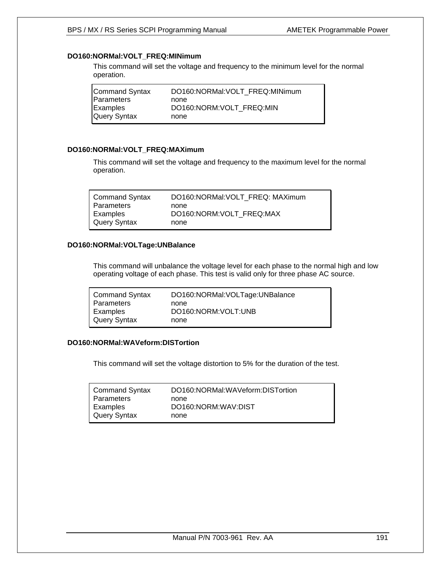# **DO160:NORMal:VOLT\_FREQ:MINimum**

This command will set the voltage and frequency to the minimum level for the normal operation.

| DO160:NORMal:VOLT_FREQ:MINimum<br>Command Syntax |  |
|--------------------------------------------------|--|
| Parameters<br>none                               |  |
| Examples<br>DO160:NORM:VOLT FREQ:MIN             |  |
| Query Syntax<br>none                             |  |

#### **DO160:NORMal:VOLT\_FREQ:MAXimum**

This command will set the voltage and frequency to the maximum level for the normal operation.

| <b>Command Syntax</b> | DO160:NORMal:VOLT_FREQ: MAXimum |
|-----------------------|---------------------------------|
| Parameters            | none                            |
| Examples              | DO160:NORM:VOLT FREQ:MAX        |
| <b>Query Syntax</b>   | none                            |

#### **DO160:NORMal:VOLTage:UNBalance**

This command will unbalance the voltage level for each phase to the normal high and low operating voltage of each phase. This test is valid only for three phase AC source.

| <b>Command Syntax</b> | DO160:NORMal:VOLTage:UNBalance |
|-----------------------|--------------------------------|
| Parameters            | none                           |
| Examples              | DO160:NORM:VOLT:UNB            |
| <b>Query Syntax</b>   | none                           |

### **DO160:NORMal:WAVeform:DISTortion**

This command will set the voltage distortion to 5% for the duration of the test.

| <b>Command Syntax</b> | DO160:NORMal:WAVeform:DISTortion |
|-----------------------|----------------------------------|
| Parameters            | none                             |
| Examples              | DO160:NORM:WAV:DIST              |
| <b>Query Syntax</b>   | none                             |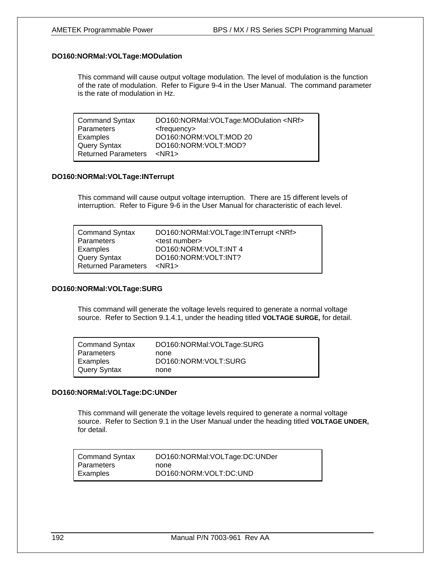#### **DO160:NORMal:VOLTage:MODulation**

This command will cause output voltage modulation. The level of modulation is the function of the rate of modulation. Refer to Figure 9-4 in the User Manual. The command parameter is the rate of modulation in Hz.

| <b>Command Syntax</b>      | DO160:NORMal:VOLTage:MODulation <nrf></nrf> |
|----------------------------|---------------------------------------------|
| <b>Parameters</b>          | <frequency></frequency>                     |
| Examples                   | DO160:NORM:VOLT:MOD 20                      |
| Query Syntax               | DO160:NORM:VOLT:MOD?                        |
| <b>Returned Parameters</b> | $<$ NR1 $>$                                 |

#### **DO160:NORMal:VOLTage:INTerrupt**

This command will cause output voltage interruption. There are 15 different levels of interruption. Refer to Figure 9-6 in the User Manual for characteristic of each level.

| <b>Command Syntax</b>      | DO160:NORMal: VOLTage: INTerrupt <nrf></nrf> |
|----------------------------|----------------------------------------------|
| <b>Parameters</b>          | <test number=""></test>                      |
| Examples                   | DO160:NORM: VOLT: INT 4                      |
| <b>Query Syntax</b>        | DO160:NORM: VOLT: INT?                       |
| <b>Returned Parameters</b> | $<$ NR1 $>$                                  |

#### **DO160:NORMal:VOLTage:SURG**

This command will generate the voltage levels required to generate a normal voltage source. Refer to Section 9.1.4.1, under the heading titled **VOLTAGE SURGE,** for detail.

| <b>Command Syntax</b> | DO160:NORMal:VOLTage:SURG |
|-----------------------|---------------------------|
| Parameters            | none                      |
| Examples              | DO160:NORM:VOLT:SURG      |
| <b>Query Syntax</b>   | none                      |

#### **DO160:NORMal:VOLTage:DC:UNDer**

This command will generate the voltage levels required to generate a normal voltage source. Refer to Section 9.1 in the User Manual under the heading titled **VOLTAGE UNDER,** for detail.

| <b>Command Syntax</b> | DO160:NORMal:VOLTage:DC:UNDer |
|-----------------------|-------------------------------|
| Parameters            | none                          |
| Examples              | DO160:NORM:VOLT:DC:UND        |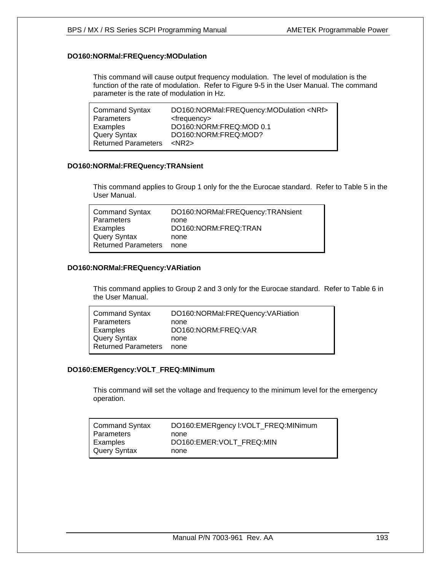#### **DO160:NORMal:FREQuency:MODulation**

This command will cause output frequency modulation. The level of modulation is the function of the rate of modulation. Refer to Figure 9-5 in the User Manual. The command parameter is the rate of modulation in Hz.

| <b>Command Syntax</b>      | DO160:NORMal:FREQuency:MODulation <nrf></nrf> |
|----------------------------|-----------------------------------------------|
| Parameters                 | <frequency></frequency>                       |
| Examples                   | DO160:NORM:FREQ:MOD 0.1                       |
| <b>Query Syntax</b>        | DO160:NORM:FREQ:MOD?                          |
| <b>Returned Parameters</b> | $<$ NR2 $>$                                   |

#### **DO160:NORMal:FREQuency:TRANsient**

This command applies to Group 1 only for the the Eurocae standard. Refer to Table 5 in the User Manual.

| <b>Command Syntax</b>      | DO160:NORMal:FREQuency:TRANsient |
|----------------------------|----------------------------------|
| Parameters                 | none                             |
| Examples                   | DO160:NORM:FREQ:TRAN             |
| <b>Query Syntax</b>        | none                             |
| <b>Returned Parameters</b> | none                             |
|                            |                                  |

#### **DO160:NORMal:FREQuency:VARiation**

This command applies to Group 2 and 3 only for the Eurocae standard. Refer to Table 6 in the User Manual.

| <b>Command Syntax</b>      | DO160:NORMal:FREQuency:VARiation |
|----------------------------|----------------------------------|
| <b>Parameters</b>          | none                             |
| Examples                   | DO160:NORM:FREQ:VAR              |
| Query Syntax               | none                             |
| <b>Returned Parameters</b> | none                             |

#### **DO160:EMERgency:VOLT\_FREQ:MINimum**

This command will set the voltage and frequency to the minimum level for the emergency operation.

| <b>Command Syntax</b> | DO160:EMERgency I:VOLT_FREQ:MINimum |
|-----------------------|-------------------------------------|
| Parameters            | none                                |
| Examples              | DO160:EMER:VOLT FREQ:MIN            |
| Query Syntax          | none                                |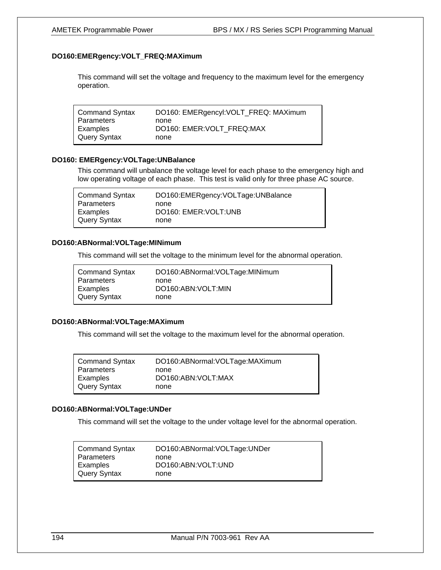#### **DO160:EMERgency:VOLT\_FREQ:MAXimum**

This command will set the voltage and frequency to the maximum level for the emergency operation.

| <b>Command Syntax</b> | DO160: EMERgencyl: VOLT_FREQ: MAXimum |
|-----------------------|---------------------------------------|
| Parameters            | none                                  |
| Examples              | DO160: EMER: VOLT FREQ: MAX           |
| Query Syntax          | none                                  |

#### **DO160: EMERgency:VOLTage:UNBalance**

This command will unbalance the voltage level for each phase to the emergency high and low operating voltage of each phase. This test is valid only for three phase AC source.

| <b>Command Syntax</b> | DO160:EMERgency:VOLTage:UNBalance |
|-----------------------|-----------------------------------|
| Parameters            | none                              |
| Examples              | DO160: EMER: VOLT: UNB            |
| Query Syntax          | none                              |

#### **DO160:ABNormal:VOLTage:MINimum**

This command will set the voltage to the minimum level for the abnormal operation.

| <b>Command Syntax</b> | DO160:ABNormal: VOLTage: MINimum |
|-----------------------|----------------------------------|
| Parameters            | none                             |
| Examples              | DO160:ABN:VOLT:MIN               |
| <b>Query Syntax</b>   | none                             |

#### **DO160:ABNormal:VOLTage:MAXimum**

This command will set the voltage to the maximum level for the abnormal operation.

| <b>Command Syntax</b> | DO160:ABNormal:VOLTage:MAXimum |
|-----------------------|--------------------------------|
| <b>Parameters</b>     | none                           |
| Examples              | DO160:ABN:VOLT:MAX             |
| Query Syntax          | none                           |

#### **DO160:ABNormal:VOLTage:UNDer**

This command will set the voltage to the under voltage level for the abnormal operation.

| <b>Command Syntax</b> | DO160:ABNormal: VOLTage: UNDer |
|-----------------------|--------------------------------|
| <b>Parameters</b>     | none                           |
| Examples              | DO160:ABN:VOLT:UND             |
| <b>Query Syntax</b>   | none                           |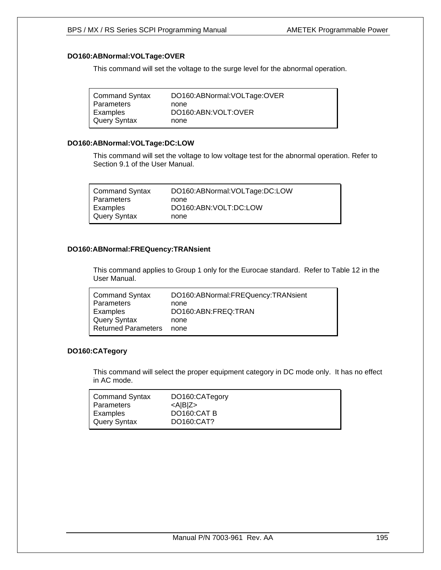#### **DO160:ABNormal:VOLTage:OVER**

This command will set the voltage to the surge level for the abnormal operation.

#### **DO160:ABNormal:VOLTage:DC:LOW**

This command will set the voltage to low voltage test for the abnormal operation. Refer to Section 9.1 of the User Manual.

| <b>Command Syntax</b> | DO160:ABNormal:VOLTage:DC:LOW |
|-----------------------|-------------------------------|
| Parameters            | none                          |
| Examples              | DO160:ABN:VOLT:DC:LOW         |
| <b>Query Syntax</b>   | none                          |

#### **DO160:ABNormal:FREQuency:TRANsient**

This command applies to Group 1 only for the Eurocae standard. Refer to Table 12 in the User Manual.

| <b>Command Syntax</b><br>Parameters<br>Examples<br>Query Syntax | DO160:ABNormal:FREQuency:TRANsient<br>none<br>DO160:ABN:FREQ:TRAN<br>none |
|-----------------------------------------------------------------|---------------------------------------------------------------------------|
|                                                                 |                                                                           |
| <b>Returned Parameters</b>                                      | none                                                                      |

#### **DO160:CATegory**

This command will select the proper equipment category in DC mode only. It has no effect in AC mode.

| <b>Command Syntax</b><br>Parameters | DO160:CATegory<br>$<$ A $ B Z$ > |
|-------------------------------------|----------------------------------|
| Examples                            | DO160:CAT B                      |
| <b>Query Syntax</b>                 | DO160:CAT?                       |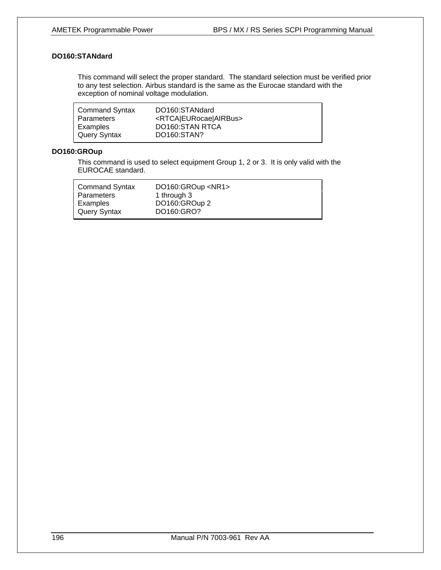## **DO160:STANdard**

This command will select the proper standard. The standard selection must be verified prior to any test selection. Airbus standard is the same as the Eurocae standard with the exception of nominal voltage modulation.

| <b>Command Syntax</b> | DO160:STANdard                              |
|-----------------------|---------------------------------------------|
| <b>Parameters</b>     | <rtca eurocae airbus></rtca eurocae airbus> |
| Examples              | DO160:STAN RTCA                             |
| <b>Query Syntax</b>   | DO160:STAN?                                 |

## **DO160:GROup**

This command is used to select equipment Group 1, 2 or 3. It is only valid with the EUROCAE standard.

| <b>Command Syntax</b> | DO160:GROup <nr1></nr1> |
|-----------------------|-------------------------|
| Parameters            | 1 through 3             |
| Examples              | DO160:GROup 2           |
| <b>Query Syntax</b>   | DO160:GRO?              |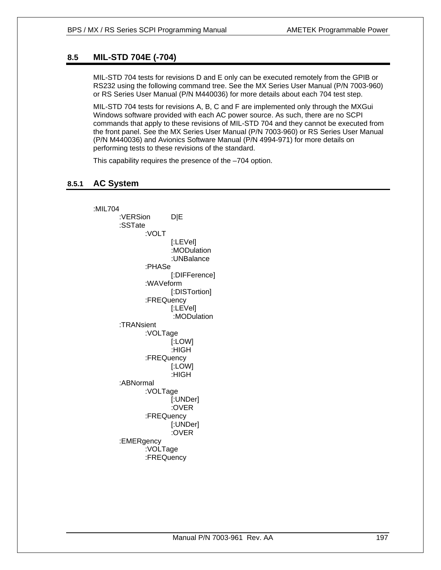# **8.5 MIL-STD 704E (-704)**

MIL-STD 704 tests for revisions D and E only can be executed remotely from the GPIB or RS232 using the following command tree. See the MX Series User Manual (P/N 7003-960) or RS Series User Manual (P/N M440036) for more details about each 704 test step.

MIL-STD 704 tests for revisions A, B, C and F are implemented only through the MXGui Windows software provided with each AC power source. As such, there are no SCPI commands that apply to these revisions of MIL-STD 704 and they cannot be executed from the front panel. See the MX Series User Manual (P/N 7003-960) or RS Series User Manual (P/N M440036) and Avionics Software Manual (P/N 4994-971) for more details on performing tests to these revisions of the standard.

This capability requires the presence of the –704 option.

## **8.5.1 AC System**

:MIL704 :VERSion D|E :SSTate :VOLT [:LEVel] :MODulation :UNBalance :PHASe [:DIFFerence] :WAVeform [:DISTortion] :FREQuency [:LEVel] :MODulation :TRANsient :VOLTage [:LOW] :HIGH :FREQuency [:LOW] :HIGH :ABNormal :VOLTage [:UNDer] :OVER :FREQuency [:UNDer] :OVER :EMERgency :VOLTage :FREQuency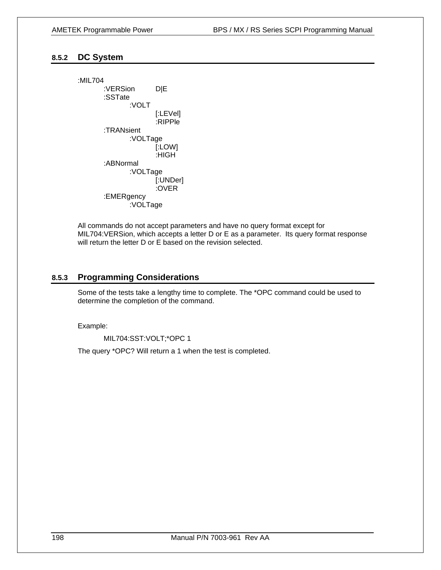## **8.5.2 DC System**

:MIL704 :VERSion D|E :SSTate :VOLT [:LEVel] :RIPPle :TRANsient :VOLTage [:LOW] :HIGH :ABNormal :VOLTage [:UNDer] :OVER :EMERgency :VOLTage

All commands do not accept parameters and have no query format except for MIL704:VERSion, which accepts a letter D or E as a parameter. Its query format response will return the letter D or E based on the revision selected.

#### **8.5.3 Programming Considerations**

Some of the tests take a lengthy time to complete. The \*OPC command could be used to determine the completion of the command.

Example:

MIL704:SST:VOLT;\*OPC 1

The query \*OPC? Will return a 1 when the test is completed.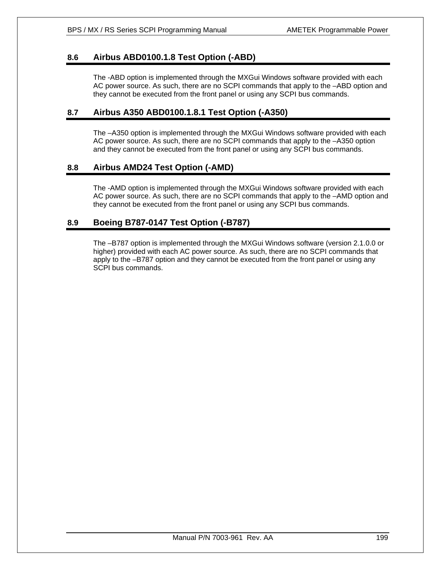# **8.6 Airbus ABD0100.1.8 Test Option (-ABD)**

The -ABD option is implemented through the MXGui Windows software provided with each AC power source. As such, there are no SCPI commands that apply to the –ABD option and they cannot be executed from the front panel or using any SCPI bus commands.

# **8.7 Airbus A350 ABD0100.1.8.1 Test Option (-A350)**

The –A350 option is implemented through the MXGui Windows software provided with each AC power source. As such, there are no SCPI commands that apply to the –A350 option and they cannot be executed from the front panel or using any SCPI bus commands.

# **8.8 Airbus AMD24 Test Option (-AMD)**

The -AMD option is implemented through the MXGui Windows software provided with each AC power source. As such, there are no SCPI commands that apply to the –AMD option and they cannot be executed from the front panel or using any SCPI bus commands.

# **8.9 Boeing B787-0147 Test Option (-B787)**

The –B787 option is implemented through the MXGui Windows software (version 2.1.0.0 or higher) provided with each AC power source. As such, there are no SCPI commands that apply to the –B787 option and they cannot be executed from the front panel or using any SCPI bus commands.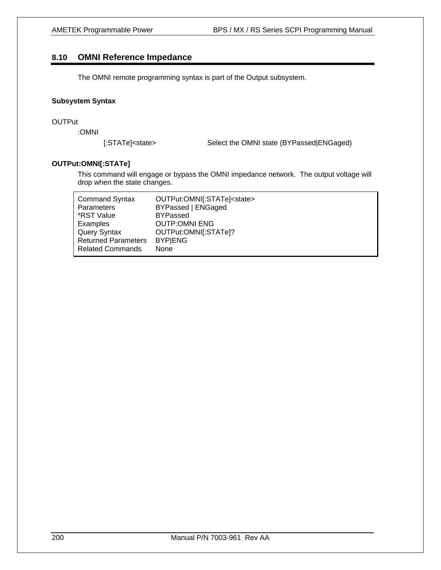## **8.10 OMNI Reference Impedance**

The OMNI remote programming syntax is part of the Output subsystem.

#### **Subsystem Syntax**

#### **OUTPut**

:OMNI

[:STATe]<state> Select the OMNI state (BYPassed|ENGaged)

#### **OUTPut:OMNI[:STATe]**

This command will engage or bypass the OMNI impedance network. The output voltage will drop when the state changes.

| <b>Command Syntax</b>      | OUTPut:OMNI[:STATe] <state></state> |
|----------------------------|-------------------------------------|
| <b>Parameters</b>          | BYPassed   ENGaged                  |
| *RST Value                 | <b>BYPassed</b>                     |
| Examples                   | <b>OUTP:OMNI ENG</b>                |
| Query Syntax               | OUTPut:OMNI[:STATe]?                |
| <b>Returned Parameters</b> | <b>BYPIENG</b>                      |
| <b>Related Commands</b>    | None                                |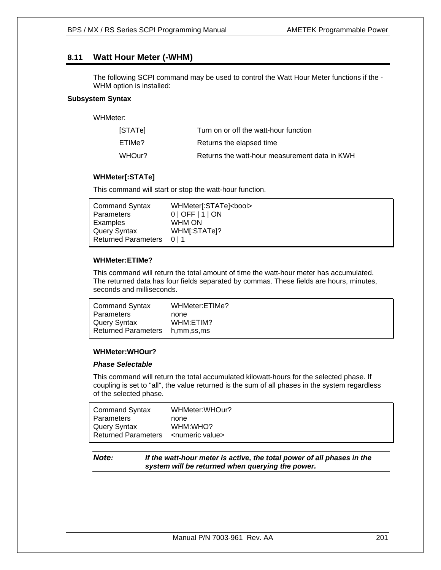# **8.11 Watt Hour Meter (-WHM)**

The following SCPI command may be used to control the Watt Hour Meter functions if the - WHM option is installed:

#### **Subsystem Syntax**

WHMeter:

| <b>STATel</b> | Turn on or off the watt-hour function         |
|---------------|-----------------------------------------------|
| ETIMe?        | Returns the elapsed time                      |
| WHOur?        | Returns the watt-hour measurement data in KWH |

#### **WHMeter[:STATe]**

This command will start or stop the watt-hour function.

#### **WHMeter:ETIMe?**

This command will return the total amount of time the watt-hour meter has accumulated. The returned data has four fields separated by commas. These fields are hours, minutes, seconds and milliseconds.

| <b>Command Syntax</b>      | WHMeter:ETIMe? |
|----------------------------|----------------|
| Parameters                 | none           |
| Query Syntax               | WHM:ETIM?      |
| <b>Returned Parameters</b> | h.mm,ss,ms     |

#### **WHMeter:WHOur?**

#### *Phase Selectable*

This command will return the total accumulated kilowatt-hours for the selected phase. If coupling is set to "all", the value returned is the sum of all phases in the system regardless of the selected phase.

| Command Syntax             | WHMeter: WHOur? |
|----------------------------|-----------------|
| Parameters                 | none            |
| l Query Syntax             | WHM:WHO?        |
| <b>Returned Parameters</b> | ∠numeric value> |

*Note: If the watt-hour meter is active, the total power of all phases in the system will be returned when querying the power.*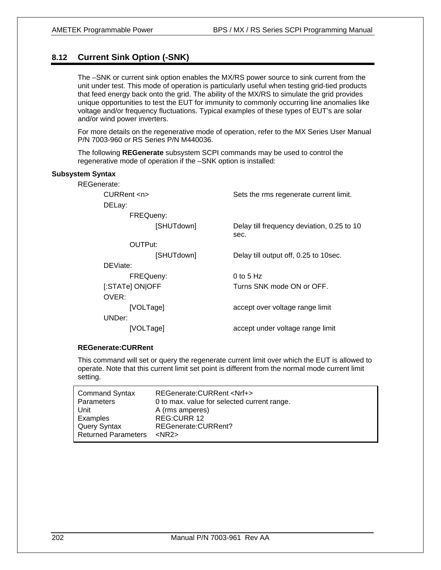# **8.12 Current Sink Option (-SNK)**

The –SNK or current sink option enables the MX/RS power source to sink current from the unit under test. This mode of operation is particularly useful when testing grid-tied products that feed energy back onto the grid. The ability of the MX/RS to simulate the grid provides unique opportunities to test the EUT for immunity to commonly occurring line anomalies like voltage and/or frequency fluctuations. Typical examples of these types of EUT's are solar and/or wind power inverters.

For more details on the regenerative mode of operation, refer to the MX Series User Manual P/N 7003-960 or RS Series P/N M440036.

The following **REGenerate** subsystem SCPI commands may be used to control the regenerative mode of operation if the –SNK option is installed:

#### **Subsystem Syntax**

REGenerate:

CURRent <n> Sets the rms regenerate current limit.

DELay:

FREQueny:

[SHUTdown] Delay till frequency deviation, 0.25 to 10

OUTPut:

DEViate:

OVER:

sec.

[SHUTdown] Delay till output off, 0.25 to 10sec.

FREQueny: 0 to 5 Hz [:STATe] ON|OFF Turns SNK mode ON or OFF.

[VOLTage] accept over voltage range limit

UNDer:

[VOLTage] accept under voltage range limit

#### **REGenerate:CURRent**

This command will set or query the regenerate current limit over which the EUT is allowed to operate. Note that this current limit set point is different from the normal mode current limit setting.

| <b>Command Syntax</b>      | REGenerate: CURRent <nrf+></nrf+>           |
|----------------------------|---------------------------------------------|
| Parameters                 | 0 to max, value for selected current range. |
| Unit                       | A (rms amperes)                             |
| Examples                   | REG:CURR 12                                 |
| <b>Query Syntax</b>        | REGenerate: CURRent?                        |
| <b>Returned Parameters</b> | $<$ NR2 $>$                                 |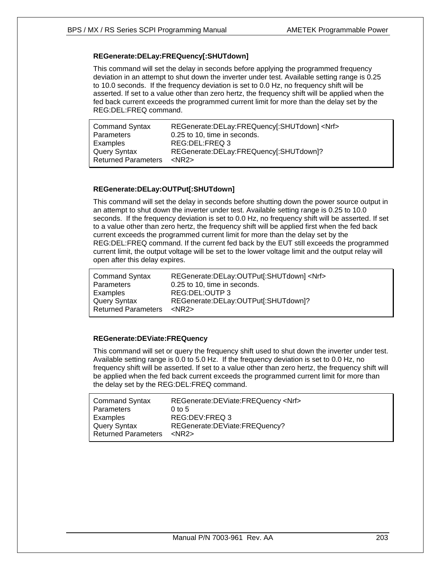#### **REGenerate:DELay:FREQuency[:SHUTdown]**

This command will set the delay in seconds before applying the programmed frequency deviation in an attempt to shut down the inverter under test. Available setting range is 0.25 to 10.0 seconds. If the frequency deviation is set to 0.0 Hz, no frequency shift will be asserted. If set to a value other than zero hertz, the frequency shift will be applied when the fed back current exceeds the programmed current limit for more than the delay set by the REG:DEL:FREQ command.

| <b>Command Syntax</b>      | REGenerate:DELay:FREQuency[:SHUTdown] <nrf></nrf> |
|----------------------------|---------------------------------------------------|
| Parameters                 | 0.25 to 10, time in seconds.                      |
| Examples                   | REG:DEL:FREQ 3                                    |
| Query Syntax               | REGenerate:DELay:FREQuency[:SHUTdown]?            |
| <b>Returned Parameters</b> | $<$ NR2 $>$                                       |

#### **REGenerate:DELay:OUTPut[:SHUTdown]**

This command will set the delay in seconds before shutting down the power source output in an attempt to shut down the inverter under test. Available setting range is 0.25 to 10.0 seconds. If the frequency deviation is set to 0.0 Hz, no frequency shift will be asserted. If set to a value other than zero hertz, the frequency shift will be applied first when the fed back current exceeds the programmed current limit for more than the delay set by the REG:DEL:FREQ command. If the current fed back by the EUT still exceeds the programmed current limit, the output voltage will be set to the lower voltage limit and the output relay will open after this delay expires.

| <b>Command Syntax</b>      | REGenerate:DELay:OUTPut[:SHUTdown] <nrf></nrf> |
|----------------------------|------------------------------------------------|
| Parameters                 | 0.25 to 10, time in seconds.                   |
| Examples                   | REG:DEL:OUTP 3                                 |
| Query Syntax               | REGenerate:DELay:OUTPut[:SHUTdown]?            |
| <b>Returned Parameters</b> | $<$ NR2 $>$                                    |
|                            |                                                |

#### **REGenerate:DEViate:FREQuency**

This command will set or query the frequency shift used to shut down the inverter under test. Available setting range is 0.0 to 5.0 Hz. If the frequency deviation is set to 0.0 Hz, no frequency shift will be asserted. If set to a value other than zero hertz, the frequency shift will be applied when the fed back current exceeds the programmed current limit for more than the delay set by the REG:DEL:FREQ command.

| Command Syntax      | REGenerate:DEViate:FREQuency <nrf></nrf> |
|---------------------|------------------------------------------|
| Parameters          | $0$ to 5                                 |
| Examples            | REG:DEV:FREQ 3                           |
| Query Syntax        | REGenerate:DEViate:FREQuency?            |
| Returned Parameters | $<$ NR2 $>$                              |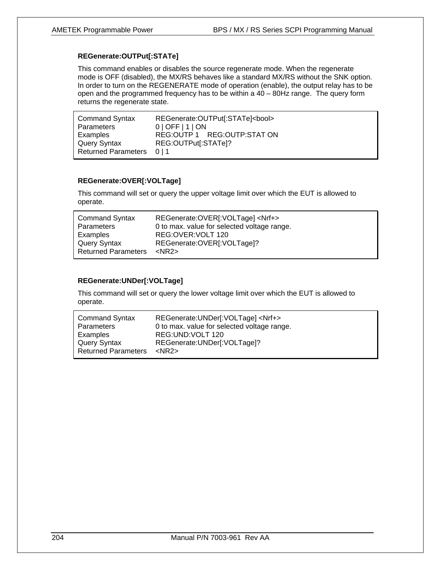#### **REGenerate:OUTPut[:STATe]**

This command enables or disables the source regenerate mode. When the regenerate mode is OFF (disabled), the MX/RS behaves like a standard MX/RS without the SNK option. In order to turn on the REGENERATE mode of operation (enable), the output relay has to be open and the programmed frequency has to be within a 40 – 80Hz range. The query form returns the regenerate state.

| <b>Command Syntax</b>     | REGenerate: OUTPut[:STATe]<br>cool> |
|---------------------------|-------------------------------------|
| Parameters                | $0$   OFF   1   ON                  |
| Examples                  | REG:OUTP 1 REG:OUTP:STAT ON         |
| Query Syntax              | REG:OUTPut[:STATe]?                 |
| Returned Parameters 0   1 |                                     |

#### **REGenerate:OVER[:VOLTage]**

This command will set or query the upper voltage limit over which the EUT is allowed to operate.

| <b>Command Syntax</b><br>Parameters | REGenerate: OVER[: VOLTage] <nrf+><br/>0 to max. value for selected voltage range.</nrf+> |
|-------------------------------------|-------------------------------------------------------------------------------------------|
| Examples                            | REG: OVER: VOLT 120                                                                       |
| Query Syntax                        | REGenerate: OVER[: VOLTage]?                                                              |
| <b>Returned Parameters</b>          | $<$ NR2 $>$                                                                               |

## **REGenerate:UNDer[:VOLTage]**

This command will set or query the lower voltage limit over which the EUT is allowed to operate.

| <b>Command Syntax</b><br>Parameters | REGenerate: UNDer[: VOLTage] <nrf+><br/>0 to max. value for selected voltage range.</nrf+> |
|-------------------------------------|--------------------------------------------------------------------------------------------|
| Examples                            | REG:UND:VOLT 120                                                                           |
| Query Syntax                        | REGenerate: UNDer[: VOLTage]?                                                              |
| <b>Returned Parameters</b>          | $<$ NR2 $>$                                                                                |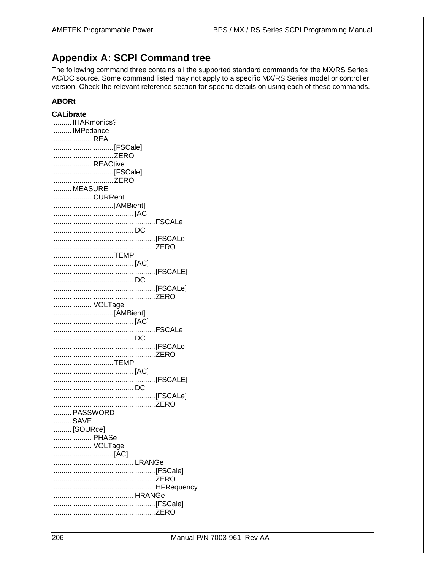# **Appendix A: SCPI Command tree**

The following command three contains all the supported standard commands for the MX/RS Series AC/DC source. Some command listed may not apply to a specific MX/RS Series model or controller version. Check the relevant reference section for specific details on using each of these commands.

# **ABORt**

| <b>CALibrate</b> |        |
|------------------|--------|
| IHARmonics?      |        |
| IMPedance        |        |
| REAL             |        |
| [FSCale]         |        |
| ZERO             |        |
| REACtive         |        |
| [FSCale]         |        |
| ZERO             |        |
| MEASURE          |        |
| CURRent          |        |
| [AMBient]        |        |
|                  |        |
|                  | FSCALe |
|                  |        |
|                  |        |
|                  |        |
|                  |        |
| TEMP             |        |
|                  |        |
|                  |        |
|                  |        |
|                  |        |
|                  |        |
| VOLTage          |        |
| [AMBient]        |        |
|                  |        |
|                  |        |
|                  |        |
|                  |        |
|                  |        |
| TEMP             |        |
|                  |        |
|                  |        |
|                  |        |
|                  |        |
|                  |        |
| PASSWORD         |        |
| SAVE             |        |
| [SOURce]         |        |
| PHASe            |        |
| VOLTage          |        |
| [AC]             |        |
|                  |        |
|                  |        |
|                  |        |
|                  |        |
|                  |        |
|                  |        |
|                  |        |
|                  |        |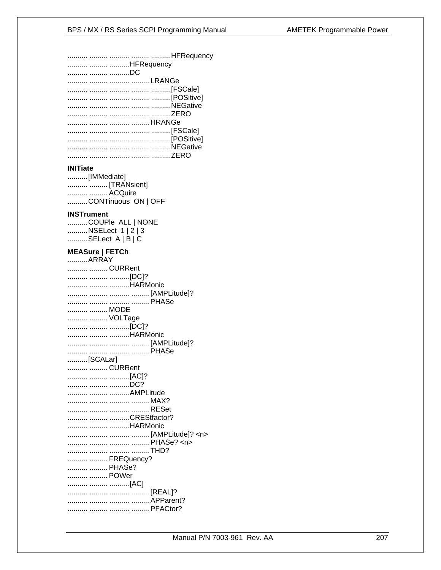| HFRequency |
|------------|
| DC         |
|            |
|            |
|            |
|            |
|            |
|            |
|            |
|            |
|            |
|            |
|            |

## **INITiate**

..........[IMMediate] ..........CONTinuous ON | OFF

#### **INSTrument**

| COUPle ALL   NONE |
|-------------------|
| NSELect 1   2   3 |
| SELect A   B   C  |

# **MEASure | FETCh**

| ARRAY        |
|--------------|
| CURRent      |
|              |
| [DC]?        |
| HARMonic     |
|              |
|              |
| MODE         |
|              |
| VOLTage      |
| [DC]?        |
| HARMonic     |
|              |
|              |
|              |
| [SCALar]     |
| CURRent      |
| [AC]?        |
| DC?          |
| AMPLitude    |
|              |
|              |
|              |
| CREStfactor? |
| HARMonic     |
|              |
|              |
|              |
|              |
| FREQuency?   |
| PHASe?       |
|              |
| POWer        |
| [AC]         |
|              |
|              |
|              |
|              |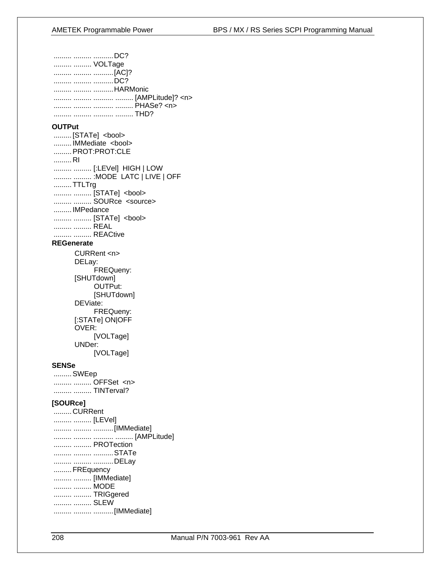| DC?                                             |
|-------------------------------------------------|
| VOLTage                                         |
|                                                 |
| DC?<br>HARMonic                                 |
|                                                 |
|                                                 |
|                                                 |
| <b>OUTPut</b>                                   |
| [STATe] <bool></bool>                           |
| IMMediate <bool></bool>                         |
| PROT:PROT:CLE                                   |
| RI                                              |
| [:LEVel] HIGH   LOW<br>: MODE LATC   LIVE   OFF |
| TTLTrg                                          |
| [STATe] <bool></bool>                           |
| SOURce <source/>                                |
| IMPedance                                       |
| [STATe] <bool></bool>                           |
| REAL                                            |
| REACtive<br><b>REGenerate</b>                   |
|                                                 |
| CURRent <n><br/>DELay:</n>                      |
| FREQueny:                                       |
| [SHUTdown]                                      |
| OUTPut:                                         |
| [SHUTdown]                                      |
| DEViate:                                        |
| FREQueny:                                       |
| [:STATe] ON OFF<br>OVER:                        |
| [VOLTage]                                       |
| UNDer:                                          |
| [VOLTage]                                       |
| SENSe                                           |
| SWEep                                           |
| OFFSet <n></n>                                  |
| TINTerval?                                      |
| [SOURce]                                        |
| CURRent                                         |
| [LEVel]                                         |
|                                                 |
| PROTection                                      |
| STATe                                           |
| DELay                                           |
| FREquency                                       |
| [IMMediate]                                     |
| MODE                                            |
| TRIGgered                                       |
| SLEW                                            |
|                                                 |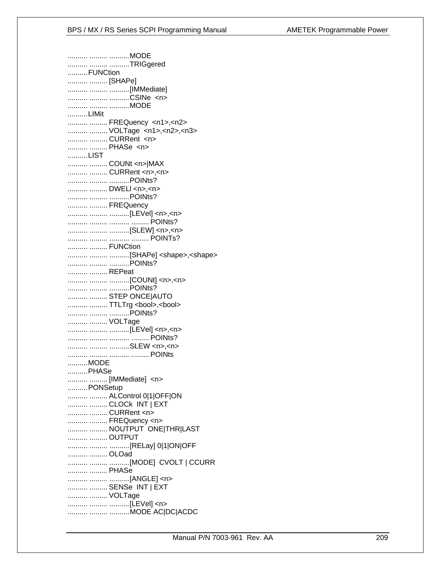.......... ......... ..........MODE .......... ......... ..........TRIGgered ..........FUNCtion .......... .......... [SHAPe] .......... ......... ...........[IMMediate] .......... ......... ..........CSINe <n> .......... ......... ..........MODE ..........LIMit .......... ......... FREQuency <n1>,<n2> .......... ......... VOLTage <n1>,<n2>,<n3> .......... ......... CURRent <n> .......... ......... PHASe <n> ..........LIST .......... ......... COUNt <n>|MAX .......... ......... CURRent <n>,<n> .......... ......... ..........POINts? .......... ......... DWELI <n>,<n> .......... ......... ..........POINts? .......... ......... FREQuency .......... ......... ...........[LEVel] <n>,<n> .......... ......... ...............[SLEW] <n>,<n> .......... ......... FUNCtion .......... ......... ...........[SHAPe] <shape>,<shape> .......... ......... ............ POINts? .......... ......... REPeat .......... ......... STEP ONCE|AUTO .......... ......... TTLTrg <bool>,<bool> ........... ......... ............POINts? .......... ......... VOLTage ........... ......... ............[LEVel] <n>,<n> .......... ......... ..........SLEW <n>,<n> ..........MODE .......... PHASe .......... ......... [IMMediate] <n> .......... PONSetup .......... ......... ALControl 0|1|OFF|ON .......... ......... CLOCk INT | EXT .......... ......... CURRent <n> .......... ......... FREQuency <n> .......... ......... NOUTPUT ONE THRILAST .......... ......... OUTPUT .......... ......... OLOad .......... ......... ...........[MODE] CVOLT | CCURR .......... ......... PHASe .......... ......... ...........[ANGLE] <n> .......... ......... SENSe INT | EXT .......... ......... VOLTage .......... ......... ...........[LEVel] <n> .......... ......... ..........MODE AC|DC|ACDC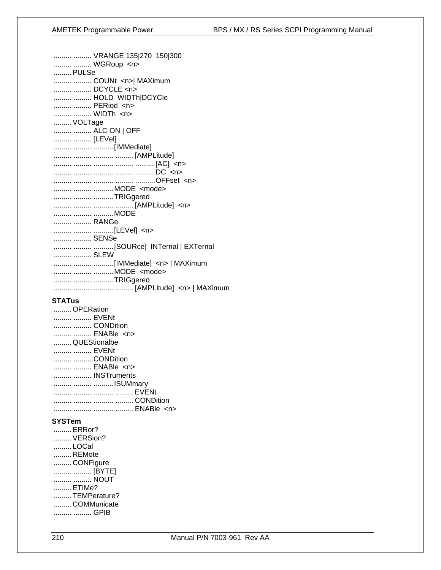| VRANGE 135 270 150 300<br>WGRoup <n></n>    |
|---------------------------------------------|
| PULSe                                       |
| COUNt <n>  MAXimum<br/>  DCYCLE <n></n></n> |
|                                             |
| HOLD WIDTh DCYCle                           |
| PERiod <n></n>                              |
| WIDTh <n></n>                               |
| VOLTage                                     |
| ALC ON   OFF                                |
| [LEVel]                                     |
|                                             |
|                                             |
|                                             |
|                                             |
|                                             |
| MODE <mode></mode>                          |
|                                             |
| TRIGgered                                   |
|                                             |
| MODE                                        |
| RANGe                                       |
| [LEVel] <n></n>                             |
| SENSe                                       |
| [SOURce] INTernal   EXTernal                |
| SLEW                                        |
|                                             |
| MODE <mode></mode>                          |
| TRIGgered                                   |
|                                             |
|                                             |

# **STATus**

| OPERation      |  |
|----------------|--|
| EVENt          |  |
| CONDition      |  |
| ENABle <n></n> |  |
| QUEStionalbe   |  |
| EVENt          |  |
| CONDition      |  |
| ENABle <n></n> |  |
| INSTruments    |  |
| ISUMmary       |  |
|                |  |
|                |  |
|                |  |

# **SYSTem**

......... ERRor? ......... VERSion? .........LOCal .........REMote .........CONFigure ......... ......... [BYTE] ......... ......... NOUT ......... ETIMe? .........TEMPerature? .........COMMunicate ......... ......... GPIB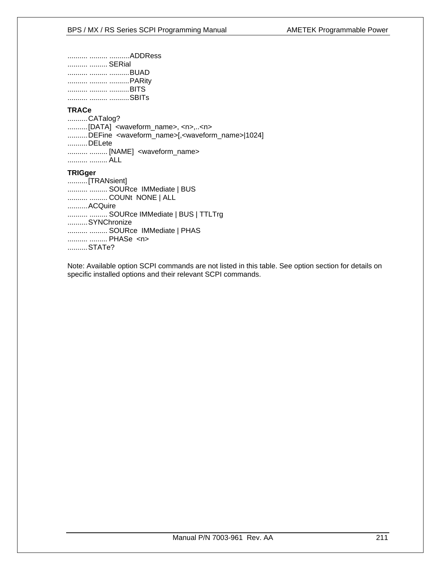| ADDRess |
|---------|
| SERial  |
| BUAD    |
| PARity  |
| BITS    |
| SBITs   |

#### **TRACe**

..........CATalog? ..........[DATA] <waveform\_name>, <n>,..<n> ..........DEFine <waveform\_name>[,<waveform\_name>|1024]  $...........$ DELete .......... ......... [NAME] <waveform\_name> .......... ......... ALL

#### **TRIGger**

| [TRANsient]                     |
|---------------------------------|
| SOURce IMMediate   BUS          |
| COUNt NONE   ALL                |
| ACQuire                         |
| SOURce IMMediate   BUS   TTLTrg |
| SYNChronize                     |
| SOURce IMMediate   PHAS         |
| PHASe <n></n>                   |
| STATe?                          |

Note: Available option SCPI commands are not listed in this table. See option section for details on specific installed options and their relevant SCPI commands.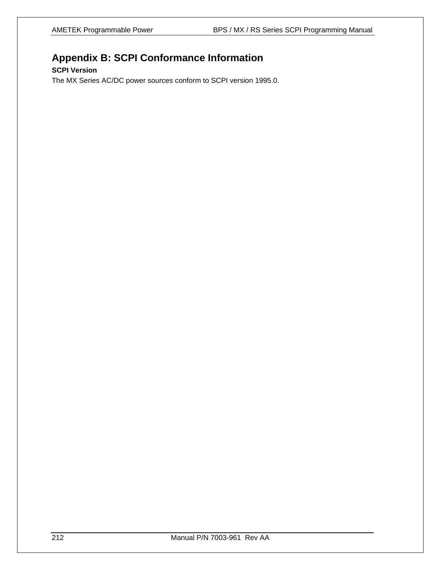# **Appendix B: SCPI Conformance Information**

# **SCPI Version**

The MX Series AC/DC power sources conform to SCPI version 1995.0.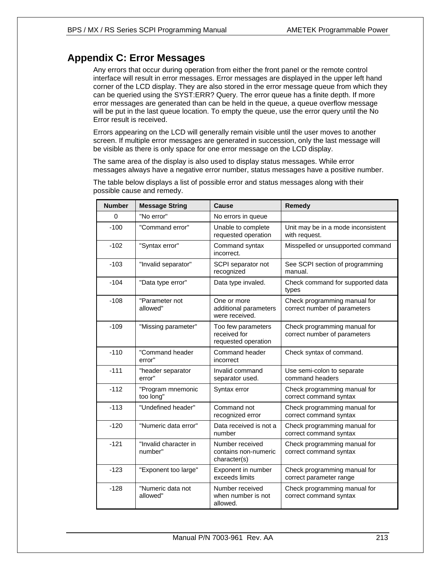# **Appendix C: Error Messages**

Any errors that occur during operation from either the front panel or the remote control interface will result in error messages. Error messages are displayed in the upper left hand corner of the LCD display. They are also stored in the error message queue from which they can be queried using the SYST:ERR? Query. The error queue has a finite depth. If more error messages are generated than can be held in the queue, a queue overflow message will be put in the last queue location. To empty the queue, use the error query until the No Error result is received.

Errors appearing on the LCD will generally remain visible until the user moves to another screen. If multiple error messages are generated in succession, only the last message will be visible as there is only space for one error message on the LCD display.

The same area of the display is also used to display status messages. While error messages always have a negative error number, status messages have a positive number.

| <b>Number</b> | <b>Message String</b>            | Cause                                                     | <b>Remedy</b>                                                |
|---------------|----------------------------------|-----------------------------------------------------------|--------------------------------------------------------------|
| 0             | "No error"                       | No errors in queue                                        |                                                              |
| $-100$        | "Command error"                  | Unable to complete<br>requested operation                 | Unit may be in a mode inconsistent<br>with request.          |
| $-102$        | "Syntax error"                   | Command syntax<br>incorrect.                              | Misspelled or unsupported command                            |
| $-103$        | "Invalid separator"              | SCPI separator not<br>recognized                          | See SCPI section of programming<br>manual.                   |
| $-104$        | "Data type error"                | Data type invaled.                                        | Check command for supported data<br>types                    |
| $-108$        | "Parameter not<br>allowed"       | One or more<br>additional parameters<br>were received.    | Check programming manual for<br>correct number of parameters |
| $-109$        | "Missing parameter"              | Too few parameters<br>received for<br>requested operation | Check programming manual for<br>correct number of parameters |
| $-110$        | "Command header<br>error"        | Command header<br>incorrect                               | Check syntax of command.                                     |
| $-111$        | "header separator<br>error"      | Invalid command<br>separator used.                        | Use semi-colon to separate<br>command headers                |
| $-112$        | "Program mnemonic<br>too long"   | Syntax error                                              | Check programming manual for<br>correct command syntax       |
| $-113$        | "Undefined header"               | Command not<br>recognized error                           | Check programming manual for<br>correct command syntax       |
| $-120$        | "Numeric data error"             | Data received is not a<br>number                          | Check programming manual for<br>correct command syntax       |
| $-121$        | "Invalid character in<br>number" | Number received<br>contains non-numeric<br>character(s)   | Check programming manual for<br>correct command syntax       |
| $-123$        | "Exponent too large"             | Exponent in number<br>exceeds limits                      | Check programming manual for<br>correct parameter range      |
| $-128$        | "Numeric data not<br>allowed"    | Number received<br>when number is not<br>allowed.         | Check programming manual for<br>correct command syntax       |

The table below displays a list of possible error and status messages along with their possible cause and remedy.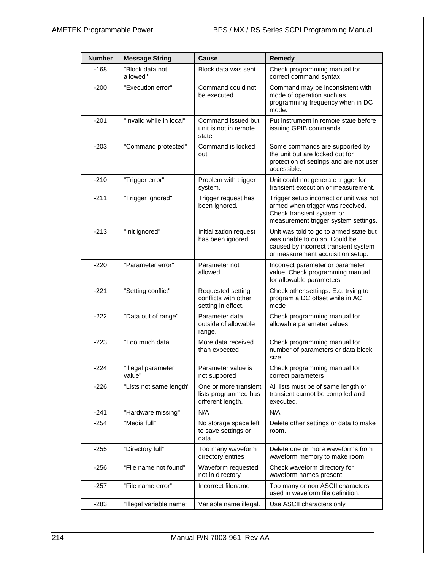| <b>Number</b> | <b>Message String</b>        | Cause                                                              | Remedy                                                                                                                                               |
|---------------|------------------------------|--------------------------------------------------------------------|------------------------------------------------------------------------------------------------------------------------------------------------------|
| $-168$        | "Block data not<br>allowed"  | Block data was sent.                                               | Check programming manual for<br>correct command syntax                                                                                               |
| $-200$        | "Execution error"            | Command could not<br>be executed                                   | Command may be inconsistent with<br>mode of operation such as<br>programming frequency when in DC<br>mode.                                           |
| $-201$        | "Invalid while in local"     | Command issued but<br>unit is not in remote<br>state               | Put instrument in remote state before<br>issuing GPIB commands.                                                                                      |
| $-203$        | "Command protected"          | Command is locked<br>out                                           | Some commands are supported by<br>the unit but are locked out for<br>protection of settings and are not user<br>accessible.                          |
| $-210$        | "Trigger error"              | Problem with trigger<br>system.                                    | Unit could not generate trigger for<br>transient execution or measurement.                                                                           |
| $-211$        | "Trigger ignored"            | Trigger request has<br>been ignored.                               | Trigger setup incorrect or unit was not<br>armed when trigger was received.<br>Check transient system or<br>measurement trigger system settings.     |
| $-213$        | "Init ignored"               | Initialization request<br>has been ignored                         | Unit was told to go to armed state but<br>was unable to do so. Could be<br>caused by incorrect transient system<br>or measurement acquisition setup. |
| $-220$        | "Parameter error"            | Parameter not<br>allowed.                                          | Incorrect parameter or parameter<br>value. Check programming manual<br>for allowable parameters                                                      |
| $-221$        | "Setting conflict"           | Requested setting<br>conflicts with other<br>setting in effect.    | Check other settings. E.g. trying to<br>program a DC offset while in AC<br>mode                                                                      |
| $-222$        | "Data out of range"          | Parameter data<br>outside of allowable<br>range.                   | Check programming manual for<br>allowable parameter values                                                                                           |
| $-223$        | "Too much data"              | More data received<br>than expected                                | Check programming manual for<br>number of parameters or data block<br>size                                                                           |
| $-224$        | "Illegal parameter<br>value" | Parameter value is<br>not suppored                                 | Check programming manual for<br>correct parameters                                                                                                   |
| $-226$        | "Lists not same length"      | One or more transient<br>lists programmed has<br>different length. | All lists must be of same length or<br>transient cannot be compiled and<br>executed.                                                                 |
| $-241$        | "Hardware missing"           | N/A                                                                | N/A                                                                                                                                                  |
| $-254$        | "Media full"                 | No storage space left<br>to save settings or<br>data.              | Delete other settings or data to make<br>room.                                                                                                       |
| -255          | "Directory full"             | Too many waveform<br>directory entries                             | Delete one or more waveforms from<br>waveform memory to make room.                                                                                   |
| $-256$        | "File name not found"        | Waveform requested<br>not in directory                             | Check waveform directory for<br>waveform names present.                                                                                              |
| $-257$        | "File name error"            | Incorrect filename                                                 | Too many or non ASCII characters<br>used in waveform file definition.                                                                                |
| $-283$        | "Illegal variable name"      | Variable name illegal.                                             | Use ASCII characters only                                                                                                                            |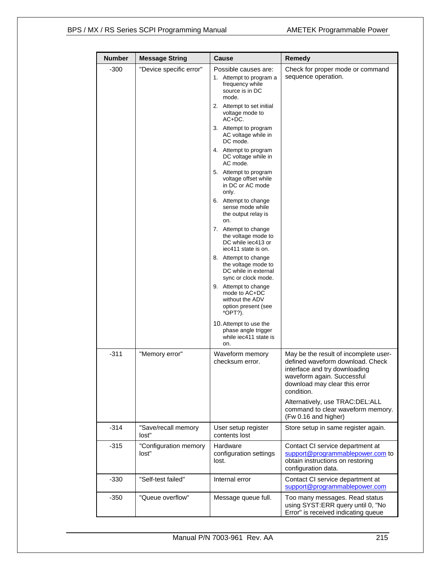| <b>Number</b> | <b>Message String</b>          | <b>Cause</b>                                                                                                                                                                                                                                                                                                                                                                                                                                                                                                                                                                                                                                                                                                                        | Remedy                                                                                                                                                                                                                                                                                  |
|---------------|--------------------------------|-------------------------------------------------------------------------------------------------------------------------------------------------------------------------------------------------------------------------------------------------------------------------------------------------------------------------------------------------------------------------------------------------------------------------------------------------------------------------------------------------------------------------------------------------------------------------------------------------------------------------------------------------------------------------------------------------------------------------------------|-----------------------------------------------------------------------------------------------------------------------------------------------------------------------------------------------------------------------------------------------------------------------------------------|
| $-300$        | "Device specific error"        | Possible causes are:<br>1. Attempt to program a<br>frequency while<br>source is in DC<br>mode.<br>2. Attempt to set initial<br>voltage mode to<br>$AC+DC$ .<br>3. Attempt to program<br>AC voltage while in<br>DC mode.<br>4. Attempt to program<br>DC voltage while in<br>AC mode.<br>5. Attempt to program<br>voltage offset while<br>in DC or AC mode<br>only.<br>6. Attempt to change<br>sense mode while<br>the output relay is<br>on.<br>7. Attempt to change<br>the voltage mode to<br>DC while iec413 or<br>iec411 state is on.<br>8. Attempt to change<br>the voltage mode to<br>DC while in external<br>sync or clock mode.<br>9. Attempt to change<br>mode to AC+DC<br>without the ADV<br>option present (see<br>*OPT?). | Check for proper mode or command<br>sequence operation.                                                                                                                                                                                                                                 |
|               |                                | 10. Attempt to use the<br>phase angle trigger<br>while iec411 state is<br>on.                                                                                                                                                                                                                                                                                                                                                                                                                                                                                                                                                                                                                                                       |                                                                                                                                                                                                                                                                                         |
| -311          | "Memory error"                 | Waveform memory<br>checksum error.                                                                                                                                                                                                                                                                                                                                                                                                                                                                                                                                                                                                                                                                                                  | May be the result of incomplete user-<br>defined waveform download. Check<br>interface and try downloading<br>waveform again. Successful<br>download may clear this error<br>condition.<br>Alternatively, use TRAC:DEL:ALL<br>command to clear waveform memory.<br>(Fw 0.16 and higher) |
| -314          | "Save/recall memory<br>lost"   | User setup register<br>contents lost                                                                                                                                                                                                                                                                                                                                                                                                                                                                                                                                                                                                                                                                                                | Store setup in same register again.                                                                                                                                                                                                                                                     |
| $-315$        | "Configuration memory<br>lost" | Hardware<br>configuration settings<br>lost.                                                                                                                                                                                                                                                                                                                                                                                                                                                                                                                                                                                                                                                                                         | Contact CI service department at<br>support@programmablepower.com to<br>obtain instructions on restoring<br>configuration data.                                                                                                                                                         |
| $-330$        | "Self-test failed"             | Internal error                                                                                                                                                                                                                                                                                                                                                                                                                                                                                                                                                                                                                                                                                                                      | Contact CI service department at<br>support@programmablepower.com                                                                                                                                                                                                                       |
| $-350$        | "Queue overflow"               | Message queue full.                                                                                                                                                                                                                                                                                                                                                                                                                                                                                                                                                                                                                                                                                                                 | Too many messages. Read status<br>using SYST:ERR query until 0, "No<br>Error" is received indicating queue                                                                                                                                                                              |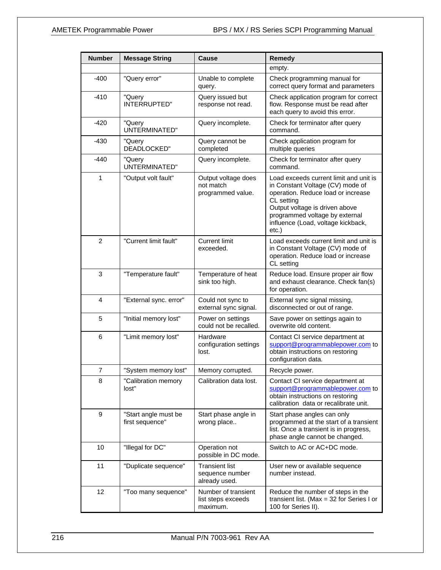| <b>Number</b>  | <b>Message String</b>                   | Cause                                                     | <b>Remedy</b>                                                                                                                                                                                                                                        |
|----------------|-----------------------------------------|-----------------------------------------------------------|------------------------------------------------------------------------------------------------------------------------------------------------------------------------------------------------------------------------------------------------------|
|                |                                         |                                                           | empty.                                                                                                                                                                                                                                               |
| $-400$         | "Query error"                           | Unable to complete<br>query.                              | Check programming manual for<br>correct query format and parameters                                                                                                                                                                                  |
| -410           | "Query<br>INTERRUPTED"                  | Query issued but<br>response not read.                    | Check application program for correct<br>flow. Response must be read after<br>each query to avoid this error.                                                                                                                                        |
| $-420$         | "Query<br>UNTERMINATED"                 | Query incomplete.                                         | Check for terminator after query<br>command.                                                                                                                                                                                                         |
| $-430$         | "Query<br>DEADLOCKED"                   | Query cannot be<br>completed                              | Check application program for<br>multiple queries                                                                                                                                                                                                    |
| -440           | "Query<br>UNTERMINATED"                 | Query incomplete.                                         | Check for terminator after query<br>command.                                                                                                                                                                                                         |
| 1              | "Output volt fault"                     | Output voltage does<br>not match<br>programmed value.     | Load exceeds current limit and unit is<br>in Constant Voltage (CV) mode of<br>operation. Reduce load or increase<br>CL setting<br>Output voltage is driven above<br>programmed voltage by external<br>influence (Load, voltage kickback,<br>$etc.$ ) |
| 2              | "Current limit fault"                   | <b>Current limit</b><br>exceeded.                         | Load exceeds current limit and unit is<br>in Constant Voltage (CV) mode of<br>operation. Reduce load or increase<br>CL setting                                                                                                                       |
| 3              | "Temperature fault"                     | Temperature of heat<br>sink too high.                     | Reduce load. Ensure proper air flow<br>and exhaust clearance. Check fan(s)<br>for operation.                                                                                                                                                         |
| 4              | "External sync. error"                  | Could not sync to<br>external sync signal.                | External sync signal missing,<br>disconnected or out of range.                                                                                                                                                                                       |
| 5              | "Initial memory lost"                   | Power on settings<br>could not be recalled.               | Save power on settings again to<br>overwrite old content.                                                                                                                                                                                            |
| 6              | "Limit memory lost"                     | Hardware<br>configuration settings<br>lost.               | Contact CI service department at<br>support@programmablepower.com to<br>obtain instructions on restoring<br>configuration data.                                                                                                                      |
| $\overline{7}$ | "System memory lost"                    | Memory corrupted.                                         | Recycle power.                                                                                                                                                                                                                                       |
| 8              | "Calibration memory<br>lost"            | Calibration data lost.                                    | Contact CI service department at<br>support@programmablepower.com to<br>obtain instructions on restoring<br>calibration data or recalibrate unit.                                                                                                    |
| 9              | "Start angle must be<br>first sequence" | Start phase angle in<br>wrong place                       | Start phase angles can only<br>programmed at the start of a transient<br>list. Once a transient is in progress,<br>phase angle cannot be changed.                                                                                                    |
| 10             | "Illegal for DC"                        | Operation not<br>possible in DC mode.                     | Switch to AC or AC+DC mode.                                                                                                                                                                                                                          |
| 11             | "Duplicate sequence"                    | <b>Transient list</b><br>sequence number<br>already used. | User new or available sequence<br>number instead.                                                                                                                                                                                                    |
| 12             | "Too many sequence"                     | Number of transient<br>list steps exceeds<br>maximum.     | Reduce the number of steps in the<br>transient list. (Max = $32$ for Series I or<br>100 for Series II).                                                                                                                                              |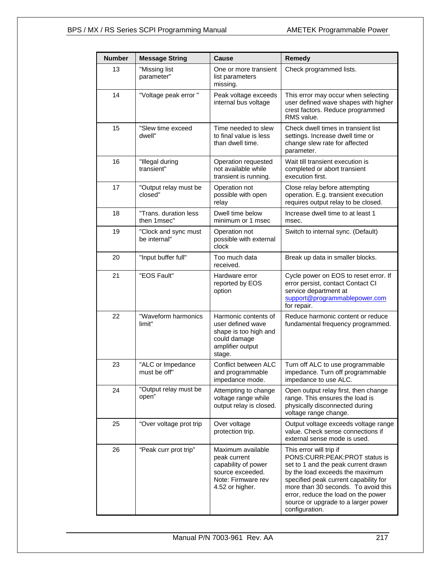| <b>Number</b> | <b>Message String</b>                | Cause                                                                                                                 | Remedy                                                                                                                                                                                                                                                                                                             |
|---------------|--------------------------------------|-----------------------------------------------------------------------------------------------------------------------|--------------------------------------------------------------------------------------------------------------------------------------------------------------------------------------------------------------------------------------------------------------------------------------------------------------------|
| 13            | "Missing list<br>parameter"          | One or more transient<br>list parameters<br>missing.                                                                  | Check programmed lists.                                                                                                                                                                                                                                                                                            |
| 14            | "Voltage peak error "                | Peak voltage exceeds<br>internal bus voltage                                                                          | This error may occur when selecting<br>user defined wave shapes with higher<br>crest factors. Reduce programmed<br>RMS value.                                                                                                                                                                                      |
| 15            | "Slew time exceed<br>dwell"          | Time needed to slew<br>to final value is less<br>than dwell time.                                                     | Check dwell times in transient list<br>settings. Increase dwell time or<br>change slew rate for affected<br>parameter.                                                                                                                                                                                             |
| 16            | "Illegal during<br>transient"        | Operation requested<br>not available while<br>transient is running.                                                   | Wait till transient execution is<br>completed or abort transient<br>execution first.                                                                                                                                                                                                                               |
| 17            | "Output relay must be<br>closed"     | Operation not<br>possible with open<br>relay                                                                          | Close relay before attempting<br>operation. E.g. transient execution<br>requires output relay to be closed.                                                                                                                                                                                                        |
| 18            | "Trans, duration less<br>then 1msec" | Dwell time below<br>minimum or 1 msec                                                                                 | Increase dwell time to at least 1<br>msec.                                                                                                                                                                                                                                                                         |
| 19            | "Clock and sync must<br>be internal" | Operation not<br>possible with external<br>clock                                                                      | Switch to internal sync. (Default)                                                                                                                                                                                                                                                                                 |
| 20            | "Input buffer full"                  | Too much data<br>received.                                                                                            | Break up data in smaller blocks.                                                                                                                                                                                                                                                                                   |
| 21            | "EOS Fault"                          | Hardware error<br>reported by EOS<br>option                                                                           | Cycle power on EOS to reset error. If<br>error persist, contact Contact CI<br>service department at<br>support@programmablepower.com<br>for repair.                                                                                                                                                                |
| 22            | "Waveform harmonics<br>limit"        | Harmonic contents of<br>user defined wave<br>shape is too high and<br>could damage<br>amplifier output<br>stage.      | Reduce harmonic content or reduce<br>fundamental frequency programmed.                                                                                                                                                                                                                                             |
| 23            | "ALC or Impedance<br>must be off"    | Conflict between ALC<br>and programmable<br>impedance mode.                                                           | Turn off ALC to use programmable<br>impedance. Turn off programmable<br>impedance to use ALC.                                                                                                                                                                                                                      |
| 24            | "Output relay must be<br>open"       | Attempting to change<br>voltage range while<br>output relay is closed.                                                | Open output relay first, then change<br>range. This ensures the load is<br>physically disconnected during<br>voltage range change.                                                                                                                                                                                 |
| 25            | "Over voltage prot trip              | Over voltage<br>protection trip.                                                                                      | Output voltage exceeds voltage range<br>value. Check sense connections if<br>external sense mode is used.                                                                                                                                                                                                          |
| 26            | "Peak curr prot trip"                | Maximum available<br>peak current<br>capability of power<br>source exceeded.<br>Note: Firmware rev<br>4.52 or higher. | This error will trip if<br>PONS:CURR:PEAK:PROT status is<br>set to 1 and the peak current drawn<br>by the load exceeds the maximum<br>specified peak current capability for<br>more than 30 seconds. To avoid this<br>error, reduce the load on the power<br>source or upgrade to a larger power<br>configuration. |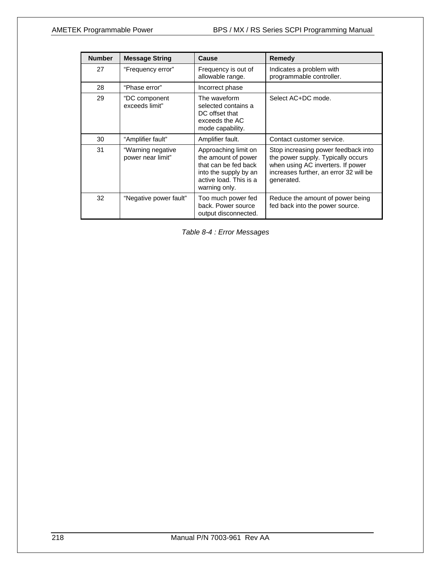| <b>Number</b> | <b>Message String</b>                  | <b>Cause</b>                                                                                                                            | Remedy                                                                                                                                                                 |
|---------------|----------------------------------------|-----------------------------------------------------------------------------------------------------------------------------------------|------------------------------------------------------------------------------------------------------------------------------------------------------------------------|
| 27            | "Frequency error"                      | Frequency is out of<br>allowable range.                                                                                                 | Indicates a problem with<br>programmable controller.                                                                                                                   |
| 28            | "Phase error"                          | Incorrect phase                                                                                                                         |                                                                                                                                                                        |
| 29            | "DC component<br>exceeds limit"        | The waveform<br>selected contains a<br>DC offset that<br>exceeds the AC<br>mode capability.                                             | Select AC+DC mode.                                                                                                                                                     |
| 30            | "Amplifier fault"                      | Amplifier fault.                                                                                                                        | Contact customer service.                                                                                                                                              |
| 31            | "Warning negative<br>power near limit" | Approaching limit on<br>the amount of power<br>that can be fed back<br>into the supply by an<br>active load. This is a<br>warning only. | Stop increasing power feedback into<br>the power supply. Typically occurs<br>when using AC inverters. If power<br>increases further, an error 32 will be<br>generated. |
| 32            | "Negative power fault"                 | Too much power fed<br>back. Power source<br>output disconnected.                                                                        | Reduce the amount of power being<br>fed back into the power source.                                                                                                    |

*Table 8-4 : Error Messages*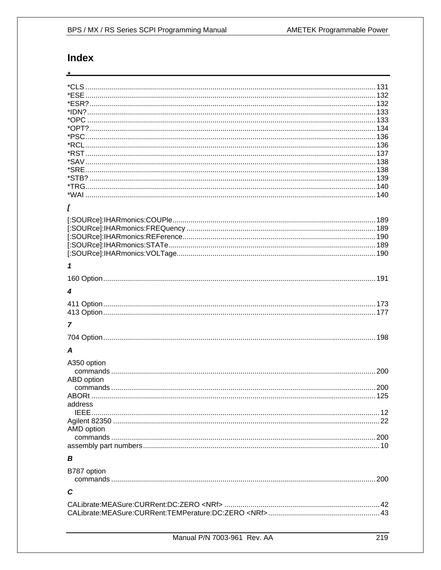# **Index**

 $\overline{\mathbf{r}}$ 

| I           |  |
|-------------|--|
|             |  |
|             |  |
|             |  |
|             |  |
|             |  |
|             |  |
| 1           |  |
|             |  |
|             |  |
| 4           |  |
|             |  |
|             |  |
|             |  |
| 7           |  |
|             |  |
|             |  |
| A           |  |
|             |  |
| A350 option |  |
|             |  |
| ABD option  |  |
|             |  |
|             |  |
| address     |  |
|             |  |
|             |  |
| AMD option  |  |
|             |  |
|             |  |
| в           |  |
|             |  |
| B787 option |  |
|             |  |
|             |  |
| C           |  |
|             |  |
|             |  |
|             |  |
|             |  |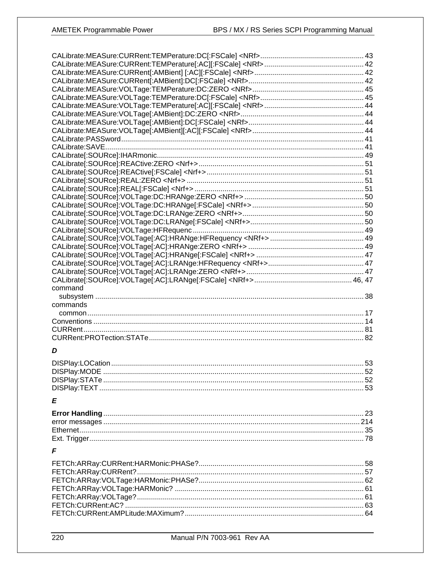| command  |    |
|----------|----|
|          |    |
|          |    |
|          |    |
| commands |    |
|          |    |
|          |    |
|          |    |
|          |    |
| D        |    |
|          |    |
|          | 52 |
|          |    |
|          |    |
| E        |    |
|          |    |
|          |    |
|          |    |
|          |    |
| F        |    |
|          |    |
|          |    |
|          |    |
|          |    |
|          |    |
|          |    |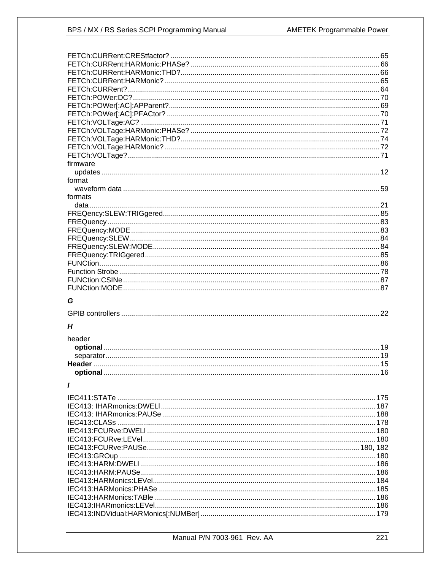| firmware |  |
|----------|--|
|          |  |
| format   |  |
|          |  |
| formats  |  |
|          |  |
|          |  |
|          |  |
|          |  |
|          |  |
|          |  |
|          |  |
|          |  |
|          |  |
|          |  |
|          |  |
|          |  |
|          |  |
| G        |  |
|          |  |
|          |  |
| Н        |  |
| header   |  |
|          |  |
|          |  |
|          |  |
|          |  |
|          |  |
| I        |  |
|          |  |
|          |  |
|          |  |
|          |  |
|          |  |
|          |  |
|          |  |
|          |  |
|          |  |
|          |  |
|          |  |
|          |  |
|          |  |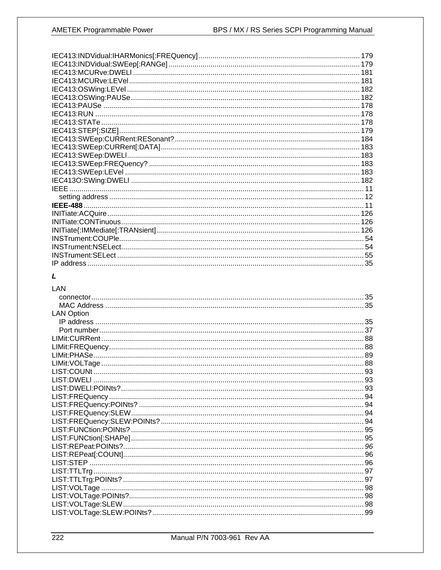|             | 179 |
|-------------|-----|
|             |     |
|             |     |
|             |     |
|             |     |
|             |     |
|             |     |
|             |     |
|             |     |
|             |     |
|             |     |
|             |     |
|             |     |
|             |     |
|             |     |
|             |     |
| <b>IFFF</b> |     |
|             |     |
|             |     |
|             |     |
|             |     |
|             |     |
|             |     |
|             |     |
|             |     |
|             |     |
|             |     |

### $\mathbf{L}$

### LAN **LAN Option**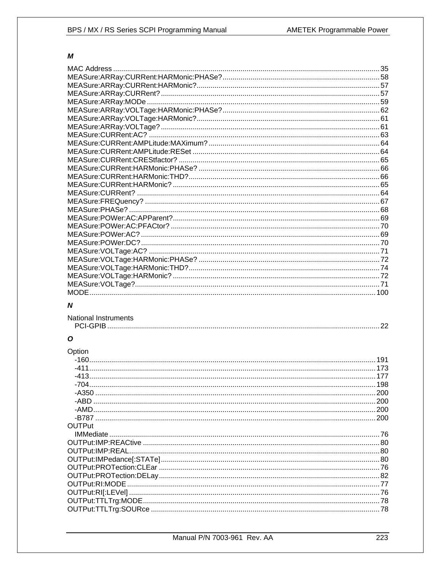### М

|   | 100 |
|---|-----|
| N |     |

### **National Instruments**

### $\boldsymbol{O}$

| Option |     |
|--------|-----|
|        | 191 |
|        |     |
|        |     |
|        |     |
|        |     |
|        |     |
|        |     |
|        |     |
| OUTPut |     |
|        |     |
|        |     |
|        |     |
|        |     |
|        |     |
|        |     |
|        |     |
|        |     |
|        |     |
|        |     |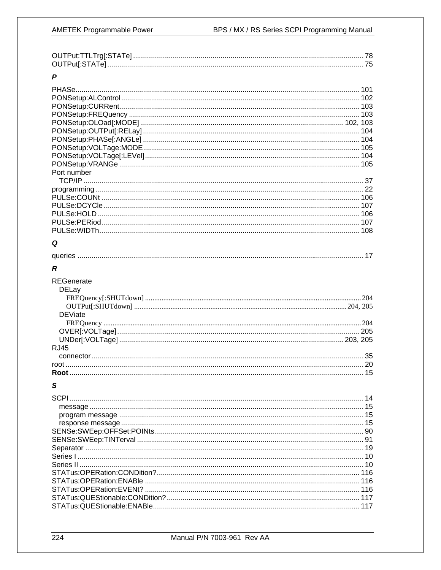| D |  |
|---|--|

| Port number<br>Q<br>R<br><b>REGenerate</b><br><b>DELay</b><br><b>DEViate</b><br><b>RJ45</b><br>S |  |
|--------------------------------------------------------------------------------------------------|--|
|                                                                                                  |  |
|                                                                                                  |  |
|                                                                                                  |  |
|                                                                                                  |  |
|                                                                                                  |  |
|                                                                                                  |  |
|                                                                                                  |  |
|                                                                                                  |  |
|                                                                                                  |  |
|                                                                                                  |  |
|                                                                                                  |  |
|                                                                                                  |  |
|                                                                                                  |  |
|                                                                                                  |  |
|                                                                                                  |  |
|                                                                                                  |  |
|                                                                                                  |  |
|                                                                                                  |  |
|                                                                                                  |  |
|                                                                                                  |  |
|                                                                                                  |  |
|                                                                                                  |  |
|                                                                                                  |  |
|                                                                                                  |  |
|                                                                                                  |  |
|                                                                                                  |  |
|                                                                                                  |  |
|                                                                                                  |  |
|                                                                                                  |  |
|                                                                                                  |  |
|                                                                                                  |  |
|                                                                                                  |  |
|                                                                                                  |  |
|                                                                                                  |  |
|                                                                                                  |  |
|                                                                                                  |  |
|                                                                                                  |  |
|                                                                                                  |  |
|                                                                                                  |  |
|                                                                                                  |  |
|                                                                                                  |  |
|                                                                                                  |  |
|                                                                                                  |  |
|                                                                                                  |  |
|                                                                                                  |  |
|                                                                                                  |  |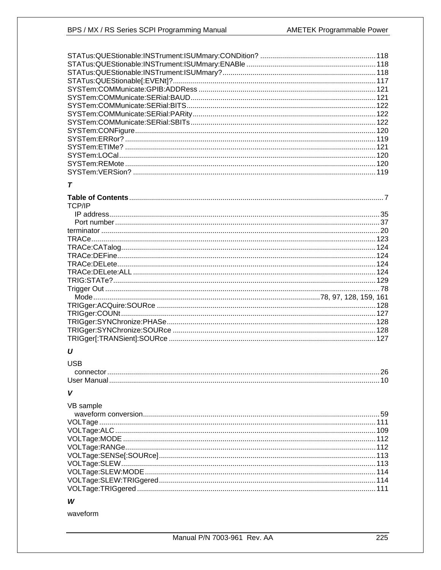# $\overline{r}$

| TCP/IP |     |
|--------|-----|
|        |     |
|        |     |
|        |     |
|        |     |
|        |     |
|        |     |
|        |     |
|        |     |
|        |     |
|        |     |
|        |     |
|        | 128 |
|        |     |
|        |     |
|        |     |
|        | 127 |

# $\boldsymbol{U}$

| USB |  |
|-----|--|
|     |  |
|     |  |

# $\mathsf{V}$

| VB sample |  |
|-----------|--|
|           |  |
|           |  |
|           |  |
|           |  |
|           |  |
|           |  |
|           |  |
|           |  |
|           |  |
|           |  |

### W

waveform